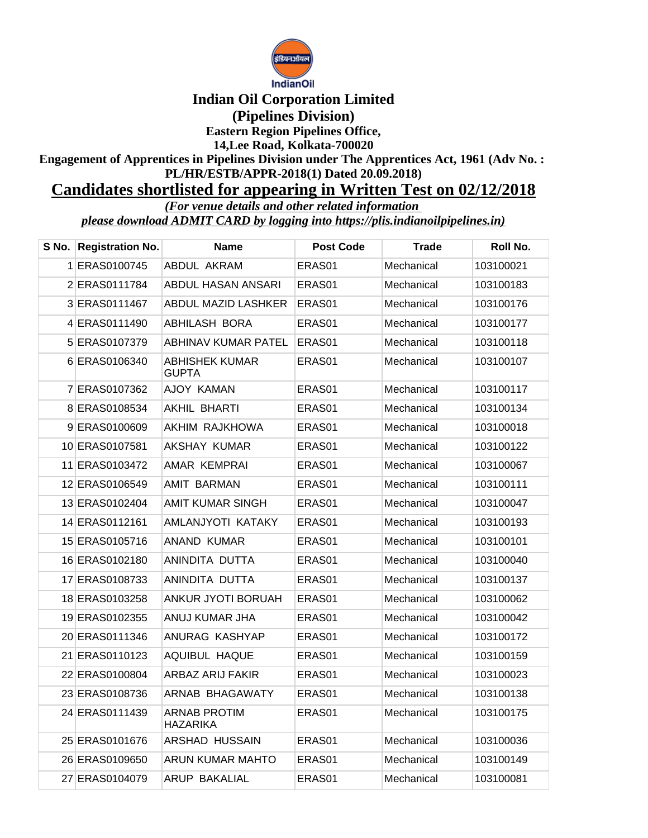

## **Indian Oil Corporation Limited (Pipelines Division) Eastern Region Pipelines Office, 14,Lee Road, Kolkata-700020**

**Engagement of Apprentices in Pipelines Division under The Apprentices Act, 1961 (Adv No. : PL/HR/ESTB/APPR-2018(1) Dated 20.09.2018)**

## **Candidates shortlisted for appearing in Written Test on 02/12/2018**

*(For venue details and other related information please download ADMIT CARD by logging into https://plis.indianoilpipelines.in)*

| S No. | <b>Registration No.</b> | <b>Name</b>                            | <b>Post Code</b> | <b>Trade</b> | Roll No.  |
|-------|-------------------------|----------------------------------------|------------------|--------------|-----------|
|       | 1 ERAS0100745           | ABDUL AKRAM                            | ERAS01           | Mechanical   | 103100021 |
|       | 2 ERAS0111784           | ABDUL HASAN ANSARI                     | ERAS01           | Mechanical   | 103100183 |
|       | 3 ERAS0111467           | ABDUL MAZID LASHKER                    | ERAS01           | Mechanical   | 103100176 |
|       | 4 ERAS0111490           | ABHILASH BORA                          | ERAS01           | Mechanical   | 103100177 |
|       | 5 ERAS0107379           | ABHINAV KUMAR PATEL                    | ERAS01           | Mechanical   | 103100118 |
|       | 6 ERAS0106340           | ABHISHEK KUMAR<br><b>GUPTA</b>         | ERAS01           | Mechanical   | 103100107 |
|       | 7 ERAS0107362           | AJOY KAMAN                             | ERAS01           | Mechanical   | 103100117 |
|       | 8 ERAS0108534           | AKHIL BHARTI                           | ERAS01           | Mechanical   | 103100134 |
|       | 9 ERAS0100609           | AKHIM RAJKHOWA                         | ERAS01           | Mechanical   | 103100018 |
|       | 10 ERAS0107581          | AKSHAY KUMAR                           | ERAS01           | Mechanical   | 103100122 |
|       | 11 ERAS0103472          | AMAR KEMPRAI                           | ERAS01           | Mechanical   | 103100067 |
|       | 12 ERAS0106549          | <b>AMIT BARMAN</b>                     | ERAS01           | Mechanical   | 103100111 |
|       | 13 ERAS0102404          | AMIT KUMAR SINGH                       | ERAS01           | Mechanical   | 103100047 |
|       | 14 ERAS0112161          | AMLANJYOTI KATAKY                      | ERAS01           | Mechanical   | 103100193 |
|       | 15 ERAS0105716          | ANAND KUMAR                            | ERAS01           | Mechanical   | 103100101 |
|       | 16 ERAS0102180          | ANINDITA DUTTA                         | ERAS01           | Mechanical   | 103100040 |
|       | 17 ERAS0108733          | ANINDITA DUTTA                         | ERAS01           | Mechanical   | 103100137 |
|       | 18 ERAS0103258          | ANKUR JYOTI BORUAH                     | ERAS01           | Mechanical   | 103100062 |
|       | 19 ERAS0102355          | ANUJ KUMAR JHA                         | ERAS01           | Mechanical   | 103100042 |
|       | 20 ERAS0111346          | ANURAG KASHYAP                         | ERAS01           | Mechanical   | 103100172 |
|       | 21 ERAS0110123          | AQUIBUL HAQUE                          | ERAS01           | Mechanical   | 103100159 |
|       | 22 ERAS0100804          | <b>ARBAZ ARIJ FAKIR</b>                | ERAS01           | Mechanical   | 103100023 |
|       | 23 ERAS0108736          | ARNAB BHAGAWATY                        | ERAS01           | Mechanical   | 103100138 |
|       | 24 ERAS0111439          | <b>ARNAB PROTIM</b><br><b>HAZARIKA</b> | ERAS01           | Mechanical   | 103100175 |
|       | 25 ERAS0101676          | ARSHAD HUSSAIN                         | ERAS01           | Mechanical   | 103100036 |
|       | 26 ERAS0109650          | ARUN KUMAR MAHTO                       | ERAS01           | Mechanical   | 103100149 |
|       | 27 ERAS0104079          | ARUP BAKALIAL                          | ERAS01           | Mechanical   | 103100081 |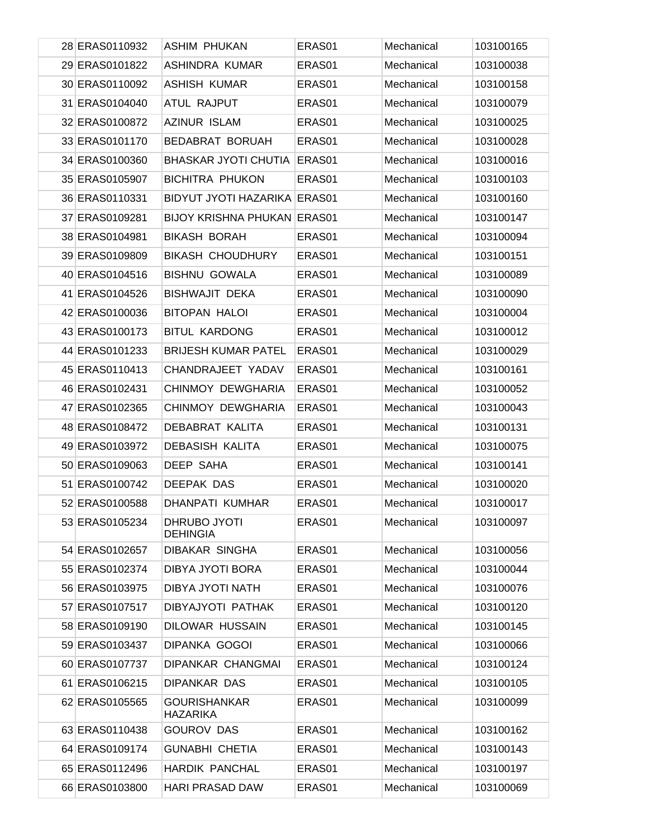| 28 ERAS0110932 | <b>ASHIM PHUKAN</b>                    | ERAS01 | Mechanical | 103100165 |
|----------------|----------------------------------------|--------|------------|-----------|
| 29 ERAS0101822 | ASHINDRA KUMAR                         | ERAS01 | Mechanical | 103100038 |
| 30 ERAS0110092 | <b>ASHISH KUMAR</b>                    | ERAS01 | Mechanical | 103100158 |
| 31 ERAS0104040 | ATUL RAJPUT                            | ERAS01 | Mechanical | 103100079 |
| 32 ERAS0100872 | <b>AZINUR ISLAM</b>                    | ERAS01 | Mechanical | 103100025 |
| 33 ERAS0101170 | <b>BEDABRAT BORUAH</b>                 | ERAS01 | Mechanical | 103100028 |
| 34 ERAS0100360 | <b>BHASKAR JYOTI CHUTIA</b>            | ERAS01 | Mechanical | 103100016 |
| 35 ERAS0105907 | <b>BICHITRA PHUKON</b>                 | ERAS01 | Mechanical | 103100103 |
| 36 ERAS0110331 | <b>BIDYUT JYOTI HAZARIKA ERAS01</b>    |        | Mechanical | 103100160 |
| 37 ERAS0109281 | <b>BIJOY KRISHNA PHUKAN ERAS01</b>     |        | Mechanical | 103100147 |
| 38 ERAS0104981 | <b>BIKASH BORAH</b>                    | ERAS01 | Mechanical | 103100094 |
| 39 ERAS0109809 | <b>BIKASH CHOUDHURY</b>                | ERAS01 | Mechanical | 103100151 |
| 40 ERAS0104516 | <b>BISHNU GOWALA</b>                   | ERAS01 | Mechanical | 103100089 |
| 41 ERAS0104526 | <b>BISHWAJIT DEKA</b>                  | ERAS01 | Mechanical | 103100090 |
| 42 ERAS0100036 | <b>BITOPAN HALOI</b>                   | ERAS01 | Mechanical | 103100004 |
| 43 ERAS0100173 | <b>BITUL KARDONG</b>                   | ERAS01 | Mechanical | 103100012 |
| 44 ERAS0101233 | <b>BRIJESH KUMAR PATEL</b>             | ERAS01 | Mechanical | 103100029 |
| 45 ERAS0110413 | CHANDRAJEET YADAV                      | ERAS01 | Mechanical | 103100161 |
| 46 ERAS0102431 | CHINMOY DEWGHARIA                      | ERAS01 | Mechanical | 103100052 |
| 47 ERAS0102365 | CHINMOY DEWGHARIA                      | ERAS01 | Mechanical | 103100043 |
| 48 ERAS0108472 | DEBABRAT KALITA                        | ERAS01 | Mechanical | 103100131 |
| 49 ERAS0103972 | <b>DEBASISH KALITA</b>                 | ERAS01 | Mechanical | 103100075 |
| 50 ERAS0109063 | <b>DEEP SAHA</b>                       | ERAS01 | Mechanical | 103100141 |
| 51 ERAS0100742 | DEEPAK DAS                             | ERAS01 | Mechanical | 103100020 |
| 52 ERAS0100588 | DHANPATI KUMHAR                        | ERAS01 | Mechanical | 103100017 |
| 53 ERAS0105234 | DHRUBO JYOTI<br><b>DEHINGIA</b>        | ERAS01 | Mechanical | 103100097 |
| 54 ERAS0102657 | <b>DIBAKAR SINGHA</b>                  | ERAS01 | Mechanical | 103100056 |
| 55 ERAS0102374 | DIBYA JYOTI BORA                       | ERAS01 | Mechanical | 103100044 |
| 56 ERAS0103975 | DIBYA JYOTI NATH                       | ERAS01 | Mechanical | 103100076 |
| 57 ERAS0107517 | DIBYAJYOTI PATHAK                      | ERAS01 | Mechanical | 103100120 |
| 58 ERAS0109190 | <b>DILOWAR HUSSAIN</b>                 | ERAS01 | Mechanical | 103100145 |
| 59 ERAS0103437 | <b>DIPANKA GOGOI</b>                   | ERAS01 | Mechanical | 103100066 |
| 60 ERAS0107737 | DIPANKAR CHANGMAI                      | ERAS01 | Mechanical | 103100124 |
| 61 ERAS0106215 | DIPANKAR DAS                           | ERAS01 | Mechanical | 103100105 |
| 62 ERAS0105565 | <b>GOURISHANKAR</b><br><b>HAZARIKA</b> | ERAS01 | Mechanical | 103100099 |
| 63 ERAS0110438 | <b>GOUROV DAS</b>                      | ERAS01 | Mechanical | 103100162 |
| 64 ERAS0109174 | <b>GUNABHI CHETIA</b>                  | ERAS01 | Mechanical | 103100143 |
| 65 ERAS0112496 | <b>HARDIK PANCHAL</b>                  | ERAS01 | Mechanical | 103100197 |
| 66 ERAS0103800 | <b>HARI PRASAD DAW</b>                 | ERAS01 | Mechanical | 103100069 |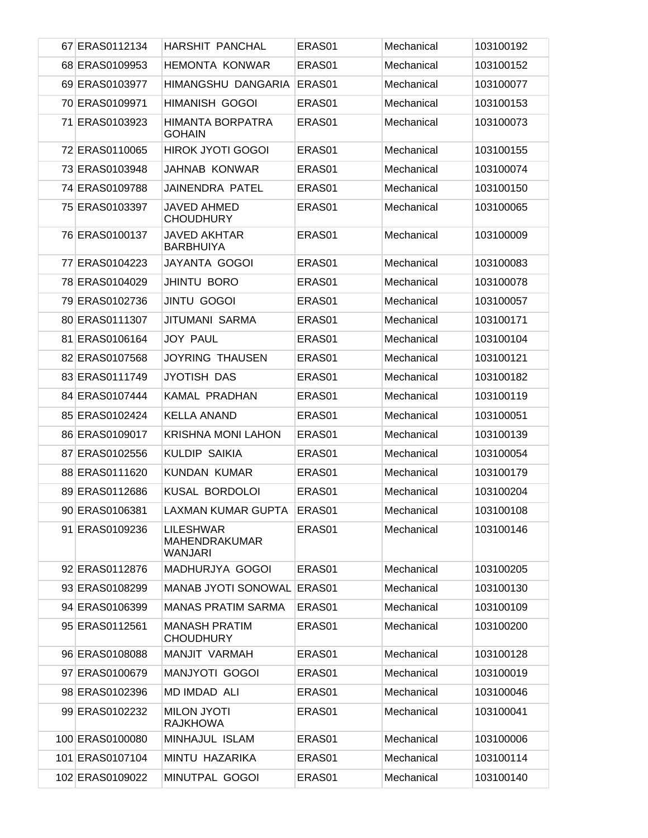| 67 ERAS0112134  | <b>HARSHIT PANCHAL</b>                              | ERAS01 | Mechanical | 103100192 |
|-----------------|-----------------------------------------------------|--------|------------|-----------|
| 68 ERAS0109953  | <b>HEMONTA KONWAR</b>                               | ERAS01 | Mechanical | 103100152 |
| 69 ERAS0103977  | HIMANGSHU DANGARIA                                  | ERAS01 | Mechanical | 103100077 |
| 70 ERAS0109971  | <b>HIMANISH GOGOI</b>                               | ERAS01 | Mechanical | 103100153 |
| 71 ERAS0103923  | HIMANTA BORPATRA<br><b>GOHAIN</b>                   | ERAS01 | Mechanical | 103100073 |
| 72 ERAS0110065  | <b>HIROK JYOTI GOGOI</b>                            | ERAS01 | Mechanical | 103100155 |
| 73 ERAS0103948  | <b>JAHNAB KONWAR</b>                                | ERAS01 | Mechanical | 103100074 |
| 74 ERAS0109788  | JAINENDRA PATEL                                     | ERAS01 | Mechanical | 103100150 |
| 75 ERAS0103397  | JAVED AHMED<br><b>CHOUDHURY</b>                     | ERAS01 | Mechanical | 103100065 |
| 76 ERAS0100137  | <b>JAVED AKHTAR</b><br><b>BARBHUIYA</b>             | ERAS01 | Mechanical | 103100009 |
| 77 ERAS0104223  | JAYANTA GOGOI                                       | ERAS01 | Mechanical | 103100083 |
| 78 ERAS0104029  | <b>JHINTU BORO</b>                                  | ERAS01 | Mechanical | 103100078 |
| 79 ERAS0102736  | <b>JINTU GOGOI</b>                                  | ERAS01 | Mechanical | 103100057 |
| 80 ERAS0111307  | <b>JITUMANI SARMA</b>                               | ERAS01 | Mechanical | 103100171 |
| 81 ERAS0106164  | <b>JOY PAUL</b>                                     | ERAS01 | Mechanical | 103100104 |
| 82 ERAS0107568  | <b>JOYRING THAUSEN</b>                              | ERAS01 | Mechanical | 103100121 |
| 83 ERAS0111749  | JYOTISH DAS                                         | ERAS01 | Mechanical | 103100182 |
| 84 ERAS0107444  | KAMAL PRADHAN                                       | ERAS01 | Mechanical | 103100119 |
| 85 ERAS0102424  | <b>KELLA ANAND</b>                                  | ERAS01 | Mechanical | 103100051 |
| 86 ERAS0109017  | <b>KRISHNA MONI LAHON</b>                           | ERAS01 | Mechanical | 103100139 |
| 87 ERAS0102556  | <b>KULDIP SAIKIA</b>                                | ERAS01 | Mechanical | 103100054 |
| 88 ERAS0111620  | <b>KUNDAN KUMAR</b>                                 | ERAS01 | Mechanical | 103100179 |
| 89 ERAS0112686  | KUSAL BORDOLOI                                      | ERAS01 | Mechanical | 103100204 |
| 90 ERAS0106381  | LAXMAN KUMAR GUPTA                                  | ERAS01 | Mechanical | 103100108 |
| 91 ERAS0109236  | <b>LILESHWAR</b><br><b>MAHENDRAKUMAR</b><br>WANJARI | ERAS01 | Mechanical | 103100146 |
| 92 ERAS0112876  | MADHURJYA GOGOI                                     | ERAS01 | Mechanical | 103100205 |
| 93 ERAS0108299  | MANAB JYOTI SONOWAL                                 | ERAS01 | Mechanical | 103100130 |
| 94 ERAS0106399  | <b>MANAS PRATIM SARMA</b>                           | ERAS01 | Mechanical | 103100109 |
| 95 ERAS0112561  | <b>MANASH PRATIM</b><br><b>CHOUDHURY</b>            | ERAS01 | Mechanical | 103100200 |
| 96 ERAS0108088  | MANJIT VARMAH                                       | ERAS01 | Mechanical | 103100128 |
| 97 ERAS0100679  | <b>MANJYOTI GOGOI</b>                               | ERAS01 | Mechanical | 103100019 |
| 98 ERAS0102396  | MD IMDAD ALI                                        | ERAS01 | Mechanical | 103100046 |
| 99 ERAS0102232  | <b>MILON JYOTI</b><br><b>RAJKHOWA</b>               | ERAS01 | Mechanical | 103100041 |
| 100 ERAS0100080 | MINHAJUL ISLAM                                      | ERAS01 | Mechanical | 103100006 |
| 101 ERAS0107104 | MINTU HAZARIKA                                      | ERAS01 | Mechanical | 103100114 |
| 102 ERAS0109022 | MINUTPAL GOGOI                                      | ERAS01 | Mechanical | 103100140 |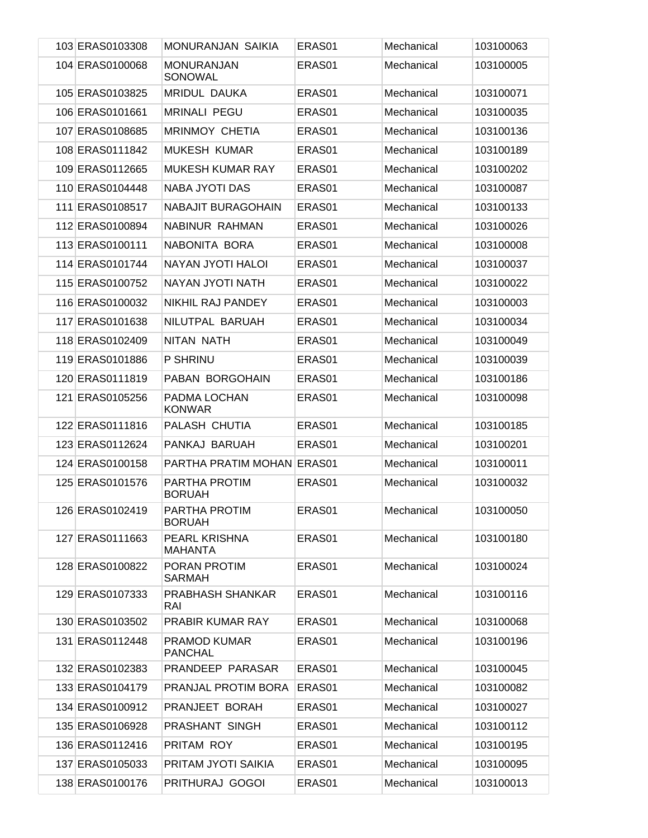| 103 ERAS0103308 | <b>MONURANJAN SAIKIA</b>              | ERAS01 | Mechanical | 103100063 |
|-----------------|---------------------------------------|--------|------------|-----------|
| 104 ERAS0100068 | <b>MONURANJAN</b><br>SONOWAL          | ERAS01 | Mechanical | 103100005 |
| 105 ERAS0103825 | MRIDUL DAUKA                          | ERAS01 | Mechanical | 103100071 |
| 106 ERAS0101661 | <b>MRINALI PEGU</b>                   | ERAS01 | Mechanical | 103100035 |
| 107 ERAS0108685 | <b>MRINMOY CHETIA</b>                 | ERAS01 | Mechanical | 103100136 |
| 108 ERAS0111842 | <b>MUKESH KUMAR</b>                   | ERAS01 | Mechanical | 103100189 |
| 109 ERAS0112665 | <b>MUKESH KUMAR RAY</b>               | ERAS01 | Mechanical | 103100202 |
| 110 ERAS0104448 | <b>NABA JYOTI DAS</b>                 | ERAS01 | Mechanical | 103100087 |
| 111 ERAS0108517 | NABAJIT BURAGOHAIN                    | ERAS01 | Mechanical | 103100133 |
| 112 ERAS0100894 | NABINUR RAHMAN                        | ERAS01 | Mechanical | 103100026 |
| 113 ERAS0100111 | NABONITA BORA                         | ERAS01 | Mechanical | 103100008 |
| 114 ERAS0101744 | <b>NAYAN JYOTI HALOI</b>              | ERAS01 | Mechanical | 103100037 |
| 115 ERAS0100752 | NAYAN JYOTI NATH                      | ERAS01 | Mechanical | 103100022 |
| 116 ERAS0100032 | NIKHIL RAJ PANDEY                     | ERAS01 | Mechanical | 103100003 |
| 117 ERAS0101638 | NILUTPAL BARUAH                       | ERAS01 | Mechanical | 103100034 |
| 118 ERAS0102409 | NITAN NATH                            | ERAS01 | Mechanical | 103100049 |
| 119 ERAS0101886 | P SHRINU                              | ERAS01 | Mechanical | 103100039 |
| 120 ERAS0111819 | PABAN BORGOHAIN                       | ERAS01 | Mechanical | 103100186 |
| 121 ERAS0105256 | PADMA LOCHAN<br><b>KONWAR</b>         | ERAS01 | Mechanical | 103100098 |
| 122 ERAS0111816 | PALASH CHUTIA                         | ERAS01 | Mechanical | 103100185 |
| 123 ERAS0112624 | PANKAJ BARUAH                         | ERAS01 | Mechanical | 103100201 |
| 124 ERAS0100158 | PARTHA PRATIM MOHAN ERAS01            |        | Mechanical | 103100011 |
| 125 ERAS0101576 | PARTHA PROTIM<br><b>BORUAH</b>        | ERAS01 | Mechanical | 103100032 |
| 126 ERAS0102419 | PARTHA PROTIM<br><b>BORUAH</b>        | ERAS01 | Mechanical | 103100050 |
| 127 ERAS0111663 | PEARL KRISHNA<br>MAHANTA              | ERAS01 | Mechanical | 103100180 |
| 128 ERAS0100822 | PORAN PROTIM<br><b>SARMAH</b>         | ERAS01 | Mechanical | 103100024 |
| 129 ERAS0107333 | PRABHASH SHANKAR<br>RAI               | ERAS01 | Mechanical | 103100116 |
| 130 ERAS0103502 | PRABIR KUMAR RAY                      | ERAS01 | Mechanical | 103100068 |
| 131 ERAS0112448 | <b>PRAMOD KUMAR</b><br><b>PANCHAL</b> | ERAS01 | Mechanical | 103100196 |
| 132 ERAS0102383 | PRANDEEP PARASAR                      | ERAS01 | Mechanical | 103100045 |
| 133 ERAS0104179 | PRANJAL PROTIM BORA                   | ERAS01 | Mechanical | 103100082 |
| 134 ERAS0100912 | PRANJEET BORAH                        | ERAS01 | Mechanical | 103100027 |
| 135 ERAS0106928 | PRASHANT SINGH                        | ERAS01 | Mechanical | 103100112 |
| 136 ERAS0112416 | PRITAM ROY                            | ERAS01 | Mechanical | 103100195 |
| 137 ERAS0105033 | PRITAM JYOTI SAIKIA                   | ERAS01 | Mechanical | 103100095 |
| 138 ERAS0100176 | PRITHURAJ GOGOI                       | ERAS01 | Mechanical | 103100013 |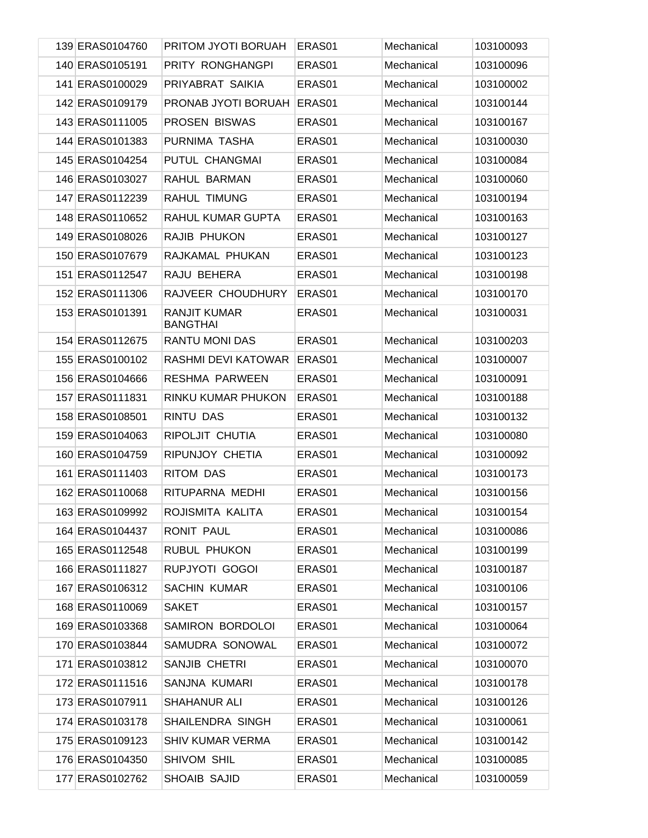| 139 ERAS0104760 | PRITOM JYOTI BORUAH                    | ERAS01 | Mechanical | 103100093 |
|-----------------|----------------------------------------|--------|------------|-----------|
| 140 ERAS0105191 | PRITY RONGHANGPI                       | ERAS01 | Mechanical | 103100096 |
| 141 ERAS0100029 | PRIYABRAT SAIKIA                       | ERAS01 | Mechanical | 103100002 |
| 142 ERAS0109179 | PRONAB JYOTI BORUAH                    | ERAS01 | Mechanical | 103100144 |
| 143 ERAS0111005 | PROSEN BISWAS                          | ERAS01 | Mechanical | 103100167 |
| 144 ERAS0101383 | PURNIMA TASHA                          | ERAS01 | Mechanical | 103100030 |
| 145 ERAS0104254 | PUTUL CHANGMAI                         | ERAS01 | Mechanical | 103100084 |
| 146 ERAS0103027 | RAHUL BARMAN                           | ERAS01 | Mechanical | 103100060 |
| 147 ERAS0112239 | RAHUL TIMUNG                           | ERAS01 | Mechanical | 103100194 |
| 148 ERAS0110652 | RAHUL KUMAR GUPTA                      | ERAS01 | Mechanical | 103100163 |
| 149 ERAS0108026 | RAJIB PHUKON                           | ERAS01 | Mechanical | 103100127 |
| 150 ERAS0107679 | RAJKAMAL PHUKAN                        | ERAS01 | Mechanical | 103100123 |
| 151 ERAS0112547 | RAJU BEHERA                            | ERAS01 | Mechanical | 103100198 |
| 152 ERAS0111306 | RAJVEER CHOUDHURY                      | ERAS01 | Mechanical | 103100170 |
| 153 ERAS0101391 | <b>RANJIT KUMAR</b><br><b>BANGTHAI</b> | ERAS01 | Mechanical | 103100031 |
| 154 ERAS0112675 | <b>RANTU MONI DAS</b>                  | ERAS01 | Mechanical | 103100203 |
| 155 ERAS0100102 | RASHMI DEVI KATOWAR                    | ERAS01 | Mechanical | 103100007 |
| 156 ERAS0104666 | RESHMA PARWEEN                         | ERAS01 | Mechanical | 103100091 |
| 157 ERAS0111831 | RINKU KUMAR PHUKON                     | ERAS01 | Mechanical | 103100188 |
| 158 ERAS0108501 | <b>RINTU DAS</b>                       | ERAS01 | Mechanical | 103100132 |
| 159 ERAS0104063 | RIPOLJIT CHUTIA                        | ERAS01 | Mechanical | 103100080 |
| 160 ERAS0104759 | RIPUNJOY CHETIA                        | ERAS01 | Mechanical | 103100092 |
| 161 ERAS0111403 | <b>RITOM DAS</b>                       | ERAS01 | Mechanical | 103100173 |
| 162 ERAS0110068 | RITUPARNA MEDHI                        | ERAS01 | Mechanical | 103100156 |
| 163 ERAS0109992 | ROJISMITA KALITA                       | ERAS01 | Mechanical | 103100154 |
| 164 ERAS0104437 | <b>RONIT PAUL</b>                      | ERAS01 | Mechanical | 103100086 |
| 165 ERAS0112548 | RUBUL PHUKON                           | ERAS01 | Mechanical | 103100199 |
| 166 ERAS0111827 | RUPJYOTI GOGOI                         | ERAS01 | Mechanical | 103100187 |
| 167 ERAS0106312 | <b>SACHIN KUMAR</b>                    | ERAS01 | Mechanical | 103100106 |
| 168 ERAS0110069 | <b>SAKET</b>                           | ERAS01 | Mechanical | 103100157 |
| 169 ERAS0103368 | SAMIRON BORDOLOI                       | ERAS01 | Mechanical | 103100064 |
| 170 ERAS0103844 | SAMUDRA SONOWAL                        | ERAS01 | Mechanical | 103100072 |
| 171 ERAS0103812 | SANJIB CHETRI                          | ERAS01 | Mechanical | 103100070 |
| 172 ERAS0111516 | SANJNA KUMARI                          | ERAS01 | Mechanical | 103100178 |
| 173 ERAS0107911 | SHAHANUR ALI                           | ERAS01 | Mechanical | 103100126 |
| 174 ERAS0103178 | SHAILENDRA SINGH                       | ERAS01 | Mechanical | 103100061 |
| 175 ERAS0109123 | <b>SHIV KUMAR VERMA</b>                | ERAS01 | Mechanical | 103100142 |
| 176 ERAS0104350 | SHIVOM SHIL                            | ERAS01 | Mechanical | 103100085 |
| 177 ERAS0102762 | SHOAIB SAJID                           | ERAS01 | Mechanical | 103100059 |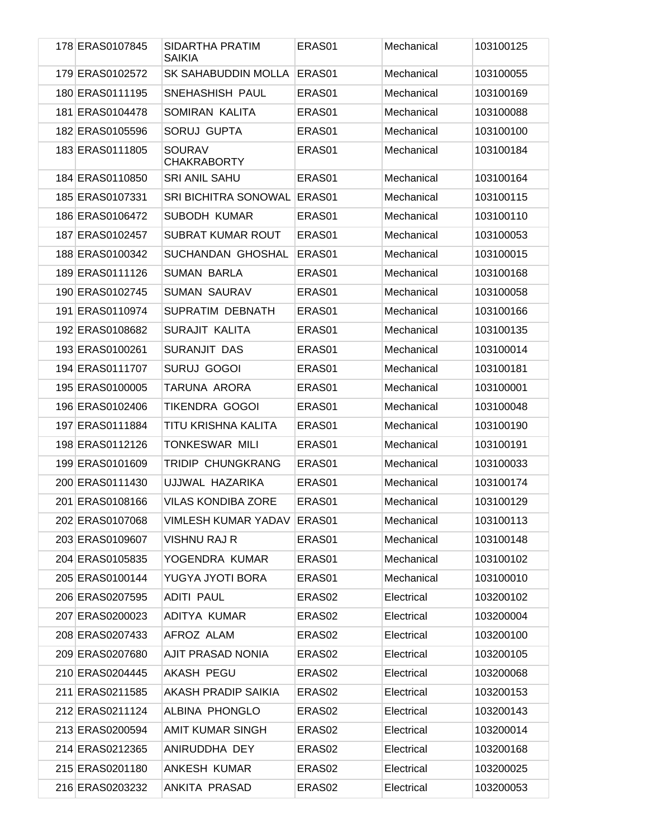| 178 ERAS0107845 | SIDARTHA PRATIM<br><b>SAIKIA</b>    | ERAS01             | Mechanical | 103100125 |
|-----------------|-------------------------------------|--------------------|------------|-----------|
| 179 ERAS0102572 | SK SAHABUDDIN MOLLA                 | ERAS01             | Mechanical | 103100055 |
| 180 ERAS0111195 | SNEHASHISH PAUL                     | ERAS01             | Mechanical | 103100169 |
| 181 ERAS0104478 | SOMIRAN KALITA                      | ERAS01             | Mechanical | 103100088 |
| 182 ERAS0105596 | <b>SORUJ GUPTA</b>                  | ERAS01             | Mechanical | 103100100 |
| 183 ERAS0111805 | <b>SOURAV</b><br><b>CHAKRABORTY</b> | ERAS01             | Mechanical | 103100184 |
| 184 ERAS0110850 | <b>SRI ANIL SAHU</b>                | ERAS <sub>01</sub> | Mechanical | 103100164 |
| 185 ERAS0107331 | <b>SRI BICHITRA SONOWAL</b>         | ERAS01             | Mechanical | 103100115 |
| 186 ERAS0106472 | <b>SUBODH KUMAR</b>                 | ERAS01             | Mechanical | 103100110 |
| 187 ERAS0102457 | <b>SUBRAT KUMAR ROUT</b>            | ERAS01             | Mechanical | 103100053 |
| 188 ERAS0100342 | SUCHANDAN GHOSHAL                   | ERAS01             | Mechanical | 103100015 |
| 189 ERAS0111126 | <b>SUMAN BARLA</b>                  | ERAS01             | Mechanical | 103100168 |
| 190 ERAS0102745 | <b>SUMAN SAURAV</b>                 | ERAS01             | Mechanical | 103100058 |
| 191 ERAS0110974 | SUPRATIM DEBNATH                    | ERAS01             | Mechanical | 103100166 |
| 192 ERAS0108682 | SURAJIT KALITA                      | ERAS01             | Mechanical | 103100135 |
| 193 ERAS0100261 | <b>SURANJIT DAS</b>                 | ERAS01             | Mechanical | 103100014 |
| 194 ERAS0111707 | <b>SURUJ GOGOI</b>                  | ERAS01             | Mechanical | 103100181 |
| 195 ERAS0100005 | TARUNA ARORA                        | ERAS01             | Mechanical | 103100001 |
| 196 ERAS0102406 | TIKENDRA GOGOI                      | ERAS01             | Mechanical | 103100048 |
| 197 ERAS0111884 | TITU KRISHNA KALITA                 | ERAS01             | Mechanical | 103100190 |
| 198 ERAS0112126 | TONKESWAR MILI                      | ERAS01             | Mechanical | 103100191 |
| 199 ERAS0101609 | TRIDIP CHUNGKRANG                   | ERAS01             | Mechanical | 103100033 |
| 200 ERAS0111430 | UJJWAL HAZARIKA                     | ERAS01             | Mechanical | 103100174 |
| 201 ERAS0108166 | <b>VILAS KONDIBA ZORE</b>           | ERAS01             | Mechanical | 103100129 |
| 202 ERAS0107068 | VIMLESH KUMAR YADAV ERAS01          |                    | Mechanical | 103100113 |
| 203 ERAS0109607 | VISHNU RAJ R                        | ERAS01             | Mechanical | 103100148 |
| 204 ERAS0105835 | YOGENDRA KUMAR                      | ERAS01             | Mechanical | 103100102 |
| 205 ERAS0100144 | YUGYA JYOTI BORA                    | ERAS01             | Mechanical | 103100010 |
| 206 ERAS0207595 | ADITI PAUL                          | ERAS02             | Electrical | 103200102 |
| 207 ERAS0200023 | ADITYA KUMAR                        | ERAS02             | Electrical | 103200004 |
| 208 ERAS0207433 | AFROZ ALAM                          | ERAS02             | Electrical | 103200100 |
| 209 ERAS0207680 | AJIT PRASAD NONIA                   | ERAS <sub>02</sub> | Electrical | 103200105 |
| 210 ERAS0204445 | AKASH PEGU                          | ERAS02             | Electrical | 103200068 |
| 211 ERAS0211585 | AKASH PRADIP SAIKIA                 | ERAS02             | Electrical | 103200153 |
| 212 ERAS0211124 | ALBINA PHONGLO                      | ERAS02             | Electrical | 103200143 |
| 213 ERAS0200594 | <b>AMIT KUMAR SINGH</b>             | ERAS02             | Electrical | 103200014 |
| 214 ERAS0212365 | ANIRUDDHA DEY                       | ERAS02             | Electrical | 103200168 |
| 215 ERAS0201180 | ANKESH KUMAR                        | ERAS02             | Electrical | 103200025 |
| 216 ERAS0203232 | ANKITA PRASAD                       | ERAS02             | Electrical | 103200053 |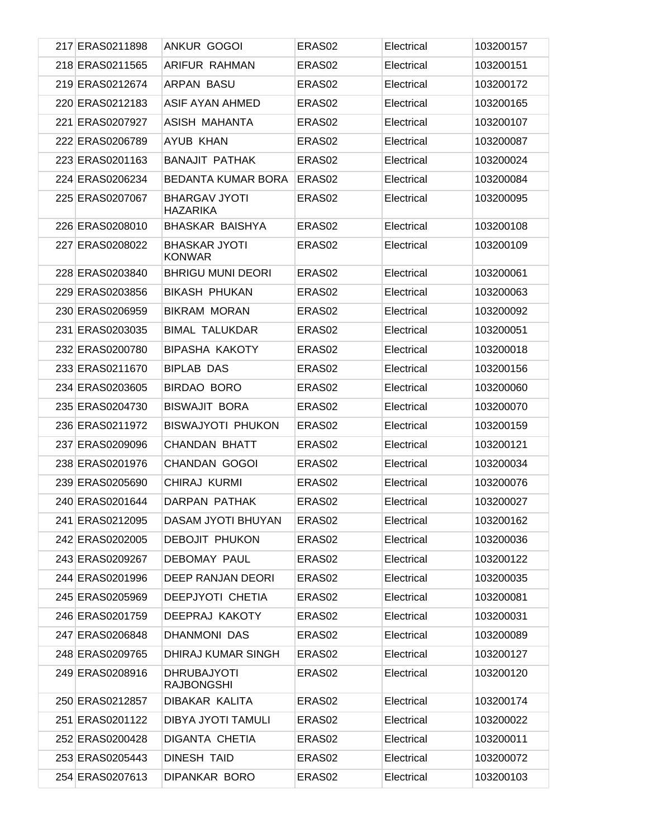| 217 ERAS0211898 | ANKUR GOGOI                             | ERAS <sub>02</sub> | Electrical | 103200157 |
|-----------------|-----------------------------------------|--------------------|------------|-----------|
| 218 ERAS0211565 | ARIFUR RAHMAN                           | ERAS <sub>02</sub> | Electrical | 103200151 |
| 219 ERAS0212674 | ARPAN BASU                              | ERAS <sub>02</sub> | Electrical | 103200172 |
| 220 ERAS0212183 | <b>ASIF AYAN AHMED</b>                  | ERAS <sub>02</sub> | Electrical | 103200165 |
| 221 ERAS0207927 | ASISH MAHANTA                           | ERAS <sub>02</sub> | Electrical | 103200107 |
| 222 ERAS0206789 | AYUB KHAN                               | ERAS <sub>02</sub> | Electrical | 103200087 |
| 223 ERAS0201163 | <b>BANAJIT PATHAK</b>                   | ERAS <sub>02</sub> | Electrical | 103200024 |
| 224 ERAS0206234 | <b>BEDANTA KUMAR BORA</b>               | ERAS <sub>02</sub> | Electrical | 103200084 |
| 225 ERAS0207067 | BHARGAV JYOTI<br>HAZARIKA               | ERAS02             | Electrical | 103200095 |
| 226 ERAS0208010 | <b>BHASKAR BAISHYA</b>                  | ERAS <sub>02</sub> | Electrical | 103200108 |
| 227 ERAS0208022 | <b>BHASKAR JYOTI</b><br><b>KONWAR</b>   | ERAS02             | Electrical | 103200109 |
| 228 ERAS0203840 | <b>BHRIGU MUNI DEORI</b>                | ERAS <sub>02</sub> | Electrical | 103200061 |
| 229 ERAS0203856 | <b>BIKASH PHUKAN</b>                    | ERAS <sub>02</sub> | Electrical | 103200063 |
| 230 ERAS0206959 | <b>BIKRAM MORAN</b>                     | ERAS <sub>02</sub> | Electrical | 103200092 |
| 231 ERAS0203035 | <b>BIMAL TALUKDAR</b>                   | ERAS <sub>02</sub> | Electrical | 103200051 |
| 232 ERAS0200780 | BIPASHA KAKOTY                          | ERAS <sub>02</sub> | Electrical | 103200018 |
| 233 ERAS0211670 | <b>BIPLAB DAS</b>                       | ERAS <sub>02</sub> | Electrical | 103200156 |
| 234 ERAS0203605 | BIRDAO BORO                             | ERAS <sub>02</sub> | Electrical | 103200060 |
| 235 ERAS0204730 | <b>BISWAJIT BORA</b>                    | ERAS <sub>02</sub> | Electrical | 103200070 |
| 236 ERAS0211972 | <b>BISWAJYOTI PHUKON</b>                | ERAS <sub>02</sub> | Electrical | 103200159 |
| 237 ERAS0209096 | CHANDAN BHATT                           | ERAS <sub>02</sub> | Electrical | 103200121 |
| 238 ERAS0201976 | CHANDAN GOGOI                           | ERAS <sub>02</sub> | Electrical | 103200034 |
| 239 ERAS0205690 | CHIRAJ KURMI                            | ERAS <sub>02</sub> | Electrical | 103200076 |
| 240 ERAS0201644 | DARPAN PATHAK                           | ERAS <sub>02</sub> | Electrical | 103200027 |
| 241 ERAS0212095 | DASAM JYOTI BHUYAN                      | ERAS <sub>02</sub> | Electrical | 103200162 |
| 242 ERAS0202005 | <b>DEBOJIT PHUKON</b>                   | ERAS <sub>02</sub> | Electrical | 103200036 |
| 243 ERAS0209267 | DEBOMAY PAUL                            | ERAS <sub>02</sub> | Electrical | 103200122 |
| 244 ERAS0201996 | DEEP RANJAN DEORI                       | ERAS <sub>02</sub> | Electrical | 103200035 |
| 245 ERAS0205969 | DEEPJYOTI CHETIA                        | ERAS <sub>02</sub> | Electrical | 103200081 |
| 246 ERAS0201759 | DEEPRAJ KAKOTY                          | ERAS <sub>02</sub> | Electrical | 103200031 |
| 247 ERAS0206848 | DHANMONI DAS                            | ERAS <sub>02</sub> | Electrical | 103200089 |
| 248 ERAS0209765 | DHIRAJ KUMAR SINGH                      | ERAS <sub>02</sub> | Electrical | 103200127 |
| 249 ERAS0208916 | <b>DHRUBAJYOTI</b><br><b>RAJBONGSHI</b> | ERAS <sub>02</sub> | Electrical | 103200120 |
| 250 ERAS0212857 | DIBAKAR KALITA                          | ERAS02             | Electrical | 103200174 |
| 251 ERAS0201122 | DIBYA JYOTI TAMULI                      | ERAS02             | Electrical | 103200022 |
| 252 ERAS0200428 | DIGANTA CHETIA                          | ERAS02             | Electrical | 103200011 |
| 253 ERAS0205443 | <b>DINESH TAID</b>                      | ERAS02             | Electrical | 103200072 |
| 254 ERAS0207613 | DIPANKAR BORO                           | ERAS02             | Electrical | 103200103 |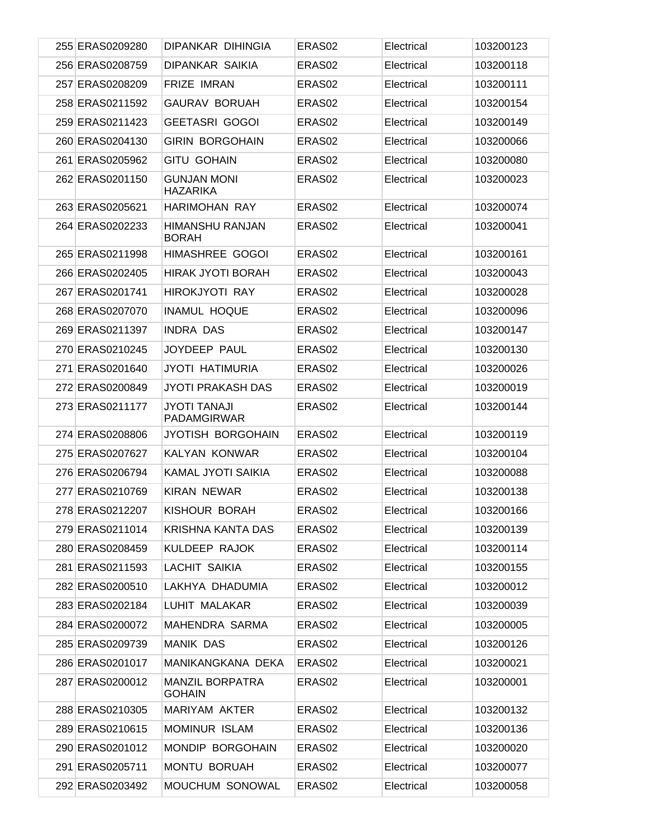| 255 ERAS0209280 | DIPANKAR DIHINGIA                     | ERAS02             | Electrical | 103200123 |
|-----------------|---------------------------------------|--------------------|------------|-----------|
| 256 ERAS0208759 | DIPANKAR SAIKIA                       | ERAS <sub>02</sub> | Electrical | 103200118 |
| 257 ERAS0208209 | <b>FRIZE IMRAN</b>                    | ERAS02             | Electrical | 103200111 |
| 258 ERAS0211592 | <b>GAURAV BORUAH</b>                  | ERAS <sub>02</sub> | Electrical | 103200154 |
| 259 ERAS0211423 | GEETASRI GOGOI                        | ERAS02             | Electrical | 103200149 |
| 260 ERAS0204130 | GIRIN BORGOHAIN                       | ERAS02             | Electrical | 103200066 |
| 261 ERAS0205962 | <b>GITU GOHAIN</b>                    | ERAS02             | Electrical | 103200080 |
| 262 ERAS0201150 | <b>GUNJAN MONI</b><br><b>HAZARIKA</b> | ERAS02             | Electrical | 103200023 |
| 263 ERAS0205621 | HARIMOHAN RAY                         | ERAS <sub>02</sub> | Electrical | 103200074 |
| 264 ERAS0202233 | HIMANSHU RANJAN<br><b>BORAH</b>       | ERAS <sub>02</sub> | Electrical | 103200041 |
| 265 ERAS0211998 | HIMASHREE GOGOI                       | ERAS <sub>02</sub> | Electrical | 103200161 |
| 266 ERAS0202405 | <b>HIRAK JYOTI BORAH</b>              | ERAS <sub>02</sub> | Electrical | 103200043 |
| 267 ERAS0201741 | HIROKJYOTI RAY                        | ERAS <sub>02</sub> | Electrical | 103200028 |
| 268 ERAS0207070 | <b>INAMUL HOQUE</b>                   | ERAS02             | Electrical | 103200096 |
| 269 ERAS0211397 | <b>INDRA DAS</b>                      | ERAS <sub>02</sub> | Electrical | 103200147 |
| 270 ERAS0210245 | JOYDEEP PAUL                          | ERAS <sub>02</sub> | Electrical | 103200130 |
| 271 ERAS0201640 | JYOTI HATIMURIA                       | ERAS <sub>02</sub> | Electrical | 103200026 |
| 272 ERAS0200849 | JYOTI PRAKASH DAS                     | ERAS02             | Electrical | 103200019 |
| 273 ERAS0211177 | JYOTI TANAJI<br><b>PADAMGIRWAR</b>    | ERAS <sub>02</sub> | Electrical | 103200144 |
| 274 ERAS0208806 | JYOTISH BORGOHAIN                     | ERAS <sub>02</sub> | Electrical | 103200119 |
| 275 ERAS0207627 | KALYAN KONWAR                         | ERAS <sub>02</sub> | Electrical | 103200104 |
| 276 ERAS0206794 | KAMAL JYOTI SAIKIA                    | ERAS <sub>02</sub> | Electrical | 103200088 |
| 277 ERAS0210769 | <b>KIRAN NEWAR</b>                    | ERAS02             | Electrical | 103200138 |
| 278 ERAS0212207 | KISHOUR BORAH                         | ERAS02             | Electrical | 103200166 |
| 279 ERAS0211014 | KRISHNA KANTA DAS                     | ERAS02             | Electrical | 103200139 |
| 280 ERAS0208459 | KULDEEP RAJOK                         | ERAS <sub>02</sub> | Electrical | 103200114 |
| 281 ERAS0211593 | LACHIT SAIKIA                         | ERAS <sub>02</sub> | Electrical | 103200155 |
| 282 ERAS0200510 | LAKHYA DHADUMIA                       | ERAS <sub>02</sub> | Electrical | 103200012 |
| 283 ERAS0202184 | LUHIT MALAKAR                         | ERAS <sub>02</sub> | Electrical | 103200039 |
| 284 ERAS0200072 | MAHENDRA SARMA                        | ERAS <sub>02</sub> | Electrical | 103200005 |
| 285 ERAS0209739 | <b>MANIK DAS</b>                      | ERAS <sub>02</sub> | Electrical | 103200126 |
| 286 ERAS0201017 | MANIKANGKANA DEKA                     | ERAS <sub>02</sub> | Electrical | 103200021 |
| 287 ERAS0200012 | MANZIL BORPATRA<br><b>GOHAIN</b>      | ERAS02             | Electrical | 103200001 |
| 288 ERAS0210305 | MARIYAM AKTER                         | ERAS <sub>02</sub> | Electrical | 103200132 |
| 289 ERAS0210615 | <b>MOMINUR ISLAM</b>                  | ERAS <sub>02</sub> | Electrical | 103200136 |
| 290 ERAS0201012 | MONDIP BORGOHAIN                      | ERAS <sub>02</sub> | Electrical | 103200020 |
| 291 ERAS0205711 | MONTU BORUAH                          | ERAS02             | Electrical | 103200077 |
| 292 ERAS0203492 | MOUCHUM SONOWAL                       | ERAS <sub>02</sub> | Electrical | 103200058 |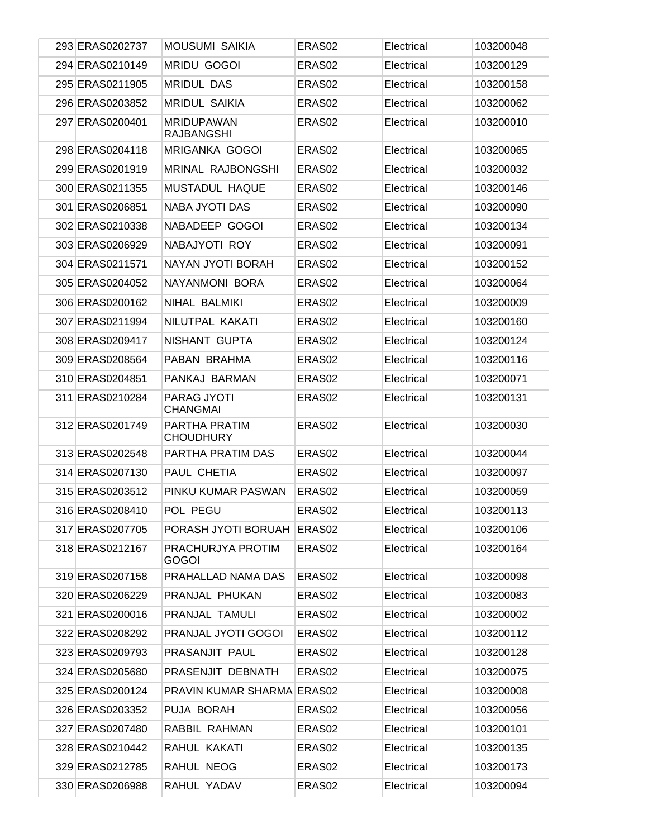| 293 ERAS0202737 | <b>MOUSUMI SAIKIA</b>                  | ERAS02             | Electrical | 103200048 |
|-----------------|----------------------------------------|--------------------|------------|-----------|
| 294 ERAS0210149 | <b>MRIDU GOGOI</b>                     | ERAS02             | Electrical | 103200129 |
| 295 ERAS0211905 | <b>MRIDUL DAS</b>                      | ERAS02             | Electrical | 103200158 |
| 296 ERAS0203852 | <b>MRIDUL SAIKIA</b>                   | ERAS <sub>02</sub> | Electrical | 103200062 |
| 297 ERAS0200401 | <b>MRIDUPAWAN</b><br><b>RAJBANGSHI</b> | ERAS02             | Electrical | 103200010 |
| 298 ERAS0204118 | <b>MRIGANKA GOGOI</b>                  | ERAS02             | Electrical | 103200065 |
| 299 ERAS0201919 | <b>MRINAL RAJBONGSHI</b>               | ERAS02             | Electrical | 103200032 |
| 300 ERAS0211355 | MUSTADUL HAQUE                         | ERAS02             | Electrical | 103200146 |
| 301 ERAS0206851 | <b>NABA JYOTI DAS</b>                  | ERAS02             | Electrical | 103200090 |
| 302 ERAS0210338 | NABADEEP GOGOI                         | ERAS02             | Electrical | 103200134 |
| 303 ERAS0206929 | NABAJYOTI ROY                          | ERAS02             | Electrical | 103200091 |
| 304 ERAS0211571 | NAYAN JYOTI BORAH                      | ERAS02             | Electrical | 103200152 |
| 305 ERAS0204052 | NAYANMONI BORA                         | ERAS02             | Electrical | 103200064 |
| 306 ERAS0200162 | NIHAL BALMIKI                          | ERAS02             | Electrical | 103200009 |
| 307 ERAS0211994 | NILUTPAL KAKATI                        | ERAS02             | Electrical | 103200160 |
| 308 ERAS0209417 | NISHANT GUPTA                          | ERAS02             | Electrical | 103200124 |
| 309 ERAS0208564 | PABAN BRAHMA                           | ERAS02             | Electrical | 103200116 |
| 310 ERAS0204851 | PANKAJ BARMAN                          | ERAS02             | Electrical | 103200071 |
| 311 ERAS0210284 | <b>PARAG JYOTI</b><br><b>CHANGMAI</b>  | ERAS02             | Electrical | 103200131 |
| 312 ERAS0201749 | PARTHA PRATIM<br><b>CHOUDHURY</b>      | ERAS02             | Electrical | 103200030 |
| 313 ERAS0202548 | PARTHA PRATIM DAS                      | ERAS <sub>02</sub> | Electrical | 103200044 |
| 314 ERAS0207130 | PAUL CHETIA                            | ERAS02             | Electrical | 103200097 |
| 315 ERAS0203512 | PINKU KUMAR PASWAN                     | ERAS <sub>02</sub> | Electrical | 103200059 |
| 316 ERAS0208410 | POL PEGU                               | ERAS <sub>02</sub> | Electrical | 103200113 |
| 317 ERAS0207705 | PORASH JYOTI BORUAH ERAS02             |                    | Electrical | 103200106 |
| 318 ERAS0212167 | PRACHURJYA PROTIM<br><b>GOGOI</b>      | ERAS02             | Electrical | 103200164 |
| 319 ERAS0207158 | PRAHALLAD NAMA DAS                     | ERAS02             | Electrical | 103200098 |
| 320 ERAS0206229 | PRANJAL PHUKAN                         | ERAS02             | Electrical | 103200083 |
| 321 ERAS0200016 | PRANJAL TAMULI                         | ERAS02             | Electrical | 103200002 |
| 322 ERAS0208292 | PRANJAL JYOTI GOGOI                    | ERAS02             | Electrical | 103200112 |
| 323 ERAS0209793 | PRASANJIT PAUL                         | ERAS02             | Electrical | 103200128 |
| 324 ERAS0205680 | PRASENJIT DEBNATH                      | ERAS02             | Electrical | 103200075 |
| 325 ERAS0200124 | <b>PRAVIN KUMAR SHARMA ERAS02</b>      |                    | Electrical | 103200008 |
| 326 ERAS0203352 | PUJA BORAH                             | ERAS02             | Electrical | 103200056 |
| 327 ERAS0207480 | RABBIL RAHMAN                          | ERAS02             | Electrical | 103200101 |
| 328 ERAS0210442 | RAHUL KAKATI                           | ERAS02             | Electrical | 103200135 |
| 329 ERAS0212785 | RAHUL NEOG                             | ERAS02             | Electrical | 103200173 |
| 330 ERAS0206988 | RAHUL YADAV                            | ERAS02             | Electrical | 103200094 |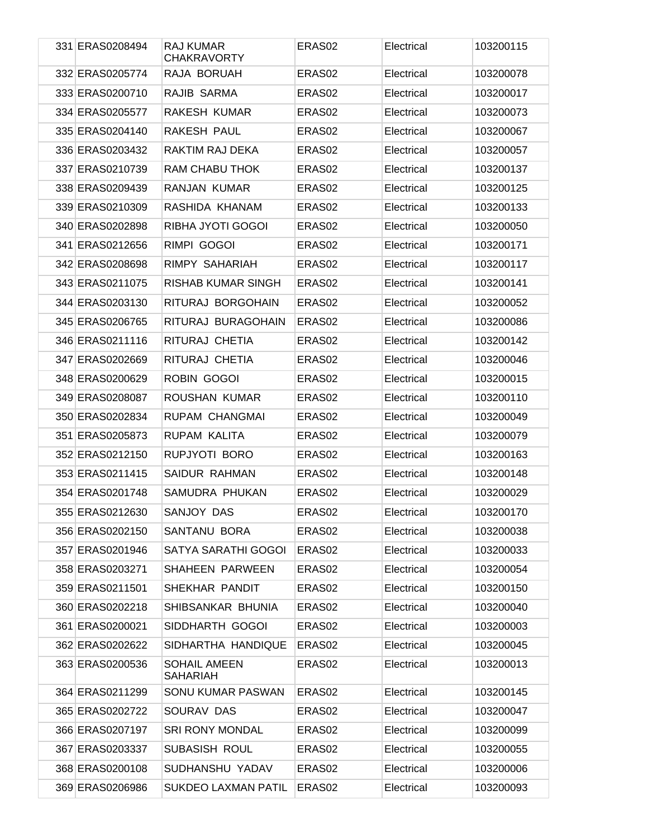| 331 ERAS0208494 | RAJ KUMAR<br><b>CHAKRAVORTY</b> | ERAS <sub>02</sub> | Electrical | 103200115 |
|-----------------|---------------------------------|--------------------|------------|-----------|
| 332 ERAS0205774 | RAJA BORUAH                     | ERAS <sub>02</sub> | Electrical | 103200078 |
| 333 ERAS0200710 | RAJIB SARMA                     | ERAS <sub>02</sub> | Electrical | 103200017 |
| 334 ERAS0205577 | RAKESH KUMAR                    | ERAS <sub>02</sub> | Electrical | 103200073 |
| 335 ERAS0204140 | RAKESH PAUL                     | ERAS <sub>02</sub> | Electrical | 103200067 |
| 336 ERAS0203432 | RAKTIM RAJ DEKA                 | ERAS <sub>02</sub> | Electrical | 103200057 |
| 337 ERAS0210739 | RAM CHABU THOK                  | ERAS <sub>02</sub> | Electrical | 103200137 |
| 338 ERAS0209439 | RANJAN KUMAR                    | ERAS <sub>02</sub> | Electrical | 103200125 |
| 339 ERAS0210309 | RASHIDA KHANAM                  | ERAS <sub>02</sub> | Electrical | 103200133 |
| 340 ERAS0202898 | RIBHA JYOTI GOGOI               | ERAS <sub>02</sub> | Electrical | 103200050 |
| 341 ERAS0212656 | RIMPI GOGOI                     | ERAS <sub>02</sub> | Electrical | 103200171 |
| 342 ERAS0208698 | RIMPY SAHARIAH                  | ERAS <sub>02</sub> | Electrical | 103200117 |
| 343 ERAS0211075 | RISHAB KUMAR SINGH              | ERAS <sub>02</sub> | Electrical | 103200141 |
| 344 ERAS0203130 | RITURAJ BORGOHAIN               | ERAS <sub>02</sub> | Electrical | 103200052 |
| 345 ERAS0206765 | RITURAJ BURAGOHAIN              | ERAS <sub>02</sub> | Electrical | 103200086 |
| 346 ERAS0211116 | RITURAJ CHETIA                  | ERAS <sub>02</sub> | Electrical | 103200142 |
| 347 ERAS0202669 | RITURAJ CHETIA                  | ERAS <sub>02</sub> | Electrical | 103200046 |
| 348 ERAS0200629 | ROBIN GOGOI                     | ERAS <sub>02</sub> | Electrical | 103200015 |
| 349 ERAS0208087 | ROUSHAN KUMAR                   | ERAS <sub>02</sub> | Electrical | 103200110 |
| 350 ERAS0202834 | RUPAM CHANGMAI                  | ERAS <sub>02</sub> | Electrical | 103200049 |
| 351 ERAS0205873 | RUPAM KALITA                    | ERAS <sub>02</sub> | Electrical | 103200079 |
| 352 ERAS0212150 | RUPJYOTI BORO                   | ERAS <sub>02</sub> | Electrical | 103200163 |
| 353 ERAS0211415 | SAIDUR RAHMAN                   | ERAS <sub>02</sub> | Electrical | 103200148 |
| 354 ERAS0201748 | SAMUDRA PHUKAN                  | ERAS <sub>02</sub> | Electrical | 103200029 |
| 355 ERAS0212630 | SANJOY DAS                      | ERAS02             | Electrical | 103200170 |
| 356 ERAS0202150 | SANTANU BORA                    | ERAS <sub>02</sub> | Electrical | 103200038 |
| 357 ERAS0201946 | SATYA SARATHI GOGOI             | ERAS <sub>02</sub> | Electrical | 103200033 |
| 358 ERAS0203271 | SHAHEEN PARWEEN                 | ERAS <sub>02</sub> | Electrical | 103200054 |
| 359 ERAS0211501 | SHEKHAR PANDIT                  | ERAS <sub>02</sub> | Electrical | 103200150 |
| 360 ERAS0202218 | SHIBSANKAR BHUNIA               | ERAS <sub>02</sub> | Electrical | 103200040 |
| 361 ERAS0200021 | SIDDHARTH GOGOI                 | ERAS <sub>02</sub> | Electrical | 103200003 |
| 362 ERAS0202622 | SIDHARTHA HANDIQUE              | ERAS <sub>02</sub> | Electrical | 103200045 |
| 363 ERAS0200536 | SOHAIL AMEEN<br><b>SAHARIAH</b> | ERAS <sub>02</sub> | Electrical | 103200013 |
| 364 ERAS0211299 | SONU KUMAR PASWAN               | ERAS <sub>02</sub> | Electrical | 103200145 |
| 365 ERAS0202722 | SOURAV DAS                      | ERAS02             | Electrical | 103200047 |
| 366 ERAS0207197 | <b>SRI RONY MONDAL</b>          | ERAS02             | Electrical | 103200099 |
| 367 ERAS0203337 | SUBASISH ROUL                   | ERAS02             | Electrical | 103200055 |
| 368 ERAS0200108 | SUDHANSHU YADAV                 | ERAS02             | Electrical | 103200006 |
| 369 ERAS0206986 | SUKDEO LAXMAN PATIL             | ERAS <sub>02</sub> | Electrical | 103200093 |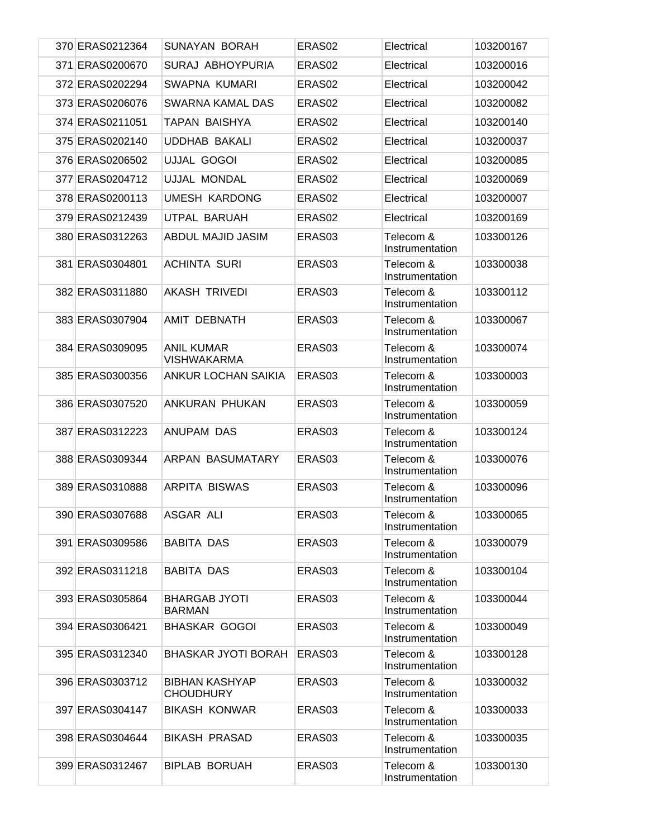| 370 ERAS0212364 | <b>SUNAYAN BORAH</b>                      | ERAS <sub>02</sub> | Electrical                   | 103200167 |
|-----------------|-------------------------------------------|--------------------|------------------------------|-----------|
| 371 ERAS0200670 | <b>SURAJ ABHOYPURIA</b>                   | ERAS02             | Electrical                   | 103200016 |
| 372 ERAS0202294 | SWAPNA KUMARI                             | ERAS02             | Electrical                   | 103200042 |
| 373 ERAS0206076 | SWARNA KAMAL DAS                          | ERAS <sub>02</sub> | Electrical                   | 103200082 |
| 374 ERAS0211051 | <b>TAPAN BAISHYA</b>                      | ERAS <sub>02</sub> | Electrical                   | 103200140 |
| 375 ERAS0202140 | <b>UDDHAB BAKALI</b>                      | ERAS02             | Electrical                   | 103200037 |
| 376 ERAS0206502 | <b>UJJAL GOGOI</b>                        | ERAS02             | Electrical                   | 103200085 |
| 377 ERAS0204712 | UJJAL MONDAL                              | ERAS02             | Electrical                   | 103200069 |
| 378 ERAS0200113 | <b>UMESH KARDONG</b>                      | ERAS02             | Electrical                   | 103200007 |
| 379 ERAS0212439 | UTPAL BARUAH                              | ERAS02             | Electrical                   | 103200169 |
| 380 ERAS0312263 | ABDUL MAJID JASIM                         | ERAS03             | Telecom &<br>Instrumentation | 103300126 |
| 381 ERAS0304801 | <b>ACHINTA SURI</b>                       | ERAS03             | Telecom &<br>Instrumentation | 103300038 |
| 382 ERAS0311880 | <b>AKASH TRIVEDI</b>                      | ERAS <sub>03</sub> | Telecom &<br>Instrumentation | 103300112 |
| 383 ERAS0307904 | AMIT DEBNATH                              | ERAS03             | Telecom &<br>Instrumentation | 103300067 |
| 384 ERAS0309095 | <b>ANIL KUMAR</b><br><b>VISHWAKARMA</b>   | ERAS03             | Telecom &<br>Instrumentation | 103300074 |
| 385 ERAS0300356 | ANKUR LOCHAN SAIKIA                       | ERAS <sub>03</sub> | Telecom &<br>Instrumentation | 103300003 |
| 386 ERAS0307520 | ANKURAN PHUKAN                            | ERAS03             | Telecom &<br>Instrumentation | 103300059 |
| 387 ERAS0312223 | ANUPAM DAS                                | ERAS <sub>03</sub> | Telecom &<br>Instrumentation | 103300124 |
| 388 ERAS0309344 | ARPAN BASUMATARY                          | ERAS03             | Telecom &<br>Instrumentation | 103300076 |
| 389 ERAS0310888 | <b>ARPITA BISWAS</b>                      | ERAS <sub>03</sub> | Telecom &<br>Instrumentation | 103300096 |
| 390 ERAS0307688 | ASGAR ALI                                 | ERAS03             | Telecom &<br>Instrumentation | 103300065 |
| 391 ERAS0309586 | <b>BABITA DAS</b>                         | ERAS03             | Telecom &<br>Instrumentation | 103300079 |
| 392 ERAS0311218 | <b>BABITA DAS</b>                         | ERAS03             | Telecom &<br>Instrumentation | 103300104 |
| 393 ERAS0305864 | <b>BHARGAB JYOTI</b><br><b>BARMAN</b>     | ERAS03             | Telecom &<br>Instrumentation | 103300044 |
| 394 ERAS0306421 | <b>BHASKAR GOGOI</b>                      | ERAS03             | Telecom &<br>Instrumentation | 103300049 |
| 395 ERAS0312340 | <b>BHASKAR JYOTI BORAH</b>                | ERAS <sub>03</sub> | Telecom &<br>Instrumentation | 103300128 |
| 396 ERAS0303712 | <b>BIBHAN KASHYAP</b><br><b>CHOUDHURY</b> | ERAS03             | Telecom &<br>Instrumentation | 103300032 |
| 397 ERAS0304147 | <b>BIKASH KONWAR</b>                      | ERAS03             | Telecom &<br>Instrumentation | 103300033 |
| 398 ERAS0304644 | <b>BIKASH PRASAD</b>                      | ERAS03             | Telecom &<br>Instrumentation | 103300035 |
| 399 ERAS0312467 | <b>BIPLAB BORUAH</b>                      | ERAS03             | Telecom &<br>Instrumentation | 103300130 |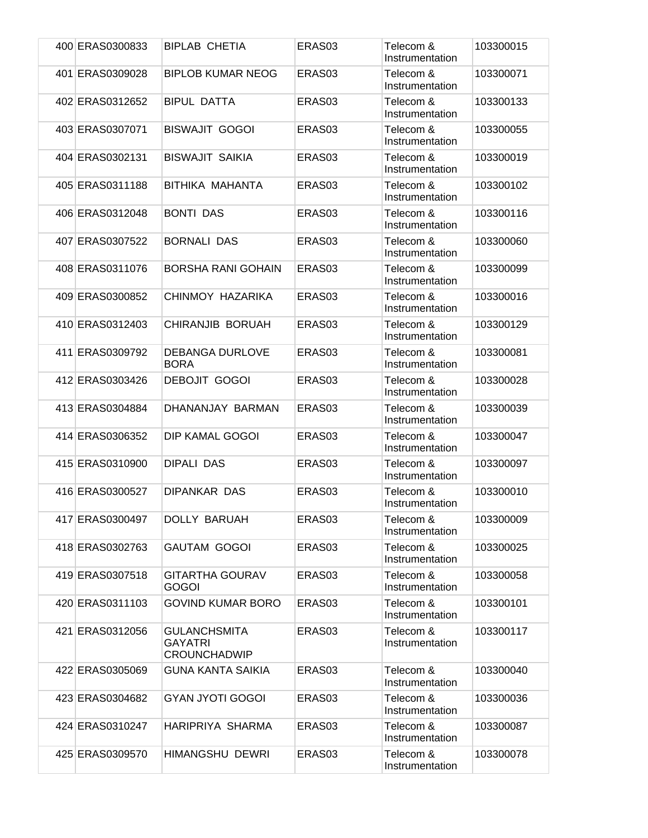| 400 ERAS0300833 | BIPLAB CHETIA                                                | ERAS <sub>03</sub> | Telecom &<br>Instrumentation | 103300015 |
|-----------------|--------------------------------------------------------------|--------------------|------------------------------|-----------|
| 401 ERAS0309028 | <b>BIPLOB KUMAR NEOG</b>                                     | ERAS <sub>03</sub> | Telecom &<br>Instrumentation | 103300071 |
| 402 ERAS0312652 | <b>BIPUL DATTA</b>                                           | ERAS <sub>03</sub> | Telecom &<br>Instrumentation | 103300133 |
| 403 ERAS0307071 | <b>BISWAJIT GOGOI</b>                                        | ERAS03             | Telecom &<br>Instrumentation | 103300055 |
| 404 ERAS0302131 | <b>BISWAJIT SAIKIA</b>                                       | ERAS <sub>03</sub> | Telecom &<br>Instrumentation | 103300019 |
| 405 ERAS0311188 | BITHIKA MAHANTA                                              | ERAS03             | Telecom &<br>Instrumentation | 103300102 |
| 406 ERAS0312048 | <b>BONTI DAS</b>                                             | ERAS03             | Telecom &<br>Instrumentation | 103300116 |
| 407 ERAS0307522 | <b>BORNALI DAS</b>                                           | ERAS03             | Telecom &<br>Instrumentation | 103300060 |
| 408 ERAS0311076 | <b>BORSHA RANI GOHAIN</b>                                    | ERAS03             | Telecom &<br>Instrumentation | 103300099 |
| 409 ERAS0300852 | CHINMOY HAZARIKA                                             | ERAS03             | Telecom &<br>Instrumentation | 103300016 |
| 410 ERAS0312403 | <b>CHIRANJIB BORUAH</b>                                      | ERAS03             | Telecom &<br>Instrumentation | 103300129 |
| 411 ERAS0309792 | <b>DEBANGA DURLOVE</b><br><b>BORA</b>                        | ERAS03             | Telecom &<br>Instrumentation | 103300081 |
| 412 ERAS0303426 | <b>DEBOJIT GOGOI</b>                                         | ERAS03             | Telecom &<br>Instrumentation | 103300028 |
| 413 ERAS0304884 | DHANANJAY BARMAN                                             | ERAS <sub>03</sub> | Telecom &<br>Instrumentation | 103300039 |
| 414 ERAS0306352 | DIP KAMAL GOGOI                                              | ERAS03             | Telecom &<br>Instrumentation | 103300047 |
| 415 ERAS0310900 | <b>DIPALI DAS</b>                                            | ERAS03             | Telecom &<br>Instrumentation | 103300097 |
| 416 ERAS0300527 | DIPANKAR DAS                                                 | ERAS03             | Telecom &<br>Instrumentation | 103300010 |
| 417 ERAS0300497 | <b>DOLLY BARUAH</b>                                          | ERAS03             | Telecom &<br>Instrumentation | 103300009 |
| 418 ERAS0302763 | <b>GAUTAM GOGOI</b>                                          | ERAS03             | Telecom &<br>Instrumentation | 103300025 |
| 419 ERAS0307518 | <b>GITARTHA GOURAV</b><br><b>GOGOI</b>                       | ERAS03             | Telecom &<br>Instrumentation | 103300058 |
| 420 ERAS0311103 | <b>GOVIND KUMAR BORO</b>                                     | ERAS03             | Telecom &<br>Instrumentation | 103300101 |
| 421 ERAS0312056 | <b>GULANCHSMITA</b><br><b>GAYATRI</b><br><b>CROUNCHADWIP</b> | ERAS03             | Telecom &<br>Instrumentation | 103300117 |
| 422 ERAS0305069 | <b>GUNA KANTA SAIKIA</b>                                     | ERAS03             | Telecom &<br>Instrumentation | 103300040 |
| 423 ERAS0304682 | <b>GYAN JYOTI GOGOI</b>                                      | ERAS03             | Telecom &<br>Instrumentation | 103300036 |
| 424 ERAS0310247 | HARIPRIYA SHARMA                                             | ERAS03             | Telecom &<br>Instrumentation | 103300087 |
| 425 ERAS0309570 | HIMANGSHU DEWRI                                              | ERAS03             | Telecom &<br>Instrumentation | 103300078 |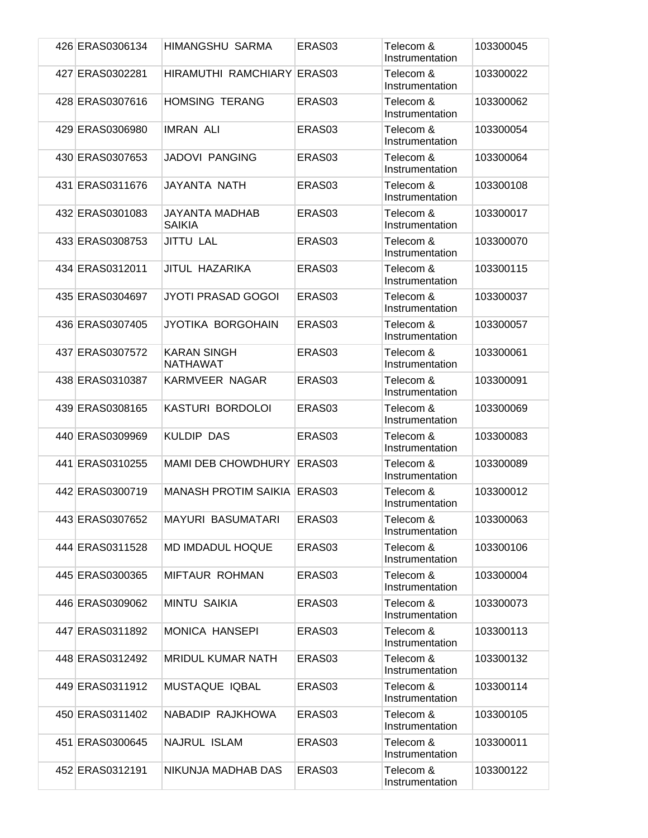| 426 ERAS0306134 | HIMANGSHU SARMA                        | ERAS <sub>03</sub> | Telecom &<br>Instrumentation | 103300045 |
|-----------------|----------------------------------------|--------------------|------------------------------|-----------|
| 427 ERAS0302281 | HIRAMUTHI RAMCHIARY ERAS03             |                    | Telecom &<br>Instrumentation | 103300022 |
| 428 ERAS0307616 | <b>HOMSING TERANG</b>                  | ERAS <sub>03</sub> | Telecom &<br>Instrumentation | 103300062 |
| 429 ERAS0306980 | <b>IMRAN ALI</b>                       | ERAS03             | Telecom &<br>Instrumentation | 103300054 |
| 430 ERAS0307653 | <b>JADOVI PANGING</b>                  | ERAS <sub>03</sub> | Telecom &<br>Instrumentation | 103300064 |
| 431 ERAS0311676 | JAYANTA NATH                           | ERAS03             | Telecom &<br>Instrumentation | 103300108 |
| 432 ERAS0301083 | <b>JAYANTA MADHAB</b><br><b>SAIKIA</b> | ERAS03             | Telecom &<br>Instrumentation | 103300017 |
| 433 ERAS0308753 | <b>JITTU LAL</b>                       | ERAS03             | Telecom &<br>Instrumentation | 103300070 |
| 434 ERAS0312011 | <b>JITUL HAZARIKA</b>                  | ERAS03             | Telecom &<br>Instrumentation | 103300115 |
| 435 ERAS0304697 | JYOTI PRASAD GOGOI                     | ERAS03             | Telecom &<br>Instrumentation | 103300037 |
| 436 ERAS0307405 | JYOTIKA BORGOHAIN                      | ERAS <sub>03</sub> | Telecom &<br>Instrumentation | 103300057 |
| 437 ERAS0307572 | <b>KARAN SINGH</b><br><b>NATHAWAT</b>  | ERAS03             | Telecom &<br>Instrumentation | 103300061 |
| 438 ERAS0310387 | KARMVEER NAGAR                         | ERAS03             | Telecom &<br>Instrumentation | 103300091 |
| 439 ERAS0308165 | KASTURI BORDOLOI                       | ERAS03             | Telecom &<br>Instrumentation | 103300069 |
| 440 ERAS0309969 | <b>KULDIP DAS</b>                      | ERAS03             | Telecom &<br>Instrumentation | 103300083 |
| 441 ERAS0310255 | <b>MAMI DEB CHOWDHURY</b>              | ERAS <sub>03</sub> | Telecom &<br>Instrumentation | 103300089 |
| 442 ERAS0300719 | <b>MANASH PROTIM SAIKIA</b>            | ERAS <sub>03</sub> | Telecom &<br>Instrumentation | 103300012 |
| 443 ERAS0307652 | <b>MAYURI BASUMATARI</b>               | ERAS03             | Telecom &<br>Instrumentation | 103300063 |
| 444 ERAS0311528 | MD IMDADUL HOQUE                       | ERAS03             | Telecom &<br>Instrumentation | 103300106 |
| 445 ERAS0300365 | MIFTAUR ROHMAN                         | ERAS03             | Telecom &<br>Instrumentation | 103300004 |
| 446 ERAS0309062 | <b>MINTU SAIKIA</b>                    | ERAS03             | Telecom &<br>Instrumentation | 103300073 |
| 447 ERAS0311892 | <b>MONICA HANSEPI</b>                  | ERAS03             | Telecom &<br>Instrumentation | 103300113 |
| 448 ERAS0312492 | <b>MRIDUL KUMAR NATH</b>               | ERAS03             | Telecom &<br>Instrumentation | 103300132 |
| 449 ERAS0311912 | MUSTAQUE IQBAL                         | ERAS03             | Telecom &<br>Instrumentation | 103300114 |
| 450 ERAS0311402 | NABADIP RAJKHOWA                       | ERAS03             | Telecom &<br>Instrumentation | 103300105 |
| 451 ERAS0300645 | NAJRUL ISLAM                           | ERAS03             | Telecom &<br>Instrumentation | 103300011 |
| 452 ERAS0312191 | NIKUNJA MADHAB DAS                     | ERAS03             | Telecom &<br>Instrumentation | 103300122 |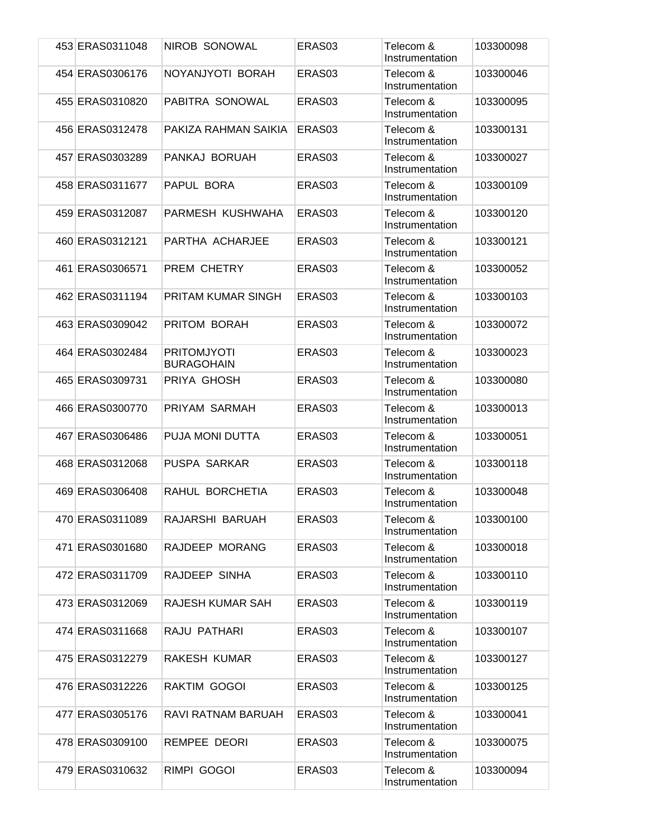| 453 ERAS0311048 | NIROB SONOWAL                           | ERAS03             | Telecom &<br>Instrumentation | 103300098 |
|-----------------|-----------------------------------------|--------------------|------------------------------|-----------|
| 454 ERAS0306176 | NOYANJYOTI BORAH                        | ERAS03             | Telecom &<br>Instrumentation | 103300046 |
| 455 ERAS0310820 | PABITRA SONOWAL                         | ERAS <sub>03</sub> | Telecom &<br>Instrumentation | 103300095 |
| 456 ERAS0312478 | PAKIZA RAHMAN SAIKIA                    | ERAS <sub>03</sub> | Telecom &<br>Instrumentation | 103300131 |
| 457 ERAS0303289 | PANKAJ BORUAH                           | ERAS03             | Telecom &<br>Instrumentation | 103300027 |
| 458 ERAS0311677 | PAPUL BORA                              | ERAS03             | Telecom &<br>Instrumentation | 103300109 |
| 459 ERAS0312087 | PARMESH KUSHWAHA                        | ERAS03             | Telecom &<br>Instrumentation | 103300120 |
| 460 ERAS0312121 | PARTHA ACHARJEE                         | ERAS03             | Telecom &<br>Instrumentation | 103300121 |
| 461 ERAS0306571 | PREM CHETRY                             | ERAS03             | Telecom &<br>Instrumentation | 103300052 |
| 462 ERAS0311194 | PRITAM KUMAR SINGH                      | ERAS03             | Telecom &<br>Instrumentation | 103300103 |
| 463 ERAS0309042 | PRITOM BORAH                            | ERAS <sub>03</sub> | Telecom &<br>Instrumentation | 103300072 |
| 464 ERAS0302484 | <b>PRITOMJYOTI</b><br><b>BURAGOHAIN</b> | ERAS03             | Telecom &<br>Instrumentation | 103300023 |
| 465 ERAS0309731 | PRIYA GHOSH                             | ERAS03             | Telecom &<br>Instrumentation | 103300080 |
| 466 ERAS0300770 | PRIYAM SARMAH                           | ERAS03             | Telecom &<br>Instrumentation | 103300013 |
| 467 ERAS0306486 | PUJA MONI DUTTA                         | ERAS03             | Telecom &<br>Instrumentation | 103300051 |
| 468 ERAS0312068 | PUSPA SARKAR                            | ERAS03             | Telecom &<br>Instrumentation | 103300118 |
| 469 ERAS0306408 | RAHUL BORCHETIA                         | ERAS03             | Telecom &<br>Instrumentation | 103300048 |
| 470 ERAS0311089 | RAJARSHI BARUAH                         | ERAS03             | Telecom &<br>Instrumentation | 103300100 |
| 471 ERAS0301680 | RAJDEEP MORANG                          | ERAS03             | Telecom &<br>Instrumentation | 103300018 |
| 472 ERAS0311709 | RAJDEEP SINHA                           | ERAS03             | Telecom &<br>Instrumentation | 103300110 |
| 473 ERAS0312069 | <b>RAJESH KUMAR SAH</b>                 | ERAS03             | Telecom &<br>Instrumentation | 103300119 |
| 474 ERAS0311668 | RAJU PATHARI                            | ERAS03             | Telecom &<br>Instrumentation | 103300107 |
| 475 ERAS0312279 | RAKESH KUMAR                            | ERAS03             | Telecom &<br>Instrumentation | 103300127 |
| 476 ERAS0312226 | RAKTIM GOGOI                            | ERAS03             | Telecom &<br>Instrumentation | 103300125 |
| 477 ERAS0305176 | RAVI RATNAM BARUAH                      | ERAS03             | Telecom &<br>Instrumentation | 103300041 |
| 478 ERAS0309100 | <b>REMPEE DEORI</b>                     | ERAS03             | Telecom &<br>Instrumentation | 103300075 |
| 479 ERAS0310632 | RIMPI GOGOI                             | ERAS03             | Telecom &<br>Instrumentation | 103300094 |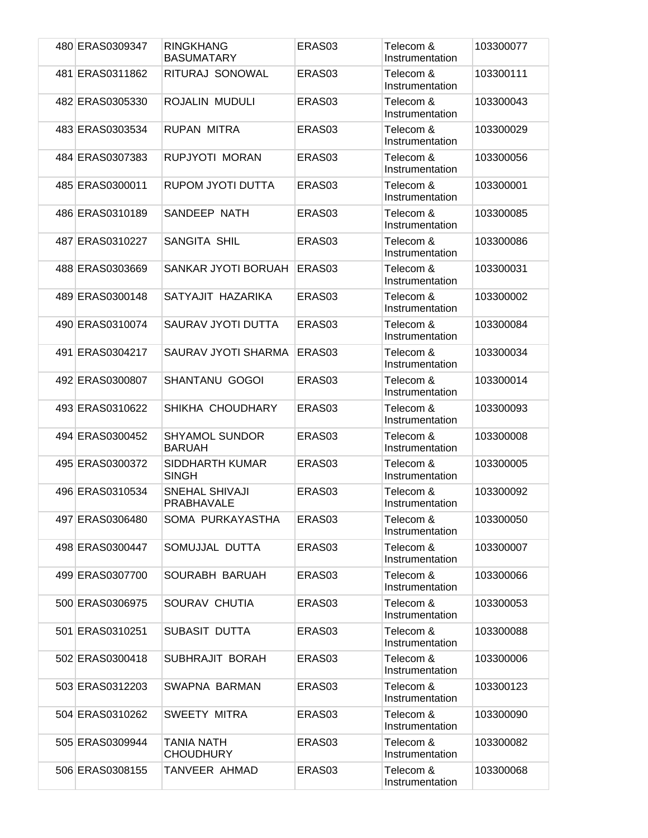| 480 ERAS0309347 | <b>RINGKHANG</b><br><b>BASUMATARY</b>      | ERAS <sub>03</sub> | Telecom &<br>Instrumentation | 103300077 |
|-----------------|--------------------------------------------|--------------------|------------------------------|-----------|
| 481 ERAS0311862 | RITURAJ SONOWAL                            | ERAS <sub>03</sub> | Telecom &<br>Instrumentation | 103300111 |
| 482 ERAS0305330 | ROJALIN MUDULI                             | ERAS <sub>03</sub> | Telecom &<br>Instrumentation | 103300043 |
| 483 ERAS0303534 | <b>RUPAN MITRA</b>                         | ERAS03             | Telecom &<br>Instrumentation | 103300029 |
| 484 ERAS0307383 | RUPJYOTI MORAN                             | ERAS <sub>03</sub> | Telecom &<br>Instrumentation | 103300056 |
| 485 ERAS0300011 | RUPOM JYOTI DUTTA                          | ERAS03             | Telecom &<br>Instrumentation | 103300001 |
| 486 ERAS0310189 | SANDEEP NATH                               | ERAS03             | Telecom &<br>Instrumentation | 103300085 |
| 487 ERAS0310227 | SANGITA SHIL                               | ERAS03             | Telecom &<br>Instrumentation | 103300086 |
| 488 ERAS0303669 | SANKAR JYOTI BORUAH                        | ERAS <sub>03</sub> | Telecom &<br>Instrumentation | 103300031 |
| 489 ERAS0300148 | SATYAJIT HAZARIKA                          | ERAS03             | Telecom &<br>Instrumentation | 103300002 |
| 490 ERAS0310074 | SAURAV JYOTI DUTTA                         | ERAS <sub>03</sub> | Telecom &<br>Instrumentation | 103300084 |
| 491 ERAS0304217 | SAURAV JYOTI SHARMA                        | ERAS <sub>03</sub> | Telecom &<br>Instrumentation | 103300034 |
| 492 ERAS0300807 | <b>SHANTANU GOGOI</b>                      | ERAS03             | Telecom &<br>Instrumentation | 103300014 |
| 493 ERAS0310622 | SHIKHA CHOUDHARY                           | ERAS <sub>03</sub> | Telecom &<br>Instrumentation | 103300093 |
| 494 ERAS0300452 | <b>SHYAMOL SUNDOR</b><br><b>BARUAH</b>     | ERAS03             | Telecom &<br>Instrumentation | 103300008 |
| 495 ERAS0300372 | SIDDHARTH KUMAR<br><b>SINGH</b>            | ERAS03             | Telecom &<br>Instrumentation | 103300005 |
| 496 ERAS0310534 | <b>SNEHAL SHIVAJI</b><br><b>PRABHAVALE</b> | ERAS03             | Telecom &<br>Instrumentation | 103300092 |
| 497 ERAS0306480 | SOMA PURKAYASTHA                           | ERAS03             | Telecom &<br>Instrumentation | 103300050 |
| 498 ERAS0300447 | SOMUJJAL DUTTA                             | ERAS03             | Telecom &<br>Instrumentation | 103300007 |
| 499 ERAS0307700 | SOURABH BARUAH                             | ERAS03             | Telecom &<br>Instrumentation | 103300066 |
| 500 ERAS0306975 | SOURAV CHUTIA                              | ERAS03             | Telecom &<br>Instrumentation | 103300053 |
| 501 ERAS0310251 | SUBASIT DUTTA                              | ERAS03             | Telecom &<br>Instrumentation | 103300088 |
| 502 ERAS0300418 | SUBHRAJIT BORAH                            | ERAS03             | Telecom &<br>Instrumentation | 103300006 |
| 503 ERAS0312203 | SWAPNA BARMAN                              | ERAS03             | Telecom &<br>Instrumentation | 103300123 |
| 504 ERAS0310262 | SWEETY MITRA                               | ERAS03             | Telecom &<br>Instrumentation | 103300090 |
| 505 ERAS0309944 | <b>TANIA NATH</b><br><b>CHOUDHURY</b>      | ERAS03             | Telecom &<br>Instrumentation | 103300082 |
| 506 ERAS0308155 | TANVEER AHMAD                              | ERAS03             | Telecom &<br>Instrumentation | 103300068 |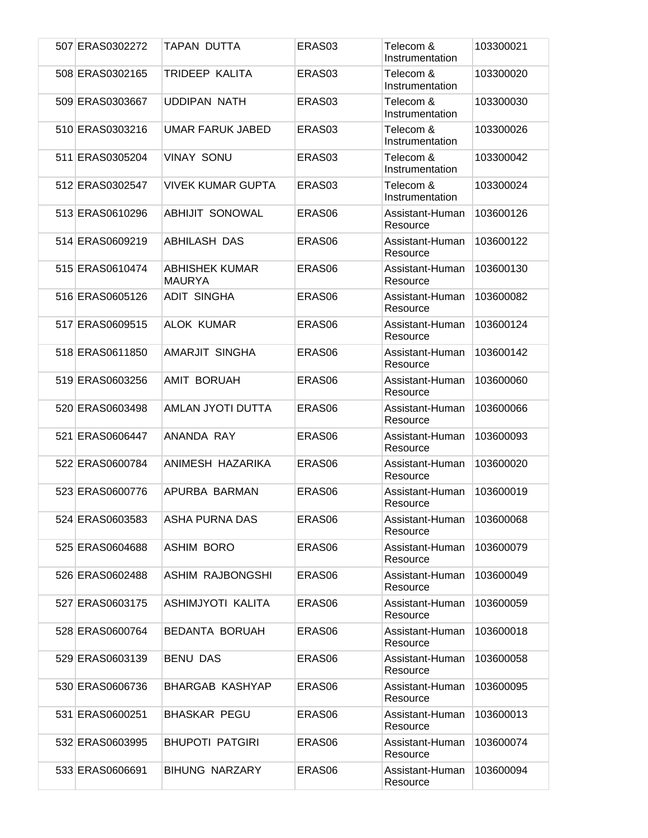| 507 ERAS0302272 | TAPAN DUTTA                            | ERAS <sub>03</sub> | Telecom &<br>Instrumentation | 103300021 |
|-----------------|----------------------------------------|--------------------|------------------------------|-----------|
| 508 ERAS0302165 | TRIDEEP KALITA                         | ERAS <sub>03</sub> | Telecom &<br>Instrumentation | 103300020 |
| 509 ERAS0303667 | <b>UDDIPAN NATH</b>                    | ERAS03             | Telecom &<br>Instrumentation | 103300030 |
| 510 ERAS0303216 | <b>UMAR FARUK JABED</b>                | ERAS <sub>03</sub> | Telecom &<br>Instrumentation | 103300026 |
| 511 ERAS0305204 | <b>VINAY SONU</b>                      | ERAS <sub>03</sub> | Telecom &<br>Instrumentation | 103300042 |
| 512 ERAS0302547 | <b>VIVEK KUMAR GUPTA</b>               | ERAS03             | Telecom &<br>Instrumentation | 103300024 |
| 513 ERAS0610296 | <b>ABHIJIT SONOWAL</b>                 | ERAS06             | Assistant-Human<br>Resource  | 103600126 |
| 514 ERAS0609219 | <b>ABHILASH DAS</b>                    | ERAS <sub>06</sub> | Assistant-Human<br>Resource  | 103600122 |
| 515 ERAS0610474 | <b>ABHISHEK KUMAR</b><br><b>MAURYA</b> | ERAS <sub>06</sub> | Assistant-Human<br>Resource  | 103600130 |
| 516 ERAS0605126 | <b>ADIT SINGHA</b>                     | ERAS06             | Assistant-Human<br>Resource  | 103600082 |
| 517 ERAS0609515 | <b>ALOK KUMAR</b>                      | ERAS06             | Assistant-Human<br>Resource  | 103600124 |
| 518 ERAS0611850 | AMARJIT SINGHA                         | ERAS06             | Assistant-Human<br>Resource  | 103600142 |
| 519 ERAS0603256 | AMIT BORUAH                            | ERAS06             | Assistant-Human<br>Resource  | 103600060 |
| 520 ERAS0603498 | AMLAN JYOTI DUTTA                      | ERAS <sub>06</sub> | Assistant-Human<br>Resource  | 103600066 |
| 521 ERAS0606447 | ANANDA RAY                             | ERAS06             | Assistant-Human<br>Resource  | 103600093 |
| 522 ERAS0600784 | ANIMESH HAZARIKA                       | ERAS <sub>06</sub> | Assistant-Human<br>Resource  | 103600020 |
| 523 ERAS0600776 | APURBA BARMAN                          | ERAS <sub>06</sub> | Assistant-Human<br>Resource  | 103600019 |
| 524 ERAS0603583 | ASHA PURNA DAS                         | ERAS06             | Assistant-Human<br>Resource  | 103600068 |
| 525 ERAS0604688 | <b>ASHIM BORO</b>                      | ERAS06             | Assistant-Human<br>Resource  | 103600079 |
| 526 ERAS0602488 | <b>ASHIM RAJBONGSHI</b>                | ERAS06             | Assistant-Human<br>Resource  | 103600049 |
| 527 ERAS0603175 | ASHIMJYOTI KALITA                      | ERAS06             | Assistant-Human<br>Resource  | 103600059 |
| 528 ERAS0600764 | BEDANTA BORUAH                         | ERAS06             | Assistant-Human<br>Resource  | 103600018 |
| 529 ERAS0603139 | <b>BENU DAS</b>                        | ERAS06             | Assistant-Human<br>Resource  | 103600058 |
| 530 ERAS0606736 | <b>BHARGAB KASHYAP</b>                 | ERAS06             | Assistant-Human<br>Resource  | 103600095 |
| 531 ERAS0600251 | <b>BHASKAR PEGU</b>                    | ERAS <sub>06</sub> | Assistant-Human<br>Resource  | 103600013 |
| 532 ERAS0603995 | <b>BHUPOTI PATGIRI</b>                 | ERAS06             | Assistant-Human<br>Resource  | 103600074 |
| 533 ERAS0606691 | <b>BIHUNG NARZARY</b>                  | ERAS06             | Assistant-Human<br>Resource  | 103600094 |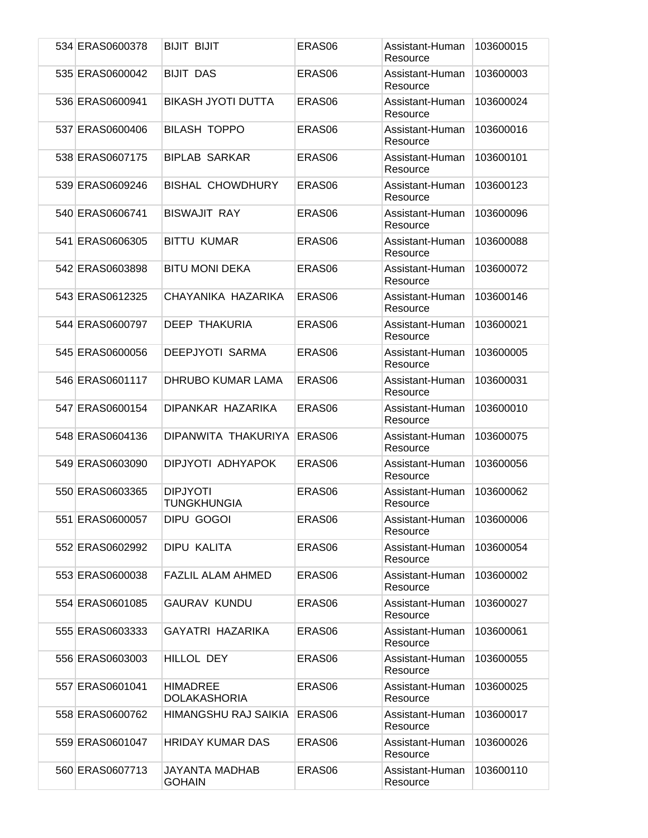| 534 ERAS0600378 | <b>BIJIT BIJIT</b>                     | ERAS <sub>06</sub> | Assistant-Human<br>Resource | 103600015 |
|-----------------|----------------------------------------|--------------------|-----------------------------|-----------|
| 535 ERAS0600042 | <b>BIJIT DAS</b>                       | ERAS <sub>06</sub> | Assistant-Human<br>Resource | 103600003 |
| 536 ERAS0600941 | <b>BIKASH JYOTI DUTTA</b>              | ERAS <sub>06</sub> | Assistant-Human<br>Resource | 103600024 |
| 537 ERAS0600406 | <b>BILASH TOPPO</b>                    | ERAS <sub>06</sub> | Assistant-Human<br>Resource | 103600016 |
| 538 ERAS0607175 | <b>BIPLAB SARKAR</b>                   | ERAS <sub>06</sub> | Assistant-Human<br>Resource | 103600101 |
| 539 ERAS0609246 | <b>BISHAL CHOWDHURY</b>                | ERAS <sub>06</sub> | Assistant-Human<br>Resource | 103600123 |
| 540 ERAS0606741 | <b>BISWAJIT RAY</b>                    | ERAS06             | Assistant-Human<br>Resource | 103600096 |
| 541 ERAS0606305 | <b>BITTU KUMAR</b>                     | ERAS <sub>06</sub> | Assistant-Human<br>Resource | 103600088 |
| 542 ERAS0603898 | <b>BITU MONI DEKA</b>                  | ERAS06             | Assistant-Human<br>Resource | 103600072 |
| 543 ERAS0612325 | CHAYANIKA HAZARIKA                     | ERAS06             | Assistant-Human<br>Resource | 103600146 |
| 544 ERAS0600797 | <b>DEEP THAKURIA</b>                   | ERAS <sub>06</sub> | Assistant-Human<br>Resource | 103600021 |
| 545 ERAS0600056 | <b>DEEPJYOTI SARMA</b>                 | ERAS06             | Assistant-Human<br>Resource | 103600005 |
| 546 ERAS0601117 | <b>DHRUBO KUMAR LAMA</b>               | ERAS <sub>06</sub> | Assistant-Human<br>Resource | 103600031 |
| 547 ERAS0600154 | DIPANKAR HAZARIKA                      | ERAS06             | Assistant-Human<br>Resource | 103600010 |
| 548 ERAS0604136 | DIPANWITA THAKURIYA                    | ERAS <sub>06</sub> | Assistant-Human<br>Resource | 103600075 |
| 549 ERAS0603090 | DIPJYOTI ADHYAPOK                      | ERAS <sub>06</sub> | Assistant-Human<br>Resource | 103600056 |
| 550 ERAS0603365 | <b>DIPJYOTI</b><br>TUNGKHUNGIA         | ERAS <sub>06</sub> | Assistant-Human<br>Resource | 103600062 |
| 551 ERAS0600057 | DIPU GOGOI                             | ERAS06             | Assistant-Human<br>Resource | 103600006 |
| 552 ERAS0602992 | DIPU KALITA                            | ERAS06             | Assistant-Human<br>Resource | 103600054 |
| 553 ERAS0600038 | FAZLIL ALAM AHMED                      | ERAS <sub>06</sub> | Assistant-Human<br>Resource | 103600002 |
| 554 ERAS0601085 | <b>GAURAV KUNDU</b>                    | ERAS06             | Assistant-Human<br>Resource | 103600027 |
| 555 ERAS0603333 | <b>GAYATRI HAZARIKA</b>                | ERAS <sub>06</sub> | Assistant-Human<br>Resource | 103600061 |
| 556 ERAS0603003 | HILLOL DEY                             | ERAS06             | Assistant-Human<br>Resource | 103600055 |
| 557 ERAS0601041 | <b>HIMADREE</b><br><b>DOLAKASHORIA</b> | ERAS <sub>06</sub> | Assistant-Human<br>Resource | 103600025 |
| 558 ERAS0600762 | HIMANGSHU RAJ SAIKIA                   | ERAS <sub>06</sub> | Assistant-Human<br>Resource | 103600017 |
| 559 ERAS0601047 | <b>HRIDAY KUMAR DAS</b>                | ERAS06             | Assistant-Human<br>Resource | 103600026 |
| 560 ERAS0607713 | JAYANTA MADHAB<br><b>GOHAIN</b>        | ERAS06             | Assistant-Human<br>Resource | 103600110 |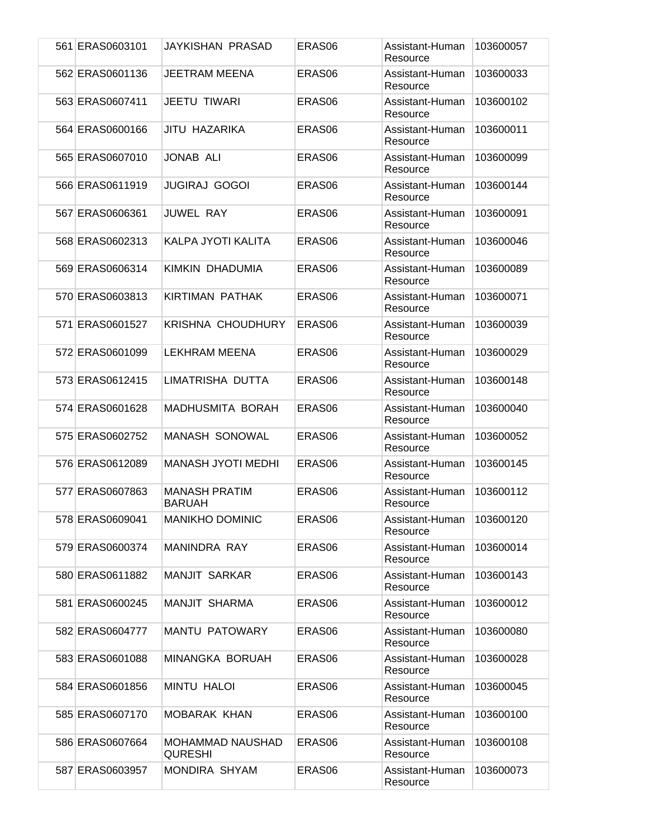| 561 ERAS0603101 | JAYKISHAN PRASAD                      | ERAS <sub>06</sub> | Assistant-Human<br>Resource | 103600057 |
|-----------------|---------------------------------------|--------------------|-----------------------------|-----------|
| 562 ERAS0601136 | <b>JEETRAM MEENA</b>                  | ERAS <sub>06</sub> | Assistant-Human<br>Resource | 103600033 |
| 563 ERAS0607411 | <b>JEETU TIWARI</b>                   | ERAS <sub>06</sub> | Assistant-Human<br>Resource | 103600102 |
| 564 ERAS0600166 | JITU HAZARIKA                         | ERAS <sub>06</sub> | Assistant-Human<br>Resource | 103600011 |
| 565 ERAS0607010 | <b>JONAB ALI</b>                      | ERAS <sub>06</sub> | Assistant-Human<br>Resource | 103600099 |
| 566 ERAS0611919 | <b>JUGIRAJ GOGOI</b>                  | ERAS06             | Assistant-Human<br>Resource | 103600144 |
| 567 ERAS0606361 | <b>JUWEL RAY</b>                      | ERAS06             | Assistant-Human<br>Resource | 103600091 |
| 568 ERAS0602313 | KALPA JYOTI KALITA                    | ERAS <sub>06</sub> | Assistant-Human<br>Resource | 103600046 |
| 569 ERAS0606314 | KIMKIN DHADUMIA                       | ERAS06             | Assistant-Human<br>Resource | 103600089 |
| 570 ERAS0603813 | KIRTIMAN PATHAK                       | ERAS <sub>06</sub> | Assistant-Human<br>Resource | 103600071 |
| 571 ERAS0601527 | <b>KRISHNA CHOUDHURY</b>              | ERAS06             | Assistant-Human<br>Resource | 103600039 |
| 572 ERAS0601099 | <b>LEKHRAM MEENA</b>                  | ERAS06             | Assistant-Human<br>Resource | 103600029 |
| 573 ERAS0612415 | LIMATRISHA DUTTA                      | ERAS06             | Assistant-Human<br>Resource | 103600148 |
| 574 ERAS0601628 | <b>MADHUSMITA BORAH</b>               | ERAS06             | Assistant-Human<br>Resource | 103600040 |
| 575 ERAS0602752 | <b>MANASH SONOWAL</b>                 | ERAS06             | Assistant-Human<br>Resource | 103600052 |
| 576 ERAS0612089 | <b>MANASH JYOTI MEDHI</b>             | ERAS <sub>06</sub> | Assistant-Human<br>Resource | 103600145 |
| 577 ERAS0607863 | <b>MANASH PRATIM</b><br><b>BARUAH</b> | ERAS <sub>06</sub> | Assistant-Human<br>Resource | 103600112 |
| 578 ERAS0609041 | <b>MANIKHO DOMINIC</b>                | ERAS06             | Assistant-Human<br>Resource | 103600120 |
| 579 ERAS0600374 | MANINDRA RAY                          | ERAS06             | Assistant-Human<br>Resource | 103600014 |
| 580 ERAS0611882 | MANJIT SARKAR                         | ERAS06             | Assistant-Human<br>Resource | 103600143 |
| 581 ERAS0600245 | <b>MANJIT SHARMA</b>                  | ERAS06             | Assistant-Human<br>Resource | 103600012 |
| 582 ERAS0604777 | MANTU PATOWARY                        | ERAS06             | Assistant-Human<br>Resource | 103600080 |
| 583 ERAS0601088 | MINANGKA BORUAH                       | ERAS06             | Assistant-Human<br>Resource | 103600028 |
| 584 ERAS0601856 | <b>MINTU HALOI</b>                    | ERAS06             | Assistant-Human<br>Resource | 103600045 |
| 585 ERAS0607170 | <b>MOBARAK KHAN</b>                   | ERAS06             | Assistant-Human<br>Resource | 103600100 |
| 586 ERAS0607664 | MOHAMMAD NAUSHAD<br><b>QURESHI</b>    | ERAS06             | Assistant-Human<br>Resource | 103600108 |
| 587 ERAS0603957 | MONDIRA SHYAM                         | ERAS06             | Assistant-Human<br>Resource | 103600073 |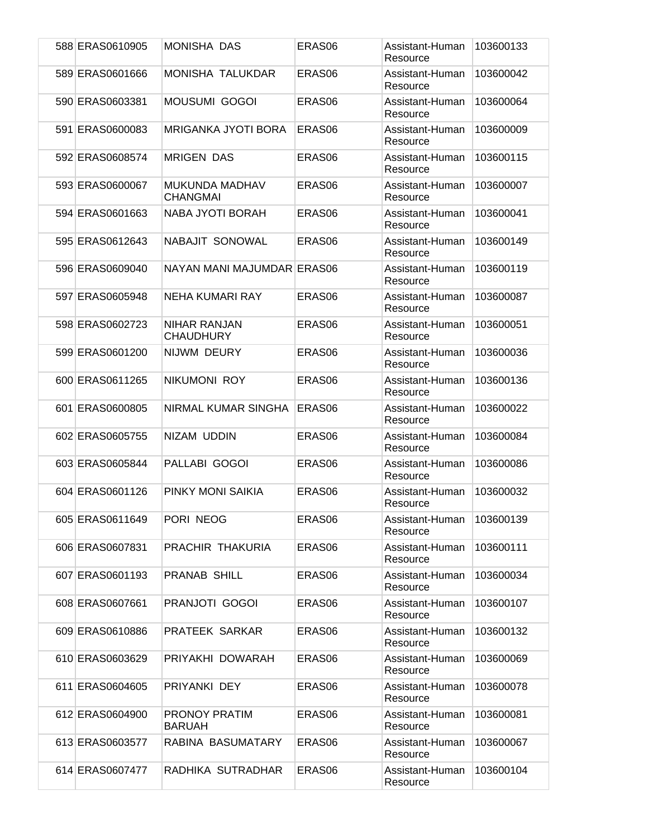| 588 ERAS0610905 | <b>MONISHA DAS</b>                      | ERAS <sub>06</sub> | Assistant-Human<br>Resource | 103600133 |
|-----------------|-----------------------------------------|--------------------|-----------------------------|-----------|
| 589 ERAS0601666 | <b>MONISHA TALUKDAR</b>                 | ERAS06             | Assistant-Human<br>Resource | 103600042 |
| 590 ERAS0603381 | <b>MOUSUMI GOGOI</b>                    | ERAS <sub>06</sub> | Assistant-Human<br>Resource | 103600064 |
| 591 ERAS0600083 | MRIGANKA JYOTI BORA                     | ERAS <sub>06</sub> | Assistant-Human<br>Resource | 103600009 |
| 592 ERAS0608574 | <b>MRIGEN DAS</b>                       | ERAS06             | Assistant-Human<br>Resource | 103600115 |
| 593 ERAS0600067 | MUKUNDA MADHAV<br><b>CHANGMAI</b>       | ERAS06             | Assistant-Human<br>Resource | 103600007 |
| 594 ERAS0601663 | NABA JYOTI BORAH                        | ERAS06             | Assistant-Human<br>Resource | 103600041 |
| 595 ERAS0612643 | NABAJIT SONOWAL                         | ERAS <sub>06</sub> | Assistant-Human<br>Resource | 103600149 |
| 596 ERAS0609040 | NAYAN MANI MAJUMDAR ERAS06              |                    | Assistant-Human<br>Resource | 103600119 |
| 597 ERAS0605948 | <b>NEHA KUMARI RAY</b>                  | ERAS <sub>06</sub> | Assistant-Human<br>Resource | 103600087 |
| 598 ERAS0602723 | <b>NIHAR RANJAN</b><br><b>CHAUDHURY</b> | ERAS <sub>06</sub> | Assistant-Human<br>Resource | 103600051 |
| 599 ERAS0601200 | NIJWM DEURY                             | ERAS <sub>06</sub> | Assistant-Human<br>Resource | 103600036 |
| 600 ERAS0611265 | NIKUMONI ROY                            | ERAS <sub>06</sub> | Assistant-Human<br>Resource | 103600136 |
| 601 ERAS0600805 | NIRMAL KUMAR SINGHA                     | ERAS06             | Assistant-Human<br>Resource | 103600022 |
| 602 ERAS0605755 | NIZAM UDDIN                             | ERAS <sub>06</sub> | Assistant-Human<br>Resource | 103600084 |
| 603 ERAS0605844 | PALLABI GOGOI                           | ERAS06             | Assistant-Human<br>Resource | 103600086 |
| 604 ERAS0601126 | PINKY MONI SAIKIA                       | ERAS <sub>06</sub> | Assistant-Human<br>Resource | 103600032 |
| 605 ERAS0611649 | PORI NEOG                               | ERAS06             | Assistant-Human<br>Resource | 103600139 |
| 606 ERAS0607831 | PRACHIR THAKURIA                        | ERAS06             | Assistant-Human<br>Resource | 103600111 |
| 607 ERAS0601193 | <b>PRANAB SHILL</b>                     | ERAS <sub>06</sub> | Assistant-Human<br>Resource | 103600034 |
| 608 ERAS0607661 | PRANJOTI GOGOI                          | ERAS06             | Assistant-Human<br>Resource | 103600107 |
| 609 ERAS0610886 | PRATEEK SARKAR                          | ERAS06             | Assistant-Human<br>Resource | 103600132 |
| 610 ERAS0603629 | PRIYAKHI DOWARAH                        | ERAS06             | Assistant-Human<br>Resource | 103600069 |
| 611 ERAS0604605 | PRIYANKI DEY                            | ERAS06             | Assistant-Human<br>Resource | 103600078 |
| 612 ERAS0604900 | PRONOY PRATIM<br><b>BARUAH</b>          | ERAS06             | Assistant-Human<br>Resource | 103600081 |
| 613 ERAS0603577 | RABINA BASUMATARY                       | ERAS06             | Assistant-Human<br>Resource | 103600067 |
| 614 ERAS0607477 | RADHIKA SUTRADHAR                       | ERAS06             | Assistant-Human<br>Resource | 103600104 |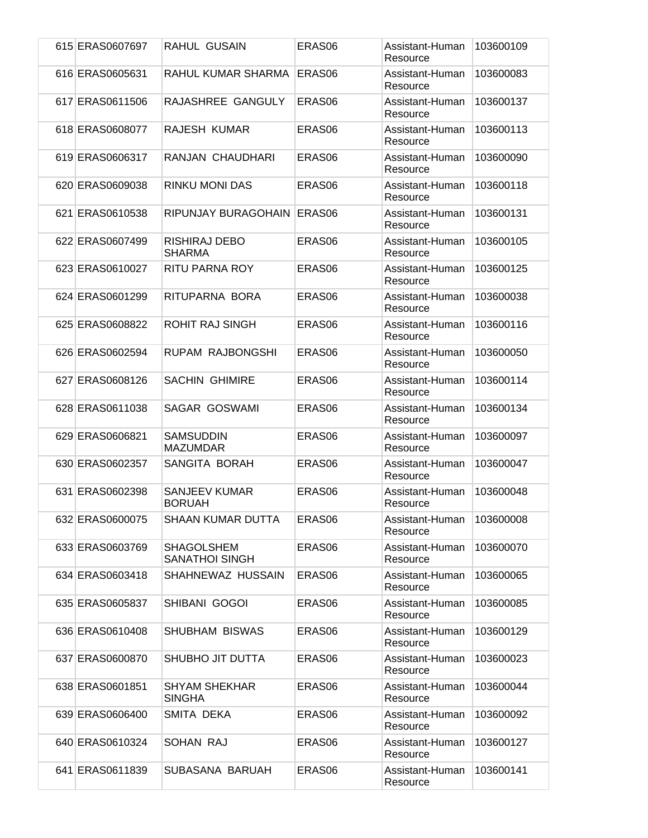| 615 ERAS0607697 | <b>RAHUL GUSAIN</b>                        | ERAS06             | Assistant-Human<br>Resource | 103600109 |
|-----------------|--------------------------------------------|--------------------|-----------------------------|-----------|
| 616 ERAS0605631 | RAHUL KUMAR SHARMA                         | ERAS06             | Assistant-Human<br>Resource | 103600083 |
| 617 ERAS0611506 | RAJASHREE GANGULY                          | ERAS <sub>06</sub> | Assistant-Human<br>Resource | 103600137 |
| 618 ERAS0608077 | <b>RAJESH KUMAR</b>                        | ERAS <sub>06</sub> | Assistant-Human<br>Resource | 103600113 |
| 619 ERAS0606317 | RANJAN CHAUDHARI                           | ERAS06             | Assistant-Human<br>Resource | 103600090 |
| 620 ERAS0609038 | <b>RINKU MONI DAS</b>                      | ERAS06             | Assistant-Human<br>Resource | 103600118 |
| 621 ERAS0610538 | RIPUNJAY BURAGOHAIN                        | ERAS06             | Assistant-Human<br>Resource | 103600131 |
| 622 ERAS0607499 | RISHIRAJ DEBO<br><b>SHARMA</b>             | ERAS <sub>06</sub> | Assistant-Human<br>Resource | 103600105 |
| 623 ERAS0610027 | RITU PARNA ROY                             | ERAS <sub>06</sub> | Assistant-Human<br>Resource | 103600125 |
| 624 ERAS0601299 | RITUPARNA BORA                             | ERAS06             | Assistant-Human<br>Resource | 103600038 |
| 625 ERAS0608822 | ROHIT RAJ SINGH                            | ERAS <sub>06</sub> | Assistant-Human<br>Resource | 103600116 |
| 626 ERAS0602594 | RUPAM RAJBONGSHI                           | ERAS <sub>06</sub> | Assistant-Human<br>Resource | 103600050 |
| 627 ERAS0608126 | <b>SACHIN GHIMIRE</b>                      | ERAS <sub>06</sub> | Assistant-Human<br>Resource | 103600114 |
| 628 ERAS0611038 | SAGAR GOSWAMI                              | ERAS06             | Assistant-Human<br>Resource | 103600134 |
| 629 ERAS0606821 | <b>SAMSUDDIN</b><br><b>MAZUMDAR</b>        | ERAS <sub>06</sub> | Assistant-Human<br>Resource | 103600097 |
| 630 ERAS0602357 | SANGITA BORAH                              | ERAS06             | Assistant-Human<br>Resource | 103600047 |
| 631 ERAS0602398 | <b>SANJEEV KUMAR</b><br><b>BORUAH</b>      | ERAS <sub>06</sub> | Assistant-Human<br>Resource | 103600048 |
| 632 ERAS0600075 | <b>SHAAN KUMAR DUTTA</b>                   | ERAS06             | Assistant-Human<br>Resource | 103600008 |
| 633 ERAS0603769 | <b>SHAGOLSHEM</b><br><b>SANATHOI SINGH</b> | ERAS <sub>06</sub> | Assistant-Human<br>Resource | 103600070 |
| 634 ERAS0603418 | SHAHNEWAZ HUSSAIN                          | ERAS <sub>06</sub> | Assistant-Human<br>Resource | 103600065 |
| 635 ERAS0605837 | SHIBANI GOGOI                              | ERAS06             | Assistant-Human<br>Resource | 103600085 |
| 636 ERAS0610408 | <b>SHUBHAM BISWAS</b>                      | ERAS <sub>06</sub> | Assistant-Human<br>Resource | 103600129 |
| 637 ERAS0600870 | SHUBHO JIT DUTTA                           | ERAS06             | Assistant-Human<br>Resource | 103600023 |
| 638 ERAS0601851 | <b>SHYAM SHEKHAR</b><br><b>SINGHA</b>      | ERAS06             | Assistant-Human<br>Resource | 103600044 |
| 639 ERAS0606400 | SMITA DEKA                                 | ERAS06             | Assistant-Human<br>Resource | 103600092 |
| 640 ERAS0610324 | SOHAN RAJ                                  | ERAS <sub>06</sub> | Assistant-Human<br>Resource | 103600127 |
| 641 ERAS0611839 | SUBASANA BARUAH                            | ERAS06             | Assistant-Human<br>Resource | 103600141 |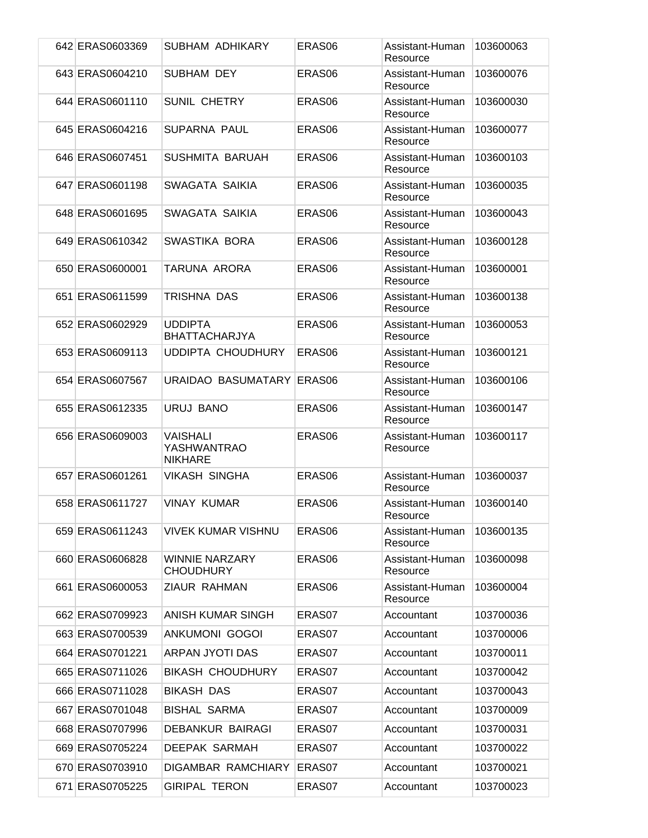|      | 642 ERAS0603369 | SUBHAM ADHIKARY                                  | ERAS <sub>06</sub> | Assistant-Human<br>Resource | 103600063 |
|------|-----------------|--------------------------------------------------|--------------------|-----------------------------|-----------|
|      | 643 ERAS0604210 | SUBHAM DEY                                       | ERAS <sub>06</sub> | Assistant-Human<br>Resource | 103600076 |
|      | 644 ERAS0601110 | <b>SUNIL CHETRY</b>                              | ERAS <sub>06</sub> | Assistant-Human<br>Resource | 103600030 |
|      | 645 ERAS0604216 | <b>SUPARNA PAUL</b>                              | ERAS <sub>06</sub> | Assistant-Human<br>Resource | 103600077 |
|      | 646 ERAS0607451 | SUSHMITA BARUAH                                  | ERAS <sub>06</sub> | Assistant-Human<br>Resource | 103600103 |
|      | 647 ERAS0601198 | SWAGATA SAIKIA                                   | ERAS06             | Assistant-Human<br>Resource | 103600035 |
|      | 648 ERAS0601695 | SWAGATA SAIKIA                                   | ERAS06             | Assistant-Human<br>Resource | 103600043 |
|      | 649 ERAS0610342 | SWASTIKA BORA                                    | ERAS <sub>06</sub> | Assistant-Human<br>Resource | 103600128 |
|      | 650 ERAS0600001 | TARUNA ARORA                                     | ERAS06             | Assistant-Human<br>Resource | 103600001 |
|      | 651 ERAS0611599 | TRISHNA DAS                                      | ERAS06             | Assistant-Human<br>Resource | 103600138 |
|      | 652 ERAS0602929 | <b>UDDIPTA</b><br><b>BHATTACHARJYA</b>           | ERAS <sub>06</sub> | Assistant-Human<br>Resource | 103600053 |
|      | 653 ERAS0609113 | UDDIPTA CHOUDHURY                                | ERAS <sub>06</sub> | Assistant-Human<br>Resource | 103600121 |
|      | 654 ERAS0607567 | URAIDAO BASUMATARY                               | ERAS06             | Assistant-Human<br>Resource | 103600106 |
|      | 655 ERAS0612335 | URUJ BANO                                        | ERAS06             | Assistant-Human<br>Resource | 103600147 |
|      | 656 ERAS0609003 | <b>VAISHALI</b><br>YASHWANTRAO<br><b>NIKHARE</b> | ERAS06             | Assistant-Human<br>Resource | 103600117 |
|      | 657 ERAS0601261 | <b>VIKASH SINGHA</b>                             | ERAS06             | Assistant-Human<br>Resource | 103600037 |
|      | 658 ERAS0611727 | <b>VINAY KUMAR</b>                               | ERAS <sub>06</sub> | Assistant-Human<br>Resource | 103600140 |
|      | 659 ERAS0611243 | <b>VIVEK KUMAR VISHNU</b>                        | ERAS06             | Assistant-Human<br>Resource | 103600135 |
|      | 660 ERAS0606828 | <b>WINNIE NARZARY</b><br><b>CHOUDHURY</b>        | ERAS06             | Assistant-Human<br>Resource | 103600098 |
|      | 661 ERAS0600053 | <b>ZIAUR RAHMAN</b>                              | ERAS06             | Assistant-Human<br>Resource | 103600004 |
|      | 662 ERAS0709923 | ANISH KUMAR SINGH                                | ERAS07             | Accountant                  | 103700036 |
|      | 663 ERAS0700539 | <b>ANKUMONI GOGOI</b>                            | ERAS07             | Accountant                  | 103700006 |
|      | 664 ERAS0701221 | ARPAN JYOTI DAS                                  | ERAS07             | Accountant                  | 103700011 |
|      | 665 ERAS0711026 | <b>BIKASH CHOUDHURY</b>                          | ERAS07             | Accountant                  | 103700042 |
|      | 666 ERAS0711028 | <b>BIKASH DAS</b>                                | ERAS07             | Accountant                  | 103700043 |
|      | 667 ERAS0701048 | <b>BISHAL SARMA</b>                              | ERAS07             | Accountant                  | 103700009 |
|      | 668 ERAS0707996 | <b>DEBANKUR BAIRAGI</b>                          | ERAS07             | Accountant                  | 103700031 |
|      | 669 ERAS0705224 | <b>DEEPAK SARMAH</b>                             | ERAS07             | Accountant                  | 103700022 |
|      | 670 ERAS0703910 | <b>DIGAMBAR RAMCHIARY</b>                        | ERAS07             | Accountant                  | 103700021 |
| 6711 | ERAS0705225     | <b>GIRIPAL TERON</b>                             | ERAS07             | Accountant                  | 103700023 |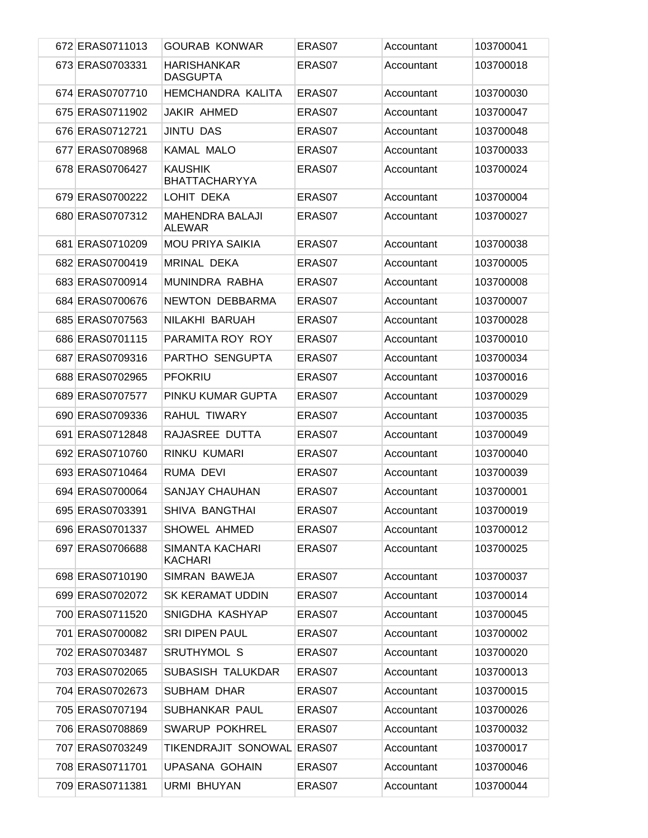| 672 ERAS0711013 | <b>GOURAB KONWAR</b>                   | ERAS07 | Accountant | 103700041 |
|-----------------|----------------------------------------|--------|------------|-----------|
| 673 ERAS0703331 | <b>HARISHANKAR</b><br><b>DASGUPTA</b>  | ERAS07 | Accountant | 103700018 |
| 674 ERAS0707710 | <b>HEMCHANDRA KALITA</b>               | ERAS07 | Accountant | 103700030 |
| 675 ERAS0711902 | JAKIR AHMED                            | ERAS07 | Accountant | 103700047 |
| 676 ERAS0712721 | <b>JINTU DAS</b>                       | ERAS07 | Accountant | 103700048 |
| 677 ERAS0708968 | <b>KAMAL MALO</b>                      | ERAS07 | Accountant | 103700033 |
| 678 ERAS0706427 | <b>KAUSHIK</b><br><b>BHATTACHARYYA</b> | ERAS07 | Accountant | 103700024 |
| 679 ERAS0700222 | LOHIT DEKA                             | ERAS07 | Accountant | 103700004 |
| 680 ERAS0707312 | <b>MAHENDRA BALAJI</b><br>ALEWAR       | ERAS07 | Accountant | 103700027 |
| 681 ERAS0710209 | <b>MOU PRIYA SAIKIA</b>                | ERAS07 | Accountant | 103700038 |
| 682 ERAS0700419 | MRINAL DEKA                            | ERAS07 | Accountant | 103700005 |
| 683 ERAS0700914 | MUNINDRA RABHA                         | ERAS07 | Accountant | 103700008 |
| 684 ERAS0700676 | NEWTON DEBBARMA                        | ERAS07 | Accountant | 103700007 |
| 685 ERAS0707563 | NILAKHI BARUAH                         | ERAS07 | Accountant | 103700028 |
| 686 ERAS0701115 | PARAMITA ROY ROY                       | ERAS07 | Accountant | 103700010 |
| 687 ERAS0709316 | PARTHO SENGUPTA                        | ERAS07 | Accountant | 103700034 |
| 688 ERAS0702965 | <b>PFOKRIU</b>                         | ERAS07 | Accountant | 103700016 |
| 689 ERAS0707577 | PINKU KUMAR GUPTA                      | ERAS07 | Accountant | 103700029 |
| 690 ERAS0709336 | <b>RAHUL TIWARY</b>                    | ERAS07 | Accountant | 103700035 |
| 691 ERAS0712848 | RAJASREE DUTTA                         | ERAS07 | Accountant | 103700049 |
| 692 ERAS0710760 | RINKU KUMARI                           | ERAS07 | Accountant | 103700040 |
| 693 ERAS0710464 | RUMA DEVI                              | ERAS07 | Accountant | 103700039 |
| 694 ERAS0700064 | <b>SANJAY CHAUHAN</b>                  | ERAS07 | Accountant | 103700001 |
| 695 ERAS0703391 | SHIVA BANGTHAI                         | ERAS07 | Accountant | 103700019 |
| 696 ERAS0701337 | SHOWEL AHMED                           | ERAS07 | Accountant | 103700012 |
| 697 ERAS0706688 | SIMANTA KACHARI<br><b>KACHARI</b>      | ERAS07 | Accountant | 103700025 |
| 698 ERAS0710190 | SIMRAN BAWEJA                          | ERAS07 | Accountant | 103700037 |
| 699 ERAS0702072 | <b>SK KERAMAT UDDIN</b>                | ERAS07 | Accountant | 103700014 |
| 700 ERAS0711520 | SNIGDHA KASHYAP                        | ERAS07 | Accountant | 103700045 |
| 701 ERAS0700082 | <b>SRI DIPEN PAUL</b>                  | ERAS07 | Accountant | 103700002 |
| 702 ERAS0703487 | SRUTHYMOL S                            | ERAS07 | Accountant | 103700020 |
| 703 ERAS0702065 | SUBASISH TALUKDAR                      | ERAS07 | Accountant | 103700013 |
| 704 ERAS0702673 | SUBHAM DHAR                            | ERAS07 | Accountant | 103700015 |
| 705 ERAS0707194 | SUBHANKAR PAUL                         | ERAS07 | Accountant | 103700026 |
| 706 ERAS0708869 | <b>SWARUP POKHREL</b>                  | ERAS07 | Accountant | 103700032 |
| 707 ERAS0703249 | TIKENDRAJIT SONOWAL ERAS07             |        | Accountant | 103700017 |
| 708 ERAS0711701 | UPASANA GOHAIN                         | ERAS07 | Accountant | 103700046 |
| 709 ERAS0711381 | <b>URMI BHUYAN</b>                     | ERAS07 | Accountant | 103700044 |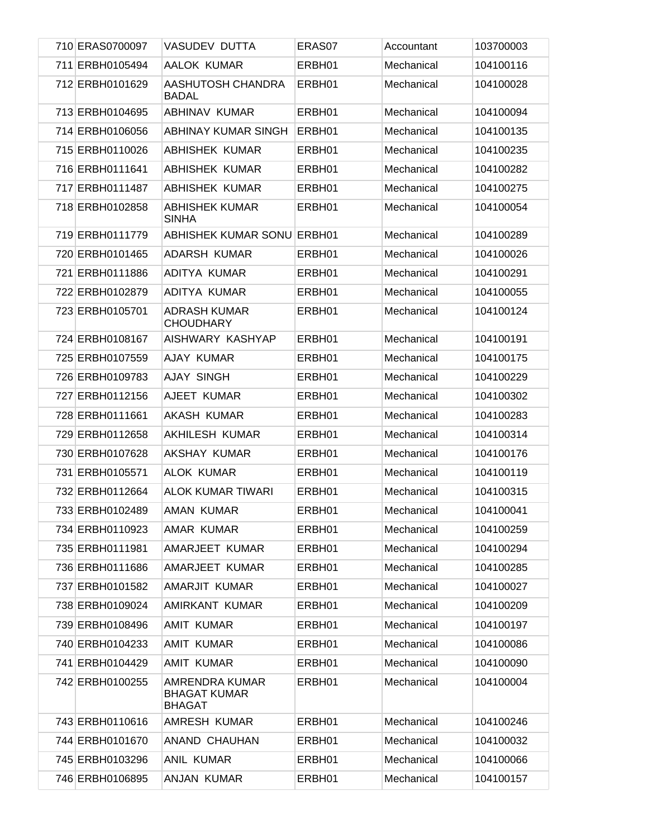| 710 ERAS0700097 | VASUDEV DUTTA                                          | ERAS07 | Accountant | 103700003 |
|-----------------|--------------------------------------------------------|--------|------------|-----------|
| 711 ERBH0105494 | AALOK KUMAR                                            | ERBH01 | Mechanical | 104100116 |
| 712 ERBH0101629 | AASHUTOSH CHANDRA<br><b>BADAL</b>                      | ERBH01 | Mechanical | 104100028 |
| 713 ERBH0104695 | ABHINAV KUMAR                                          | ERBH01 | Mechanical | 104100094 |
| 714 ERBH0106056 | ABHINAY KUMAR SINGH                                    | ERBH01 | Mechanical | 104100135 |
| 715 ERBH0110026 | <b>ABHISHEK KUMAR</b>                                  | ERBH01 | Mechanical | 104100235 |
| 716 ERBH0111641 | <b>ABHISHEK KUMAR</b>                                  | ERBH01 | Mechanical | 104100282 |
| 717 ERBH0111487 | <b>ABHISHEK KUMAR</b>                                  | ERBH01 | Mechanical | 104100275 |
| 718 ERBH0102858 | <b>ABHISHEK KUMAR</b><br><b>SINHA</b>                  | ERBH01 | Mechanical | 104100054 |
| 719 ERBH0111779 | <b>ABHISHEK KUMAR SONU ERBH01</b>                      |        | Mechanical | 104100289 |
| 720 ERBH0101465 | <b>ADARSH KUMAR</b>                                    | ERBH01 | Mechanical | 104100026 |
| 721 ERBH0111886 | ADITYA KUMAR                                           | ERBH01 | Mechanical | 104100291 |
| 722 ERBH0102879 | ADITYA KUMAR                                           | ERBH01 | Mechanical | 104100055 |
| 723 ERBH0105701 | <b>ADRASH KUMAR</b><br><b>CHOUDHARY</b>                | ERBH01 | Mechanical | 104100124 |
| 724 ERBH0108167 | AISHWARY KASHYAP                                       | ERBH01 | Mechanical | 104100191 |
| 725 ERBH0107559 | AJAY KUMAR                                             | ERBH01 | Mechanical | 104100175 |
| 726 ERBH0109783 | <b>AJAY SINGH</b>                                      | ERBH01 | Mechanical | 104100229 |
| 727 ERBH0112156 | AJEET KUMAR                                            | ERBH01 | Mechanical | 104100302 |
| 728 ERBH0111661 | <b>AKASH KUMAR</b>                                     | ERBH01 | Mechanical | 104100283 |
| 729 ERBH0112658 | AKHILESH KUMAR                                         | ERBH01 | Mechanical | 104100314 |
| 730 ERBH0107628 | AKSHAY KUMAR                                           | ERBH01 | Mechanical | 104100176 |
| 731 ERBH0105571 | <b>ALOK KUMAR</b>                                      | ERBH01 | Mechanical | 104100119 |
| 732 ERBH0112664 | <b>ALOK KUMAR TIWARI</b>                               | ERBH01 | Mechanical | 104100315 |
| 733 ERBH0102489 | <b>AMAN KUMAR</b>                                      | ERBH01 | Mechanical | 104100041 |
| 734 ERBH0110923 | AMAR KUMAR                                             | ERBH01 | Mechanical | 104100259 |
| 735 ERBH0111981 | AMARJEET KUMAR                                         | ERBH01 | Mechanical | 104100294 |
| 736 ERBH0111686 | AMARJEET KUMAR                                         | ERBH01 | Mechanical | 104100285 |
| 737 ERBH0101582 | AMARJIT KUMAR                                          | ERBH01 | Mechanical | 104100027 |
| 738 ERBH0109024 | AMIRKANT KUMAR                                         | ERBH01 | Mechanical | 104100209 |
| 739 ERBH0108496 | AMIT KUMAR                                             | ERBH01 | Mechanical | 104100197 |
| 740 ERBH0104233 | AMIT KUMAR                                             | ERBH01 | Mechanical | 104100086 |
| 741 ERBH0104429 | AMIT KUMAR                                             | ERBH01 | Mechanical | 104100090 |
| 742 ERBH0100255 | AMRENDRA KUMAR<br><b>BHAGAT KUMAR</b><br><b>BHAGAT</b> | ERBH01 | Mechanical | 104100004 |
| 743 ERBH0110616 | AMRESH KUMAR                                           | ERBH01 | Mechanical | 104100246 |
| 744 ERBH0101670 | ANAND CHAUHAN                                          | ERBH01 | Mechanical | 104100032 |
| 745 ERBH0103296 | ANIL KUMAR                                             | ERBH01 | Mechanical | 104100066 |
| 746 ERBH0106895 | ANJAN KUMAR                                            | ERBH01 | Mechanical | 104100157 |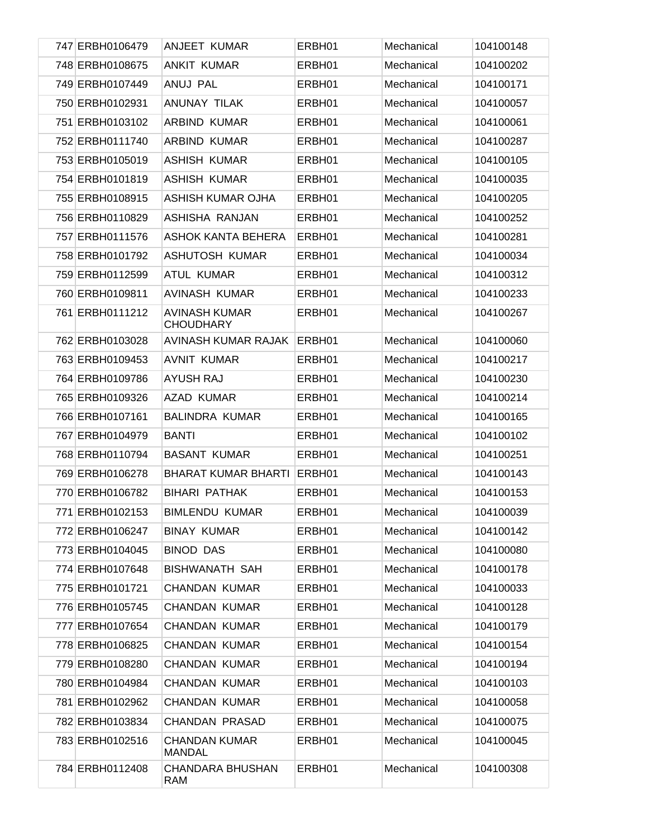| 747 ERBH0106479 | ANJEET KUMAR                             | ERBH01 | Mechanical | 104100148 |
|-----------------|------------------------------------------|--------|------------|-----------|
| 748 ERBH0108675 | <b>ANKIT KUMAR</b>                       | ERBH01 | Mechanical | 104100202 |
| 749 ERBH0107449 | ANUJ PAL                                 | ERBH01 | Mechanical | 104100171 |
| 750 ERBH0102931 | <b>ANUNAY TILAK</b>                      | ERBH01 | Mechanical | 104100057 |
| 751 ERBH0103102 | ARBIND KUMAR                             | ERBH01 | Mechanical | 104100061 |
| 752 ERBH0111740 | ARBIND KUMAR                             | ERBH01 | Mechanical | 104100287 |
| 753 ERBH0105019 | <b>ASHISH KUMAR</b>                      | ERBH01 | Mechanical | 104100105 |
| 754 ERBH0101819 | <b>ASHISH KUMAR</b>                      | ERBH01 | Mechanical | 104100035 |
| 755 ERBH0108915 | <b>ASHISH KUMAR OJHA</b>                 | ERBH01 | Mechanical | 104100205 |
| 756 ERBH0110829 | ASHISHA RANJAN                           | ERBH01 | Mechanical | 104100252 |
| 757 ERBH0111576 | ASHOK KANTA BEHERA                       | ERBH01 | Mechanical | 104100281 |
| 758 ERBH0101792 | ASHUTOSH KUMAR                           | ERBH01 | Mechanical | 104100034 |
| 759 ERBH0112599 | <b>ATUL KUMAR</b>                        | ERBH01 | Mechanical | 104100312 |
| 760 ERBH0109811 | <b>AVINASH KUMAR</b>                     | ERBH01 | Mechanical | 104100233 |
| 761 ERBH0111212 | <b>AVINASH KUMAR</b><br><b>CHOUDHARY</b> | ERBH01 | Mechanical | 104100267 |
| 762 ERBH0103028 | AVINASH KUMAR RAJAK                      | ERBH01 | Mechanical | 104100060 |
| 763 ERBH0109453 | <b>AVNIT KUMAR</b>                       | ERBH01 | Mechanical | 104100217 |
| 764 ERBH0109786 | <b>AYUSH RAJ</b>                         | ERBH01 | Mechanical | 104100230 |
| 765 ERBH0109326 | AZAD KUMAR                               | ERBH01 | Mechanical | 104100214 |
| 766 ERBH0107161 | <b>BALINDRA KUMAR</b>                    | ERBH01 | Mechanical | 104100165 |
| 767 ERBH0104979 | <b>BANTI</b>                             | ERBH01 | Mechanical | 104100102 |
| 768 ERBH0110794 | <b>BASANT KUMAR</b>                      | ERBH01 | Mechanical | 104100251 |
| 769 ERBH0106278 | BHARAT KUMAR BHARTI                      | ERBH01 | Mechanical | 104100143 |
| 770 ERBH0106782 | <b>BIHARI PATHAK</b>                     | ERBH01 | Mechanical | 104100153 |
| 771 ERBH0102153 | <b>BIMLENDU KUMAR</b>                    | ERBH01 | Mechanical | 104100039 |
| 772 ERBH0106247 | <b>BINAY KUMAR</b>                       | ERBH01 | Mechanical | 104100142 |
| 773 ERBH0104045 | <b>BINOD DAS</b>                         | ERBH01 | Mechanical | 104100080 |
| 774 ERBH0107648 | <b>BISHWANATH SAH</b>                    | ERBH01 | Mechanical | 104100178 |
| 775 ERBH0101721 | <b>CHANDAN KUMAR</b>                     | ERBH01 | Mechanical | 104100033 |
| 776 ERBH0105745 | <b>CHANDAN KUMAR</b>                     | ERBH01 | Mechanical | 104100128 |
| 777 ERBH0107654 | <b>CHANDAN KUMAR</b>                     | ERBH01 | Mechanical | 104100179 |
| 778 ERBH0106825 | <b>CHANDAN KUMAR</b>                     | ERBH01 | Mechanical | 104100154 |
| 779 ERBH0108280 | <b>CHANDAN KUMAR</b>                     | ERBH01 | Mechanical | 104100194 |
| 780 ERBH0104984 | <b>CHANDAN KUMAR</b>                     | ERBH01 | Mechanical | 104100103 |
| 781 ERBH0102962 | <b>CHANDAN KUMAR</b>                     | ERBH01 | Mechanical | 104100058 |
| 782 ERBH0103834 | CHANDAN PRASAD                           | ERBH01 | Mechanical | 104100075 |
| 783 ERBH0102516 | <b>CHANDAN KUMAR</b><br><b>MANDAL</b>    | ERBH01 | Mechanical | 104100045 |
| 784 ERBH0112408 | CHANDARA BHUSHAN<br>RAM                  | ERBH01 | Mechanical | 104100308 |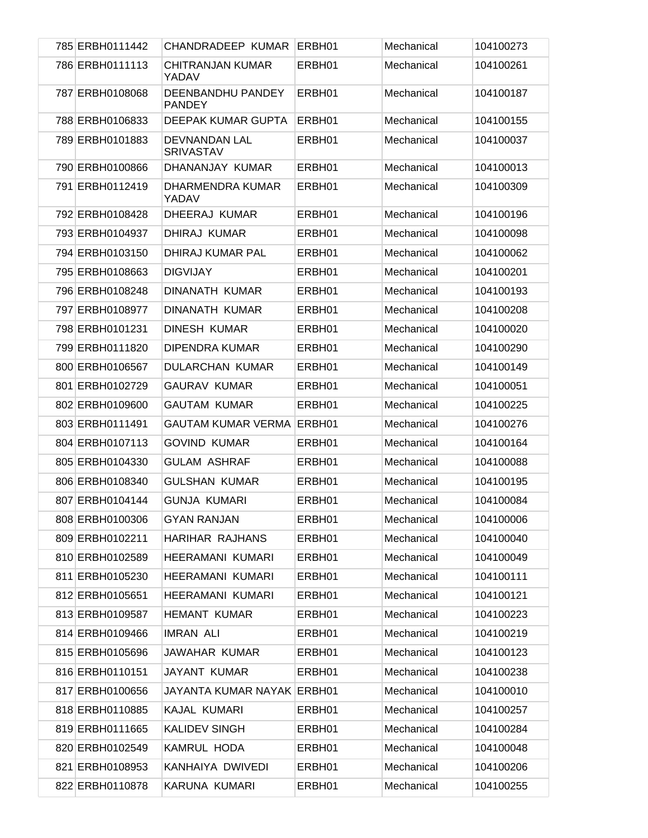| 785 ERBH0111442 | CHANDRADEEP KUMAR                  | ERBH01 | Mechanical | 104100273 |
|-----------------|------------------------------------|--------|------------|-----------|
| 786 ERBH0111113 | <b>CHITRANJAN KUMAR</b><br>YADAV   | ERBH01 | Mechanical | 104100261 |
| 787 ERBH0108068 | DEENBANDHU PANDEY<br><b>PANDEY</b> | ERBH01 | Mechanical | 104100187 |
| 788 ERBH0106833 | DEEPAK KUMAR GUPTA                 | ERBH01 | Mechanical | 104100155 |
| 789 ERBH0101883 | DEVNANDAN LAL<br><b>SRIVASTAV</b>  | ERBH01 | Mechanical | 104100037 |
| 790 ERBH0100866 | DHANANJAY KUMAR                    | ERBH01 | Mechanical | 104100013 |
| 791 ERBH0112419 | DHARMENDRA KUMAR<br>YADAV          | ERBH01 | Mechanical | 104100309 |
| 792 ERBH0108428 | DHEERAJ KUMAR                      | ERBH01 | Mechanical | 104100196 |
| 793 ERBH0104937 | DHIRAJ KUMAR                       | ERBH01 | Mechanical | 104100098 |
| 794 ERBH0103150 | DHIRAJ KUMAR PAL                   | ERBH01 | Mechanical | 104100062 |
| 795 ERBH0108663 | <b>DIGVIJAY</b>                    | ERBH01 | Mechanical | 104100201 |
| 796 ERBH0108248 | <b>DINANATH KUMAR</b>              | ERBH01 | Mechanical | 104100193 |
| 797 ERBH0108977 | <b>DINANATH KUMAR</b>              | ERBH01 | Mechanical | 104100208 |
| 798 ERBH0101231 | DINESH KUMAR                       | ERBH01 | Mechanical | 104100020 |
| 799 ERBH0111820 | DIPENDRA KUMAR                     | ERBH01 | Mechanical | 104100290 |
| 800 ERBH0106567 | DULARCHAN KUMAR                    | ERBH01 | Mechanical | 104100149 |
| 801 ERBH0102729 | <b>GAURAV KUMAR</b>                | ERBH01 | Mechanical | 104100051 |
| 802 ERBH0109600 | <b>GAUTAM KUMAR</b>                | ERBH01 | Mechanical | 104100225 |
| 803 ERBH0111491 | <b>GAUTAM KUMAR VERMA ERBH01</b>   |        | Mechanical | 104100276 |
| 804 ERBH0107113 | <b>GOVIND KUMAR</b>                | ERBH01 | Mechanical | 104100164 |
| 805 ERBH0104330 | <b>GULAM ASHRAF</b>                | ERBH01 | Mechanical | 104100088 |
| 806 ERBH0108340 | <b>GULSHAN KUMAR</b>               | ERBH01 | Mechanical | 104100195 |
| 807 ERBH0104144 | <b>GUNJA KUMARI</b>                | ERBH01 | Mechanical | 104100084 |
| 808 ERBH0100306 | <b>GYAN RANJAN</b>                 | ERBH01 | Mechanical | 104100006 |
| 809 ERBH0102211 | HARIHAR RAJHANS                    | ERBH01 | Mechanical | 104100040 |
| 810 ERBH0102589 | <b>HEERAMANI KUMARI</b>            | ERBH01 | Mechanical | 104100049 |
| 811 ERBH0105230 | <b>HEERAMANI KUMARI</b>            | ERBH01 | Mechanical | 104100111 |
| 812 ERBH0105651 | HEERAMANI KUMARI                   | ERBH01 | Mechanical | 104100121 |
| 813 ERBH0109587 | <b>HEMANT KUMAR</b>                | ERBH01 | Mechanical | 104100223 |
| 814 ERBH0109466 | <b>IMRAN ALI</b>                   | ERBH01 | Mechanical | 104100219 |
| 815 ERBH0105696 | JAWAHAR KUMAR                      | ERBH01 | Mechanical | 104100123 |
| 816 ERBH0110151 | JAYANT KUMAR                       | ERBH01 | Mechanical | 104100238 |
| 817 ERBH0100656 | JAYANTA KUMAR NAYAK ERBH01         |        | Mechanical | 104100010 |
| 818 ERBH0110885 | KAJAL KUMARI                       | ERBH01 | Mechanical | 104100257 |
| 819 ERBH0111665 | <b>KALIDEV SINGH</b>               | ERBH01 | Mechanical | 104100284 |
| 820 ERBH0102549 | KAMRUL HODA                        | ERBH01 | Mechanical | 104100048 |
| 821 ERBH0108953 | KANHAIYA DWIVEDI                   | ERBH01 | Mechanical | 104100206 |
| 822 ERBH0110878 | KARUNA KUMARI                      | ERBH01 | Mechanical | 104100255 |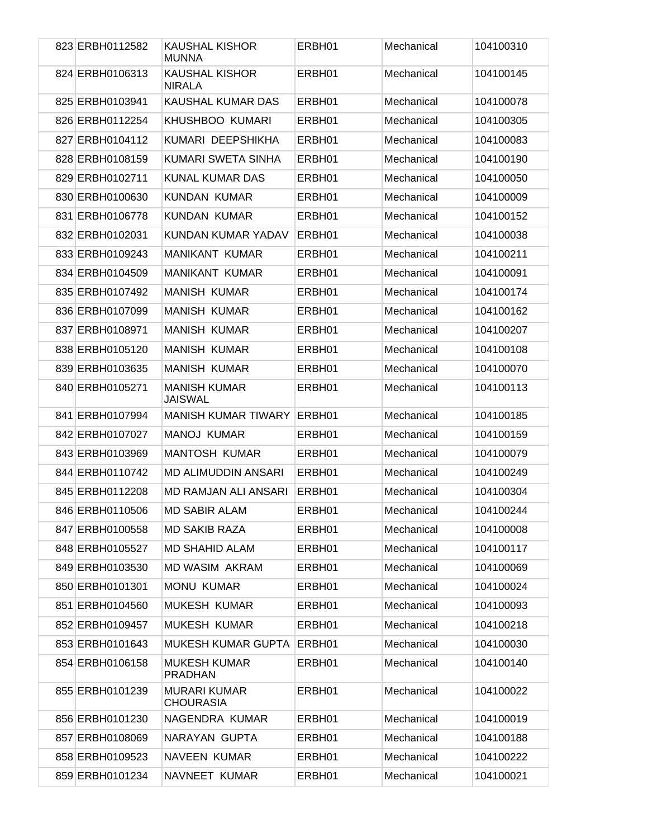| 823 ERBH0112582 | <b>KAUSHAL KISHOR</b><br><b>MUNNA</b>   | ERBH01 | Mechanical | 104100310 |
|-----------------|-----------------------------------------|--------|------------|-----------|
| 824 ERBH0106313 | <b>KAUSHAL KISHOR</b><br><b>NIRALA</b>  | ERBH01 | Mechanical | 104100145 |
| 825 ERBH0103941 | KAUSHAL KUMAR DAS                       | ERBH01 | Mechanical | 104100078 |
| 826 ERBH0112254 | KHUSHBOO KUMARI                         | ERBH01 | Mechanical | 104100305 |
| 827 ERBH0104112 | KUMARI DEEPSHIKHA                       | ERBH01 | Mechanical | 104100083 |
| 828 ERBH0108159 | KUMARI SWETA SINHA                      | ERBH01 | Mechanical | 104100190 |
| 829 ERBH0102711 | <b>KUNAL KUMAR DAS</b>                  | ERBH01 | Mechanical | 104100050 |
| 830 ERBH0100630 | <b>KUNDAN KUMAR</b>                     | ERBH01 | Mechanical | 104100009 |
| 831 ERBH0106778 | <b>KUNDAN KUMAR</b>                     | ERBH01 | Mechanical | 104100152 |
| 832 ERBH0102031 | KUNDAN KUMAR YADAV                      | ERBH01 | Mechanical | 104100038 |
| 833 ERBH0109243 | <b>MANIKANT KUMAR</b>                   | ERBH01 | Mechanical | 104100211 |
| 834 ERBH0104509 | <b>MANIKANT KUMAR</b>                   | ERBH01 | Mechanical | 104100091 |
| 835 ERBH0107492 | <b>MANISH KUMAR</b>                     | ERBH01 | Mechanical | 104100174 |
| 836 ERBH0107099 | <b>MANISH KUMAR</b>                     | ERBH01 | Mechanical | 104100162 |
| 837 ERBH0108971 | <b>MANISH KUMAR</b>                     | ERBH01 | Mechanical | 104100207 |
| 838 ERBH0105120 | <b>MANISH KUMAR</b>                     | ERBH01 | Mechanical | 104100108 |
| 839 ERBH0103635 | MANISH KUMAR                            | ERBH01 | Mechanical | 104100070 |
| 840 ERBH0105271 | <b>MANISH KUMAR</b><br><b>JAISWAL</b>   | ERBH01 | Mechanical | 104100113 |
| 841 ERBH0107994 | <b>MANISH KUMAR TIWARY</b>              | ERBH01 | Mechanical | 104100185 |
| 842 ERBH0107027 | <b>MANOJ KUMAR</b>                      | ERBH01 | Mechanical | 104100159 |
| 843 ERBH0103969 | <b>MANTOSH KUMAR</b>                    | ERBH01 | Mechanical | 104100079 |
| 844 ERBH0110742 | <b>MD ALIMUDDIN ANSARI</b>              | ERBH01 | Mechanical | 104100249 |
| 845 ERBH0112208 | <b>MD RAMJAN ALI ANSARI</b>             | ERBH01 | Mechanical | 104100304 |
| 846 ERBH0110506 | MD SABIR ALAM                           | ERBH01 | Mechanical | 104100244 |
| 847 ERBH0100558 | <b>MD SAKIB RAZA</b>                    | ERBH01 | Mechanical | 104100008 |
| 848 ERBH0105527 | <b>MD SHAHID ALAM</b>                   | ERBH01 | Mechanical | 104100117 |
| 849 ERBH0103530 | <b>MD WASIM AKRAM</b>                   | ERBH01 | Mechanical | 104100069 |
| 850 ERBH0101301 | <b>MONU KUMAR</b>                       | ERBH01 | Mechanical | 104100024 |
| 851 ERBH0104560 | <b>MUKESH KUMAR</b>                     | ERBH01 | Mechanical | 104100093 |
| 852 ERBH0109457 | <b>MUKESH KUMAR</b>                     | ERBH01 | Mechanical | 104100218 |
| 853 ERBH0101643 | <b>MUKESH KUMAR GUPTA</b>               | ERBH01 | Mechanical | 104100030 |
| 854 ERBH0106158 | <b>MUKESH KUMAR</b><br><b>PRADHAN</b>   | ERBH01 | Mechanical | 104100140 |
| 855 ERBH0101239 | <b>MURARI KUMAR</b><br><b>CHOURASIA</b> | ERBH01 | Mechanical | 104100022 |
| 856 ERBH0101230 | NAGENDRA KUMAR                          | ERBH01 | Mechanical | 104100019 |
| 857 ERBH0108069 | NARAYAN GUPTA                           | ERBH01 | Mechanical | 104100188 |
| 858 ERBH0109523 | NAVEEN KUMAR                            | ERBH01 | Mechanical | 104100222 |
| 859 ERBH0101234 | NAVNEET KUMAR                           | ERBH01 | Mechanical | 104100021 |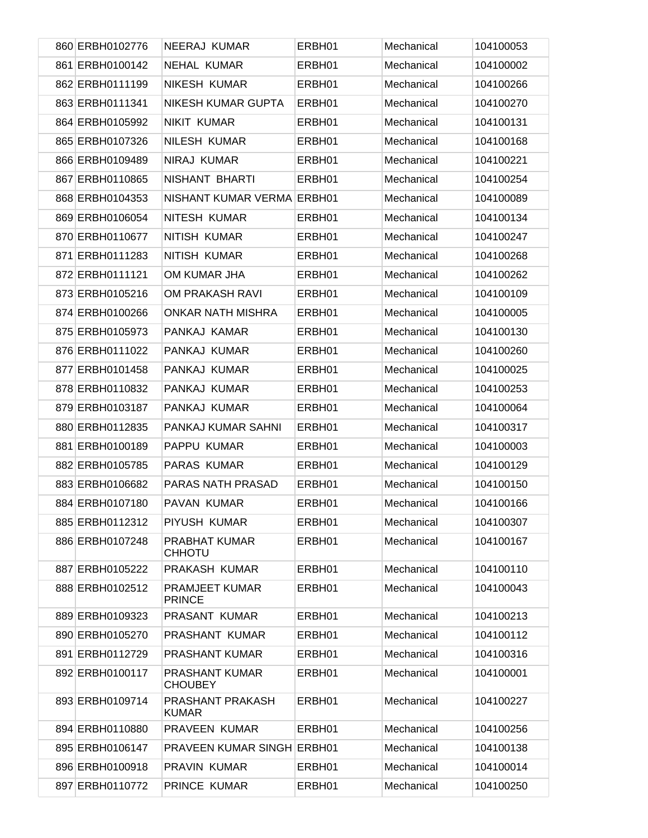| 860 ERBH0102776 | NEERAJ KUMAR                          | ERBH01 | Mechanical | 104100053 |
|-----------------|---------------------------------------|--------|------------|-----------|
| 861 ERBH0100142 | NEHAL KUMAR                           | ERBH01 | Mechanical | 104100002 |
| 862 ERBH0111199 | <b>NIKESH KUMAR</b>                   | ERBH01 | Mechanical | 104100266 |
| 863 ERBH0111341 | <b>NIKESH KUMAR GUPTA</b>             | ERBH01 | Mechanical | 104100270 |
| 864 ERBH0105992 | <b>NIKIT KUMAR</b>                    | ERBH01 | Mechanical | 104100131 |
| 865 ERBH0107326 | <b>NILESH KUMAR</b>                   | ERBH01 | Mechanical | 104100168 |
| 866 ERBH0109489 | <b>NIRAJ KUMAR</b>                    | ERBH01 | Mechanical | 104100221 |
| 867 ERBH0110865 | NISHANT BHARTI                        | ERBH01 | Mechanical | 104100254 |
| 868 ERBH0104353 | NISHANT KUMAR VERMA ERBH01            |        | Mechanical | 104100089 |
| 869 ERBH0106054 | NITESH KUMAR                          | ERBH01 | Mechanical | 104100134 |
| 870 ERBH0110677 | NITISH KUMAR                          | ERBH01 | Mechanical | 104100247 |
| 871 ERBH0111283 | NITISH KUMAR                          | ERBH01 | Mechanical | 104100268 |
| 872 ERBH0111121 | OM KUMAR JHA                          | ERBH01 | Mechanical | 104100262 |
| 873 ERBH0105216 | OM PRAKASH RAVI                       | ERBH01 | Mechanical | 104100109 |
| 874 ERBH0100266 | <b>ONKAR NATH MISHRA</b>              | ERBH01 | Mechanical | 104100005 |
| 875 ERBH0105973 | PANKAJ KAMAR                          | ERBH01 | Mechanical | 104100130 |
| 876 ERBH0111022 | PANKAJ KUMAR                          | ERBH01 | Mechanical | 104100260 |
| 877 ERBH0101458 | PANKAJ KUMAR                          | ERBH01 | Mechanical | 104100025 |
| 878 ERBH0110832 | PANKAJ KUMAR                          | ERBH01 | Mechanical | 104100253 |
| 879 ERBH0103187 | PANKAJ KUMAR                          | ERBH01 | Mechanical | 104100064 |
| 880 ERBH0112835 | PANKAJ KUMAR SAHNI                    | ERBH01 | Mechanical | 104100317 |
| 881 ERBH0100189 | PAPPU KUMAR                           | ERBH01 | Mechanical | 104100003 |
| 882 ERBH0105785 | PARAS KUMAR                           | ERBH01 | Mechanical | 104100129 |
| 883 ERBH0106682 | <b>PARAS NATH PRASAD</b>              | ERBH01 | Mechanical | 104100150 |
| 884 ERBH0107180 | PAVAN KUMAR                           | ERBH01 | Mechanical | 104100166 |
| 885 ERBH0112312 | PIYUSH KUMAR                          | ERBH01 | Mechanical | 104100307 |
| 886 ERBH0107248 | <b>PRABHAT KUMAR</b><br><b>CHHOTU</b> | ERBH01 | Mechanical | 104100167 |
| 887 ERBH0105222 | PRAKASH KUMAR                         | ERBH01 | Mechanical | 104100110 |
| 888 ERBH0102512 | PRAMJEET KUMAR<br><b>PRINCE</b>       | ERBH01 | Mechanical | 104100043 |
| 889 ERBH0109323 | PRASANT KUMAR                         | ERBH01 | Mechanical | 104100213 |
| 890 ERBH0105270 | PRASHANT KUMAR                        | ERBH01 | Mechanical | 104100112 |
| 891 ERBH0112729 | <b>PRASHANT KUMAR</b>                 | ERBH01 | Mechanical | 104100316 |
| 892 ERBH0100117 | PRASHANT KUMAR<br><b>CHOUBEY</b>      | ERBH01 | Mechanical | 104100001 |
| 893 ERBH0109714 | PRASHANT PRAKASH<br><b>KUMAR</b>      | ERBH01 | Mechanical | 104100227 |
| 894 ERBH0110880 | PRAVEEN KUMAR                         | ERBH01 | Mechanical | 104100256 |
| 895 ERBH0106147 | <b>PRAVEEN KUMAR SINGH ERBH01</b>     |        | Mechanical | 104100138 |
| 896 ERBH0100918 | PRAVIN KUMAR                          | ERBH01 | Mechanical | 104100014 |
| 897 ERBH0110772 | PRINCE KUMAR                          | ERBH01 | Mechanical | 104100250 |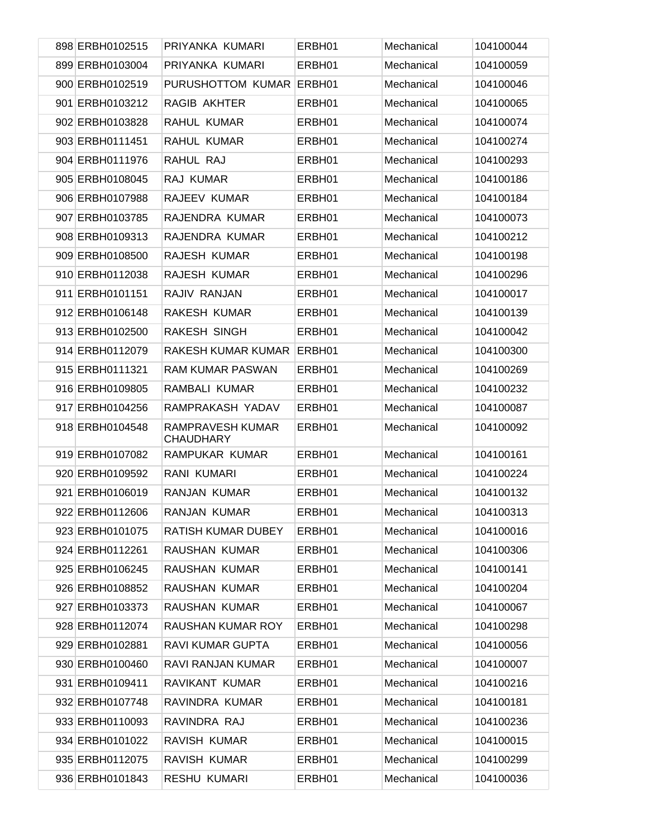| 898 ERBH0102515 | PRIYANKA KUMARI                      | ERBH01 | Mechanical | 104100044 |
|-----------------|--------------------------------------|--------|------------|-----------|
| 899 ERBH0103004 | PRIYANKA KUMARI                      | ERBH01 | Mechanical | 104100059 |
| 900 ERBH0102519 | PURUSHOTTOM KUMAR ERBH01             |        | Mechanical | 104100046 |
| 901 ERBH0103212 | RAGIB AKHTER                         | ERBH01 | Mechanical | 104100065 |
| 902 ERBH0103828 | RAHUL KUMAR                          | ERBH01 | Mechanical | 104100074 |
| 903 ERBH0111451 | RAHUL KUMAR                          | ERBH01 | Mechanical | 104100274 |
| 904 ERBH0111976 | RAHUL RAJ                            | ERBH01 | Mechanical | 104100293 |
| 905 ERBH0108045 | RAJ KUMAR                            | ERBH01 | Mechanical | 104100186 |
| 906 ERBH0107988 | RAJEEV KUMAR                         | ERBH01 | Mechanical | 104100184 |
| 907 ERBH0103785 | RAJENDRA KUMAR                       | ERBH01 | Mechanical | 104100073 |
| 908 ERBH0109313 | RAJENDRA KUMAR                       | ERBH01 | Mechanical | 104100212 |
| 909 ERBH0108500 | RAJESH KUMAR                         | ERBH01 | Mechanical | 104100198 |
| 910 ERBH0112038 | RAJESH KUMAR                         | ERBH01 | Mechanical | 104100296 |
| 911 ERBH0101151 | RAJIV RANJAN                         | ERBH01 | Mechanical | 104100017 |
| 912 ERBH0106148 | RAKESH KUMAR                         | ERBH01 | Mechanical | 104100139 |
| 913 ERBH0102500 | <b>RAKESH SINGH</b>                  | ERBH01 | Mechanical | 104100042 |
| 914 ERBH0112079 | RAKESH KUMAR KUMAR                   | ERBH01 | Mechanical | 104100300 |
| 915 ERBH0111321 | <b>RAM KUMAR PASWAN</b>              | ERBH01 | Mechanical | 104100269 |
| 916 ERBH0109805 | RAMBALI KUMAR                        | ERBH01 | Mechanical | 104100232 |
| 917 ERBH0104256 | RAMPRAKASH YADAV                     | ERBH01 | Mechanical | 104100087 |
| 918 ERBH0104548 | RAMPRAVESH KUMAR<br><b>CHAUDHARY</b> | ERBH01 | Mechanical | 104100092 |
| 919 ERBH0107082 | RAMPUKAR KUMAR                       | ERBH01 | Mechanical | 104100161 |
| 920 ERBH0109592 | RANI KUMARI                          | ERBH01 | Mechanical | 104100224 |
| 921 ERBH0106019 | <b>RANJAN KUMAR</b>                  | ERBH01 | Mechanical | 104100132 |
| 922 ERBH0112606 | RANJAN KUMAR                         | ERBH01 | Mechanical | 104100313 |
| 923 ERBH0101075 | RATISH KUMAR DUBEY                   | ERBH01 | Mechanical | 104100016 |
| 924 ERBH0112261 | RAUSHAN KUMAR                        | ERBH01 | Mechanical | 104100306 |
| 925 ERBH0106245 | RAUSHAN KUMAR                        | ERBH01 | Mechanical | 104100141 |
| 926 ERBH0108852 | RAUSHAN KUMAR                        | ERBH01 | Mechanical | 104100204 |
| 927 ERBH0103373 | RAUSHAN KUMAR                        | ERBH01 | Mechanical | 104100067 |
| 928 ERBH0112074 | RAUSHAN KUMAR ROY                    | ERBH01 | Mechanical | 104100298 |
| 929 ERBH0102881 | <b>RAVI KUMAR GUPTA</b>              | ERBH01 | Mechanical | 104100056 |
| 930 ERBH0100460 | RAVI RANJAN KUMAR                    | ERBH01 | Mechanical | 104100007 |
| 931 ERBH0109411 | RAVIKANT KUMAR                       | ERBH01 | Mechanical | 104100216 |
| 932 ERBH0107748 | RAVINDRA KUMAR                       | ERBH01 | Mechanical | 104100181 |
| 933 ERBH0110093 | RAVINDRA RAJ                         | ERBH01 | Mechanical | 104100236 |
| 934 ERBH0101022 | RAVISH KUMAR                         | ERBH01 | Mechanical | 104100015 |
| 935 ERBH0112075 | RAVISH KUMAR                         | ERBH01 | Mechanical | 104100299 |
| 936 ERBH0101843 | <b>RESHU KUMARI</b>                  | ERBH01 | Mechanical | 104100036 |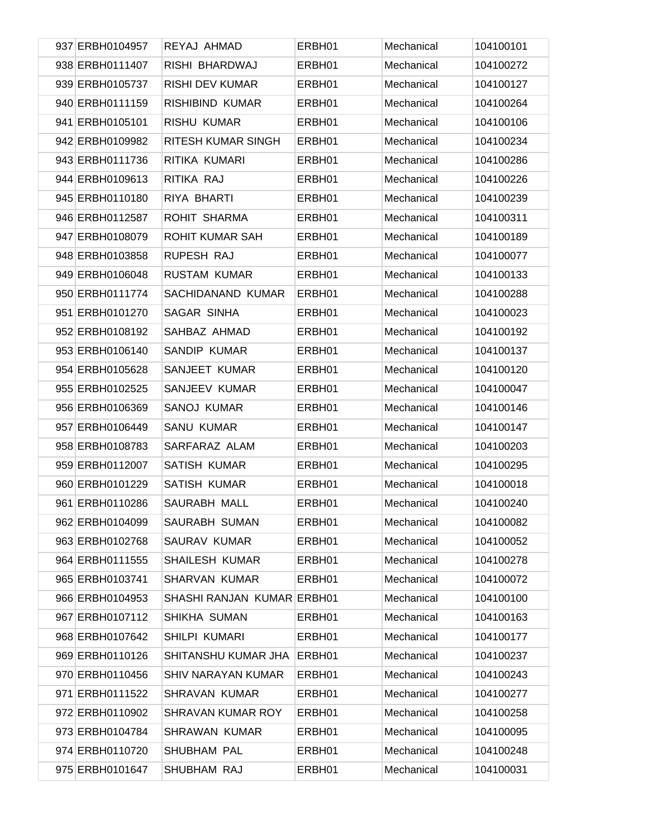| 937 ERBH0104957 | REYAJ AHMAD                | ERBH01 | Mechanical | 104100101 |
|-----------------|----------------------------|--------|------------|-----------|
| 938 ERBH0111407 | RISHI BHARDWAJ             | ERBH01 | Mechanical | 104100272 |
| 939 ERBH0105737 | <b>RISHI DEV KUMAR</b>     | ERBH01 | Mechanical | 104100127 |
| 940 ERBH0111159 | RISHIBIND KUMAR            | ERBH01 | Mechanical | 104100264 |
| 941 ERBH0105101 | <b>RISHU KUMAR</b>         | ERBH01 | Mechanical | 104100106 |
| 942 ERBH0109982 | RITESH KUMAR SINGH         | ERBH01 | Mechanical | 104100234 |
| 943 ERBH0111736 | RITIKA KUMARI              | ERBH01 | Mechanical | 104100286 |
| 944 ERBH0109613 | RITIKA RAJ                 | ERBH01 | Mechanical | 104100226 |
| 945 ERBH0110180 | RIYA BHARTI                | ERBH01 | Mechanical | 104100239 |
| 946 ERBH0112587 | ROHIT SHARMA               | ERBH01 | Mechanical | 104100311 |
| 947 ERBH0108079 | ROHIT KUMAR SAH            | ERBH01 | Mechanical | 104100189 |
| 948 ERBH0103858 | RUPESH RAJ                 | ERBH01 | Mechanical | 104100077 |
| 949 ERBH0106048 | <b>RUSTAM KUMAR</b>        | ERBH01 | Mechanical | 104100133 |
| 950 ERBH0111774 | SACHIDANAND KUMAR          | ERBH01 | Mechanical | 104100288 |
| 951 ERBH0101270 | SAGAR SINHA                | ERBH01 | Mechanical | 104100023 |
| 952 ERBH0108192 | SAHBAZ AHMAD               | ERBH01 | Mechanical | 104100192 |
| 953 ERBH0106140 | SANDIP KUMAR               | ERBH01 | Mechanical | 104100137 |
| 954 ERBH0105628 | SANJEET KUMAR              | ERBH01 | Mechanical | 104100120 |
| 955 ERBH0102525 | SANJEEV KUMAR              | ERBH01 | Mechanical | 104100047 |
| 956 ERBH0106369 | <b>SANOJ KUMAR</b>         | ERBH01 | Mechanical | 104100146 |
| 957 ERBH0106449 | <b>SANU KUMAR</b>          | ERBH01 | Mechanical | 104100147 |
| 958 ERBH0108783 | SARFARAZ ALAM              | ERBH01 | Mechanical | 104100203 |
| 959 ERBH0112007 | <b>SATISH KUMAR</b>        | ERBH01 | Mechanical | 104100295 |
| 960 ERBH0101229 | SATISH KUMAR               | ERBH01 | Mechanical | 104100018 |
| 961 ERBH0110286 | SAURABH MALL               | ERBH01 | Mechanical | 104100240 |
| 962 ERBH0104099 | SAURABH SUMAN              | ERBH01 | Mechanical | 104100082 |
| 963 ERBH0102768 | SAURAV KUMAR               | ERBH01 | Mechanical | 104100052 |
| 964 ERBH0111555 | <b>SHAILESH KUMAR</b>      | ERBH01 | Mechanical | 104100278 |
| 965 ERBH0103741 | <b>SHARVAN KUMAR</b>       | ERBH01 | Mechanical | 104100072 |
| 966 ERBH0104953 | SHASHI RANJAN KUMAR ERBH01 |        | Mechanical | 104100100 |
| 967 ERBH0107112 | SHIKHA SUMAN               | ERBH01 | Mechanical | 104100163 |
| 968 ERBH0107642 | SHILPI KUMARI              | ERBH01 | Mechanical | 104100177 |
| 969 ERBH0110126 | SHITANSHU KUMAR JHA        | ERBH01 | Mechanical | 104100237 |
| 970 ERBH0110456 | <b>SHIV NARAYAN KUMAR</b>  | ERBH01 | Mechanical | 104100243 |
| 971 ERBH0111522 | <b>SHRAVAN KUMAR</b>       | ERBH01 | Mechanical | 104100277 |
| 972 ERBH0110902 | SHRAVAN KUMAR ROY          | ERBH01 | Mechanical | 104100258 |
| 973 ERBH0104784 | <b>SHRAWAN KUMAR</b>       | ERBH01 | Mechanical | 104100095 |
| 974 ERBH0110720 | SHUBHAM PAL                | ERBH01 | Mechanical | 104100248 |
| 975 ERBH0101647 | SHUBHAM RAJ                | ERBH01 | Mechanical | 104100031 |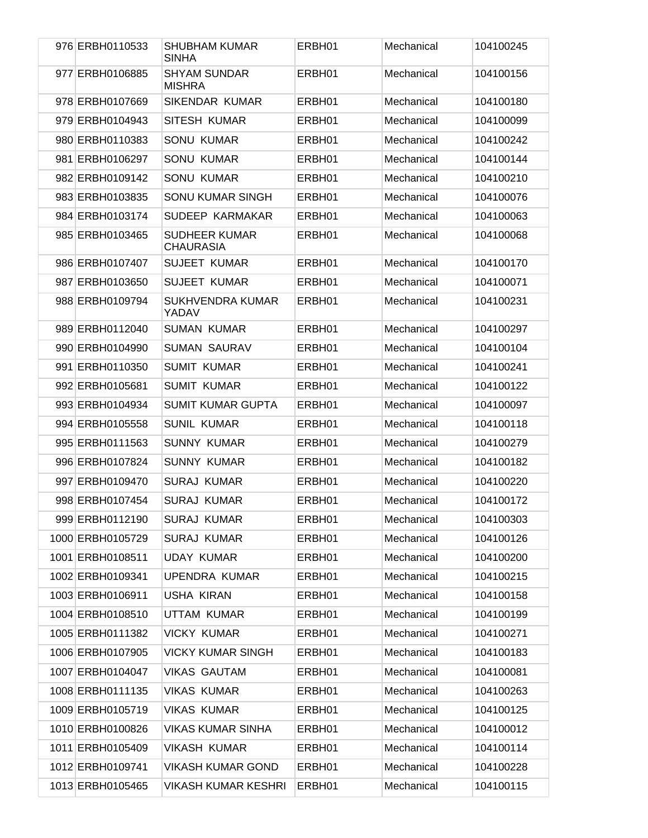| 976 ERBH0110533  | <b>SHUBHAM KUMAR</b><br><b>SINHA</b>     | ERBH01 | Mechanical | 104100245 |
|------------------|------------------------------------------|--------|------------|-----------|
| 977 ERBH0106885  | <b>SHYAM SUNDAR</b><br><b>MISHRA</b>     | ERBH01 | Mechanical | 104100156 |
| 978 ERBH0107669  | <b>SIKENDAR KUMAR</b>                    | ERBH01 | Mechanical | 104100180 |
| 979 ERBH0104943  | SITESH KUMAR                             | ERBH01 | Mechanical | 104100099 |
| 980 ERBH0110383  | <b>SONU KUMAR</b>                        | ERBH01 | Mechanical | 104100242 |
| 981 ERBH0106297  | <b>SONU KUMAR</b>                        | ERBH01 | Mechanical | 104100144 |
| 982 ERBH0109142  | <b>SONU KUMAR</b>                        | ERBH01 | Mechanical | 104100210 |
| 983 ERBH0103835  | SONU KUMAR SINGH                         | ERBH01 | Mechanical | 104100076 |
| 984 ERBH0103174  | SUDEEP KARMAKAR                          | ERBH01 | Mechanical | 104100063 |
| 985 ERBH0103465  | <b>SUDHEER KUMAR</b><br><b>CHAURASIA</b> | ERBH01 | Mechanical | 104100068 |
| 986 ERBH0107407  | <b>SUJEET KUMAR</b>                      | ERBH01 | Mechanical | 104100170 |
| 987 ERBH0103650  | <b>SUJEET KUMAR</b>                      | ERBH01 | Mechanical | 104100071 |
| 988 ERBH0109794  | SUKHVENDRA KUMAR<br>YADAV                | ERBH01 | Mechanical | 104100231 |
| 989 ERBH0112040  | <b>SUMAN KUMAR</b>                       | ERBH01 | Mechanical | 104100297 |
| 990 ERBH0104990  | <b>SUMAN SAURAV</b>                      | ERBH01 | Mechanical | 104100104 |
| 991 ERBH0110350  | <b>SUMIT KUMAR</b>                       | ERBH01 | Mechanical | 104100241 |
| 992 ERBH0105681  | <b>SUMIT KUMAR</b>                       | ERBH01 | Mechanical | 104100122 |
| 993 ERBH0104934  | <b>SUMIT KUMAR GUPTA</b>                 | ERBH01 | Mechanical | 104100097 |
| 994 ERBH0105558  | <b>SUNIL KUMAR</b>                       | ERBH01 | Mechanical | 104100118 |
| 995 ERBH0111563  | <b>SUNNY KUMAR</b>                       | ERBH01 | Mechanical | 104100279 |
| 996 ERBH0107824  | <b>SUNNY KUMAR</b>                       | ERBH01 | Mechanical | 104100182 |
| 997 ERBH0109470  | <b>SURAJ KUMAR</b>                       | ERBH01 | Mechanical | 104100220 |
| 998 ERBH0107454  | <b>SURAJ KUMAR</b>                       | ERBH01 | Mechanical | 104100172 |
| 999 ERBH0112190  | <b>SURAJ KUMAR</b>                       | ERBH01 | Mechanical | 104100303 |
| 1000 ERBH0105729 | <b>SURAJ KUMAR</b>                       | ERBH01 | Mechanical | 104100126 |
| 1001 ERBH0108511 | <b>UDAY KUMAR</b>                        | ERBH01 | Mechanical | 104100200 |
| 1002 ERBH0109341 | <b>UPENDRA KUMAR</b>                     | ERBH01 | Mechanical | 104100215 |
| 1003 ERBH0106911 | <b>USHA KIRAN</b>                        | ERBH01 | Mechanical | 104100158 |
| 1004 ERBH0108510 | UTTAM KUMAR                              | ERBH01 | Mechanical | 104100199 |
| 1005 ERBH0111382 | <b>VICKY KUMAR</b>                       | ERBH01 | Mechanical | 104100271 |
| 1006 ERBH0107905 | <b>VICKY KUMAR SINGH</b>                 | ERBH01 | Mechanical | 104100183 |
| 1007 ERBH0104047 | <b>VIKAS GAUTAM</b>                      | ERBH01 | Mechanical | 104100081 |
| 1008 ERBH0111135 | <b>VIKAS KUMAR</b>                       | ERBH01 | Mechanical | 104100263 |
| 1009 ERBH0105719 | <b>VIKAS KUMAR</b>                       | ERBH01 | Mechanical | 104100125 |
| 1010 ERBH0100826 | <b>VIKAS KUMAR SINHA</b>                 | ERBH01 | Mechanical | 104100012 |
| 1011 ERBH0105409 | <b>VIKASH KUMAR</b>                      | ERBH01 | Mechanical | 104100114 |
| 1012 ERBH0109741 | <b>VIKASH KUMAR GOND</b>                 | ERBH01 | Mechanical | 104100228 |
| 1013 ERBH0105465 | <b>VIKASH KUMAR KESHRI</b>               | ERBH01 | Mechanical | 104100115 |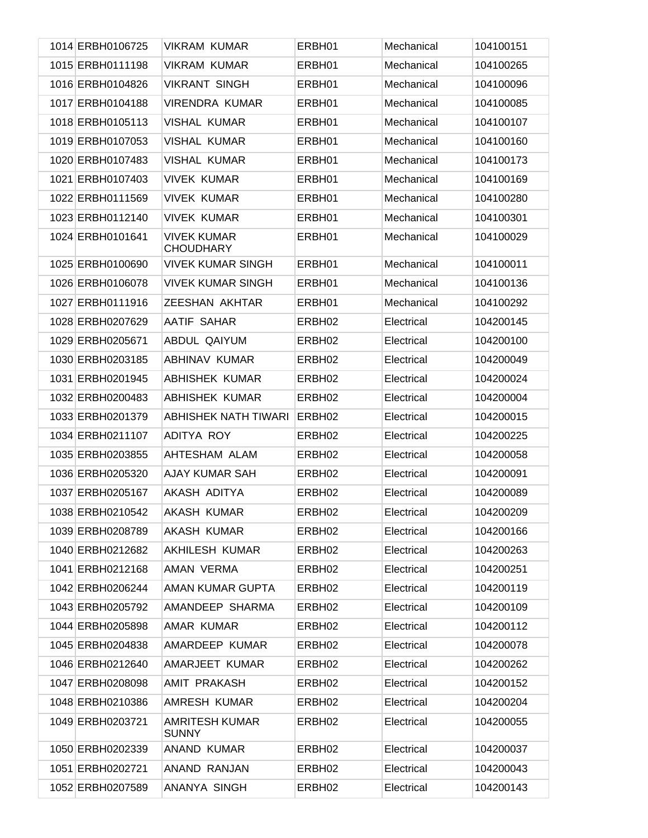| 1014 ERBH0106725 | <b>VIKRAM KUMAR</b>                    | ERBH01             | Mechanical | 104100151 |
|------------------|----------------------------------------|--------------------|------------|-----------|
| 1015 ERBH0111198 | <b>VIKRAM KUMAR</b>                    | ERBH01             | Mechanical | 104100265 |
| 1016 ERBH0104826 | <b>VIKRANT SINGH</b>                   | ERBH01             | Mechanical | 104100096 |
| 1017 ERBH0104188 | VIRENDRA KUMAR                         | ERBH01             | Mechanical | 104100085 |
| 1018 ERBH0105113 | VISHAL KUMAR                           | ERBH01             | Mechanical | 104100107 |
| 1019 ERBH0107053 | <b>VISHAL KUMAR</b>                    | ERBH01             | Mechanical | 104100160 |
| 1020 ERBH0107483 | <b>VISHAL KUMAR</b>                    | ERBH01             | Mechanical | 104100173 |
| 1021 ERBH0107403 | <b>VIVEK KUMAR</b>                     | ERBH01             | Mechanical | 104100169 |
| 1022 ERBH0111569 | <b>VIVEK KUMAR</b>                     | ERBH01             | Mechanical | 104100280 |
| 1023 ERBH0112140 | <b>VIVEK KUMAR</b>                     | ERBH01             | Mechanical | 104100301 |
| 1024 ERBH0101641 | <b>VIVEK KUMAR</b><br><b>CHOUDHARY</b> | ERBH01             | Mechanical | 104100029 |
| 1025 ERBH0100690 | <b>VIVEK KUMAR SINGH</b>               | ERBH01             | Mechanical | 104100011 |
| 1026 ERBH0106078 | <b>VIVEK KUMAR SINGH</b>               | ERBH01             | Mechanical | 104100136 |
| 1027 ERBH0111916 | ZEESHAN AKHTAR                         | ERBH01             | Mechanical | 104100292 |
| 1028 ERBH0207629 | <b>AATIF SAHAR</b>                     | ERBH <sub>02</sub> | Electrical | 104200145 |
| 1029 ERBH0205671 | ABDUL QAIYUM                           | ERBH <sub>02</sub> | Electrical | 104200100 |
| 1030 ERBH0203185 | ABHINAV KUMAR                          | ERBH <sub>02</sub> | Electrical | 104200049 |
| 1031 ERBH0201945 | <b>ABHISHEK KUMAR</b>                  | ERBH <sub>02</sub> | Electrical | 104200024 |
| 1032 ERBH0200483 | <b>ABHISHEK KUMAR</b>                  | ERBH <sub>02</sub> | Electrical | 104200004 |
| 1033 ERBH0201379 | ABHISHEK NATH TIWARI                   | ERBH <sub>02</sub> | Electrical | 104200015 |
| 1034 ERBH0211107 | ADITYA ROY                             | ERBH <sub>02</sub> | Electrical | 104200225 |
| 1035 ERBH0203855 | AHTESHAM ALAM                          | ERBH <sub>02</sub> | Electrical | 104200058 |
| 1036 ERBH0205320 | <b>AJAY KUMAR SAH</b>                  | ERBH <sub>02</sub> | Electrical | 104200091 |
| 1037 ERBH0205167 | AKASH ADITYA                           | ERBH <sub>02</sub> | Electrical | 104200089 |
| 1038 ERBH0210542 | <b>AKASH KUMAR</b>                     | ERBH02             | Electrical | 104200209 |
| 1039 ERBH0208789 | <b>AKASH KUMAR</b>                     | ERBH <sub>02</sub> | Electrical | 104200166 |
| 1040 ERBH0212682 | <b>AKHILESH KUMAR</b>                  | ERBH <sub>02</sub> | Electrical | 104200263 |
| 1041 ERBH0212168 | AMAN VERMA                             | ERBH <sub>02</sub> | Electrical | 104200251 |
| 1042 ERBH0206244 | AMAN KUMAR GUPTA                       | ERBH02             | Electrical | 104200119 |
| 1043 ERBH0205792 | AMANDEEP SHARMA                        | ERBH02             | Electrical | 104200109 |
| 1044 ERBH0205898 | AMAR KUMAR                             | ERBH02             | Electrical | 104200112 |
| 1045 ERBH0204838 | AMARDEEP KUMAR                         | ERBH02             | Electrical | 104200078 |
| 1046 ERBH0212640 | AMARJEET KUMAR                         | ERBH02             | Electrical | 104200262 |
| 1047 ERBH0208098 | <b>AMIT PRAKASH</b>                    | ERBH02             | Electrical | 104200152 |
| 1048 ERBH0210386 | AMRESH KUMAR                           | ERBH <sub>02</sub> | Electrical | 104200204 |
| 1049 ERBH0203721 | <b>AMRITESH KUMAR</b><br><b>SUNNY</b>  | ERBH02             | Electrical | 104200055 |
| 1050 ERBH0202339 | <b>ANAND KUMAR</b>                     | ERBH02             | Electrical | 104200037 |
| 1051 ERBH0202721 | ANAND RANJAN                           | ERBH <sub>02</sub> | Electrical | 104200043 |
| 1052 ERBH0207589 | ANANYA SINGH                           | ERBH <sub>02</sub> | Electrical | 104200143 |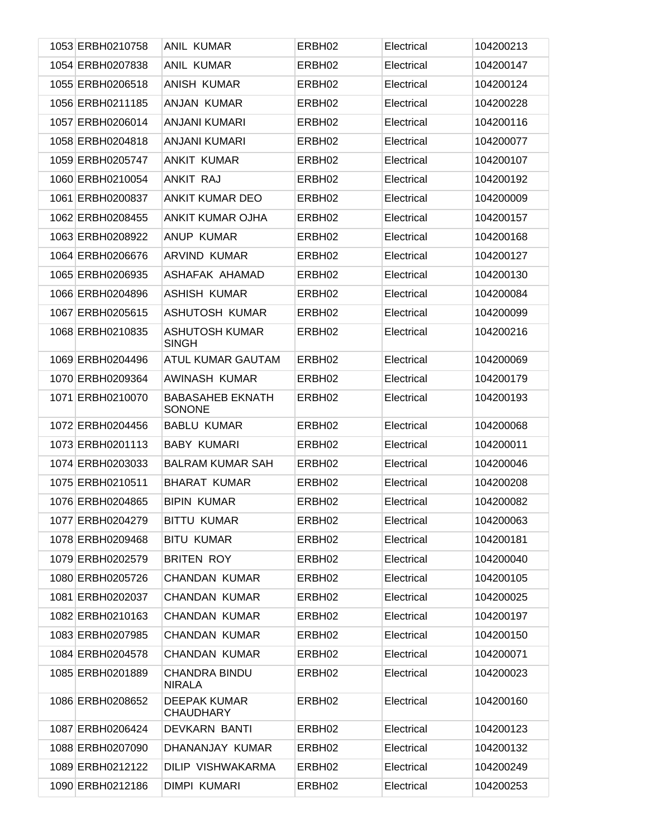| 1053 ERBH0210758 | <b>ANIL KUMAR</b>                        | ERBH <sub>02</sub> | Electrical | 104200213 |
|------------------|------------------------------------------|--------------------|------------|-----------|
| 1054 ERBH0207838 | <b>ANIL KUMAR</b>                        | ERBH02             | Electrical | 104200147 |
| 1055 ERBH0206518 | <b>ANISH KUMAR</b>                       | ERBH02             | Electrical | 104200124 |
| 1056 ERBH0211185 | ANJAN KUMAR                              | ERBH02             | Electrical | 104200228 |
| 1057 ERBH0206014 | <b>ANJANI KUMARI</b>                     | ERBH02             | Electrical | 104200116 |
| 1058 ERBH0204818 | ANJANI KUMARI                            | ERBH02             | Electrical | 104200077 |
| 1059 ERBH0205747 | <b>ANKIT KUMAR</b>                       | ERBH02             | Electrical | 104200107 |
| 1060 ERBH0210054 | ANKIT RAJ                                | ERBH02             | Electrical | 104200192 |
| 1061 ERBH0200837 | <b>ANKIT KUMAR DEO</b>                   | ERBH02             | Electrical | 104200009 |
| 1062 ERBH0208455 | ANKIT KUMAR OJHA                         | ERBH <sub>02</sub> | Electrical | 104200157 |
| 1063 ERBH0208922 | <b>ANUP KUMAR</b>                        | ERBH02             | Electrical | 104200168 |
| 1064 ERBH0206676 | ARVIND KUMAR                             | ERBH <sub>02</sub> | Electrical | 104200127 |
| 1065 ERBH0206935 | ASHAFAK AHAMAD                           | ERBH02             | Electrical | 104200130 |
| 1066 ERBH0204896 | <b>ASHISH KUMAR</b>                      | ERBH02             | Electrical | 104200084 |
| 1067 ERBH0205615 | <b>ASHUTOSH KUMAR</b>                    | ERBH02             | Electrical | 104200099 |
| 1068 ERBH0210835 | <b>ASHUTOSH KUMAR</b><br><b>SINGH</b>    | ERBH <sub>02</sub> | Electrical | 104200216 |
| 1069 ERBH0204496 | <b>ATUL KUMAR GAUTAM</b>                 | ERBH <sub>02</sub> | Electrical | 104200069 |
| 1070 ERBH0209364 | AWINASH KUMAR                            | ERBH <sub>02</sub> | Electrical | 104200179 |
| 1071 ERBH0210070 | <b>BABASAHEB EKNATH</b><br><b>SONONE</b> | ERBH <sub>02</sub> | Electrical | 104200193 |
| 1072 ERBH0204456 | <b>BABLU KUMAR</b>                       | ERBH <sub>02</sub> | Electrical | 104200068 |
| 1073 ERBH0201113 | <b>BABY KUMARI</b>                       | ERBH <sub>02</sub> | Electrical | 104200011 |
| 1074 ERBH0203033 | <b>BALRAM KUMAR SAH</b>                  | ERBH <sub>02</sub> | Electrical | 104200046 |
| 1075 ERBH0210511 | <b>BHARAT KUMAR</b>                      | ERBH <sub>02</sub> | Electrical | 104200208 |
| 1076 ERBH0204865 | <b>BIPIN KUMAR</b>                       | ERBH <sub>02</sub> | Electrical | 104200082 |
| 1077 ERBH0204279 | <b>BITTU KUMAR</b>                       | ERBH <sub>02</sub> | Electrical | 104200063 |
| 1078 ERBH0209468 | <b>BITU KUMAR</b>                        | ERBH <sub>02</sub> | Electrical | 104200181 |
| 1079 ERBH0202579 | <b>BRITEN ROY</b>                        | ERBH <sub>02</sub> | Electrical | 104200040 |
| 1080 ERBH0205726 | CHANDAN KUMAR                            | ERBH <sub>02</sub> | Electrical | 104200105 |
| 1081 ERBH0202037 | <b>CHANDAN KUMAR</b>                     | ERBH <sub>02</sub> | Electrical | 104200025 |
| 1082 ERBH0210163 | CHANDAN KUMAR                            | ERBH <sub>02</sub> | Electrical | 104200197 |
| 1083 ERBH0207985 | CHANDAN KUMAR                            | ERBH <sub>02</sub> | Electrical | 104200150 |
| 1084 ERBH0204578 | CHANDAN KUMAR                            | ERBH <sub>02</sub> | Electrical | 104200071 |
| 1085 ERBH0201889 | <b>CHANDRA BINDU</b><br><b>NIRALA</b>    | ERBH <sub>02</sub> | Electrical | 104200023 |
| 1086 ERBH0208652 | <b>DEEPAK KUMAR</b><br>CHAUDHARY         | ERBH02             | Electrical | 104200160 |
| 1087 ERBH0206424 | DEVKARN BANTI                            | ERBH <sub>02</sub> | Electrical | 104200123 |
| 1088 ERBH0207090 | DHANANJAY KUMAR                          | ERBH <sub>02</sub> | Electrical | 104200132 |
| 1089 ERBH0212122 | DILIP VISHWAKARMA                        | ERBH02             | Electrical | 104200249 |
| 1090 ERBH0212186 | DIMPI KUMARI                             | ERBH02             | Electrical | 104200253 |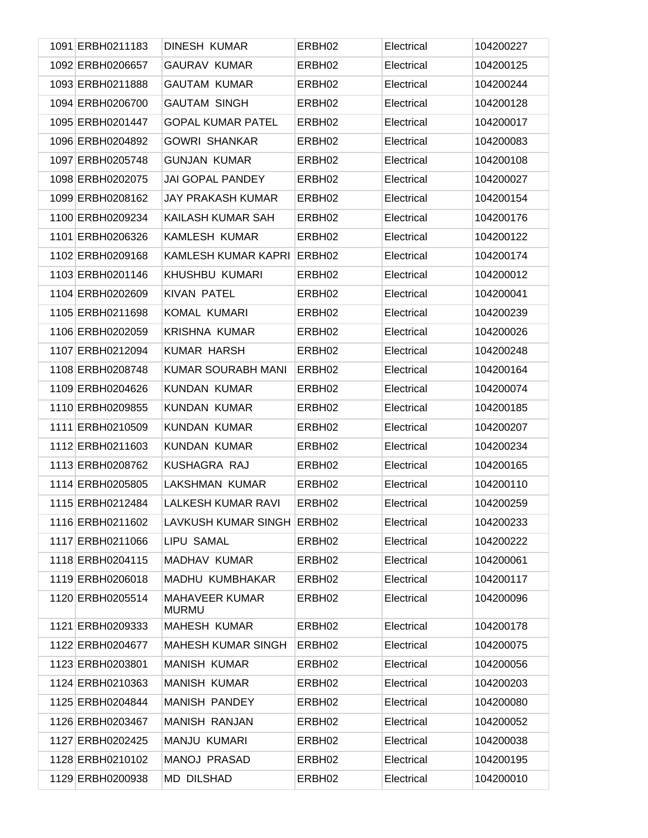| 1091 ERBH0211183 | <b>DINESH KUMAR</b>                   | ERBH <sub>02</sub> | Electrical | 104200227 |
|------------------|---------------------------------------|--------------------|------------|-----------|
| 1092 ERBH0206657 | <b>GAURAV KUMAR</b>                   | ERBH <sub>02</sub> | Electrical | 104200125 |
| 1093 ERBH0211888 | <b>GAUTAM KUMAR</b>                   | ERBH <sub>02</sub> | Electrical | 104200244 |
| 1094 ERBH0206700 | <b>GAUTAM SINGH</b>                   | ERBH <sub>02</sub> | Electrical | 104200128 |
| 1095 ERBH0201447 | <b>GOPAL KUMAR PATEL</b>              | ERBH <sub>02</sub> | Electrical | 104200017 |
| 1096 ERBH0204892 | <b>GOWRI SHANKAR</b>                  | ERBH <sub>02</sub> | Electrical | 104200083 |
| 1097 ERBH0205748 | <b>GUNJAN KUMAR</b>                   | ERBH <sub>02</sub> | Electrical | 104200108 |
| 1098 ERBH0202075 | <b>JAI GOPAL PANDEY</b>               | ERBH <sub>02</sub> | Electrical | 104200027 |
| 1099 ERBH0208162 | JAY PRAKASH KUMAR                     | ERBH <sub>02</sub> | Electrical | 104200154 |
| 1100 ERBH0209234 | KAILASH KUMAR SAH                     | ERBH <sub>02</sub> | Electrical | 104200176 |
| 1101 ERBH0206326 | <b>KAMLESH KUMAR</b>                  | ERBH <sub>02</sub> | Electrical | 104200122 |
| 1102 ERBH0209168 | KAMLESH KUMAR KAPRI                   | ERBH <sub>02</sub> | Electrical | 104200174 |
| 1103 ERBH0201146 | KHUSHBU KUMARI                        | ERBH <sub>02</sub> | Electrical | 104200012 |
| 1104 ERBH0202609 | <b>KIVAN PATEL</b>                    | ERBH <sub>02</sub> | Electrical | 104200041 |
| 1105 ERBH0211698 | KOMAL KUMARI                          | ERBH <sub>02</sub> | Electrical | 104200239 |
| 1106 ERBH0202059 | <b>KRISHNA KUMAR</b>                  | ERBH <sub>02</sub> | Electrical | 104200026 |
| 1107 ERBH0212094 | <b>KUMAR HARSH</b>                    | ERBH <sub>02</sub> | Electrical | 104200248 |
| 1108 ERBH0208748 | KUMAR SOURABH MANI                    | ERBH <sub>02</sub> | Electrical | 104200164 |
| 1109 ERBH0204626 | <b>KUNDAN KUMAR</b>                   | ERBH <sub>02</sub> | Electrical | 104200074 |
| 1110 ERBH0209855 | <b>KUNDAN KUMAR</b>                   | ERBH <sub>02</sub> | Electrical | 104200185 |
| 1111 ERBH0210509 | <b>KUNDAN KUMAR</b>                   | ERBH <sub>02</sub> | Electrical | 104200207 |
| 1112 ERBH0211603 | <b>KUNDAN KUMAR</b>                   | ERBH <sub>02</sub> | Electrical | 104200234 |
| 1113 ERBH0208762 | KUSHAGRA RAJ                          | ERBH <sub>02</sub> | Electrical | 104200165 |
| 1114 ERBH0205805 | <b>LAKSHMAN KUMAR</b>                 | ERBH <sub>02</sub> | Electrical | 104200110 |
| 1115 ERBH0212484 | LALKESH KUMAR RAVI                    | ERBH <sub>02</sub> | Electrical | 104200259 |
| 1116 ERBH0211602 | LAVKUSH KUMAR SINGH ERBH02            |                    | Electrical | 104200233 |
| 1117 ERBH0211066 | LIPU SAMAL                            | ERBH <sub>02</sub> | Electrical | 104200222 |
| 1118 ERBH0204115 | MADHAV KUMAR                          | ERBH <sub>02</sub> | Electrical | 104200061 |
| 1119 ERBH0206018 | MADHU KUMBHAKAR                       | ERBH <sub>02</sub> | Electrical | 104200117 |
| 1120 ERBH0205514 | <b>MAHAVEER KUMAR</b><br><b>MURMU</b> | ERBH02             | Electrical | 104200096 |
| 1121 ERBH0209333 | <b>MAHESH KUMAR</b>                   | ERBH <sub>02</sub> | Electrical | 104200178 |
| 1122 ERBH0204677 | <b>MAHESH KUMAR SINGH</b>             | ERBH <sub>02</sub> | Electrical | 104200075 |
| 1123 ERBH0203801 | <b>MANISH KUMAR</b>                   | ERBH <sub>02</sub> | Electrical | 104200056 |
| 1124 ERBH0210363 | <b>MANISH KUMAR</b>                   | ERBH <sub>02</sub> | Electrical | 104200203 |
| 1125 ERBH0204844 | <b>MANISH PANDEY</b>                  | ERBH02             | Electrical | 104200080 |
| 1126 ERBH0203467 | <b>MANISH RANJAN</b>                  | ERBH <sub>02</sub> | Electrical | 104200052 |
| 1127 ERBH0202425 | <b>MANJU KUMARI</b>                   | ERBH02             | Electrical | 104200038 |
| 1128 ERBH0210102 | <b>MANOJ PRASAD</b>                   | ERBH02             | Electrical | 104200195 |
| 1129 ERBH0200938 | <b>MD DILSHAD</b>                     | ERBH <sub>02</sub> | Electrical | 104200010 |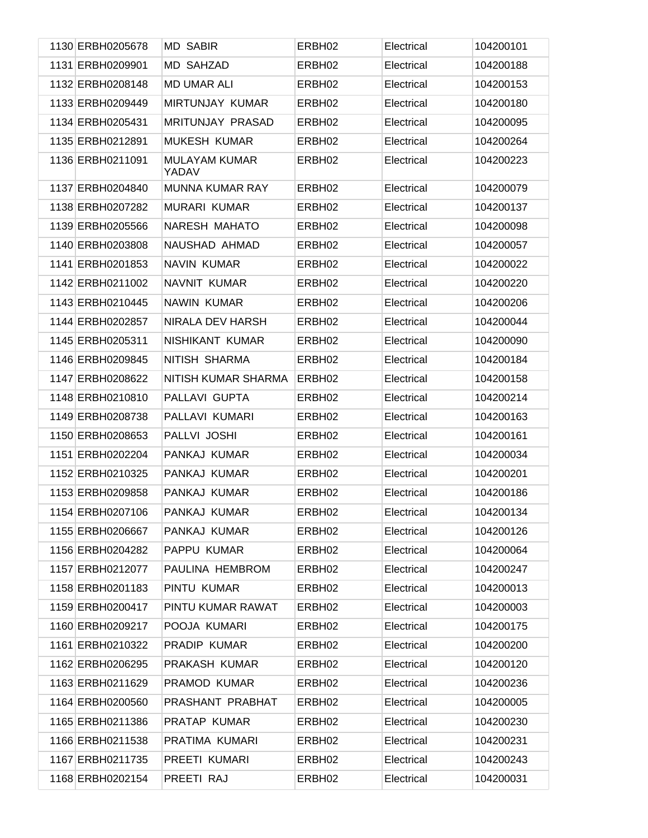| 1130 ERBH0205678 | <b>MD SABIR</b>               | ERBH <sub>02</sub> | Electrical | 104200101 |
|------------------|-------------------------------|--------------------|------------|-----------|
| 1131 ERBH0209901 | <b>MD SAHZAD</b>              | ERBH <sub>02</sub> | Electrical | 104200188 |
| 1132 ERBH0208148 | <b>MD UMAR ALI</b>            | ERBH <sub>02</sub> | Electrical | 104200153 |
| 1133 ERBH0209449 | <b>MIRTUNJAY KUMAR</b>        | ERBH <sub>02</sub> | Electrical | 104200180 |
| 1134 ERBH0205431 | <b>MRITUNJAY PRASAD</b>       | ERBH <sub>02</sub> | Electrical | 104200095 |
| 1135 ERBH0212891 | <b>MUKESH KUMAR</b>           | ERBH <sub>02</sub> | Electrical | 104200264 |
| 1136 ERBH0211091 | <b>MULAYAM KUMAR</b><br>YADAV | ERBH <sub>02</sub> | Electrical | 104200223 |
| 1137 ERBH0204840 | <b>MUNNA KUMAR RAY</b>        | ERBH <sub>02</sub> | Electrical | 104200079 |
| 1138 ERBH0207282 | <b>MURARI KUMAR</b>           | ERBH <sub>02</sub> | Electrical | 104200137 |
| 1139 ERBH0205566 | NARESH MAHATO                 | ERBH <sub>02</sub> | Electrical | 104200098 |
| 1140 ERBH0203808 | NAUSHAD AHMAD                 | ERBH <sub>02</sub> | Electrical | 104200057 |
| 1141 ERBH0201853 | <b>NAVIN KUMAR</b>            | ERBH <sub>02</sub> | Electrical | 104200022 |
| 1142 ERBH0211002 | NAVNIT KUMAR                  | ERBH <sub>02</sub> | Electrical | 104200220 |
| 1143 ERBH0210445 | <b>NAWIN KUMAR</b>            | ERBH <sub>02</sub> | Electrical | 104200206 |
| 1144 ERBH0202857 | NIRALA DEV HARSH              | ERBH <sub>02</sub> | Electrical | 104200044 |
| 1145 ERBH0205311 | NISHIKANT KUMAR               | ERBH <sub>02</sub> | Electrical | 104200090 |
| 1146 ERBH0209845 | NITISH SHARMA                 | ERBH <sub>02</sub> | Electrical | 104200184 |
| 1147 ERBH0208622 | NITISH KUMAR SHARMA           | ERBH <sub>02</sub> | Electrical | 104200158 |
| 1148 ERBH0210810 | PALLAVI GUPTA                 | ERBH <sub>02</sub> | Electrical | 104200214 |
| 1149 ERBH0208738 | PALLAVI KUMARI                | ERBH <sub>02</sub> | Electrical | 104200163 |
| 1150 ERBH0208653 | PALLVI JOSHI                  | ERBH <sub>02</sub> | Electrical | 104200161 |
| 1151 ERBH0202204 | PANKAJ KUMAR                  | ERBH <sub>02</sub> | Electrical | 104200034 |
| 1152 ERBH0210325 | PANKAJ KUMAR                  | ERBH <sub>02</sub> | Electrical | 104200201 |
| 1153 ERBH0209858 | PANKAJ KUMAR                  | ERBH <sub>02</sub> | Electrical | 104200186 |
| 1154 ERBH0207106 | PANKAJ KUMAR                  | ERBH <sub>02</sub> | Electrical | 104200134 |
| 1155 ERBH0206667 | PANKAJ KUMAR                  | ERBH <sub>02</sub> | Electrical | 104200126 |
| 1156 ERBH0204282 | PAPPU KUMAR                   | ERBH <sub>02</sub> | Electrical | 104200064 |
| 1157 ERBH0212077 | PAULINA HEMBROM               | ERBH <sub>02</sub> | Electrical | 104200247 |
| 1158 ERBH0201183 | PINTU KUMAR                   | ERBH <sub>02</sub> | Electrical | 104200013 |
| 1159 ERBH0200417 | PINTU KUMAR RAWAT             | ERBH <sub>02</sub> | Electrical | 104200003 |
| 1160 ERBH0209217 | POOJA KUMARI                  | ERBH <sub>02</sub> | Electrical | 104200175 |
| 1161 ERBH0210322 | PRADIP KUMAR                  | ERBH <sub>02</sub> | Electrical | 104200200 |
| 1162 ERBH0206295 | PRAKASH KUMAR                 | ERBH <sub>02</sub> | Electrical | 104200120 |
| 1163 ERBH0211629 | PRAMOD KUMAR                  | ERBH <sub>02</sub> | Electrical | 104200236 |
| 1164 ERBH0200560 | PRASHANT PRABHAT              | ERBH <sub>02</sub> | Electrical | 104200005 |
| 1165 ERBH0211386 | PRATAP KUMAR                  | ERBH <sub>02</sub> | Electrical | 104200230 |
| 1166 ERBH0211538 | PRATIMA KUMARI                | ERBH <sub>02</sub> | Electrical | 104200231 |
| 1167 ERBH0211735 | PREETI KUMARI                 | ERBH <sub>02</sub> | Electrical | 104200243 |
| 1168 ERBH0202154 | PREETI RAJ                    | ERBH <sub>02</sub> | Electrical | 104200031 |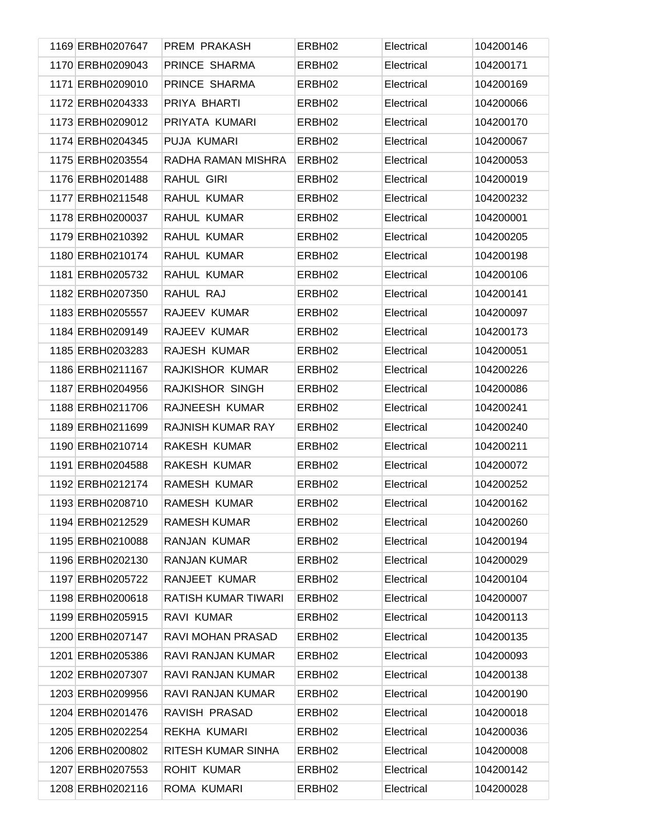| 1169 ERBH0207647 | PREM PRAKASH        | ERBH <sub>02</sub> | Electrical | 104200146 |
|------------------|---------------------|--------------------|------------|-----------|
| 1170 ERBH0209043 | PRINCE SHARMA       | ERBH <sub>02</sub> | Electrical | 104200171 |
| 1171 ERBH0209010 | PRINCE SHARMA       | ERBH02             | Electrical | 104200169 |
| 1172 ERBH0204333 | PRIYA BHARTI        | ERBH02             | Electrical | 104200066 |
| 1173 ERBH0209012 | PRIYATA KUMARI      | ERBH02             | Electrical | 104200170 |
| 1174 ERBH0204345 | PUJA KUMARI         | ERBH02             | Electrical | 104200067 |
| 1175 ERBH0203554 | RADHA RAMAN MISHRA  | ERBH <sub>02</sub> | Electrical | 104200053 |
| 1176 ERBH0201488 | RAHUL GIRI          | ERBH02             | Electrical | 104200019 |
| 1177 ERBH0211548 | RAHUL KUMAR         | ERBH02             | Electrical | 104200232 |
| 1178 ERBH0200037 | RAHUL KUMAR         | ERBH02             | Electrical | 104200001 |
| 1179 ERBH0210392 | RAHUL KUMAR         | ERBH02             | Electrical | 104200205 |
| 1180 ERBH0210174 | RAHUL KUMAR         | ERBH02             | Electrical | 104200198 |
| 1181 ERBH0205732 | RAHUL KUMAR         | ERBH02             | Electrical | 104200106 |
| 1182 ERBH0207350 | RAHUL RAJ           | ERBH02             | Electrical | 104200141 |
| 1183 ERBH0205557 | RAJEEV KUMAR        | ERBH02             | Electrical | 104200097 |
| 1184 ERBH0209149 | RAJEEV KUMAR        | ERBH02             | Electrical | 104200173 |
| 1185 ERBH0203283 | RAJESH KUMAR        | ERBH02             | Electrical | 104200051 |
| 1186 ERBH0211167 | RAJKISHOR KUMAR     | ERBH02             | Electrical | 104200226 |
| 1187 ERBH0204956 | RAJKISHOR SINGH     | ERBH02             | Electrical | 104200086 |
| 1188 ERBH0211706 | RAJNEESH KUMAR      | ERBH <sub>02</sub> | Electrical | 104200241 |
| 1189 ERBH0211699 | RAJNISH KUMAR RAY   | ERBH02             | Electrical | 104200240 |
| 1190 ERBH0210714 | RAKESH KUMAR        | ERBH <sub>02</sub> | Electrical | 104200211 |
| 1191 ERBH0204588 | RAKESH KUMAR        | ERBH02             | Electrical | 104200072 |
| 1192 ERBH0212174 | RAMESH KUMAR        | ERBH <sub>02</sub> | Electrical | 104200252 |
| 1193 ERBH0208710 | RAMESH KUMAR        | ERBH <sub>02</sub> | Electrical | 104200162 |
| 1194 ERBH0212529 | <b>RAMESH KUMAR</b> | ERBH <sub>02</sub> | Electrical | 104200260 |
| 1195 ERBH0210088 | <b>RANJAN KUMAR</b> | ERBH02             | Electrical | 104200194 |
| 1196 ERBH0202130 | <b>RANJAN KUMAR</b> | ERBH02             | Electrical | 104200029 |
| 1197 ERBH0205722 | RANJEET KUMAR       | ERBH02             | Electrical | 104200104 |
| 1198 ERBH0200618 | RATISH KUMAR TIWARI | ERBH02             | Electrical | 104200007 |
| 1199 ERBH0205915 | RAVI KUMAR          | ERBH <sub>02</sub> | Electrical | 104200113 |
| 1200 ERBH0207147 | RAVI MOHAN PRASAD   | ERBH02             | Electrical | 104200135 |
| 1201 ERBH0205386 | RAVI RANJAN KUMAR   | ERBH <sub>02</sub> | Electrical | 104200093 |
| 1202 ERBH0207307 | RAVI RANJAN KUMAR   | ERBH02             | Electrical | 104200138 |
| 1203 ERBH0209956 | RAVI RANJAN KUMAR   | ERBH02             | Electrical | 104200190 |
| 1204 ERBH0201476 | RAVISH PRASAD       | ERBH02             | Electrical | 104200018 |
| 1205 ERBH0202254 | REKHA KUMARI        | ERBH02             | Electrical | 104200036 |
| 1206 ERBH0200802 | RITESH KUMAR SINHA  | ERBH <sub>02</sub> | Electrical | 104200008 |
| 1207 ERBH0207553 | <b>ROHIT KUMAR</b>  | ERBH02             | Electrical | 104200142 |
| 1208 ERBH0202116 | ROMA KUMARI         | ERBH <sub>02</sub> | Electrical | 104200028 |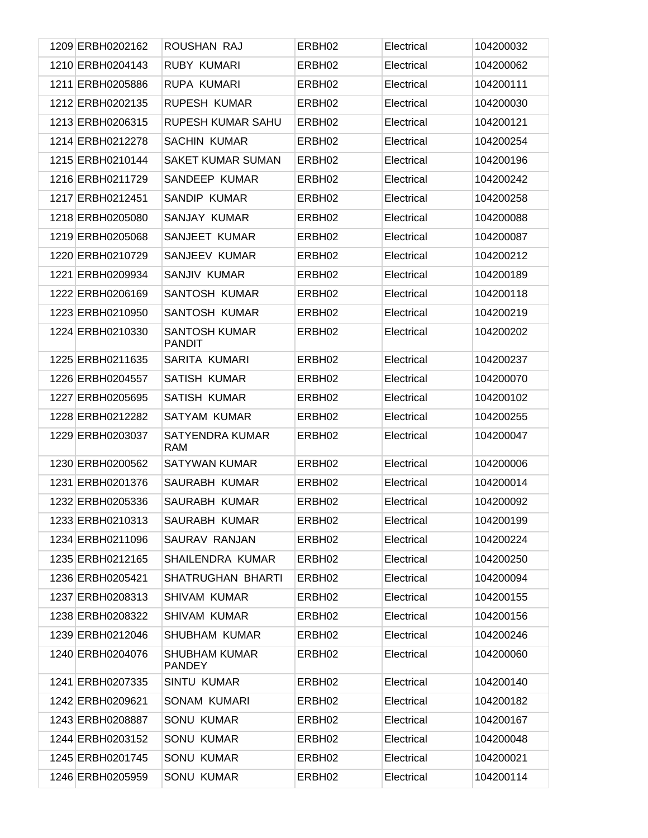| 1209 ERBH0202162 | ROUSHAN RAJ                           | ERBH <sub>02</sub> | Electrical | 104200032 |
|------------------|---------------------------------------|--------------------|------------|-----------|
| 1210 ERBH0204143 | RUBY KUMARI                           | ERBH <sub>02</sub> | Electrical | 104200062 |
| 1211 ERBH0205886 | <b>RUPA KUMARI</b>                    | ERBH <sub>02</sub> | Electrical | 104200111 |
| 1212 ERBH0202135 | <b>RUPESH KUMAR</b>                   | ERBH <sub>02</sub> | Electrical | 104200030 |
| 1213 ERBH0206315 | RUPESH KUMAR SAHU                     | ERBH <sub>02</sub> | Electrical | 104200121 |
| 1214 ERBH0212278 | <b>SACHIN KUMAR</b>                   | ERBH <sub>02</sub> | Electrical | 104200254 |
| 1215 ERBH0210144 | <b>SAKET KUMAR SUMAN</b>              | ERBH <sub>02</sub> | Electrical | 104200196 |
| 1216 ERBH0211729 | SANDEEP KUMAR                         | ERBH <sub>02</sub> | Electrical | 104200242 |
| 1217 ERBH0212451 | SANDIP KUMAR                          | ERBH <sub>02</sub> | Electrical | 104200258 |
| 1218 ERBH0205080 | SANJAY KUMAR                          | ERBH <sub>02</sub> | Electrical | 104200088 |
| 1219 ERBH0205068 | SANJEET KUMAR                         | ERBH <sub>02</sub> | Electrical | 104200087 |
| 1220 ERBH0210729 | SANJEEV KUMAR                         | ERBH <sub>02</sub> | Electrical | 104200212 |
| 1221 ERBH0209934 | SANJIV KUMAR                          | ERBH <sub>02</sub> | Electrical | 104200189 |
| 1222 ERBH0206169 | SANTOSH KUMAR                         | ERBH <sub>02</sub> | Electrical | 104200118 |
| 1223 ERBH0210950 | SANTOSH KUMAR                         | ERBH <sub>02</sub> | Electrical | 104200219 |
| 1224 ERBH0210330 | SANTOSH KUMAR<br><b>PANDIT</b>        | ERBH <sub>02</sub> | Electrical | 104200202 |
| 1225 ERBH0211635 | SARITA KUMARI                         | ERBH <sub>02</sub> | Electrical | 104200237 |
| 1226 ERBH0204557 | <b>SATISH KUMAR</b>                   | ERBH02             | Electrical | 104200070 |
| 1227 ERBH0205695 | SATISH KUMAR                          | ERBH02             | Electrical | 104200102 |
| 1228 ERBH0212282 | SATYAM KUMAR                          | ERBH <sub>02</sub> | Electrical | 104200255 |
| 1229 ERBH0203037 | SATYENDRA KUMAR<br><b>RAM</b>         | ERBH <sub>02</sub> | Electrical | 104200047 |
| 1230 ERBH0200562 | <b>SATYWAN KUMAR</b>                  | ERBH <sub>02</sub> | Electrical | 104200006 |
| 1231 ERBH0201376 | SAURABH KUMAR                         | ERBH <sub>02</sub> | Electrical | 104200014 |
| 1232 ERBH0205336 | SAURABH KUMAR                         | ERBH <sub>02</sub> | Electrical | 104200092 |
| 1233 ERBH0210313 | SAURABH KUMAR                         | ERBH <sub>02</sub> | Electrical | 104200199 |
| 1234 ERBH0211096 | SAURAV RANJAN                         | ERBH02             | Electrical | 104200224 |
| 1235 ERBH0212165 | SHAILENDRA KUMAR                      | ERBH <sub>02</sub> | Electrical | 104200250 |
| 1236 ERBH0205421 | SHATRUGHAN BHARTI                     | ERBH02             | Electrical | 104200094 |
| 1237 ERBH0208313 | <b>SHIVAM KUMAR</b>                   | ERBH02             | Electrical | 104200155 |
| 1238 ERBH0208322 | <b>SHIVAM KUMAR</b>                   | ERBH02             | Electrical | 104200156 |
| 1239 ERBH0212046 | SHUBHAM KUMAR                         | ERBH02             | Electrical | 104200246 |
| 1240 ERBH0204076 | <b>SHUBHAM KUMAR</b><br><b>PANDEY</b> | ERBH02             | Electrical | 104200060 |
| 1241 ERBH0207335 | <b>SINTU KUMAR</b>                    | ERBH02             | Electrical | 104200140 |
| 1242 ERBH0209621 | SONAM KUMARI                          | ERBH02             | Electrical | 104200182 |
| 1243 ERBH0208887 | <b>SONU KUMAR</b>                     | ERBH02             | Electrical | 104200167 |
| 1244 ERBH0203152 | <b>SONU KUMAR</b>                     | ERBH02             | Electrical | 104200048 |
| 1245 ERBH0201745 | <b>SONU KUMAR</b>                     | ERBH02             | Electrical | 104200021 |
| 1246 ERBH0205959 | SONU KUMAR                            | ERBH02             | Electrical | 104200114 |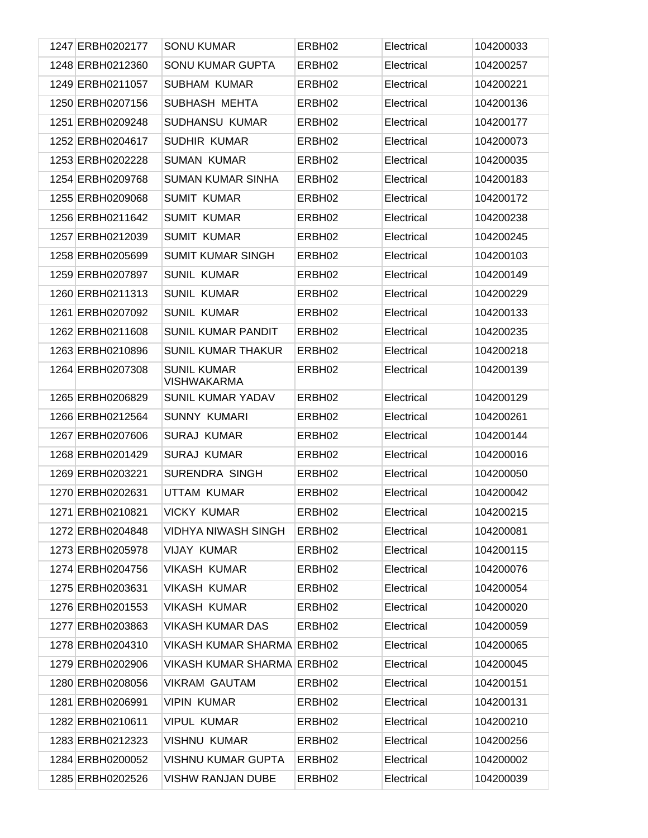| 1247 ERBH0202177 | SONU KUMAR                               | ERBH <sub>02</sub> | Electrical | 104200033 |
|------------------|------------------------------------------|--------------------|------------|-----------|
| 1248 ERBH0212360 | <b>SONU KUMAR GUPTA</b>                  | ERBH <sub>02</sub> | Electrical | 104200257 |
| 1249 ERBH0211057 | <b>SUBHAM KUMAR</b>                      | ERBH <sub>02</sub> | Electrical | 104200221 |
| 1250 ERBH0207156 | SUBHASH MEHTA                            | ERBH <sub>02</sub> | Electrical | 104200136 |
| 1251 ERBH0209248 | SUDHANSU KUMAR                           | ERBH <sub>02</sub> | Electrical | 104200177 |
| 1252 ERBH0204617 | <b>SUDHIR KUMAR</b>                      | ERBH <sub>02</sub> | Electrical | 104200073 |
| 1253 ERBH0202228 | <b>SUMAN KUMAR</b>                       | ERBH <sub>02</sub> | Electrical | 104200035 |
| 1254 ERBH0209768 | <b>SUMAN KUMAR SINHA</b>                 | ERBH <sub>02</sub> | Electrical | 104200183 |
| 1255 ERBH0209068 | <b>SUMIT KUMAR</b>                       | ERBH <sub>02</sub> | Electrical | 104200172 |
| 1256 ERBH0211642 | <b>SUMIT KUMAR</b>                       | ERBH <sub>02</sub> | Electrical | 104200238 |
| 1257 ERBH0212039 | <b>SUMIT KUMAR</b>                       | ERBH <sub>02</sub> | Electrical | 104200245 |
| 1258 ERBH0205699 | <b>SUMIT KUMAR SINGH</b>                 | ERBH <sub>02</sub> | Electrical | 104200103 |
| 1259 ERBH0207897 | <b>SUNIL KUMAR</b>                       | ERBH <sub>02</sub> | Electrical | 104200149 |
| 1260 ERBH0211313 | <b>SUNIL KUMAR</b>                       | ERBH <sub>02</sub> | Electrical | 104200229 |
| 1261 ERBH0207092 | <b>SUNIL KUMAR</b>                       | ERBH <sub>02</sub> | Electrical | 104200133 |
| 1262 ERBH0211608 | <b>SUNIL KUMAR PANDIT</b>                | ERBH <sub>02</sub> | Electrical | 104200235 |
| 1263 ERBH0210896 | <b>SUNIL KUMAR THAKUR</b>                | ERBH <sub>02</sub> | Electrical | 104200218 |
| 1264 ERBH0207308 | <b>SUNIL KUMAR</b><br><b>VISHWAKARMA</b> | ERBH <sub>02</sub> | Electrical | 104200139 |
| 1265 ERBH0206829 | SUNIL KUMAR YADAV                        | ERBH <sub>02</sub> | Electrical | 104200129 |
| 1266 ERBH0212564 | <b>SUNNY KUMARI</b>                      | ERBH <sub>02</sub> | Electrical | 104200261 |
| 1267 ERBH0207606 | <b>SURAJ KUMAR</b>                       | ERBH <sub>02</sub> | Electrical | 104200144 |
| 1268 ERBH0201429 | <b>SURAJ KUMAR</b>                       | ERBH <sub>02</sub> | Electrical | 104200016 |
| 1269 ERBH0203221 | <b>SURENDRA SINGH</b>                    | ERBH <sub>02</sub> | Electrical | 104200050 |
| 1270 ERBH0202631 | UTTAM KUMAR                              | ERBH <sub>02</sub> | Electrical | 104200042 |
| 1271 ERBH0210821 | <b>VICKY KUMAR</b>                       | ERBH <sub>02</sub> | Electrical | 104200215 |
| 1272 ERBH0204848 | VIDHYA NIWASH SINGH                      | ERBH <sub>02</sub> | Electrical | 104200081 |
| 1273 ERBH0205978 | <b>VIJAY KUMAR</b>                       | ERBH <sub>02</sub> | Electrical | 104200115 |
| 1274 ERBH0204756 | <b>VIKASH KUMAR</b>                      | ERBH02             | Electrical | 104200076 |
| 1275 ERBH0203631 | <b>VIKASH KUMAR</b>                      | ERBH <sub>02</sub> | Electrical | 104200054 |
| 1276 ERBH0201553 | <b>VIKASH KUMAR</b>                      | ERBH02             | Electrical | 104200020 |
| 1277 ERBH0203863 | <b>VIKASH KUMAR DAS</b>                  | ERBH <sub>02</sub> | Electrical | 104200059 |
| 1278 ERBH0204310 | <b>VIKASH KUMAR SHARMA ERBH02</b>        |                    | Electrical | 104200065 |
| 1279 ERBH0202906 | <b>VIKASH KUMAR SHARMA ERBH02</b>        |                    | Electrical | 104200045 |
| 1280 ERBH0208056 | <b>VIKRAM GAUTAM</b>                     | ERBH02             | Electrical | 104200151 |
| 1281 ERBH0206991 | <b>VIPIN KUMAR</b>                       | ERBH <sub>02</sub> | Electrical | 104200131 |
| 1282 ERBH0210611 | <b>VIPUL KUMAR</b>                       | ERBH02             | Electrical | 104200210 |
| 1283 ERBH0212323 | <b>VISHNU KUMAR</b>                      | ERBH <sub>02</sub> | Electrical | 104200256 |
| 1284 ERBH0200052 | <b>VISHNU KUMAR GUPTA</b>                | ERBH <sub>02</sub> | Electrical | 104200002 |
| 1285 ERBH0202526 | <b>VISHW RANJAN DUBE</b>                 | ERBH <sub>02</sub> | Electrical | 104200039 |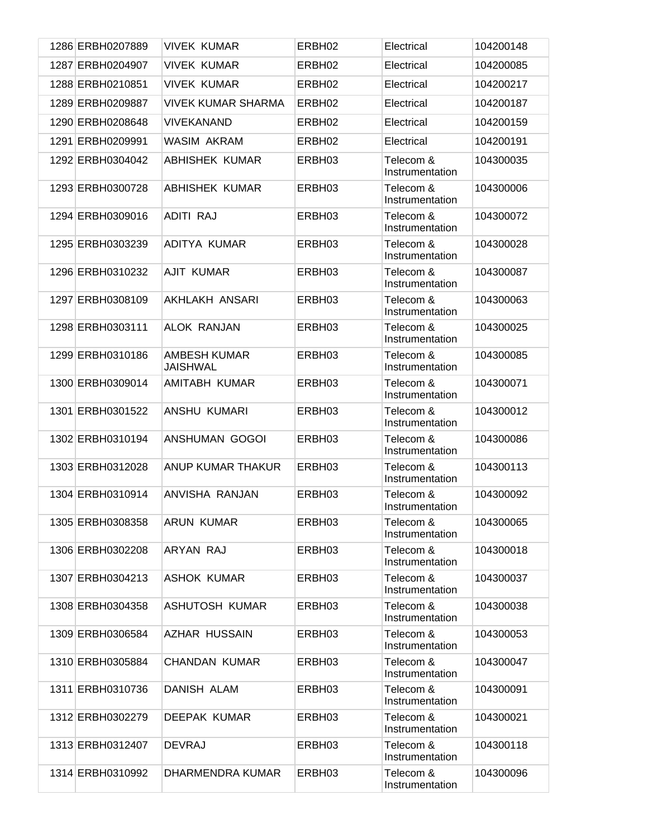| 1286 ERBH0207889 | <b>VIVEK KUMAR</b>                     | ERBH <sub>02</sub> | Electrical                   | 104200148 |
|------------------|----------------------------------------|--------------------|------------------------------|-----------|
| 1287 ERBH0204907 | <b>VIVEK KUMAR</b>                     | ERBH02             | Electrical                   | 104200085 |
| 1288 ERBH0210851 | <b>VIVEK KUMAR</b>                     | ERBH <sub>02</sub> | Electrical                   | 104200217 |
| 1289 ERBH0209887 | <b>VIVEK KUMAR SHARMA</b>              | ERBH <sub>02</sub> | Electrical                   | 104200187 |
| 1290 ERBH0208648 | <b>VIVEKANAND</b>                      | ERBH <sub>02</sub> | Electrical                   | 104200159 |
| 1291 ERBH0209991 | WASIM AKRAM                            | ERBH <sub>02</sub> | Electrical                   | 104200191 |
| 1292 ERBH0304042 | <b>ABHISHEK KUMAR</b>                  | ERBH03             | Telecom &<br>Instrumentation | 104300035 |
| 1293 ERBH0300728 | <b>ABHISHEK KUMAR</b>                  | ERBH03             | Telecom &<br>Instrumentation | 104300006 |
| 1294 ERBH0309016 | ADITI RAJ                              | ERBH03             | Telecom &<br>Instrumentation | 104300072 |
| 1295 ERBH0303239 | ADITYA KUMAR                           | ERBH03             | Telecom &<br>Instrumentation | 104300028 |
| 1296 ERBH0310232 | <b>AJIT KUMAR</b>                      | ERBH03             | Telecom &<br>Instrumentation | 104300087 |
| 1297 ERBH0308109 | AKHLAKH ANSARI                         | ERBH03             | Telecom &<br>Instrumentation | 104300063 |
| 1298 ERBH0303111 | <b>ALOK RANJAN</b>                     | ERBH03             | Telecom &<br>Instrumentation | 104300025 |
| 1299 ERBH0310186 | <b>AMBESH KUMAR</b><br><b>JAISHWAL</b> | ERBH03             | Telecom &<br>Instrumentation | 104300085 |
| 1300 ERBH0309014 | AMITABH KUMAR                          | ERBH03             | Telecom &<br>Instrumentation | 104300071 |
| 1301 ERBH0301522 | ANSHU KUMARI                           | ERBH03             | Telecom &<br>Instrumentation | 104300012 |
| 1302 ERBH0310194 | ANSHUMAN GOGOI                         | ERBH03             | Telecom &<br>Instrumentation | 104300086 |
| 1303 ERBH0312028 | ANUP KUMAR THAKUR                      | ERBH03             | Telecom &<br>Instrumentation | 104300113 |
| 1304 ERBH0310914 | ANVISHA RANJAN                         | ERBH03             | Telecom &<br>Instrumentation | 104300092 |
| 1305 ERBH0308358 | <b>ARUN KUMAR</b>                      | ERBH03             | Telecom &<br>Instrumentation | 104300065 |
| 1306 ERBH0302208 | ARYAN RAJ                              | ERBH03             | Telecom &<br>Instrumentation | 104300018 |
| 1307 ERBH0304213 | <b>ASHOK KUMAR</b>                     | ERBH03             | Telecom &<br>Instrumentation | 104300037 |
| 1308 ERBH0304358 | ASHUTOSH KUMAR                         | ERBH03             | Telecom &<br>Instrumentation | 104300038 |
| 1309 ERBH0306584 | <b>AZHAR HUSSAIN</b>                   | ERBH03             | Telecom &<br>Instrumentation | 104300053 |
| 1310 ERBH0305884 | <b>CHANDAN KUMAR</b>                   | ERBH03             | Telecom &<br>Instrumentation | 104300047 |
| 1311 ERBH0310736 | DANISH ALAM                            | ERBH03             | Telecom &<br>Instrumentation | 104300091 |
| 1312 ERBH0302279 | <b>DEEPAK KUMAR</b>                    | ERBH03             | Telecom &<br>Instrumentation | 104300021 |
| 1313 ERBH0312407 | <b>DEVRAJ</b>                          | ERBH03             | Telecom &<br>Instrumentation | 104300118 |
| 1314 ERBH0310992 | DHARMENDRA KUMAR                       | ERBH03             | Telecom &<br>Instrumentation | 104300096 |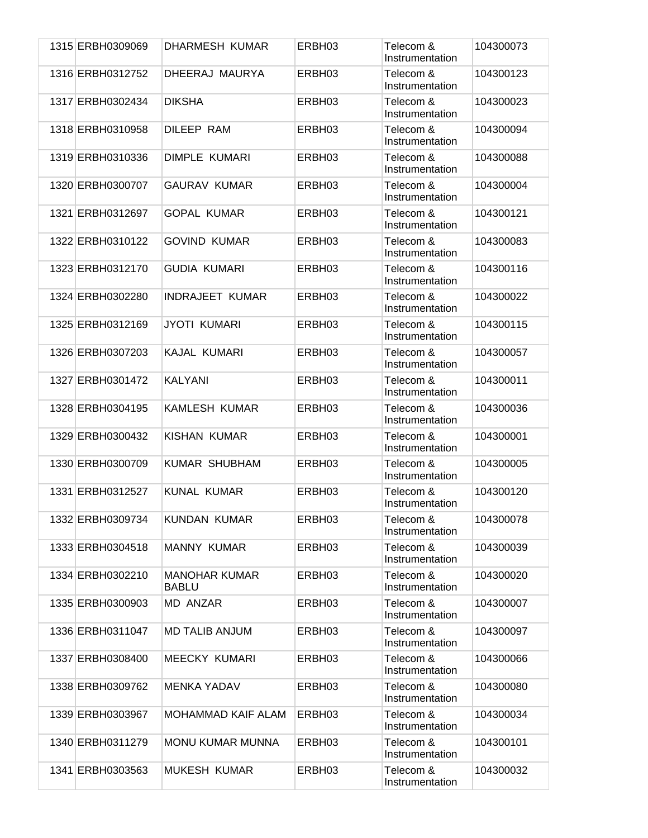| 1315 ERBH0309069 | DHARMESH KUMAR                       | ERBH03 | Telecom &<br>Instrumentation | 104300073 |
|------------------|--------------------------------------|--------|------------------------------|-----------|
| 1316 ERBH0312752 | DHEERAJ MAURYA                       | ERBH03 | Telecom &<br>Instrumentation | 104300123 |
| 1317 ERBH0302434 | <b>DIKSHA</b>                        | ERBH03 | Telecom &<br>Instrumentation | 104300023 |
| 1318 ERBH0310958 | DILEEP RAM                           | ERBH03 | Telecom &<br>Instrumentation | 104300094 |
| 1319 ERBH0310336 | DIMPLE KUMARI                        | ERBH03 | Telecom &<br>Instrumentation | 104300088 |
| 1320 ERBH0300707 | <b>GAURAV KUMAR</b>                  | ERBH03 | Telecom &<br>Instrumentation | 104300004 |
| 1321 ERBH0312697 | <b>GOPAL KUMAR</b>                   | ERBH03 | Telecom &<br>Instrumentation | 104300121 |
| 1322 ERBH0310122 | <b>GOVIND KUMAR</b>                  | ERBH03 | Telecom &<br>Instrumentation | 104300083 |
| 1323 ERBH0312170 | <b>GUDIA KUMARI</b>                  | ERBH03 | Telecom &<br>Instrumentation | 104300116 |
| 1324 ERBH0302280 | <b>INDRAJEET KUMAR</b>               | ERBH03 | Telecom &<br>Instrumentation | 104300022 |
| 1325 ERBH0312169 | <b>JYOTI KUMARI</b>                  | ERBH03 | Telecom &<br>Instrumentation | 104300115 |
| 1326 ERBH0307203 | KAJAL KUMARI                         | ERBH03 | Telecom &<br>Instrumentation | 104300057 |
| 1327 ERBH0301472 | <b>KALYANI</b>                       | ERBH03 | Telecom &<br>Instrumentation | 104300011 |
| 1328 ERBH0304195 | <b>KAMLESH KUMAR</b>                 | ERBH03 | Telecom &<br>Instrumentation | 104300036 |
| 1329 ERBH0300432 | KISHAN KUMAR                         | ERBH03 | Telecom &<br>Instrumentation | 104300001 |
| 1330 ERBH0300709 | <b>KUMAR SHUBHAM</b>                 | ERBH03 | Telecom &<br>Instrumentation | 104300005 |
| 1331 ERBH0312527 | <b>KUNAL KUMAR</b>                   | ERBH03 | Telecom &<br>Instrumentation | 104300120 |
| 1332 ERBH0309734 | <b>KUNDAN KUMAR</b>                  | ERBH03 | Telecom &<br>Instrumentation | 104300078 |
| 1333 ERBH0304518 | <b>MANNY KUMAR</b>                   | ERBH03 | Telecom &<br>Instrumentation | 104300039 |
| 1334 ERBH0302210 | <b>MANOHAR KUMAR</b><br><b>BABLU</b> | ERBH03 | Telecom &<br>Instrumentation | 104300020 |
| 1335 ERBH0300903 | <b>MD ANZAR</b>                      | ERBH03 | Telecom &<br>Instrumentation | 104300007 |
| 1336 ERBH0311047 | <b>MD TALIB ANJUM</b>                | ERBH03 | Telecom &<br>Instrumentation | 104300097 |
| 1337 ERBH0308400 | <b>MEECKY KUMARI</b>                 | ERBH03 | Telecom &<br>Instrumentation | 104300066 |
| 1338 ERBH0309762 | <b>MENKA YADAV</b>                   | ERBH03 | Telecom &<br>Instrumentation | 104300080 |
| 1339 ERBH0303967 | <b>MOHAMMAD KAIF ALAM</b>            | ERBH03 | Telecom &<br>Instrumentation | 104300034 |
| 1340 ERBH0311279 | <b>MONU KUMAR MUNNA</b>              | ERBH03 | Telecom &<br>Instrumentation | 104300101 |
| 1341 ERBH0303563 | <b>MUKESH KUMAR</b>                  | ERBH03 | Telecom &<br>Instrumentation | 104300032 |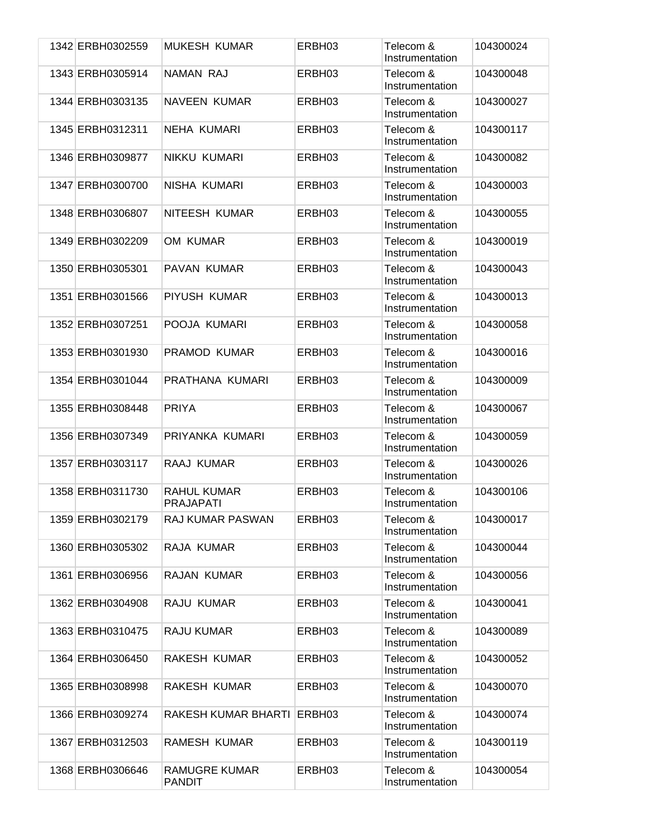| 1342 ERBH0302559 | MUKESH KUMAR                           | ERBH03 | Telecom &<br>Instrumentation | 104300024 |
|------------------|----------------------------------------|--------|------------------------------|-----------|
| 1343 ERBH0305914 | <b>NAMAN RAJ</b>                       | ERBH03 | Telecom &<br>Instrumentation | 104300048 |
| 1344 ERBH0303135 | <b>NAVEEN KUMAR</b>                    | ERBH03 | Telecom &<br>Instrumentation | 104300027 |
| 1345 ERBH0312311 | NEHA KUMARI                            | ERBH03 | Telecom &<br>Instrumentation | 104300117 |
| 1346 ERBH0309877 | NIKKU KUMARI                           | ERBH03 | Telecom &<br>Instrumentation | 104300082 |
| 1347 ERBH0300700 | NISHA KUMARI                           | ERBH03 | Telecom &<br>Instrumentation | 104300003 |
| 1348 ERBH0306807 | NITEESH KUMAR                          | ERBH03 | Telecom &<br>Instrumentation | 104300055 |
| 1349 ERBH0302209 | OM KUMAR                               | ERBH03 | Telecom &<br>Instrumentation | 104300019 |
| 1350 ERBH0305301 | PAVAN KUMAR                            | ERBH03 | Telecom &<br>Instrumentation | 104300043 |
| 1351 ERBH0301566 | PIYUSH KUMAR                           | ERBH03 | Telecom &<br>Instrumentation | 104300013 |
| 1352 ERBH0307251 | POOJA KUMARI                           | ERBH03 | Telecom &<br>Instrumentation | 104300058 |
| 1353 ERBH0301930 | PRAMOD KUMAR                           | ERBH03 | Telecom &<br>Instrumentation | 104300016 |
| 1354 ERBH0301044 | PRATHANA KUMARI                        | ERBH03 | Telecom &<br>Instrumentation | 104300009 |
| 1355 ERBH0308448 | <b>PRIYA</b>                           | ERBH03 | Telecom &<br>Instrumentation | 104300067 |
| 1356 ERBH0307349 | PRIYANKA KUMARI                        | ERBH03 | Telecom &<br>Instrumentation | 104300059 |
| 1357 ERBH0303117 | RAAJ KUMAR                             | ERBH03 | Telecom &<br>Instrumentation | 104300026 |
| 1358 ERBH0311730 | <b>RAHUL KUMAR</b><br><b>PRAJAPATI</b> | ERBH03 | Telecom &<br>Instrumentation | 104300106 |
| 1359 ERBH0302179 | <b>RAJ KUMAR PASWAN</b>                | ERBH03 | Telecom &<br>Instrumentation | 104300017 |
| 1360 ERBH0305302 | RAJA KUMAR                             | ERBH03 | Telecom &<br>Instrumentation | 104300044 |
| 1361 ERBH0306956 | RAJAN KUMAR                            | ERBH03 | Telecom &<br>Instrumentation | 104300056 |
| 1362 ERBH0304908 | RAJU KUMAR                             | ERBH03 | Telecom &<br>Instrumentation | 104300041 |
| 1363 ERBH0310475 | RAJU KUMAR                             | ERBH03 | Telecom &<br>Instrumentation | 104300089 |
| 1364 ERBH0306450 | RAKESH KUMAR                           | ERBH03 | Telecom &<br>Instrumentation | 104300052 |
| 1365 ERBH0308998 | RAKESH KUMAR                           | ERBH03 | Telecom &<br>Instrumentation | 104300070 |
| 1366 ERBH0309274 | RAKESH KUMAR BHARTI                    | ERBH03 | Telecom &<br>Instrumentation | 104300074 |
| 1367 ERBH0312503 | RAMESH KUMAR                           | ERBH03 | Telecom &<br>Instrumentation | 104300119 |
| 1368 ERBH0306646 | RAMUGRE KUMAR<br><b>PANDIT</b>         | ERBH03 | Telecom &<br>Instrumentation | 104300054 |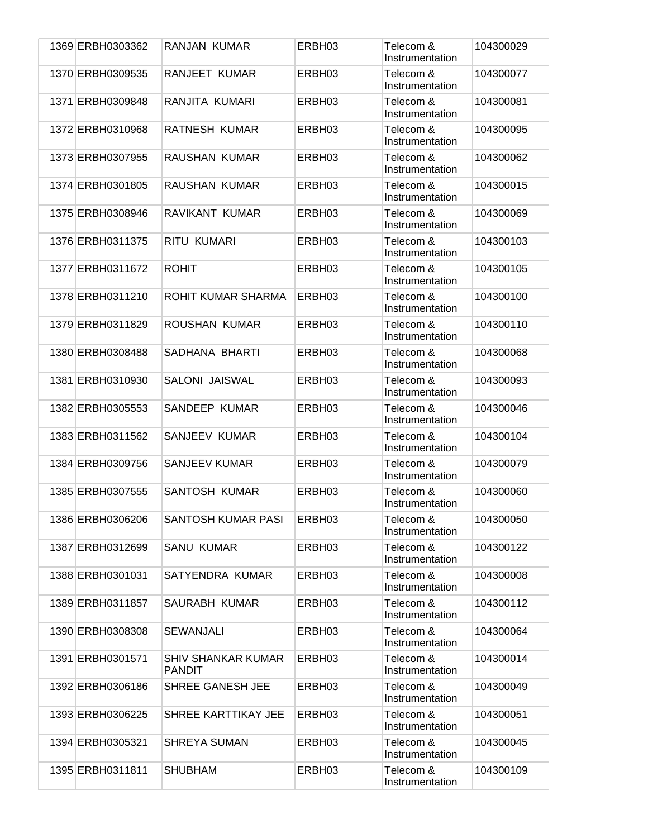| 1369 ERBH0303362 | RANJAN KUMAR                               | ERBH03 | Telecom &<br>Instrumentation | 104300029 |
|------------------|--------------------------------------------|--------|------------------------------|-----------|
| 1370 ERBH0309535 | RANJEET KUMAR                              | ERBH03 | Telecom &<br>Instrumentation | 104300077 |
| 1371 ERBH0309848 | RANJITA KUMARI                             | ERBH03 | Telecom &<br>Instrumentation | 104300081 |
| 1372 ERBH0310968 | RATNESH KUMAR                              | ERBH03 | Telecom &<br>Instrumentation | 104300095 |
| 1373 ERBH0307955 | RAUSHAN KUMAR                              | ERBH03 | Telecom &<br>Instrumentation | 104300062 |
| 1374 ERBH0301805 | RAUSHAN KUMAR                              | ERBH03 | Telecom &<br>Instrumentation | 104300015 |
| 1375 ERBH0308946 | RAVIKANT KUMAR                             | ERBH03 | Telecom &<br>Instrumentation | 104300069 |
| 1376 ERBH0311375 | RITU KUMARI                                | ERBH03 | Telecom &<br>Instrumentation | 104300103 |
| 1377 ERBH0311672 | <b>ROHIT</b>                               | ERBH03 | Telecom &<br>Instrumentation | 104300105 |
| 1378 ERBH0311210 | ROHIT KUMAR SHARMA                         | ERBH03 | Telecom &<br>Instrumentation | 104300100 |
| 1379 ERBH0311829 | ROUSHAN KUMAR                              | ERBH03 | Telecom &<br>Instrumentation | 104300110 |
| 1380 ERBH0308488 | SADHANA BHARTI                             | ERBH03 | Telecom &<br>Instrumentation | 104300068 |
| 1381 ERBH0310930 | <b>SALONI JAISWAL</b>                      | ERBH03 | Telecom &<br>Instrumentation | 104300093 |
| 1382 ERBH0305553 | SANDEEP KUMAR                              | ERBH03 | Telecom &<br>Instrumentation | 104300046 |
| 1383 ERBH0311562 | SANJEEV KUMAR                              | ERBH03 | Telecom &<br>Instrumentation | 104300104 |
| 1384 ERBH0309756 | <b>SANJEEV KUMAR</b>                       | ERBH03 | Telecom &<br>Instrumentation | 104300079 |
| 1385 ERBH0307555 | SANTOSH KUMAR                              | ERBH03 | Telecom &<br>Instrumentation | 104300060 |
| 1386 ERBH0306206 | SANTOSH KUMAR PASI                         | ERBH03 | Telecom &<br>Instrumentation | 104300050 |
| 1387 ERBH0312699 | <b>SANU KUMAR</b>                          | ERBH03 | Telecom &<br>Instrumentation | 104300122 |
| 1388 ERBH0301031 | SATYENDRA KUMAR                            | ERBH03 | Telecom &<br>Instrumentation | 104300008 |
| 1389 ERBH0311857 | SAURABH KUMAR                              | ERBH03 | Telecom &<br>Instrumentation | 104300112 |
| 1390 ERBH0308308 | <b>SEWANJALI</b>                           | ERBH03 | Telecom &<br>Instrumentation | 104300064 |
| 1391 ERBH0301571 | <b>SHIV SHANKAR KUMAR</b><br><b>PANDIT</b> | ERBH03 | Telecom &<br>Instrumentation | 104300014 |
| 1392 ERBH0306186 | SHREE GANESH JEE                           | ERBH03 | Telecom &<br>Instrumentation | 104300049 |
| 1393 ERBH0306225 | <b>SHREE KARTTIKAY JEE</b>                 | ERBH03 | Telecom &<br>Instrumentation | 104300051 |
| 1394 ERBH0305321 | <b>SHREYA SUMAN</b>                        | ERBH03 | Telecom &<br>Instrumentation | 104300045 |
| 1395 ERBH0311811 | <b>SHUBHAM</b>                             | ERBH03 | Telecom &<br>Instrumentation | 104300109 |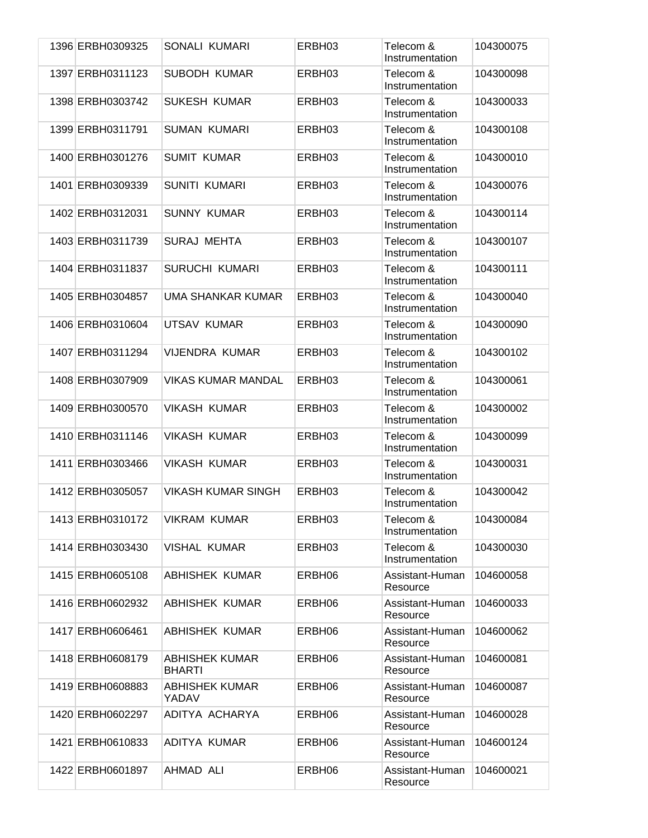| 1396 ERBH0309325 | SONALI KUMARI                          | ERBH03 | Telecom &<br>Instrumentation | 104300075 |
|------------------|----------------------------------------|--------|------------------------------|-----------|
| 1397 ERBH0311123 | <b>SUBODH KUMAR</b>                    | ERBH03 | Telecom &<br>Instrumentation | 104300098 |
| 1398 ERBH0303742 | <b>SUKESH KUMAR</b>                    | ERBH03 | Telecom &<br>Instrumentation | 104300033 |
| 1399 ERBH0311791 | <b>SUMAN KUMARI</b>                    | ERBH03 | Telecom &<br>Instrumentation | 104300108 |
| 1400 ERBH0301276 | <b>SUMIT KUMAR</b>                     | ERBH03 | Telecom &<br>Instrumentation | 104300010 |
| 1401 ERBH0309339 | <b>SUNITI KUMARI</b>                   | ERBH03 | Telecom &<br>Instrumentation | 104300076 |
| 1402 ERBH0312031 | <b>SUNNY KUMAR</b>                     | ERBH03 | Telecom &<br>Instrumentation | 104300114 |
| 1403 ERBH0311739 | <b>SURAJ MEHTA</b>                     | ERBH03 | Telecom &<br>Instrumentation | 104300107 |
| 1404 ERBH0311837 | <b>SURUCHI KUMARI</b>                  | ERBH03 | Telecom &<br>Instrumentation | 104300111 |
| 1405 ERBH0304857 | UMA SHANKAR KUMAR                      | ERBH03 | Telecom &<br>Instrumentation | 104300040 |
| 1406 ERBH0310604 | UTSAV KUMAR                            | ERBH03 | Telecom &<br>Instrumentation | 104300090 |
| 1407 ERBH0311294 | VIJENDRA KUMAR                         | ERBH03 | Telecom &<br>Instrumentation | 104300102 |
| 1408 ERBH0307909 | <b>VIKAS KUMAR MANDAL</b>              | ERBH03 | Telecom &<br>Instrumentation | 104300061 |
| 1409 ERBH0300570 | <b>VIKASH KUMAR</b>                    | ERBH03 | Telecom &<br>Instrumentation | 104300002 |
| 1410 ERBH0311146 | <b>VIKASH KUMAR</b>                    | ERBH03 | Telecom &<br>Instrumentation | 104300099 |
| 1411 ERBH0303466 | <b>VIKASH KUMAR</b>                    | ERBH03 | Telecom &<br>Instrumentation | 104300031 |
| 1412 ERBH0305057 | <b>VIKASH KUMAR SINGH</b>              | ERBH03 | Telecom &<br>Instrumentation | 104300042 |
| 1413 ERBH0310172 | <b>VIKRAM KUMAR</b>                    | ERBH03 | Telecom &<br>Instrumentation | 104300084 |
| 1414 ERBH0303430 | <b>VISHAL KUMAR</b>                    | ERBH03 | Telecom &<br>Instrumentation | 104300030 |
| 1415 ERBH0605108 | ABHISHEK KUMAR                         | ERBH06 | Assistant-Human<br>Resource  | 104600058 |
| 1416 ERBH0602932 | <b>ABHISHEK KUMAR</b>                  | ERBH06 | Assistant-Human<br>Resource  | 104600033 |
| 1417 ERBH0606461 | <b>ABHISHEK KUMAR</b>                  | ERBH06 | Assistant-Human<br>Resource  | 104600062 |
| 1418 ERBH0608179 | <b>ABHISHEK KUMAR</b><br><b>BHARTI</b> | ERBH06 | Assistant-Human<br>Resource  | 104600081 |
| 1419 ERBH0608883 | <b>ABHISHEK KUMAR</b><br>YADAV         | ERBH06 | Assistant-Human<br>Resource  | 104600087 |
| 1420 ERBH0602297 | ADITYA ACHARYA                         | ERBH06 | Assistant-Human<br>Resource  | 104600028 |
| 1421 ERBH0610833 | ADITYA KUMAR                           | ERBH06 | Assistant-Human<br>Resource  | 104600124 |
| 1422 ERBH0601897 | AHMAD ALI                              | ERBH06 | Assistant-Human<br>Resource  | 104600021 |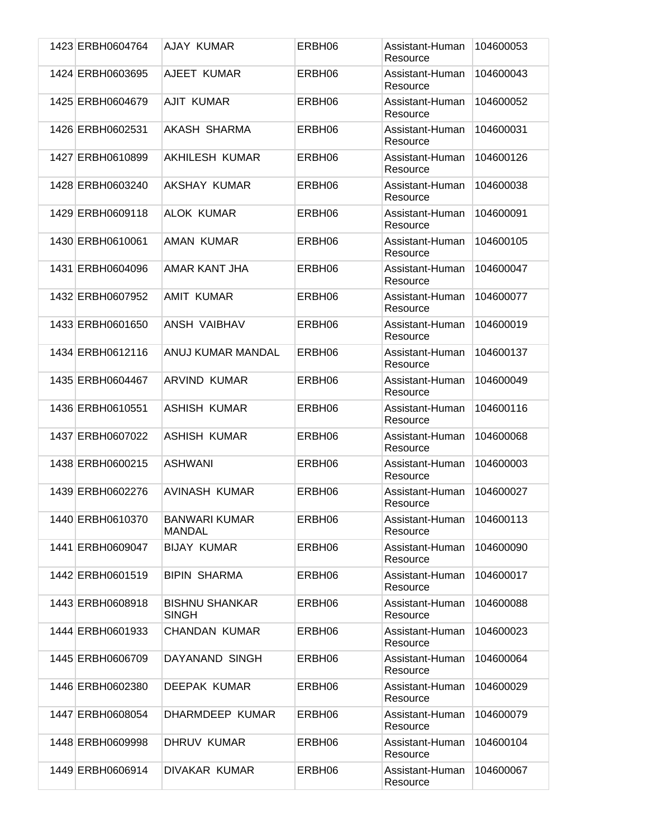| 1423 ERBH0604764 | AJAY KUMAR                            | ERBH06 | Assistant-Human<br>Resource | 104600053 |
|------------------|---------------------------------------|--------|-----------------------------|-----------|
| 1424 ERBH0603695 | AJEET KUMAR                           | ERBH06 | Assistant-Human<br>Resource | 104600043 |
| 1425 ERBH0604679 | <b>AJIT KUMAR</b>                     | ERBH06 | Assistant-Human<br>Resource | 104600052 |
| 1426 ERBH0602531 | AKASH SHARMA                          | ERBH06 | Assistant-Human<br>Resource | 104600031 |
| 1427 ERBH0610899 | <b>AKHILESH KUMAR</b>                 | ERBH06 | Assistant-Human<br>Resource | 104600126 |
| 1428 ERBH0603240 | AKSHAY KUMAR                          | ERBH06 | Assistant-Human<br>Resource | 104600038 |
| 1429 ERBH0609118 | <b>ALOK KUMAR</b>                     | ERBH06 | Assistant-Human<br>Resource | 104600091 |
| 1430 ERBH0610061 | AMAN KUMAR                            | ERBH06 | Assistant-Human<br>Resource | 104600105 |
| 1431 ERBH0604096 | AMAR KANT JHA                         | ERBH06 | Assistant-Human<br>Resource | 104600047 |
| 1432 ERBH0607952 | AMIT KUMAR                            | ERBH06 | Assistant-Human<br>Resource | 104600077 |
| 1433 ERBH0601650 | ANSH VAIBHAV                          | ERBH06 | Assistant-Human<br>Resource | 104600019 |
| 1434 ERBH0612116 | ANUJ KUMAR MANDAL                     | ERBH06 | Assistant-Human<br>Resource | 104600137 |
| 1435 ERBH0604467 | <b>ARVIND KUMAR</b>                   | ERBH06 | Assistant-Human<br>Resource | 104600049 |
| 1436 ERBH0610551 | <b>ASHISH KUMAR</b>                   | ERBH06 | Assistant-Human<br>Resource | 104600116 |
| 1437 ERBH0607022 | <b>ASHISH KUMAR</b>                   | ERBH06 | Assistant-Human<br>Resource | 104600068 |
| 1438 ERBH0600215 | <b>ASHWANI</b>                        | ERBH06 | Assistant-Human<br>Resource | 104600003 |
| 1439 ERBH0602276 | AVINASH KUMAR                         | ERBH06 | Assistant-Human<br>Resource | 104600027 |
| 1440 ERBH0610370 | <b>BANWARI KUMAR</b><br><b>MANDAL</b> | ERBH06 | Assistant-Human<br>Resource | 104600113 |
| 1441 ERBH0609047 | <b>BIJAY KUMAR</b>                    | ERBH06 | Assistant-Human<br>Resource | 104600090 |
| 1442 ERBH0601519 | <b>BIPIN SHARMA</b>                   | ERBH06 | Assistant-Human<br>Resource | 104600017 |
| 1443 ERBH0608918 | <b>BISHNU SHANKAR</b><br><b>SINGH</b> | ERBH06 | Assistant-Human<br>Resource | 104600088 |
| 1444 ERBH0601933 | <b>CHANDAN KUMAR</b>                  | ERBH06 | Assistant-Human<br>Resource | 104600023 |
| 1445 ERBH0606709 | DAYANAND SINGH                        | ERBH06 | Assistant-Human<br>Resource | 104600064 |
| 1446 ERBH0602380 | <b>DEEPAK KUMAR</b>                   | ERBH06 | Assistant-Human<br>Resource | 104600029 |
| 1447 ERBH0608054 | DHARMDEEP KUMAR                       | ERBH06 | Assistant-Human<br>Resource | 104600079 |
| 1448 ERBH0609998 | DHRUV KUMAR                           | ERBH06 | Assistant-Human<br>Resource | 104600104 |
| 1449 ERBH0606914 | DIVAKAR KUMAR                         | ERBH06 | Assistant-Human<br>Resource | 104600067 |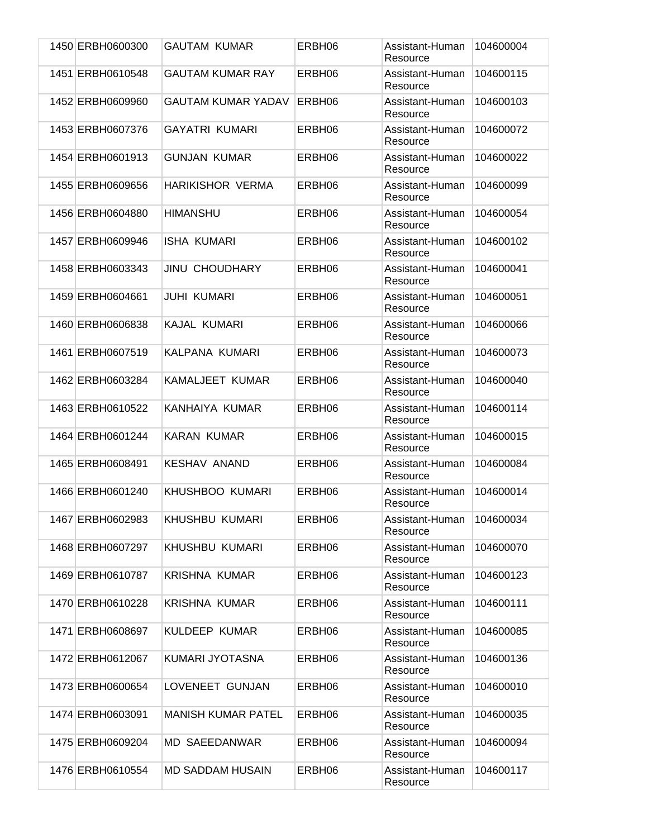| 1450 ERBH0600300 | <b>GAUTAM KUMAR</b>       | ERBH06 | Assistant-Human<br>Resource | 104600004 |
|------------------|---------------------------|--------|-----------------------------|-----------|
| 1451 ERBH0610548 | <b>GAUTAM KUMAR RAY</b>   | ERBH06 | Assistant-Human<br>Resource | 104600115 |
| 1452 ERBH0609960 | <b>GAUTAM KUMAR YADAV</b> | ERBH06 | Assistant-Human<br>Resource | 104600103 |
| 1453 ERBH0607376 | <b>GAYATRI KUMARI</b>     | ERBH06 | Assistant-Human<br>Resource | 104600072 |
| 1454 ERBH0601913 | <b>GUNJAN KUMAR</b>       | ERBH06 | Assistant-Human<br>Resource | 104600022 |
| 1455 ERBH0609656 | <b>HARIKISHOR VERMA</b>   | ERBH06 | Assistant-Human<br>Resource | 104600099 |
| 1456 ERBH0604880 | <b>HIMANSHU</b>           | ERBH06 | Assistant-Human<br>Resource | 104600054 |
| 1457 ERBH0609946 | <b>ISHA KUMARI</b>        | ERBH06 | Assistant-Human<br>Resource | 104600102 |
| 1458 ERBH0603343 | <b>JINU CHOUDHARY</b>     | ERBH06 | Assistant-Human<br>Resource | 104600041 |
| 1459 ERBH0604661 | <b>JUHI KUMARI</b>        | ERBH06 | Assistant-Human<br>Resource | 104600051 |
| 1460 ERBH0606838 | KAJAL KUMARI              | ERBH06 | Assistant-Human<br>Resource | 104600066 |
| 1461 ERBH0607519 | KALPANA KUMARI            | ERBH06 | Assistant-Human<br>Resource | 104600073 |
| 1462 ERBH0603284 | <b>KAMALJEET KUMAR</b>    | ERBH06 | Assistant-Human<br>Resource | 104600040 |
| 1463 ERBH0610522 | KANHAIYA KUMAR            | ERBH06 | Assistant-Human<br>Resource | 104600114 |
| 1464 ERBH0601244 | <b>KARAN KUMAR</b>        | ERBH06 | Assistant-Human<br>Resource | 104600015 |
| 1465 ERBH0608491 | <b>KESHAV ANAND</b>       | ERBH06 | Assistant-Human<br>Resource | 104600084 |
| 1466 ERBH0601240 | KHUSHBOO KUMARI           | ERBH06 | Assistant-Human<br>Resource | 104600014 |
| 1467 ERBH0602983 | KHUSHBU KUMARI            | ERBH06 | Assistant-Human<br>Resource | 104600034 |
| 1468 ERBH0607297 | KHUSHBU KUMARI            | ERBH06 | Assistant-Human<br>Resource | 104600070 |
| 1469 ERBH0610787 | <b>KRISHNA KUMAR</b>      | ERBH06 | Assistant-Human<br>Resource | 104600123 |
| 1470 ERBH0610228 | <b>KRISHNA KUMAR</b>      | ERBH06 | Assistant-Human<br>Resource | 104600111 |
| 1471 ERBH0608697 | KULDEEP KUMAR             | ERBH06 | Assistant-Human<br>Resource | 104600085 |
| 1472 ERBH0612067 | KUMARI JYOTASNA           | ERBH06 | Assistant-Human<br>Resource | 104600136 |
| 1473 ERBH0600654 | LOVENEET GUNJAN           | ERBH06 | Assistant-Human<br>Resource | 104600010 |
| 1474 ERBH0603091 | <b>MANISH KUMAR PATEL</b> | ERBH06 | Assistant-Human<br>Resource | 104600035 |
| 1475 ERBH0609204 | MD SAEEDANWAR             | ERBH06 | Assistant-Human<br>Resource | 104600094 |
| 1476 ERBH0610554 | <b>MD SADDAM HUSAIN</b>   | ERBH06 | Assistant-Human<br>Resource | 104600117 |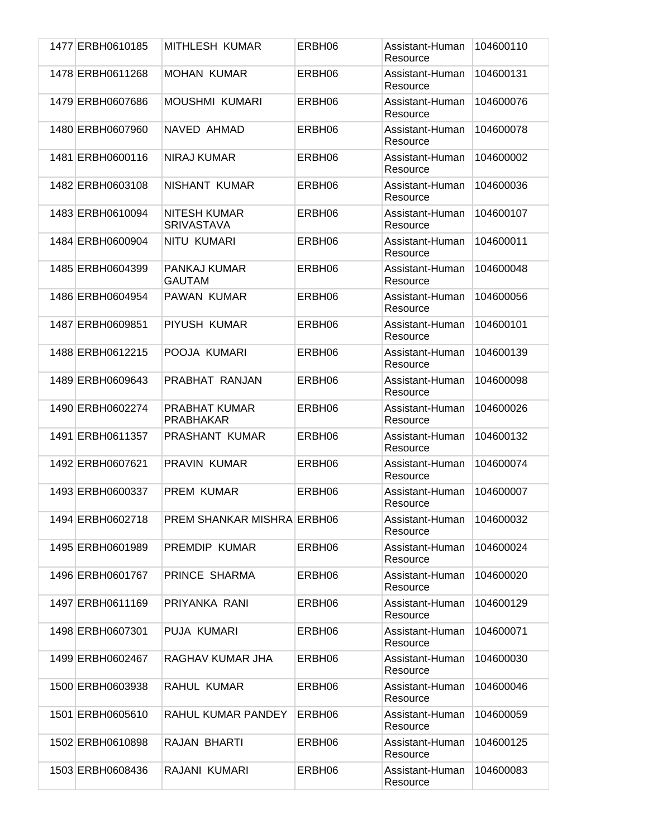| 1477 ERBH0610185 | MITHLESH KUMAR                           | ERBH06 | Assistant-Human<br>Resource | 104600110 |
|------------------|------------------------------------------|--------|-----------------------------|-----------|
| 1478 ERBH0611268 | <b>MOHAN KUMAR</b>                       | ERBH06 | Assistant-Human<br>Resource | 104600131 |
| 1479 ERBH0607686 | <b>MOUSHMI KUMARI</b>                    | ERBH06 | Assistant-Human<br>Resource | 104600076 |
| 1480 ERBH0607960 | NAVED AHMAD                              | ERBH06 | Assistant-Human<br>Resource | 104600078 |
| 1481 ERBH0600116 | <b>NIRAJ KUMAR</b>                       | ERBH06 | Assistant-Human<br>Resource | 104600002 |
| 1482 ERBH0603108 | NISHANT KUMAR                            | ERBH06 | Assistant-Human<br>Resource | 104600036 |
| 1483 ERBH0610094 | <b>NITESH KUMAR</b><br><b>SRIVASTAVA</b> | ERBH06 | Assistant-Human<br>Resource | 104600107 |
| 1484 ERBH0600904 | NITU KUMARI                              | ERBH06 | Assistant-Human<br>Resource | 104600011 |
| 1485 ERBH0604399 | PANKAJ KUMAR<br><b>GAUTAM</b>            | ERBH06 | Assistant-Human<br>Resource | 104600048 |
| 1486 ERBH0604954 | <b>PAWAN KUMAR</b>                       | ERBH06 | Assistant-Human<br>Resource | 104600056 |
| 1487 ERBH0609851 | PIYUSH KUMAR                             | ERBH06 | Assistant-Human<br>Resource | 104600101 |
| 1488 ERBH0612215 | POOJA KUMARI                             | ERBH06 | Assistant-Human<br>Resource | 104600139 |
| 1489 ERBH0609643 | PRABHAT RANJAN                           | ERBH06 | Assistant-Human<br>Resource | 104600098 |
| 1490 ERBH0602274 | <b>PRABHAT KUMAR</b><br><b>PRABHAKAR</b> | ERBH06 | Assistant-Human<br>Resource | 104600026 |
| 1491 ERBH0611357 | PRASHANT KUMAR                           | ERBH06 | Assistant-Human<br>Resource | 104600132 |
| 1492 ERBH0607621 | <b>PRAVIN KUMAR</b>                      | ERBH06 | Assistant-Human<br>Resource | 104600074 |
| 1493 ERBH0600337 | <b>PREM KUMAR</b>                        | ERBH06 | Assistant-Human<br>Resource | 104600007 |
| 1494 ERBH0602718 | <b>PREM SHANKAR MISHRA ERBH06</b>        |        | Assistant-Human<br>Resource | 104600032 |
| 1495 ERBH0601989 | PREMDIP KUMAR                            | ERBH06 | Assistant-Human<br>Resource | 104600024 |
| 1496 ERBH0601767 | PRINCE SHARMA                            | ERBH06 | Assistant-Human<br>Resource | 104600020 |
| 1497 ERBH0611169 | PRIYANKA RANI                            | ERBH06 | Assistant-Human<br>Resource | 104600129 |
| 1498 ERBH0607301 | PUJA KUMARI                              | ERBH06 | Assistant-Human<br>Resource | 104600071 |
| 1499 ERBH0602467 | RAGHAV KUMAR JHA                         | ERBH06 | Assistant-Human<br>Resource | 104600030 |
| 1500 ERBH0603938 | RAHUL KUMAR                              | ERBH06 | Assistant-Human<br>Resource | 104600046 |
| 1501 ERBH0605610 | RAHUL KUMAR PANDEY                       | ERBH06 | Assistant-Human<br>Resource | 104600059 |
| 1502 ERBH0610898 | RAJAN BHARTI                             | ERBH06 | Assistant-Human<br>Resource | 104600125 |
| 1503 ERBH0608436 | RAJANI KUMARI                            | ERBH06 | Assistant-Human<br>Resource | 104600083 |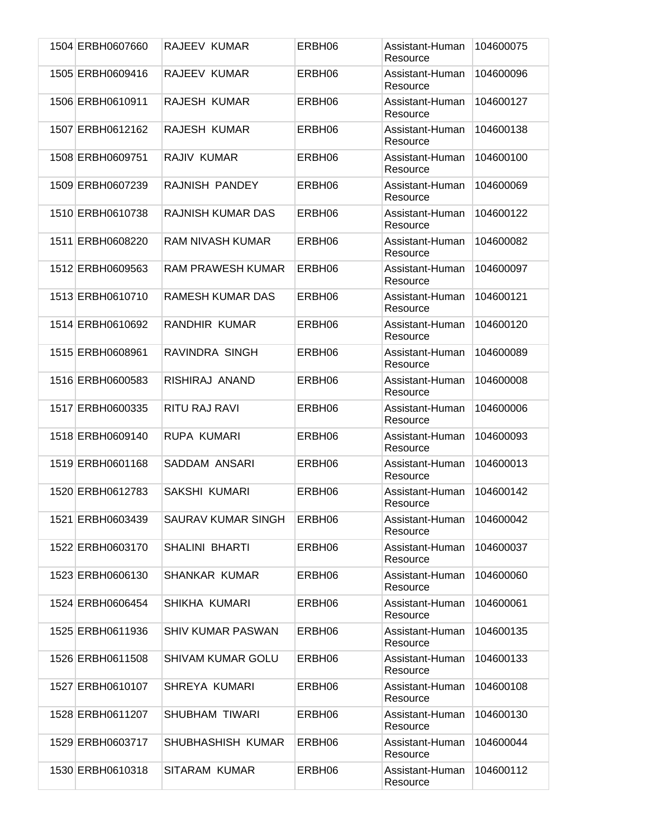| 1504 ERBH0607660 | RAJEEV KUMAR             | ERBH06 | Assistant-Human<br>Resource | 104600075 |
|------------------|--------------------------|--------|-----------------------------|-----------|
| 1505 ERBH0609416 | RAJEEV KUMAR             | ERBH06 | Assistant-Human<br>Resource | 104600096 |
| 1506 ERBH0610911 | RAJESH KUMAR             | ERBH06 | Assistant-Human<br>Resource | 104600127 |
| 1507 ERBH0612162 | RAJESH KUMAR             | ERBH06 | Assistant-Human<br>Resource | 104600138 |
| 1508 ERBH0609751 | RAJIV KUMAR              | ERBH06 | Assistant-Human<br>Resource | 104600100 |
| 1509 ERBH0607239 | RAJNISH PANDEY           | ERBH06 | Assistant-Human<br>Resource | 104600069 |
| 1510 ERBH0610738 | <b>RAJNISH KUMAR DAS</b> | ERBH06 | Assistant-Human<br>Resource | 104600122 |
| 1511 ERBH0608220 | <b>RAM NIVASH KUMAR</b>  | ERBH06 | Assistant-Human<br>Resource | 104600082 |
| 1512 ERBH0609563 | <b>RAM PRAWESH KUMAR</b> | ERBH06 | Assistant-Human<br>Resource | 104600097 |
| 1513 ERBH0610710 | RAMESH KUMAR DAS         | ERBH06 | Assistant-Human<br>Resource | 104600121 |
| 1514 ERBH0610692 | RANDHIR KUMAR            | ERBH06 | Assistant-Human<br>Resource | 104600120 |
| 1515 ERBH0608961 | RAVINDRA SINGH           | ERBH06 | Assistant-Human<br>Resource | 104600089 |
| 1516 ERBH0600583 | RISHIRAJ ANAND           | ERBH06 | Assistant-Human<br>Resource | 104600008 |
| 1517 ERBH0600335 | RITU RAJ RAVI            | ERBH06 | Assistant-Human<br>Resource | 104600006 |
| 1518 ERBH0609140 | RUPA KUMARI              | ERBH06 | Assistant-Human<br>Resource | 104600093 |
| 1519 ERBH0601168 | SADDAM ANSARI            | ERBH06 | Assistant-Human<br>Resource | 104600013 |
| 1520 ERBH0612783 | SAKSHI KUMARI            | ERBH06 | Assistant-Human<br>Resource | 104600142 |
| 1521 ERBH0603439 | SAURAV KUMAR SINGH       | ERBH06 | Assistant-Human<br>Resource | 104600042 |
| 1522 ERBH0603170 | <b>SHALINI BHARTI</b>    | ERBH06 | Assistant-Human<br>Resource | 104600037 |
| 1523 ERBH0606130 | SHANKAR KUMAR            | ERBH06 | Assistant-Human<br>Resource | 104600060 |
| 1524 ERBH0606454 | SHIKHA KUMARI            | ERBH06 | Assistant-Human<br>Resource | 104600061 |
| 1525 ERBH0611936 | <b>SHIV KUMAR PASWAN</b> | ERBH06 | Assistant-Human<br>Resource | 104600135 |
| 1526 ERBH0611508 | SHIVAM KUMAR GOLU        | ERBH06 | Assistant-Human<br>Resource | 104600133 |
| 1527 ERBH0610107 | SHREYA KUMARI            | ERBH06 | Assistant-Human<br>Resource | 104600108 |
| 1528 ERBH0611207 | SHUBHAM TIWARI           | ERBH06 | Assistant-Human<br>Resource | 104600130 |
| 1529 ERBH0603717 | SHUBHASHISH KUMAR        | ERBH06 | Assistant-Human<br>Resource | 104600044 |
| 1530 ERBH0610318 | SITARAM KUMAR            | ERBH06 | Assistant-Human<br>Resource | 104600112 |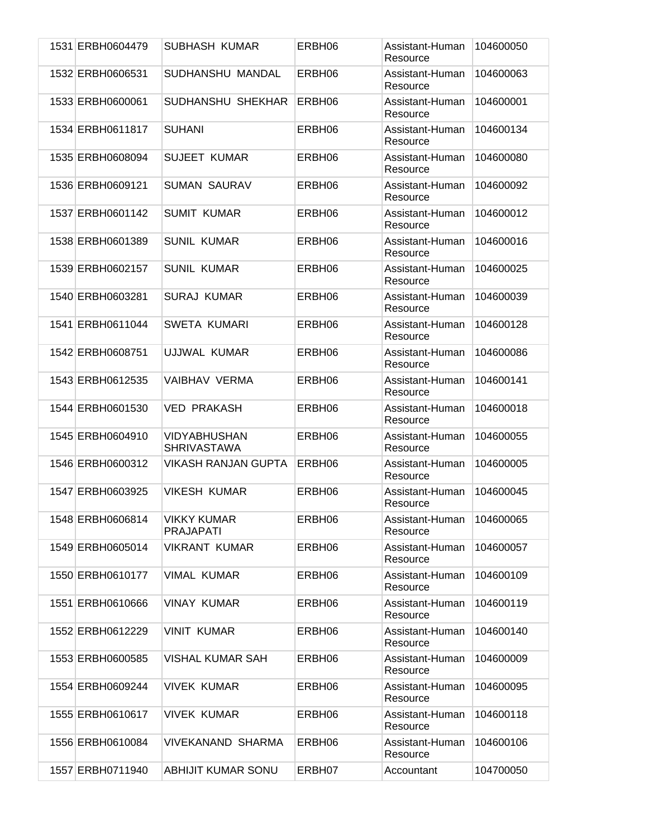|  | 1531 ERBH0604479 | <b>SUBHASH KUMAR</b>                      | ERBH06 | Assistant-Human<br>Resource | 104600050 |
|--|------------------|-------------------------------------------|--------|-----------------------------|-----------|
|  | 1532 ERBH0606531 | SUDHANSHU MANDAL                          | ERBH06 | Assistant-Human<br>Resource | 104600063 |
|  | 1533 ERBH0600061 | SUDHANSHU SHEKHAR                         | ERBH06 | Assistant-Human<br>Resource | 104600001 |
|  | 1534 ERBH0611817 | <b>SUHANI</b>                             | ERBH06 | Assistant-Human<br>Resource | 104600134 |
|  | 1535 ERBH0608094 | <b>SUJEET KUMAR</b>                       | ERBH06 | Assistant-Human<br>Resource | 104600080 |
|  | 1536 ERBH0609121 | <b>SUMAN SAURAV</b>                       | ERBH06 | Assistant-Human<br>Resource | 104600092 |
|  | 1537 ERBH0601142 | <b>SUMIT KUMAR</b>                        | ERBH06 | Assistant-Human<br>Resource | 104600012 |
|  | 1538 ERBH0601389 | <b>SUNIL KUMAR</b>                        | ERBH06 | Assistant-Human<br>Resource | 104600016 |
|  | 1539 ERBH0602157 | <b>SUNIL KUMAR</b>                        | ERBH06 | Assistant-Human<br>Resource | 104600025 |
|  | 1540 ERBH0603281 | <b>SURAJ KUMAR</b>                        | ERBH06 | Assistant-Human<br>Resource | 104600039 |
|  | 1541 ERBH0611044 | <b>SWETA KUMARI</b>                       | ERBH06 | Assistant-Human<br>Resource | 104600128 |
|  | 1542 ERBH0608751 | UJJWAL KUMAR                              | ERBH06 | Assistant-Human<br>Resource | 104600086 |
|  | 1543 ERBH0612535 | <b>VAIBHAV VERMA</b>                      | ERBH06 | Assistant-Human<br>Resource | 104600141 |
|  | 1544 ERBH0601530 | <b>VED PRAKASH</b>                        | ERBH06 | Assistant-Human<br>Resource | 104600018 |
|  | 1545 ERBH0604910 | <b>VIDYABHUSHAN</b><br><b>SHRIVASTAWA</b> | ERBH06 | Assistant-Human<br>Resource | 104600055 |
|  | 1546 ERBH0600312 | <b>VIKASH RANJAN GUPTA</b>                | ERBH06 | Assistant-Human<br>Resource | 104600005 |
|  | 1547 ERBH0603925 | <b>VIKESH KUMAR</b>                       | ERBH06 | Assistant-Human<br>Resource | 104600045 |
|  | 1548 ERBH0606814 | <b>VIKKY KUMAR</b><br><b>PRAJAPATI</b>    | ERBH06 | Assistant-Human<br>Resource | 104600065 |
|  | 1549 ERBH0605014 | <b>VIKRANT KUMAR</b>                      | ERBH06 | Assistant-Human<br>Resource | 104600057 |
|  | 1550 ERBH0610177 | <b>VIMAL KUMAR</b>                        | ERBH06 | Assistant-Human<br>Resource | 104600109 |
|  | 1551 ERBH0610666 | <b>VINAY KUMAR</b>                        | ERBH06 | Assistant-Human<br>Resource | 104600119 |
|  | 1552 ERBH0612229 | <b>VINIT KUMAR</b>                        | ERBH06 | Assistant-Human<br>Resource | 104600140 |
|  | 1553 ERBH0600585 | <b>VISHAL KUMAR SAH</b>                   | ERBH06 | Assistant-Human<br>Resource | 104600009 |
|  | 1554 ERBH0609244 | <b>VIVEK KUMAR</b>                        | ERBH06 | Assistant-Human<br>Resource | 104600095 |
|  | 1555 ERBH0610617 | <b>VIVEK KUMAR</b>                        | ERBH06 | Assistant-Human<br>Resource | 104600118 |
|  | 1556 ERBH0610084 | VIVEKANAND SHARMA                         | ERBH06 | Assistant-Human<br>Resource | 104600106 |
|  | 1557 ERBH0711940 | <b>ABHIJIT KUMAR SONU</b>                 | ERBH07 | Accountant                  | 104700050 |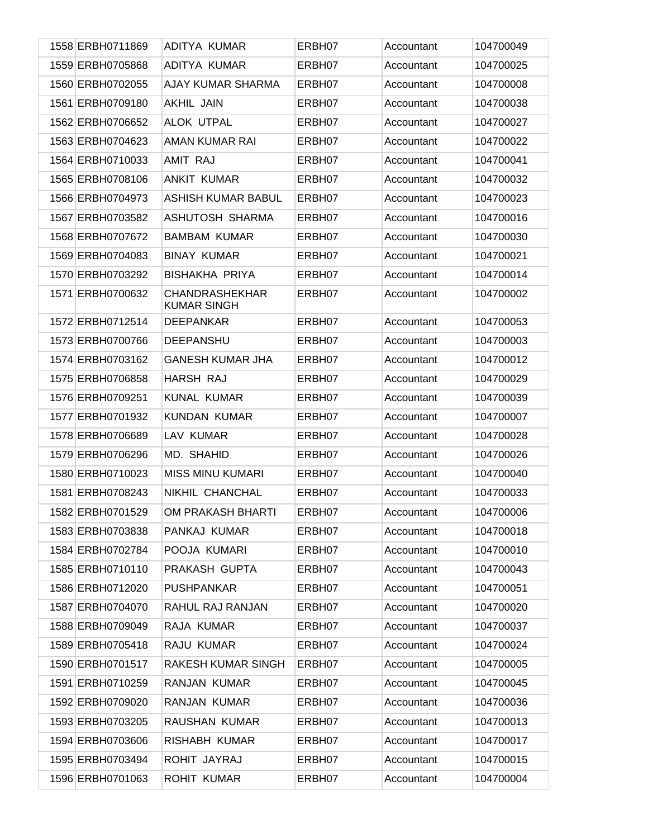| 1558 ERBH0711869 | ADITYA KUMAR                                | ERBH07 | Accountant | 104700049 |
|------------------|---------------------------------------------|--------|------------|-----------|
| 1559 ERBH0705868 | ADITYA KUMAR                                | ERBH07 | Accountant | 104700025 |
| 1560 ERBH0702055 | AJAY KUMAR SHARMA                           | ERBH07 | Accountant | 104700008 |
| 1561 ERBH0709180 | AKHIL JAIN                                  | ERBH07 | Accountant | 104700038 |
| 1562 ERBH0706652 | <b>ALOK UTPAL</b>                           | ERBH07 | Accountant | 104700027 |
| 1563 ERBH0704623 | AMAN KUMAR RAI                              | ERBH07 | Accountant | 104700022 |
| 1564 ERBH0710033 | AMIT RAJ                                    | ERBH07 | Accountant | 104700041 |
| 1565 ERBH0708106 | <b>ANKIT KUMAR</b>                          | ERBH07 | Accountant | 104700032 |
| 1566 ERBH0704973 | <b>ASHISH KUMAR BABUL</b>                   | ERBH07 | Accountant | 104700023 |
| 1567 ERBH0703582 | ASHUTOSH SHARMA                             | ERBH07 | Accountant | 104700016 |
| 1568 ERBH0707672 | <b>BAMBAM KUMAR</b>                         | ERBH07 | Accountant | 104700030 |
| 1569 ERBH0704083 | <b>BINAY KUMAR</b>                          | ERBH07 | Accountant | 104700021 |
| 1570 ERBH0703292 | <b>BISHAKHA PRIYA</b>                       | ERBH07 | Accountant | 104700014 |
| 1571 ERBH0700632 | <b>CHANDRASHEKHAR</b><br><b>KUMAR SINGH</b> | ERBH07 | Accountant | 104700002 |
| 1572 ERBH0712514 | <b>DEEPANKAR</b>                            | ERBH07 | Accountant | 104700053 |
| 1573 ERBH0700766 | <b>DEEPANSHU</b>                            | ERBH07 | Accountant | 104700003 |
| 1574 ERBH0703162 | <b>GANESH KUMAR JHA</b>                     | ERBH07 | Accountant | 104700012 |
| 1575 ERBH0706858 | HARSH RAJ                                   | ERBH07 | Accountant | 104700029 |
| 1576 ERBH0709251 | <b>KUNAL KUMAR</b>                          | ERBH07 | Accountant | 104700039 |
| 1577 ERBH0701932 | <b>KUNDAN KUMAR</b>                         | ERBH07 | Accountant | 104700007 |
| 1578 ERBH0706689 | LAV KUMAR                                   | ERBH07 | Accountant | 104700028 |
| 1579 ERBH0706296 | MD. SHAHID                                  | ERBH07 | Accountant | 104700026 |
| 1580 ERBH0710023 | <b>MISS MINU KUMARI</b>                     | ERBH07 | Accountant | 104700040 |
| 1581 ERBH0708243 | NIKHIL CHANCHAL                             | ERBH07 | Accountant | 104700033 |
| 1582 ERBH0701529 | OM PRAKASH BHARTI                           | ERBH07 | Accountant | 104700006 |
| 1583 ERBH0703838 | PANKAJ KUMAR                                | ERBH07 | Accountant | 104700018 |
| 1584 ERBH0702784 | POOJA KUMARI                                | ERBH07 | Accountant | 104700010 |
| 1585 ERBH0710110 | PRAKASH GUPTA                               | ERBH07 | Accountant | 104700043 |
| 1586 ERBH0712020 | <b>PUSHPANKAR</b>                           | ERBH07 | Accountant | 104700051 |
| 1587 ERBH0704070 | RAHUL RAJ RANJAN                            | ERBH07 | Accountant | 104700020 |
| 1588 ERBH0709049 | RAJA KUMAR                                  | ERBH07 | Accountant | 104700037 |
| 1589 ERBH0705418 | RAJU KUMAR                                  | ERBH07 | Accountant | 104700024 |
| 1590 ERBH0701517 | RAKESH KUMAR SINGH                          | ERBH07 | Accountant | 104700005 |
| 1591 ERBH0710259 | RANJAN KUMAR                                | ERBH07 | Accountant | 104700045 |
| 1592 ERBH0709020 | RANJAN KUMAR                                | ERBH07 | Accountant | 104700036 |
| 1593 ERBH0703205 | RAUSHAN KUMAR                               | ERBH07 | Accountant | 104700013 |
| 1594 ERBH0703606 | RISHABH KUMAR                               | ERBH07 | Accountant | 104700017 |
| 1595 ERBH0703494 | ROHIT JAYRAJ                                | ERBH07 | Accountant | 104700015 |
| 1596 ERBH0701063 | ROHIT KUMAR                                 | ERBH07 | Accountant | 104700004 |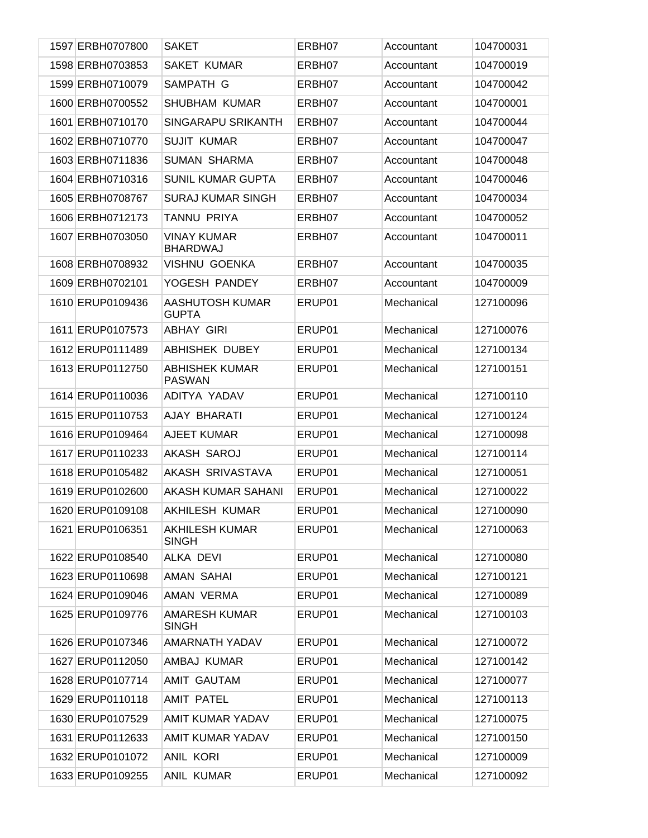| 1597 ERBH0707800 | <b>SAKET</b>                           | ERBH07 | Accountant | 104700031 |
|------------------|----------------------------------------|--------|------------|-----------|
| 1598 ERBH0703853 | <b>SAKET KUMAR</b>                     | ERBH07 | Accountant | 104700019 |
| 1599 ERBH0710079 | SAMPATH G                              | ERBH07 | Accountant | 104700042 |
| 1600 ERBH0700552 | SHUBHAM KUMAR                          | ERBH07 | Accountant | 104700001 |
| 1601 ERBH0710170 | SINGARAPU SRIKANTH                     | ERBH07 | Accountant | 104700044 |
| 1602 ERBH0710770 | <b>SUJIT KUMAR</b>                     | ERBH07 | Accountant | 104700047 |
| 1603 ERBH0711836 | <b>SUMAN SHARMA</b>                    | ERBH07 | Accountant | 104700048 |
| 1604 ERBH0710316 | <b>SUNIL KUMAR GUPTA</b>               | ERBH07 | Accountant | 104700046 |
| 1605 ERBH0708767 | <b>SURAJ KUMAR SINGH</b>               | ERBH07 | Accountant | 104700034 |
| 1606 ERBH0712173 | TANNU PRIYA                            | ERBH07 | Accountant | 104700052 |
| 1607 ERBH0703050 | <b>VINAY KUMAR</b><br><b>BHARDWAJ</b>  | ERBH07 | Accountant | 104700011 |
| 1608 ERBH0708932 | <b>VISHNU GOENKA</b>                   | ERBH07 | Accountant | 104700035 |
| 1609 ERBH0702101 | YOGESH PANDEY                          | ERBH07 | Accountant | 104700009 |
| 1610 ERUP0109436 | AASHUTOSH KUMAR<br><b>GUPTA</b>        | ERUP01 | Mechanical | 127100096 |
| 1611 ERUP0107573 | <b>ABHAY GIRI</b>                      | ERUP01 | Mechanical | 127100076 |
| 1612 ERUP0111489 | <b>ABHISHEK DUBEY</b>                  | ERUP01 | Mechanical | 127100134 |
| 1613 ERUP0112750 | <b>ABHISHEK KUMAR</b><br><b>PASWAN</b> | ERUP01 | Mechanical | 127100151 |
| 1614 ERUP0110036 | ADITYA YADAV                           | ERUP01 | Mechanical | 127100110 |
| 1615 ERUP0110753 | AJAY BHARATI                           | ERUP01 | Mechanical | 127100124 |
| 1616 ERUP0109464 | <b>AJEET KUMAR</b>                     | ERUP01 | Mechanical | 127100098 |
| 1617 ERUP0110233 | AKASH SAROJ                            | ERUP01 | Mechanical | 127100114 |
| 1618 ERUP0105482 | AKASH SRIVASTAVA                       | ERUP01 | Mechanical | 127100051 |
| 1619 ERUP0102600 | AKASH KUMAR SAHANI                     | ERUP01 | Mechanical | 127100022 |
| 1620 ERUP0109108 | AKHILESH KUMAR                         | ERUP01 | Mechanical | 127100090 |
| 1621 ERUP0106351 | <b>AKHILESH KUMAR</b><br><b>SINGH</b>  | ERUP01 | Mechanical | 127100063 |
| 1622 ERUP0108540 | <b>ALKA DEVI</b>                       | ERUP01 | Mechanical | 127100080 |
| 1623 ERUP0110698 | AMAN SAHAI                             | ERUP01 | Mechanical | 127100121 |
| 1624 ERUP0109046 | AMAN VERMA                             | ERUP01 | Mechanical | 127100089 |
| 1625 ERUP0109776 | <b>AMARESH KUMAR</b><br><b>SINGH</b>   | ERUP01 | Mechanical | 127100103 |
| 1626 ERUP0107346 | AMARNATH YADAV                         | ERUP01 | Mechanical | 127100072 |
| 1627 ERUP0112050 | AMBAJ KUMAR                            | ERUP01 | Mechanical | 127100142 |
| 1628 ERUP0107714 | <b>AMIT GAUTAM</b>                     | ERUP01 | Mechanical | 127100077 |
| 1629 ERUP0110118 | <b>AMIT PATEL</b>                      | ERUP01 | Mechanical | 127100113 |
| 1630 ERUP0107529 | AMIT KUMAR YADAV                       | ERUP01 | Mechanical | 127100075 |
| 1631 ERUP0112633 | AMIT KUMAR YADAV                       | ERUP01 | Mechanical | 127100150 |
| 1632 ERUP0101072 | <b>ANIL KORI</b>                       | ERUP01 | Mechanical | 127100009 |
| 1633 ERUP0109255 | ANIL KUMAR                             | ERUP01 | Mechanical | 127100092 |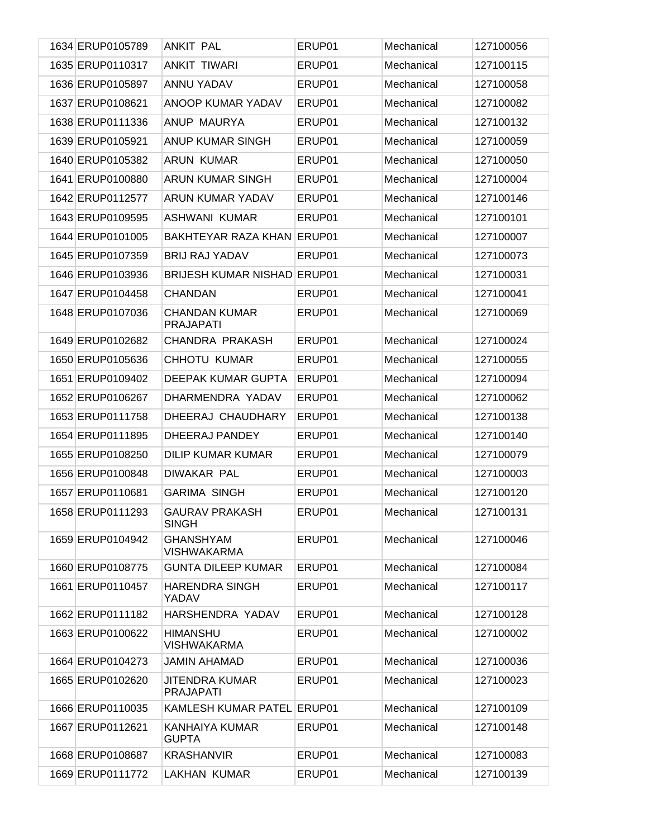| 1634 ERUP0105789 | <b>ANKIT PAL</b>                          | ERUP01 | Mechanical | 127100056 |
|------------------|-------------------------------------------|--------|------------|-----------|
| 1635 ERUP0110317 | <b>ANKIT TIWARI</b>                       | ERUP01 | Mechanical | 127100115 |
| 1636 ERUP0105897 | <b>ANNU YADAV</b>                         | ERUP01 | Mechanical | 127100058 |
| 1637 ERUP0108621 | ANOOP KUMAR YADAV                         | ERUP01 | Mechanical | 127100082 |
| 1638 ERUP0111336 | ANUP MAURYA                               | ERUP01 | Mechanical | 127100132 |
| 1639 ERUP0105921 | ANUP KUMAR SINGH                          | ERUP01 | Mechanical | 127100059 |
| 1640 ERUP0105382 | <b>ARUN KUMAR</b>                         | ERUP01 | Mechanical | 127100050 |
| 1641 ERUP0100880 | ARUN KUMAR SINGH                          | ERUP01 | Mechanical | 127100004 |
| 1642 ERUP0112577 | ARUN KUMAR YADAV                          | ERUP01 | Mechanical | 127100146 |
| 1643 ERUP0109595 | ASHWANI KUMAR                             | ERUP01 | Mechanical | 127100101 |
| 1644 ERUP0101005 | BAKHTEYAR RAZA KHAN ERUP01                |        | Mechanical | 127100007 |
| 1645 ERUP0107359 | <b>BRIJ RAJ YADAV</b>                     | ERUP01 | Mechanical | 127100073 |
| 1646 ERUP0103936 | <b>BRIJESH KUMAR NISHAD ERUP01</b>        |        | Mechanical | 127100031 |
| 1647 ERUP0104458 | <b>CHANDAN</b>                            | ERUP01 | Mechanical | 127100041 |
| 1648 ERUP0107036 | <b>CHANDAN KUMAR</b><br><b>PRAJAPATI</b>  | ERUP01 | Mechanical | 127100069 |
| 1649 ERUP0102682 | <b>CHANDRA PRAKASH</b>                    | ERUP01 | Mechanical | 127100024 |
| 1650 ERUP0105636 | CHHOTU KUMAR                              | ERUP01 | Mechanical | 127100055 |
| 1651 ERUP0109402 | DEEPAK KUMAR GUPTA                        | ERUP01 | Mechanical | 127100094 |
| 1652 ERUP0106267 | DHARMENDRA YADAV                          | ERUP01 | Mechanical | 127100062 |
| 1653 ERUP0111758 | DHEERAJ CHAUDHARY                         | ERUP01 | Mechanical | 127100138 |
| 1654 ERUP0111895 | DHEERAJ PANDEY                            | ERUP01 | Mechanical | 127100140 |
| 1655 ERUP0108250 | <b>DILIP KUMAR KUMAR</b>                  | ERUP01 | Mechanical | 127100079 |
| 1656 ERUP0100848 | <b>DIWAKAR PAL</b>                        | ERUP01 | Mechanical | 127100003 |
| 1657 ERUP0110681 | <b>GARIMA SINGH</b>                       | ERUP01 | Mechanical | 127100120 |
| 1658 ERUP0111293 | <b>GAURAV PRAKASH</b><br><b>SINGH</b>     | ERUP01 | Mechanical | 127100131 |
| 1659 ERUP0104942 | <b>GHANSHYAM</b><br><b>VISHWAKARMA</b>    | ERUP01 | Mechanical | 127100046 |
| 1660 ERUP0108775 | <b>GUNTA DILEEP KUMAR</b>                 | ERUP01 | Mechanical | 127100084 |
| 1661 ERUP0110457 | <b>HARENDRA SINGH</b><br><b>YADAV</b>     | ERUP01 | Mechanical | 127100117 |
| 1662 ERUP0111182 | HARSHENDRA YADAV                          | ERUP01 | Mechanical | 127100128 |
| 1663 ERUP0100622 | <b>HIMANSHU</b><br><b>VISHWAKARMA</b>     | ERUP01 | Mechanical | 127100002 |
| 1664 ERUP0104273 | JAMIN AHAMAD                              | ERUP01 | Mechanical | 127100036 |
| 1665 ERUP0102620 | <b>JITENDRA KUMAR</b><br><b>PRAJAPATI</b> | ERUP01 | Mechanical | 127100023 |
| 1666 ERUP0110035 | KAMLESH KUMAR PATEL ERUP01                |        | Mechanical | 127100109 |
| 1667 ERUP0112621 | KANHAIYA KUMAR<br><b>GUPTA</b>            | ERUP01 | Mechanical | 127100148 |
| 1668 ERUP0108687 | <b>KRASHANVIR</b>                         | ERUP01 | Mechanical | 127100083 |
| 1669 ERUP0111772 | <b>LAKHAN KUMAR</b>                       | ERUP01 | Mechanical | 127100139 |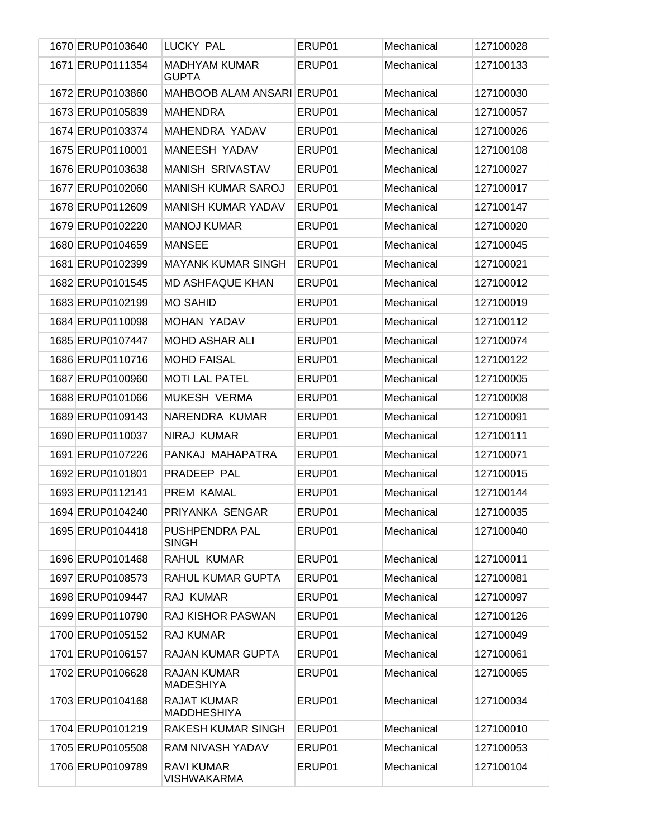| 1670 ERUP0103640 | LUCKY PAL                                | ERUP01 | Mechanical | 127100028 |
|------------------|------------------------------------------|--------|------------|-----------|
| 1671 ERUP0111354 | <b>MADHYAM KUMAR</b><br><b>GUPTA</b>     | ERUP01 | Mechanical | 127100133 |
| 1672 ERUP0103860 | MAHBOOB ALAM ANSARI ERUP01               |        | Mechanical | 127100030 |
| 1673 ERUP0105839 | <b>MAHENDRA</b>                          | ERUP01 | Mechanical | 127100057 |
| 1674 ERUP0103374 | MAHENDRA YADAV                           | ERUP01 | Mechanical | 127100026 |
| 1675 ERUP0110001 | MANEESH YADAV                            | ERUP01 | Mechanical | 127100108 |
| 1676 ERUP0103638 | MANISH SRIVASTAV                         | ERUP01 | Mechanical | 127100027 |
| 1677 ERUP0102060 | <b>MANISH KUMAR SAROJ</b>                | ERUP01 | Mechanical | 127100017 |
| 1678 ERUP0112609 | MANISH KUMAR YADAV                       | ERUP01 | Mechanical | 127100147 |
| 1679 ERUP0102220 | <b>MANOJ KUMAR</b>                       | ERUP01 | Mechanical | 127100020 |
| 1680 ERUP0104659 | <b>MANSEE</b>                            | ERUP01 | Mechanical | 127100045 |
| 1681 ERUP0102399 | <b>MAYANK KUMAR SINGH</b>                | ERUP01 | Mechanical | 127100021 |
| 1682 ERUP0101545 | <b>MD ASHFAQUE KHAN</b>                  | ERUP01 | Mechanical | 127100012 |
| 1683 ERUP0102199 | <b>MO SAHID</b>                          | ERUP01 | Mechanical | 127100019 |
| 1684 ERUP0110098 | MOHAN YADAV                              | ERUP01 | Mechanical | 127100112 |
| 1685 ERUP0107447 | <b>MOHD ASHAR ALI</b>                    | ERUP01 | Mechanical | 127100074 |
| 1686 ERUP0110716 | <b>MOHD FAISAL</b>                       | ERUP01 | Mechanical | 127100122 |
| 1687 ERUP0100960 | <b>MOTI LAL PATEL</b>                    | ERUP01 | Mechanical | 127100005 |
| 1688 ERUP0101066 | MUKESH VERMA                             | ERUP01 | Mechanical | 127100008 |
| 1689 ERUP0109143 | NARENDRA KUMAR                           | ERUP01 | Mechanical | 127100091 |
| 1690 ERUP0110037 | NIRAJ KUMAR                              | ERUP01 | Mechanical | 127100111 |
| 1691 ERUP0107226 | PANKAJ MAHAPATRA                         | ERUP01 | Mechanical | 127100071 |
| 1692 ERUP0101801 | PRADEEP PAL                              | ERUP01 | Mechanical | 127100015 |
| 1693 ERUP0112141 | PREM KAMAL                               | ERUP01 | Mechanical | 127100144 |
| 1694 ERUP0104240 | PRIYANKA SENGAR                          | ERUP01 | Mechanical | 127100035 |
| 1695 ERUP0104418 | PUSHPENDRA PAL<br><b>SINGH</b>           | ERUP01 | Mechanical | 127100040 |
| 1696 ERUP0101468 | RAHUL KUMAR                              | ERUP01 | Mechanical | 127100011 |
| 1697 ERUP0108573 | RAHUL KUMAR GUPTA                        | ERUP01 | Mechanical | 127100081 |
| 1698 ERUP0109447 | <b>RAJ KUMAR</b>                         | ERUP01 | Mechanical | 127100097 |
| 1699 ERUP0110790 | <b>RAJ KISHOR PASWAN</b>                 | ERUP01 | Mechanical | 127100126 |
| 1700 ERUP0105152 | <b>RAJ KUMAR</b>                         | ERUP01 | Mechanical | 127100049 |
| 1701 ERUP0106157 | RAJAN KUMAR GUPTA                        | ERUP01 | Mechanical | 127100061 |
| 1702 ERUP0106628 | <b>RAJAN KUMAR</b><br><b>MADESHIYA</b>   | ERUP01 | Mechanical | 127100065 |
| 1703 ERUP0104168 | <b>RAJAT KUMAR</b><br><b>MADDHESHIYA</b> | ERUP01 | Mechanical | 127100034 |
| 1704 ERUP0101219 | RAKESH KUMAR SINGH                       | ERUP01 | Mechanical | 127100010 |
| 1705 ERUP0105508 | RAM NIVASH YADAV                         | ERUP01 | Mechanical | 127100053 |
| 1706 ERUP0109789 | <b>RAVI KUMAR</b><br><b>VISHWAKARMA</b>  | ERUP01 | Mechanical | 127100104 |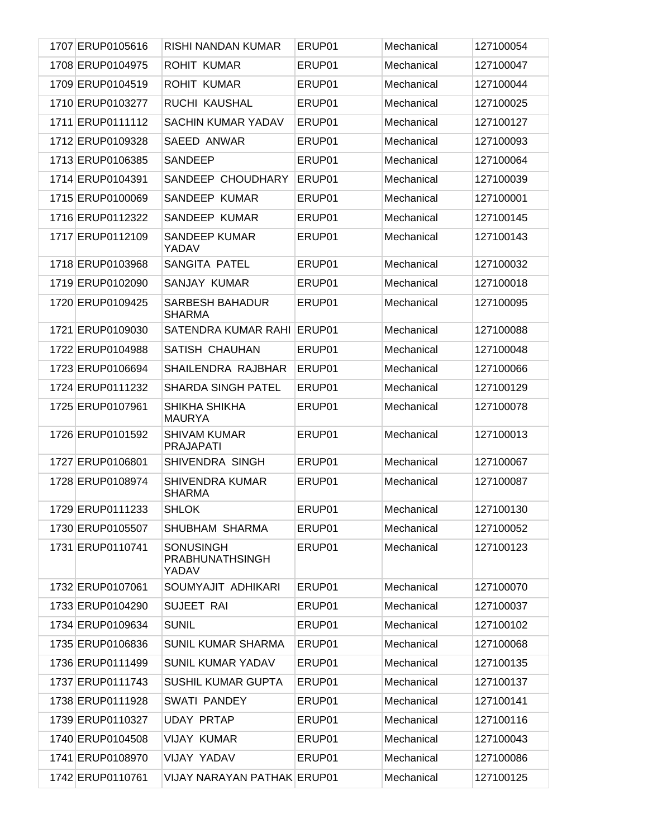| 1707 ERUP0105616 | RISHI NANDAN KUMAR                                  | ERUP01 | Mechanical | 127100054 |
|------------------|-----------------------------------------------------|--------|------------|-----------|
| 1708 ERUP0104975 | <b>ROHIT KUMAR</b>                                  | ERUP01 | Mechanical | 127100047 |
| 1709 ERUP0104519 | <b>ROHIT KUMAR</b>                                  | ERUP01 | Mechanical | 127100044 |
| 1710 ERUP0103277 | <b>RUCHI KAUSHAL</b>                                | ERUP01 | Mechanical | 127100025 |
| 1711 ERUP0111112 | <b>SACHIN KUMAR YADAV</b>                           | ERUP01 | Mechanical | 127100127 |
| 1712 ERUP0109328 | SAEED ANWAR                                         | ERUP01 | Mechanical | 127100093 |
| 1713 ERUP0106385 | SANDEEP                                             | ERUP01 | Mechanical | 127100064 |
| 1714 ERUP0104391 | SANDEEP CHOUDHARY                                   | ERUP01 | Mechanical | 127100039 |
| 1715 ERUP0100069 | SANDEEP KUMAR                                       | ERUP01 | Mechanical | 127100001 |
| 1716 ERUP0112322 | SANDEEP KUMAR                                       | ERUP01 | Mechanical | 127100145 |
| 1717 ERUP0112109 | <b>SANDEEP KUMAR</b><br>YADAV                       | ERUP01 | Mechanical | 127100143 |
| 1718 ERUP0103968 | <b>SANGITA PATEL</b>                                | ERUP01 | Mechanical | 127100032 |
| 1719 ERUP0102090 | SANJAY KUMAR                                        | ERUP01 | Mechanical | 127100018 |
| 1720 ERUP0109425 | <b>SARBESH BAHADUR</b><br><b>SHARMA</b>             | ERUP01 | Mechanical | 127100095 |
| 1721 ERUP0109030 | SATENDRA KUMAR RAHI                                 | ERUP01 | Mechanical | 127100088 |
| 1722 ERUP0104988 | SATISH CHAUHAN                                      | ERUP01 | Mechanical | 127100048 |
| 1723 ERUP0106694 | SHAILENDRA RAJBHAR                                  | ERUP01 | Mechanical | 127100066 |
| 1724 ERUP0111232 | <b>SHARDA SINGH PATEL</b>                           | ERUP01 | Mechanical | 127100129 |
| 1725 ERUP0107961 | SHIKHA SHIKHA<br><b>MAURYA</b>                      | ERUP01 | Mechanical | 127100078 |
| 1726 ERUP0101592 | <b>SHIVAM KUMAR</b><br><b>PRAJAPATI</b>             | ERUP01 | Mechanical | 127100013 |
| 1727 ERUP0106801 | SHIVENDRA SINGH                                     | ERUP01 | Mechanical | 127100067 |
| 1728 ERUP0108974 | <b>SHIVENDRA KUMAR</b><br><b>SHARMA</b>             | ERUP01 | Mechanical | 127100087 |
| 1729 ERUP0111233 | <b>SHLOK</b>                                        | ERUP01 | Mechanical | 127100130 |
| 1730 ERUP0105507 | SHUBHAM SHARMA                                      | ERUP01 | Mechanical | 127100052 |
| 1731 ERUP0110741 | <b>SONUSINGH</b><br><b>PRABHUNATHSINGH</b><br>YADAV | ERUP01 | Mechanical | 127100123 |
| 1732 ERUP0107061 | SOUMYAJIT ADHIKARI                                  | ERUP01 | Mechanical | 127100070 |
| 1733 ERUP0104290 | SUJEET RAI                                          | ERUP01 | Mechanical | 127100037 |
| 1734 ERUP0109634 | <b>SUNIL</b>                                        | ERUP01 | Mechanical | 127100102 |
| 1735 ERUP0106836 | <b>SUNIL KUMAR SHARMA</b>                           | ERUP01 | Mechanical | 127100068 |
| 1736 ERUP0111499 | SUNIL KUMAR YADAV                                   | ERUP01 | Mechanical | 127100135 |
| 1737 ERUP0111743 | <b>SUSHIL KUMAR GUPTA</b>                           | ERUP01 | Mechanical | 127100137 |
| 1738 ERUP0111928 | SWATI PANDEY                                        | ERUP01 | Mechanical | 127100141 |
| 1739 ERUP0110327 | <b>UDAY PRTAP</b>                                   | ERUP01 | Mechanical | 127100116 |
| 1740 ERUP0104508 | <b>VIJAY KUMAR</b>                                  | ERUP01 | Mechanical | 127100043 |
| 1741 ERUP0108970 | VIJAY YADAV                                         | ERUP01 | Mechanical | 127100086 |
| 1742 ERUP0110761 | <b>VIJAY NARAYAN PATHAK ERUP01</b>                  |        | Mechanical | 127100125 |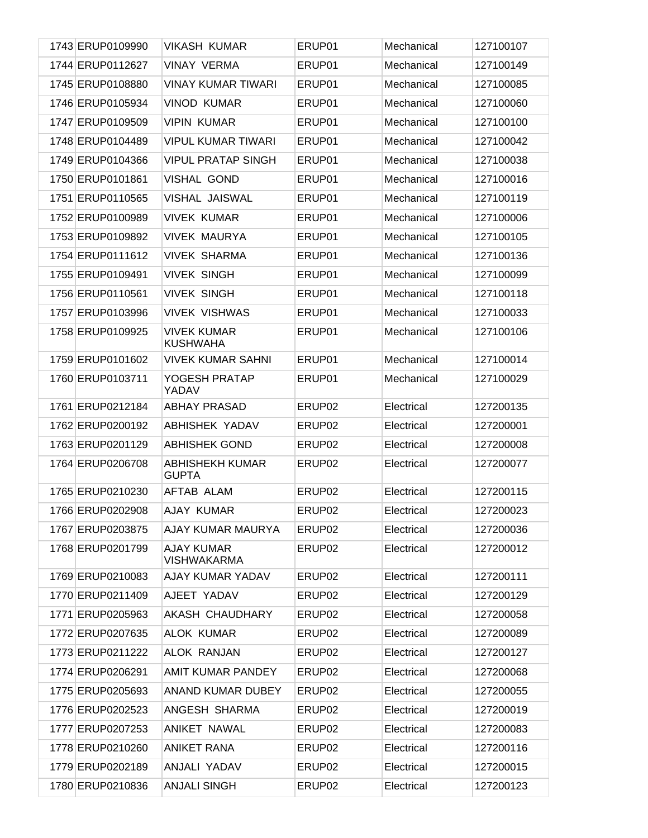| 1743 ERUP0109990 | <b>VIKASH KUMAR</b>                    | ERUP01 | Mechanical | 127100107 |
|------------------|----------------------------------------|--------|------------|-----------|
| 1744 ERUP0112627 | <b>VINAY VERMA</b>                     | ERUP01 | Mechanical | 127100149 |
| 1745 ERUP0108880 | <b>VINAY KUMAR TIWARI</b>              | ERUP01 | Mechanical | 127100085 |
| 1746 ERUP0105934 | <b>VINOD KUMAR</b>                     | ERUP01 | Mechanical | 127100060 |
| 1747 ERUP0109509 | <b>VIPIN KUMAR</b>                     | ERUP01 | Mechanical | 127100100 |
| 1748 ERUP0104489 | <b>VIPUL KUMAR TIWARI</b>              | ERUP01 | Mechanical | 127100042 |
| 1749 ERUP0104366 | <b>VIPUL PRATAP SINGH</b>              | ERUP01 | Mechanical | 127100038 |
| 1750 ERUP0101861 | <b>VISHAL GOND</b>                     | ERUP01 | Mechanical | 127100016 |
| 1751 ERUP0110565 | VISHAL JAISWAL                         | ERUP01 | Mechanical | 127100119 |
| 1752 ERUP0100989 | <b>VIVEK KUMAR</b>                     | ERUP01 | Mechanical | 127100006 |
| 1753 ERUP0109892 | <b>VIVEK MAURYA</b>                    | ERUP01 | Mechanical | 127100105 |
| 1754 ERUP0111612 | <b>VIVEK SHARMA</b>                    | ERUP01 | Mechanical | 127100136 |
| 1755 ERUP0109491 | <b>VIVEK SINGH</b>                     | ERUP01 | Mechanical | 127100099 |
| 1756 ERUP0110561 | <b>VIVEK SINGH</b>                     | ERUP01 | Mechanical | 127100118 |
| 1757 ERUP0103996 | <b>VIVEK VISHWAS</b>                   | ERUP01 | Mechanical | 127100033 |
| 1758 ERUP0109925 | <b>VIVEK KUMAR</b><br><b>KUSHWAHA</b>  | ERUP01 | Mechanical | 127100106 |
| 1759 ERUP0101602 | <b>VIVEK KUMAR SAHNI</b>               | ERUP01 | Mechanical | 127100014 |
| 1760 ERUP0103711 | YOGESH PRATAP<br>YADAV                 | ERUP01 | Mechanical | 127100029 |
| 1761 ERUP0212184 | <b>ABHAY PRASAD</b>                    | ERUP02 | Electrical | 127200135 |
| 1762 ERUP0200192 | ABHISHEK YADAV                         | ERUP02 | Electrical | 127200001 |
| 1763 ERUP0201129 | <b>ABHISHEK GOND</b>                   | ERUP02 | Electrical | 127200008 |
| 1764 ERUP0206708 | <b>ABHISHEKH KUMAR</b><br><b>GUPTA</b> | ERUP02 | Electrical | 127200077 |
| 1765 ERUP0210230 | AFTAB ALAM                             | ERUP02 | Electrical | 127200115 |
| 1766 ERUP0202908 | AJAY KUMAR                             | ERUP02 | Electrical | 127200023 |
| 1767 ERUP0203875 | AJAY KUMAR MAURYA                      | ERUP02 | Electrical | 127200036 |
| 1768 ERUP0201799 | AJAY KUMAR<br><b>VISHWAKARMA</b>       | ERUP02 | Electrical | 127200012 |
| 1769 ERUP0210083 | AJAY KUMAR YADAV                       | ERUP02 | Electrical | 127200111 |
| 1770 ERUP0211409 | AJEET YADAV                            | ERUP02 | Electrical | 127200129 |
| 1771 ERUP0205963 | AKASH CHAUDHARY                        | ERUP02 | Electrical | 127200058 |
| 1772 ERUP0207635 | <b>ALOK KUMAR</b>                      | ERUP02 | Electrical | 127200089 |
| 1773 ERUP0211222 | <b>ALOK RANJAN</b>                     | ERUP02 | Electrical | 127200127 |
| 1774 ERUP0206291 | AMIT KUMAR PANDEY                      | ERUP02 | Electrical | 127200068 |
| 1775 ERUP0205693 | ANAND KUMAR DUBEY                      | ERUP02 | Electrical | 127200055 |
| 1776 ERUP0202523 | ANGESH SHARMA                          | ERUP02 | Electrical | 127200019 |
| 1777 ERUP0207253 | ANIKET NAWAL                           | ERUP02 | Electrical | 127200083 |
| 1778 ERUP0210260 | <b>ANIKET RANA</b>                     | ERUP02 | Electrical | 127200116 |
| 1779 ERUP0202189 | ANJALI YADAV                           | ERUP02 | Electrical | 127200015 |
| 1780 ERUP0210836 | <b>ANJALI SINGH</b>                    | ERUP02 | Electrical | 127200123 |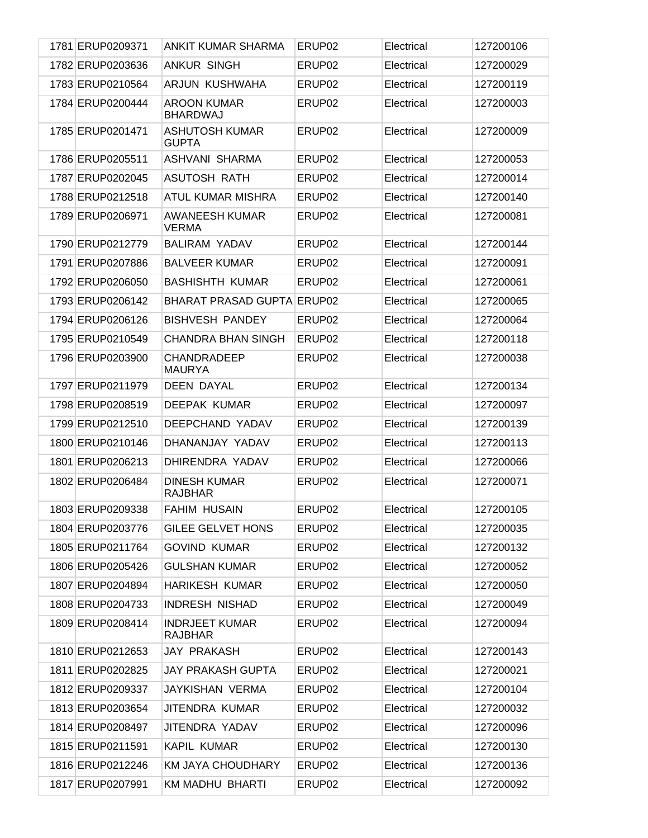| 1781 ERUP0209371 | <b>ANKIT KUMAR SHARMA</b>               | ERUP <sub>02</sub> | Electrical | 127200106 |
|------------------|-----------------------------------------|--------------------|------------|-----------|
| 1782 ERUP0203636 | <b>ANKUR SINGH</b>                      | ERUP02             | Electrical | 127200029 |
| 1783 ERUP0210564 | ARJUN KUSHWAHA                          | ERUP <sub>02</sub> | Electrical | 127200119 |
| 1784 ERUP0200444 | <b>AROON KUMAR</b><br><b>BHARDWAJ</b>   | ERUP02             | Electrical | 127200003 |
| 1785 ERUP0201471 | <b>ASHUTOSH KUMAR</b><br><b>GUPTA</b>   | ERUP02             | Electrical | 127200009 |
| 1786 ERUP0205511 | ASHVANI SHARMA                          | ERUP02             | Electrical | 127200053 |
| 1787 ERUP0202045 | ASUTOSH RATH                            | ERUP02             | Electrical | 127200014 |
| 1788 ERUP0212518 | ATUL KUMAR MISHRA                       | ERUP02             | Electrical | 127200140 |
| 1789 ERUP0206971 | <b>AWANEESH KUMAR</b><br><b>VERMA</b>   | ERUP02             | Electrical | 127200081 |
| 1790 ERUP0212779 | <b>BALIRAM YADAV</b>                    | ERUP <sub>02</sub> | Electrical | 127200144 |
| 1791 ERUP0207886 | <b>BALVEER KUMAR</b>                    | ERUP02             | Electrical | 127200091 |
| 1792 ERUP0206050 | <b>BASHISHTH KUMAR</b>                  | ERUP02             | Electrical | 127200061 |
| 1793 ERUP0206142 | BHARAT PRASAD GUPTA ERUP02              |                    | Electrical | 127200065 |
| 1794 ERUP0206126 | <b>BISHVESH PANDEY</b>                  | ERUP02             | Electrical | 127200064 |
| 1795 ERUP0210549 | <b>CHANDRA BHAN SINGH</b>               | ERUP02             | Electrical | 127200118 |
| 1796 ERUP0203900 | <b>CHANDRADEEP</b><br><b>MAURYA</b>     | ERUP02             | Electrical | 127200038 |
| 1797 ERUP0211979 | <b>DEEN DAYAL</b>                       | ERUP02             | Electrical | 127200134 |
| 1798 ERUP0208519 | DEEPAK KUMAR                            | ERUP02             | Electrical | 127200097 |
|                  |                                         |                    |            |           |
| 1799 ERUP0212510 | DEEPCHAND YADAV                         | ERUP02             | Electrical | 127200139 |
| 1800 ERUP0210146 | DHANANJAY YADAV                         | ERUP02             | Electrical | 127200113 |
| 1801 ERUP0206213 | DHIRENDRA YADAV                         | ERUP02             | Electrical | 127200066 |
| 1802 ERUP0206484 | <b>DINESH KUMAR</b><br><b>RAJBHAR</b>   | ERUP02             | Electrical | 127200071 |
| 1803 ERUP0209338 | FAHIM HUSAIN                            | ERUP02             | Electrical | 127200105 |
| 1804 ERUP0203776 | <b>GILEE GELVET HONS</b>                | ERUP02             | Electrical | 127200035 |
| 1805 ERUP0211764 | <b>GOVIND KUMAR</b>                     | ERUP02             | Electrical | 127200132 |
| 1806 ERUP0205426 | <b>GULSHAN KUMAR</b>                    | ERUP02             | Electrical | 127200052 |
| 1807 ERUP0204894 | <b>HARIKESH KUMAR</b>                   | ERUP02             | Electrical | 127200050 |
| 1808 ERUP0204733 | <b>INDRESH NISHAD</b>                   | ERUP02             | Electrical | 127200049 |
| 1809 ERUP0208414 | <b>INDRJEET KUMAR</b><br><b>RAJBHAR</b> | ERUP02             | Electrical | 127200094 |
| 1810 ERUP0212653 | <b>JAY PRAKASH</b>                      | ERUP02             | Electrical | 127200143 |
| 1811 ERUP0202825 | <b>JAY PRAKASH GUPTA</b>                | ERUP02             | Electrical | 127200021 |
| 1812 ERUP0209337 | JAYKISHAN VERMA                         | ERUP02             | Electrical | 127200104 |
| 1813 ERUP0203654 | <b>JITENDRA KUMAR</b>                   | ERUP02             | Electrical | 127200032 |
| 1814 ERUP0208497 | JITENDRA YADAV                          | ERUP02             | Electrical | 127200096 |
| 1815 ERUP0211591 | <b>KAPIL KUMAR</b>                      | ERUP02             | Electrical | 127200130 |
| 1816 ERUP0212246 | <b>KM JAYA CHOUDHARY</b>                | ERUP02             | Electrical | 127200136 |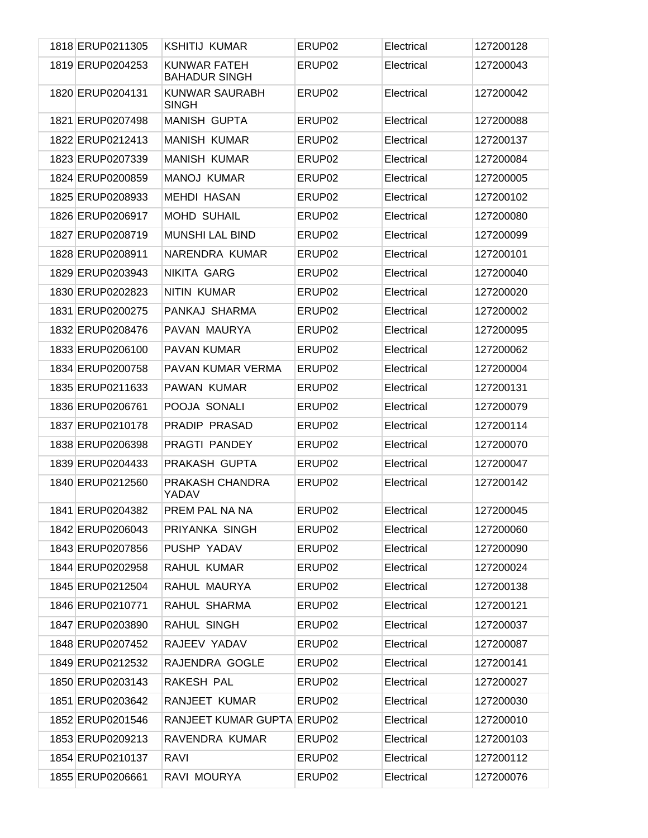| 1818 ERUP0211305 | <b>KSHITIJ KUMAR</b>                        | ERUP <sub>02</sub> | Electrical | 127200128 |
|------------------|---------------------------------------------|--------------------|------------|-----------|
| 1819 ERUP0204253 | <b>KUNWAR FATEH</b><br><b>BAHADUR SINGH</b> | ERUP02             | Electrical | 127200043 |
| 1820 ERUP0204131 | <b>KUNWAR SAURABH</b><br><b>SINGH</b>       | ERUP02             | Electrical | 127200042 |
| 1821 ERUP0207498 | <b>MANISH GUPTA</b>                         | ERUP02             | Electrical | 127200088 |
| 1822 ERUP0212413 | <b>MANISH KUMAR</b>                         | ERUP02             | Electrical | 127200137 |
| 1823 ERUP0207339 | <b>MANISH KUMAR</b>                         | ERUP02             | Electrical | 127200084 |
| 1824 ERUP0200859 | <b>MANOJ KUMAR</b>                          | ERUP02             | Electrical | 127200005 |
| 1825 ERUP0208933 | <b>MEHDI HASAN</b>                          | ERUP02             | Electrical | 127200102 |
| 1826 ERUP0206917 | <b>MOHD SUHAIL</b>                          | ERUP02             | Electrical | 127200080 |
| 1827 ERUP0208719 | <b>MUNSHI LAL BIND</b>                      | ERUP02             | Electrical | 127200099 |
| 1828 ERUP0208911 | NARENDRA KUMAR                              | ERUP02             | Electrical | 127200101 |
| 1829 ERUP0203943 | <b>NIKITA GARG</b>                          | ERUP02             | Electrical | 127200040 |
| 1830 ERUP0202823 | NITIN KUMAR                                 | ERUP02             | Electrical | 127200020 |
| 1831 ERUP0200275 | PANKAJ SHARMA                               | ERUP02             | Electrical | 127200002 |
| 1832 ERUP0208476 | PAVAN MAURYA                                | ERUP02             | Electrical | 127200095 |
| 1833 ERUP0206100 | <b>PAVAN KUMAR</b>                          | ERUP02             | Electrical | 127200062 |
| 1834 ERUP0200758 | PAVAN KUMAR VERMA                           | ERUP02             | Electrical | 127200004 |
| 1835 ERUP0211633 | PAWAN KUMAR                                 | ERUP02             | Electrical | 127200131 |
| 1836 ERUP0206761 | POOJA SONALI                                | ERUP02             | Electrical | 127200079 |
| 1837 ERUP0210178 | PRADIP PRASAD                               | ERUP02             | Electrical | 127200114 |
| 1838 ERUP0206398 | PRAGTI PANDEY                               | ERUP02             | Electrical | 127200070 |
| 1839 ERUP0204433 | PRAKASH GUPTA                               | ERUP02             | Electrical | 127200047 |
| 1840 ERUP0212560 | PRAKASH CHANDRA<br>YADAV                    | ERUP02             | Electrical | 127200142 |
| 1841 ERUP0204382 | PREM PAL NA NA                              | ERUP <sub>02</sub> | Electrical | 127200045 |
| 1842 ERUP0206043 | PRIYANKA SINGH                              | ERUP02             | Electrical | 127200060 |
| 1843 ERUP0207856 | PUSHP YADAV                                 | ERUP02             | Electrical | 127200090 |
| 1844 ERUP0202958 | RAHUL KUMAR                                 | ERUP02             | Electrical | 127200024 |
| 1845 ERUP0212504 | RAHUL MAURYA                                | ERUP02             | Electrical | 127200138 |
| 1846 ERUP0210771 | RAHUL SHARMA                                | ERUP02             | Electrical | 127200121 |
| 1847 ERUP0203890 | RAHUL SINGH                                 | ERUP02             | Electrical | 127200037 |
| 1848 ERUP0207452 | RAJEEV YADAV                                | ERUP02             | Electrical | 127200087 |
| 1849 ERUP0212532 | RAJENDRA GOGLE                              | ERUP02             | Electrical | 127200141 |
| 1850 ERUP0203143 | RAKESH PAL                                  | ERUP02             | Electrical | 127200027 |
| 1851 ERUP0203642 | RANJEET KUMAR                               | ERUP02             | Electrical | 127200030 |
| 1852 ERUP0201546 | RANJEET KUMAR GUPTA ERUP02                  |                    | Electrical | 127200010 |
| 1853 ERUP0209213 | RAVENDRA KUMAR                              | ERUP02             | Electrical | 127200103 |
| 1854 ERUP0210137 | <b>RAVI</b>                                 | ERUP02             | Electrical | 127200112 |
| 1855 ERUP0206661 | RAVI MOURYA                                 | ERUP02             | Electrical | 127200076 |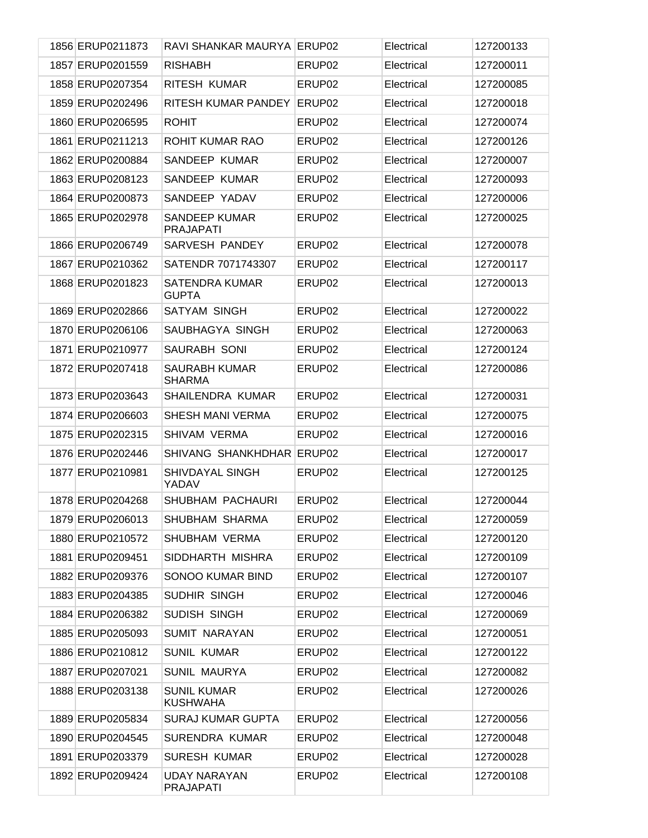| 1856 ERUP0211873 | RAVI SHANKAR MAURYA ERUP02               |                    | Electrical | 127200133 |
|------------------|------------------------------------------|--------------------|------------|-----------|
| 1857 ERUP0201559 | <b>RISHABH</b>                           | ERUP02             | Electrical | 127200011 |
| 1858 ERUP0207354 | RITESH KUMAR                             | ERUP02             | Electrical | 127200085 |
| 1859 ERUP0202496 | RITESH KUMAR PANDEY                      | ERUP02             | Electrical | 127200018 |
| 1860 ERUP0206595 | <b>ROHIT</b>                             | ERUP02             | Electrical | 127200074 |
| 1861 ERUP0211213 | ROHIT KUMAR RAO                          | ERUP02             | Electrical | 127200126 |
| 1862 ERUP0200884 | SANDEEP KUMAR                            | ERUP02             | Electrical | 127200007 |
| 1863 ERUP0208123 | SANDEEP KUMAR                            | ERUP02             | Electrical | 127200093 |
| 1864 ERUP0200873 | SANDEEP YADAV                            | ERUP02             | Electrical | 127200006 |
| 1865 ERUP0202978 | <b>SANDEEP KUMAR</b><br><b>PRAJAPATI</b> | ERUP02             | Electrical | 127200025 |
| 1866 ERUP0206749 | SARVESH PANDEY                           | ERUP02             | Electrical | 127200078 |
| 1867 ERUP0210362 | SATENDR 7071743307                       | ERUP02             | Electrical | 127200117 |
| 1868 ERUP0201823 | <b>SATENDRA KUMAR</b><br><b>GUPTA</b>    | ERUP02             | Electrical | 127200013 |
| 1869 ERUP0202866 | SATYAM SINGH                             | ERUP02             | Electrical | 127200022 |
| 1870 ERUP0206106 | SAUBHAGYA SINGH                          | ERUP02             | Electrical | 127200063 |
| 1871 ERUP0210977 | SAURABH SONI                             | ERUP02             | Electrical | 127200124 |
| 1872 ERUP0207418 | <b>SAURABH KUMAR</b><br><b>SHARMA</b>    | ERUP02             | Electrical | 127200086 |
| 1873 ERUP0203643 | <b>SHAILENDRA KUMAR</b>                  | ERUP <sub>02</sub> | Electrical | 127200031 |
| 1874 ERUP0206603 | <b>SHESH MANI VERMA</b>                  | ERUP02             | Electrical | 127200075 |
| 1875 ERUP0202315 | SHIVAM VERMA                             | ERUP <sub>02</sub> | Electrical | 127200016 |
| 1876 ERUP0202446 | SHIVANG SHANKHDHAR                       | ERUP02             | Electrical | 127200017 |
| 1877 ERUP0210981 | <b>SHIVDAYAL SINGH</b><br>YADAV          | ERUP02             | Electrical | 127200125 |
| 1878 ERUP0204268 | SHUBHAM PACHAURI                         | ERUP02             | Electrical | 127200044 |
| 1879 ERUP0206013 | SHUBHAM SHARMA                           | ERUP02             | Electrical | 127200059 |
| 1880 ERUP0210572 | SHUBHAM VERMA                            | ERUP02             | Electrical | 127200120 |
| 1881 ERUP0209451 | SIDDHARTH MISHRA                         | ERUP02             | Electrical | 127200109 |
| 1882 ERUP0209376 | SONOO KUMAR BIND                         | ERUP02             | Electrical | 127200107 |
| 1883 ERUP0204385 | SUDHIR SINGH                             | ERUP02             | Electrical | 127200046 |
| 1884 ERUP0206382 | SUDISH SINGH                             | ERUP02             | Electrical | 127200069 |
| 1885 ERUP0205093 | SUMIT NARAYAN                            | ERUP02             | Electrical | 127200051 |
| 1886 ERUP0210812 | <b>SUNIL KUMAR</b>                       | ERUP02             | Electrical | 127200122 |
| 1887 ERUP0207021 | <b>SUNIL MAURYA</b>                      | ERUP02             | Electrical | 127200082 |
| 1888 ERUP0203138 | <b>SUNIL KUMAR</b><br><b>KUSHWAHA</b>    | ERUP02             | Electrical | 127200026 |
| 1889 ERUP0205834 | SURAJ KUMAR GUPTA                        | ERUP02             | Electrical | 127200056 |
| 1890 ERUP0204545 | SURENDRA KUMAR                           | ERUP02             | Electrical | 127200048 |
| 1891 ERUP0203379 | <b>SURESH KUMAR</b>                      | ERUP02             | Electrical | 127200028 |
| 1892 ERUP0209424 | <b>UDAY NARAYAN</b><br><b>PRAJAPATI</b>  | ERUP02             | Electrical | 127200108 |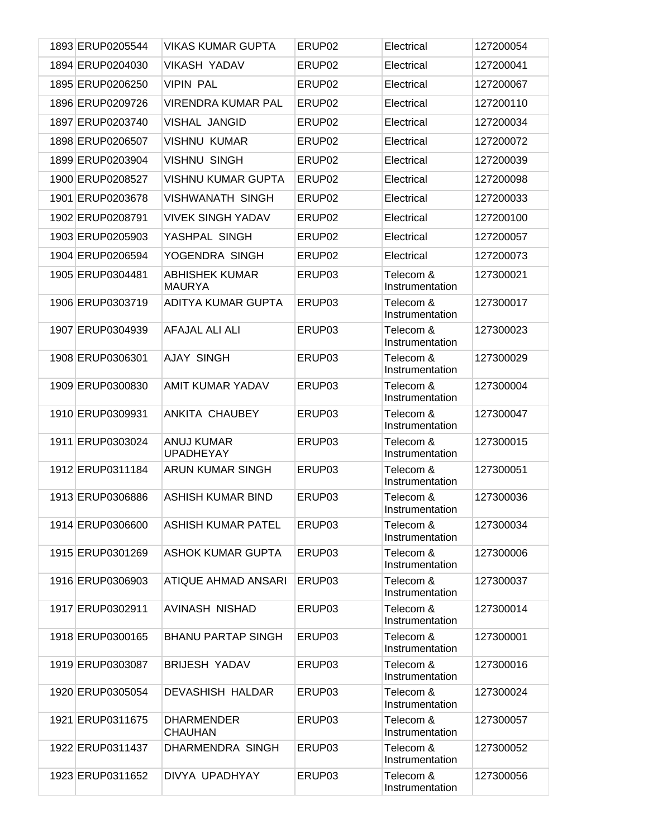| 1893 ERUP0205544 | <b>VIKAS KUMAR GUPTA</b>               | ERUP <sub>02</sub> | Electrical                   | 127200054 |
|------------------|----------------------------------------|--------------------|------------------------------|-----------|
| 1894 ERUP0204030 | VIKASH YADAV                           | ERUP02             | Electrical                   | 127200041 |
| 1895 ERUP0206250 | <b>VIPIN PAL</b>                       | ERUP <sub>02</sub> | Electrical                   | 127200067 |
| 1896 ERUP0209726 | <b>VIRENDRA KUMAR PAL</b>              | ERUP <sub>02</sub> | Electrical                   | 127200110 |
| 1897 ERUP0203740 | VISHAL JANGID                          | ERUP <sub>02</sub> | Electrical                   | 127200034 |
| 1898 ERUP0206507 | <b>VISHNU KUMAR</b>                    | ERUP02             | Electrical                   | 127200072 |
| 1899 ERUP0203904 | <b>VISHNU SINGH</b>                    | ERUP <sub>02</sub> | Electrical                   | 127200039 |
| 1900 ERUP0208527 | <b>VISHNU KUMAR GUPTA</b>              | ERUP <sub>02</sub> | Electrical                   | 127200098 |
| 1901 ERUP0203678 | VISHWANATH SINGH                       | ERUP <sub>02</sub> | Electrical                   | 127200033 |
| 1902 ERUP0208791 | <b>VIVEK SINGH YADAV</b>               | ERUP <sub>02</sub> | Electrical                   | 127200100 |
| 1903 ERUP0205903 | YASHPAL SINGH                          | ERUP <sub>02</sub> | Electrical                   | 127200057 |
| 1904 ERUP0206594 | YOGENDRA SINGH                         | ERUP <sub>02</sub> | Electrical                   | 127200073 |
| 1905 ERUP0304481 | <b>ABHISHEK KUMAR</b><br><b>MAURYA</b> | ERUP03             | Telecom &<br>Instrumentation | 127300021 |
| 1906 ERUP0303719 | ADITYA KUMAR GUPTA                     | ERUP03             | Telecom &<br>Instrumentation | 127300017 |
| 1907 ERUP0304939 | AFAJAL ALI ALI                         | ERUP03             | Telecom &<br>Instrumentation | 127300023 |
| 1908 ERUP0306301 | <b>AJAY SINGH</b>                      | ERUP03             | Telecom &<br>Instrumentation | 127300029 |
| 1909 ERUP0300830 | AMIT KUMAR YADAV                       | ERUP03             | Telecom &<br>Instrumentation | 127300004 |
| 1910 ERUP0309931 | ANKITA CHAUBEY                         | ERUP03             | Telecom &<br>Instrumentation | 127300047 |
| 1911 ERUP0303024 | ANUJ KUMAR<br><b>UPADHEYAY</b>         | ERUP03             | Telecom &<br>Instrumentation | 127300015 |
| 1912 ERUP0311184 | ARUN KUMAR SINGH                       | ERUP03             | Telecom &<br>Instrumentation | 127300051 |
| 1913 ERUP0306886 | <b>ASHISH KUMAR BIND</b>               | ERUP03             | Telecom &<br>Instrumentation | 127300036 |
| 1914 ERUP0306600 | <b>ASHISH KUMAR PATEL</b>              | ERUP03             | Telecom &<br>Instrumentation | 127300034 |
| 1915 ERUP0301269 | <b>ASHOK KUMAR GUPTA</b>               | ERUP03             | Telecom &<br>Instrumentation | 127300006 |
| 1916 ERUP0306903 | ATIQUE AHMAD ANSARI                    | ERUP03             | Telecom &<br>Instrumentation | 127300037 |
| 1917 ERUP0302911 | AVINASH NISHAD                         | ERUP03             | Telecom &<br>Instrumentation | 127300014 |
| 1918 ERUP0300165 | <b>BHANU PARTAP SINGH</b>              | ERUP03             | Telecom &<br>Instrumentation | 127300001 |
| 1919 ERUP0303087 | <b>BRIJESH YADAV</b>                   | ERUP03             | Telecom &<br>Instrumentation | 127300016 |
| 1920 ERUP0305054 | <b>DEVASHISH HALDAR</b>                | ERUP03             | Telecom &<br>Instrumentation | 127300024 |
| 1921 ERUP0311675 | <b>DHARMENDER</b><br>CHAUHAN           | ERUP03             | Telecom &<br>Instrumentation | 127300057 |
| 1922 ERUP0311437 | DHARMENDRA SINGH                       | ERUP03             | Telecom &<br>Instrumentation | 127300052 |
| 1923 ERUP0311652 | DIVYA UPADHYAY                         | ERUP03             | Telecom &<br>Instrumentation | 127300056 |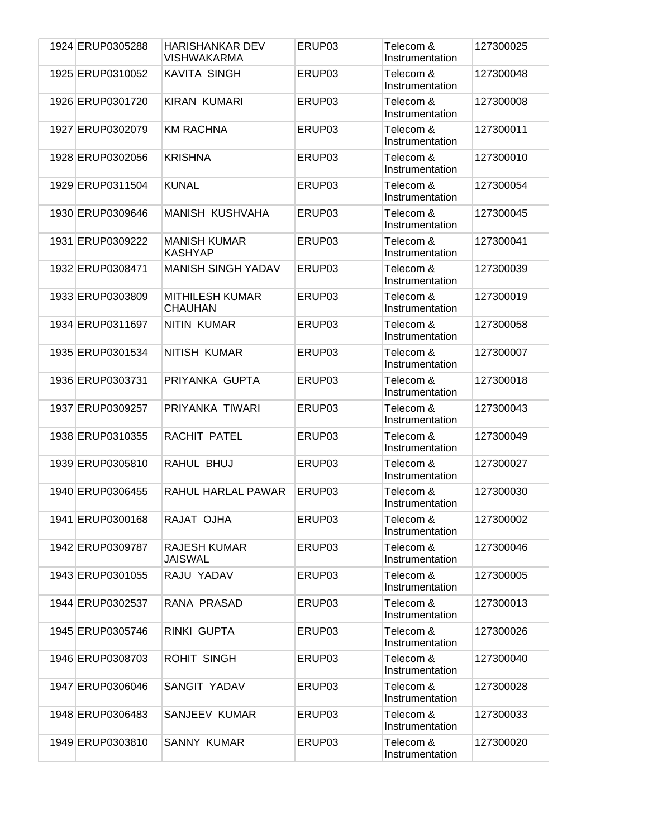| 1924 ERUP0305288 | <b>HARISHANKAR DEV</b><br>VISHWAKARMA    | ERUP03 | Telecom &<br>Instrumentation | 127300025 |
|------------------|------------------------------------------|--------|------------------------------|-----------|
| 1925 ERUP0310052 | KAVITA SINGH                             | ERUP03 | Telecom &<br>Instrumentation | 127300048 |
| 1926 ERUP0301720 | <b>KIRAN KUMARI</b>                      | ERUP03 | Telecom &<br>Instrumentation | 127300008 |
| 1927 ERUP0302079 | <b>KM RACHNA</b>                         | ERUP03 | Telecom &<br>Instrumentation | 127300011 |
| 1928 ERUP0302056 | <b>KRISHNA</b>                           | ERUP03 | Telecom &<br>Instrumentation | 127300010 |
| 1929 ERUP0311504 | <b>KUNAL</b>                             | ERUP03 | Telecom &<br>Instrumentation | 127300054 |
| 1930 ERUP0309646 | <b>MANISH KUSHVAHA</b>                   | ERUP03 | Telecom &<br>Instrumentation | 127300045 |
| 1931 ERUP0309222 | <b>MANISH KUMAR</b><br><b>KASHYAP</b>    | ERUP03 | Telecom &<br>Instrumentation | 127300041 |
| 1932 ERUP0308471 | <b>MANISH SINGH YADAV</b>                | ERUP03 | Telecom &<br>Instrumentation | 127300039 |
| 1933 ERUP0303809 | <b>MITHILESH KUMAR</b><br><b>CHAUHAN</b> | ERUP03 | Telecom &<br>Instrumentation | 127300019 |
| 1934 ERUP0311697 | <b>NITIN KUMAR</b>                       | ERUP03 | Telecom &<br>Instrumentation | 127300058 |
| 1935 ERUP0301534 | NITISH KUMAR                             | ERUP03 | Telecom &<br>Instrumentation | 127300007 |
| 1936 ERUP0303731 | PRIYANKA GUPTA                           | ERUP03 | Telecom &<br>Instrumentation | 127300018 |
| 1937 ERUP0309257 | PRIYANKA TIWARI                          | ERUP03 | Telecom &<br>Instrumentation | 127300043 |
| 1938 ERUP0310355 | RACHIT PATEL                             | ERUP03 | Telecom &<br>Instrumentation | 127300049 |
| 1939 ERUP0305810 | RAHUL BHUJ                               | ERUP03 | Telecom &<br>Instrumentation | 127300027 |
| 1940 ERUP0306455 | RAHUL HARLAL PAWAR                       | ERUP03 | Telecom &<br>Instrumentation | 127300030 |
| 1941 ERUP0300168 | RAJAT OJHA                               | ERUP03 | Telecom &<br>Instrumentation | 127300002 |
| 1942 ERUP0309787 | RAJESH KUMAR<br><b>JAISWAL</b>           | ERUP03 | Telecom &<br>Instrumentation | 127300046 |
| 1943 ERUP0301055 | RAJU YADAV                               | ERUP03 | Telecom &<br>Instrumentation | 127300005 |
| 1944 ERUP0302537 | RANA PRASAD                              | ERUP03 | Telecom &<br>Instrumentation | 127300013 |
| 1945 ERUP0305746 | RINKI GUPTA                              | ERUP03 | Telecom &<br>Instrumentation | 127300026 |
| 1946 ERUP0308703 | <b>ROHIT SINGH</b>                       | ERUP03 | Telecom &<br>Instrumentation | 127300040 |
| 1947 ERUP0306046 | SANGIT YADAV                             | ERUP03 | Telecom &<br>Instrumentation | 127300028 |
| 1948 ERUP0306483 | SANJEEV KUMAR                            | ERUP03 | Telecom &<br>Instrumentation | 127300033 |
| 1949 ERUP0303810 | <b>SANNY KUMAR</b>                       | ERUP03 | Telecom &<br>Instrumentation | 127300020 |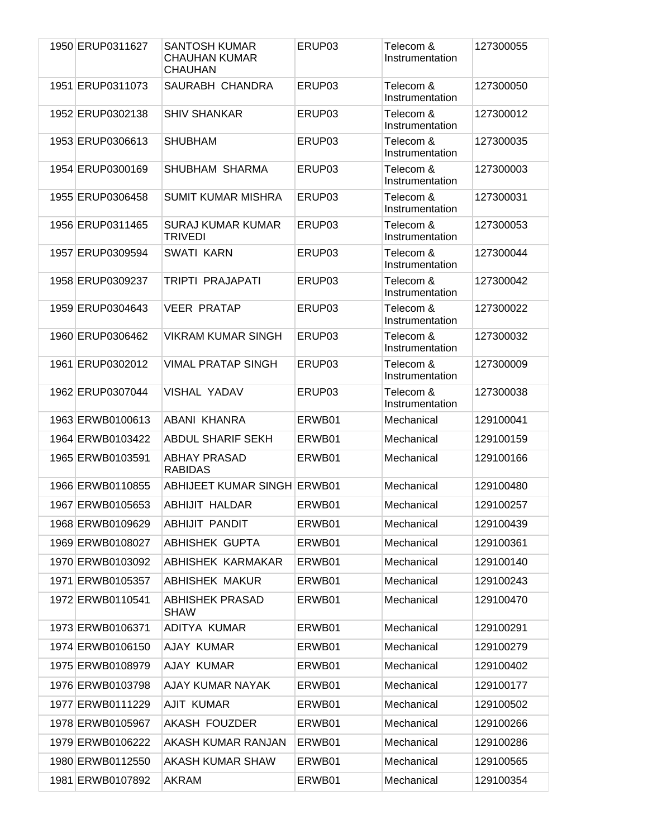| 1950 ERUP0311627 | <b>SANTOSH KUMAR</b><br>CHAUHAN KUMAR<br><b>CHAUHAN</b> | ERUP <sub>03</sub> | Telecom &<br>Instrumentation | 127300055 |
|------------------|---------------------------------------------------------|--------------------|------------------------------|-----------|
| 1951 ERUP0311073 | SAURABH CHANDRA                                         | ERUP03             | Telecom &<br>Instrumentation | 127300050 |
| 1952 ERUP0302138 | <b>SHIV SHANKAR</b>                                     | ERUP03             | Telecom &<br>Instrumentation | 127300012 |
| 1953 ERUP0306613 | <b>SHUBHAM</b>                                          | ERUP03             | Telecom &<br>Instrumentation | 127300035 |
| 1954 ERUP0300169 | SHUBHAM SHARMA                                          | ERUP03             | Telecom &<br>Instrumentation | 127300003 |
| 1955 ERUP0306458 | <b>SUMIT KUMAR MISHRA</b>                               | ERUP03             | Telecom &<br>Instrumentation | 127300031 |
| 1956 ERUP0311465 | <b>SURAJ KUMAR KUMAR</b><br><b>TRIVEDI</b>              | ERUP03             | Telecom &<br>Instrumentation | 127300053 |
| 1957 ERUP0309594 | <b>SWATI KARN</b>                                       | ERUP03             | Telecom &<br>Instrumentation | 127300044 |
| 1958 ERUP0309237 | TRIPTI PRAJAPATI                                        | ERUP03             | Telecom &<br>Instrumentation | 127300042 |
| 1959 ERUP0304643 | <b>VEER PRATAP</b>                                      | ERUP03             | Telecom &<br>Instrumentation | 127300022 |
| 1960 ERUP0306462 | <b>VIKRAM KUMAR SINGH</b>                               | ERUP03             | Telecom &<br>Instrumentation | 127300032 |
| 1961 ERUP0302012 | <b>VIMAL PRATAP SINGH</b>                               | ERUP03             | Telecom &<br>Instrumentation | 127300009 |
| 1962 ERUP0307044 | <b>VISHAL YADAV</b>                                     | ERUP03             | Telecom &<br>Instrumentation | 127300038 |
| 1963 ERWB0100613 | ABANI KHANRA                                            | ERWB01             | Mechanical                   | 129100041 |
| 1964 ERWB0103422 | <b>ABDUL SHARIF SEKH</b>                                | ERWB01             | Mechanical                   | 129100159 |
| 1965 ERWB0103591 | <b>ABHAY PRASAD</b><br><b>RABIDAS</b>                   | ERWB01             | Mechanical                   | 129100166 |
| 1966 ERWB0110855 | <b>ABHIJEET KUMAR SINGH ERWB01</b>                      |                    | Mechanical                   | 129100480 |
| 1967 ERWB0105653 | ABHIJIT HALDAR                                          | ERWB01             | Mechanical                   | 129100257 |
| 1968 ERWB0109629 | ABHIJIT PANDIT                                          | ERWB01             | Mechanical                   | 129100439 |
| 1969 ERWB0108027 | <b>ABHISHEK GUPTA</b>                                   | ERWB01             | Mechanical                   | 129100361 |
| 1970 ERWB0103092 | ABHISHEK KARMAKAR                                       | ERWB01             | Mechanical                   | 129100140 |
| 1971 ERWB0105357 | <b>ABHISHEK MAKUR</b>                                   | ERWB01             | Mechanical                   | 129100243 |
| 1972 ERWB0110541 | ABHISHEK PRASAD<br><b>SHAW</b>                          | ERWB01             | Mechanical                   | 129100470 |
| 1973 ERWB0106371 | ADITYA KUMAR                                            | ERWB01             | Mechanical                   | 129100291 |
| 1974 ERWB0106150 | AJAY KUMAR                                              | ERWB01             | Mechanical                   | 129100279 |
| 1975 ERWB0108979 | AJAY KUMAR                                              | ERWB01             | Mechanical                   | 129100402 |
| 1976 ERWB0103798 | AJAY KUMAR NAYAK                                        | ERWB01             | Mechanical                   | 129100177 |
| 1977 ERWB0111229 | AJIT KUMAR                                              | ERWB01             | Mechanical                   | 129100502 |
| 1978 ERWB0105967 | <b>AKASH FOUZDER</b>                                    | ERWB01             | Mechanical                   | 129100266 |
| 1979 ERWB0106222 | AKASH KUMAR RANJAN                                      | ERWB01             | Mechanical                   | 129100286 |
| 1980 ERWB0112550 | AKASH KUMAR SHAW                                        | ERWB01             | Mechanical                   | 129100565 |
| 1981 ERWB0107892 | AKRAM                                                   | ERWB01             | Mechanical                   | 129100354 |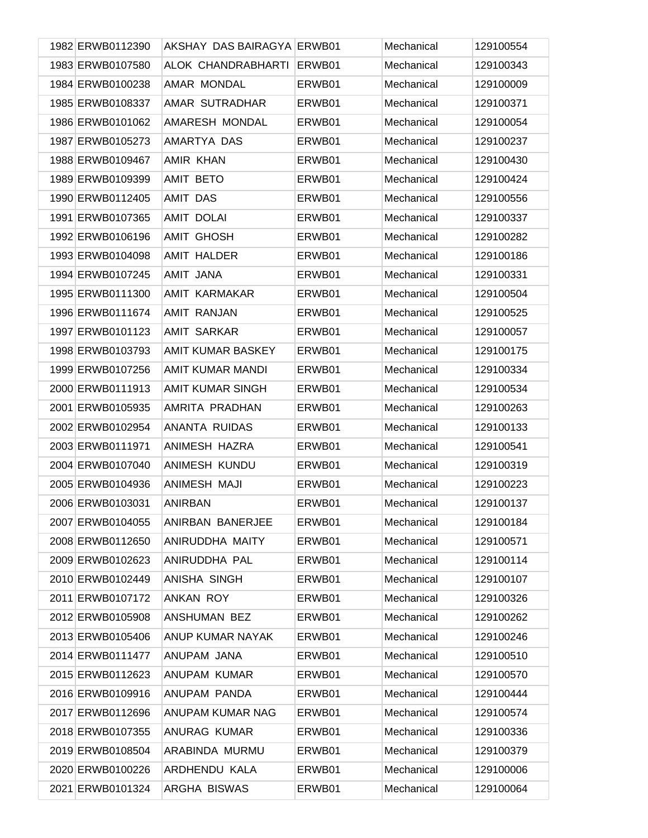| 1982 ERWB0112390 | AKSHAY DAS BAIRAGYA ERWB01 |        | Mechanical | 129100554 |
|------------------|----------------------------|--------|------------|-----------|
| 1983 ERWB0107580 | ALOK CHANDRABHARTI         | ERWB01 | Mechanical | 129100343 |
| 1984 ERWB0100238 | AMAR MONDAL                | ERWB01 | Mechanical | 129100009 |
| 1985 ERWB0108337 | AMAR SUTRADHAR             | ERWB01 | Mechanical | 129100371 |
| 1986 ERWB0101062 | AMARESH MONDAL             | ERWB01 | Mechanical | 129100054 |
| 1987 ERWB0105273 | AMARTYA DAS                | ERWB01 | Mechanical | 129100237 |
| 1988 ERWB0109467 | AMIR KHAN                  | ERWB01 | Mechanical | 129100430 |
| 1989 ERWB0109399 | <b>AMIT BETO</b>           | ERWB01 | Mechanical | 129100424 |
| 1990 ERWB0112405 | AMIT DAS                   | ERWB01 | Mechanical | 129100556 |
| 1991 ERWB0107365 | AMIT DOLAI                 | ERWB01 | Mechanical | 129100337 |
| 1992 ERWB0106196 | <b>AMIT GHOSH</b>          | ERWB01 | Mechanical | 129100282 |
| 1993 ERWB0104098 | <b>AMIT HALDER</b>         | ERWB01 | Mechanical | 129100186 |
| 1994 ERWB0107245 | AMIT JANA                  | ERWB01 | Mechanical | 129100331 |
| 1995 ERWB0111300 | AMIT KARMAKAR              | ERWB01 | Mechanical | 129100504 |
| 1996 ERWB0111674 | <b>AMIT RANJAN</b>         | ERWB01 | Mechanical | 129100525 |
| 1997 ERWB0101123 | <b>AMIT SARKAR</b>         | ERWB01 | Mechanical | 129100057 |
| 1998 ERWB0103793 | AMIT KUMAR BASKEY          | ERWB01 | Mechanical | 129100175 |
| 1999 ERWB0107256 | AMIT KUMAR MANDI           | ERWB01 | Mechanical | 129100334 |
| 2000 ERWB0111913 | <b>AMIT KUMAR SINGH</b>    | ERWB01 | Mechanical | 129100534 |
| 2001 ERWB0105935 | AMRITA PRADHAN             | ERWB01 | Mechanical | 129100263 |
| 2002 ERWB0102954 | ANANTA RUIDAS              | ERWB01 | Mechanical | 129100133 |
| 2003 ERWB0111971 | ANIMESH HAZRA              | ERWB01 | Mechanical | 129100541 |
| 2004 ERWB0107040 | ANIMESH KUNDU              | ERWB01 | Mechanical | 129100319 |
| 2005 ERWB0104936 | ANIMESH MAJI               | ERWB01 | Mechanical | 129100223 |
| 2006 ERWB0103031 | <b>ANIRBAN</b>             | ERWB01 | Mechanical | 129100137 |
| 2007 ERWB0104055 | ANIRBAN BANERJEE           | ERWB01 | Mechanical | 129100184 |
| 2008 ERWB0112650 | ANIRUDDHA MAITY            | ERWB01 | Mechanical | 129100571 |
| 2009 ERWB0102623 | ANIRUDDHA PAL              | ERWB01 | Mechanical | 129100114 |
| 2010 ERWB0102449 | ANISHA SINGH               | ERWB01 | Mechanical | 129100107 |
| 2011 ERWB0107172 | ANKAN ROY                  | ERWB01 | Mechanical | 129100326 |
| 2012 ERWB0105908 | ANSHUMAN BEZ               | ERWB01 | Mechanical | 129100262 |
| 2013 ERWB0105406 | ANUP KUMAR NAYAK           | ERWB01 | Mechanical | 129100246 |
| 2014 ERWB0111477 | ANUPAM JANA                | ERWB01 | Mechanical | 129100510 |
| 2015 ERWB0112623 | ANUPAM KUMAR               | ERWB01 | Mechanical | 129100570 |
| 2016 ERWB0109916 | ANUPAM PANDA               | ERWB01 | Mechanical | 129100444 |
| 2017 ERWB0112696 | ANUPAM KUMAR NAG           | ERWB01 | Mechanical | 129100574 |
| 2018 ERWB0107355 | ANURAG KUMAR               | ERWB01 | Mechanical | 129100336 |
| 2019 ERWB0108504 | ARABINDA MURMU             | ERWB01 | Mechanical | 129100379 |
| 2020 ERWB0100226 | ARDHENDU KALA              | ERWB01 | Mechanical | 129100006 |
| 2021 ERWB0101324 | ARGHA BISWAS               | ERWB01 | Mechanical | 129100064 |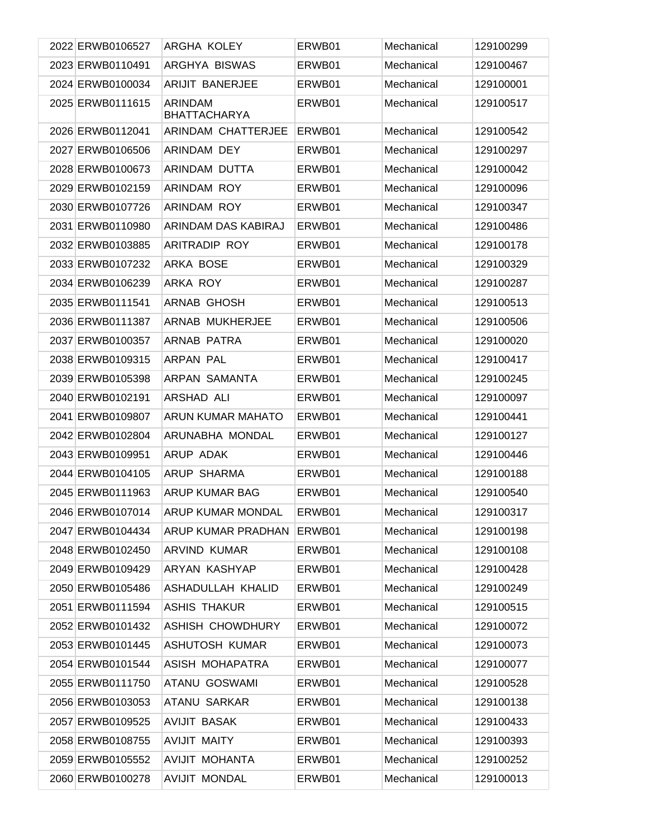| 2022 ERWB0106527 | ARGHA KOLEY                    | ERWB01 | Mechanical | 129100299 |
|------------------|--------------------------------|--------|------------|-----------|
| 2023 ERWB0110491 | <b>ARGHYA BISWAS</b>           | ERWB01 | Mechanical | 129100467 |
| 2024 ERWB0100034 | <b>ARIJIT BANERJEE</b>         | ERWB01 | Mechanical | 129100001 |
| 2025 ERWB0111615 | ARINDAM<br><b>BHATTACHARYA</b> | ERWB01 | Mechanical | 129100517 |
| 2026 ERWB0112041 | ARINDAM CHATTERJEE             | ERWB01 | Mechanical | 129100542 |
| 2027 ERWB0106506 | ARINDAM DEY                    | ERWB01 | Mechanical | 129100297 |
| 2028 ERWB0100673 | ARINDAM DUTTA                  | ERWB01 | Mechanical | 129100042 |
| 2029 ERWB0102159 | <b>ARINDAM ROY</b>             | ERWB01 | Mechanical | 129100096 |
| 2030 ERWB0107726 | <b>ARINDAM ROY</b>             | ERWB01 | Mechanical | 129100347 |
| 2031 ERWB0110980 | ARINDAM DAS KABIRAJ            | ERWB01 | Mechanical | 129100486 |
| 2032 ERWB0103885 | <b>ARITRADIP ROY</b>           | ERWB01 | Mechanical | 129100178 |
| 2033 ERWB0107232 | ARKA BOSE                      | ERWB01 | Mechanical | 129100329 |
| 2034 ERWB0106239 | ARKA ROY                       | ERWB01 | Mechanical | 129100287 |
| 2035 ERWB0111541 | <b>ARNAB GHOSH</b>             | ERWB01 | Mechanical | 129100513 |
| 2036 ERWB0111387 | ARNAB MUKHERJEE                | ERWB01 | Mechanical | 129100506 |
| 2037 ERWB0100357 | ARNAB PATRA                    | ERWB01 | Mechanical | 129100020 |
| 2038 ERWB0109315 | ARPAN PAL                      | ERWB01 | Mechanical | 129100417 |
| 2039 ERWB0105398 | ARPAN SAMANTA                  | ERWB01 | Mechanical | 129100245 |
| 2040 ERWB0102191 | ARSHAD ALI                     | ERWB01 | Mechanical | 129100097 |
| 2041 ERWB0109807 | <b>ARUN KUMAR MAHATO</b>       | ERWB01 | Mechanical | 129100441 |
| 2042 ERWB0102804 | ARUNABHA MONDAL                | ERWB01 | Mechanical | 129100127 |
| 2043 ERWB0109951 | ARUP ADAK                      | ERWB01 | Mechanical | 129100446 |
| 2044 ERWB0104105 | <b>ARUP SHARMA</b>             | ERWB01 | Mechanical | 129100188 |
| 2045 ERWB0111963 | ARUP KUMAR BAG                 | ERWB01 | Mechanical | 129100540 |
| 2046 ERWB0107014 | ARUP KUMAR MONDAL              | ERWB01 | Mechanical | 129100317 |
| 2047 ERWB0104434 | ARUP KUMAR PRADHAN             | ERWB01 | Mechanical | 129100198 |
| 2048 ERWB0102450 | ARVIND KUMAR                   | ERWB01 | Mechanical | 129100108 |
| 2049 ERWB0109429 | ARYAN KASHYAP                  | ERWB01 | Mechanical | 129100428 |
| 2050 ERWB0105486 | ASHADULLAH KHALID              | ERWB01 | Mechanical | 129100249 |
| 2051 ERWB0111594 | <b>ASHIS THAKUR</b>            | ERWB01 | Mechanical | 129100515 |
| 2052 ERWB0101432 | <b>ASHISH CHOWDHURY</b>        | ERWB01 | Mechanical | 129100072 |
| 2053 ERWB0101445 | <b>ASHUTOSH KUMAR</b>          | ERWB01 | Mechanical | 129100073 |
| 2054 ERWB0101544 | ASISH MOHAPATRA                | ERWB01 | Mechanical | 129100077 |
| 2055 ERWB0111750 | ATANU GOSWAMI                  | ERWB01 | Mechanical | 129100528 |
| 2056 ERWB0103053 | ATANU SARKAR                   | ERWB01 | Mechanical | 129100138 |
| 2057 ERWB0109525 | <b>AVIJIT BASAK</b>            | ERWB01 | Mechanical | 129100433 |
| 2058 ERWB0108755 | <b>AVIJIT MAITY</b>            | ERWB01 | Mechanical | 129100393 |
| 2059 ERWB0105552 | AVIJIT MOHANTA                 | ERWB01 | Mechanical | 129100252 |
| 2060 ERWB0100278 | <b>AVIJIT MONDAL</b>           | ERWB01 | Mechanical | 129100013 |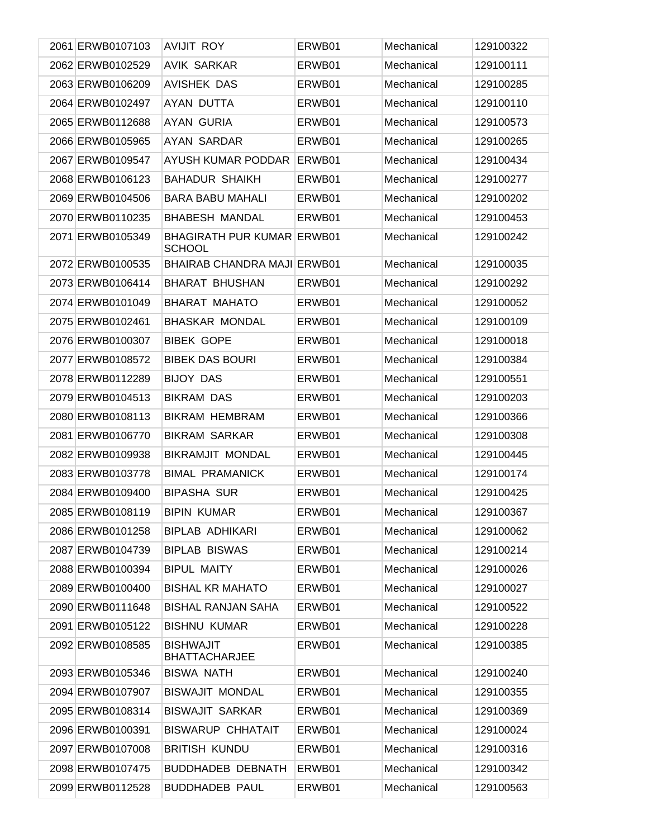| 2061 ERWB0107103 | <b>AVIJIT ROY</b>                                  | ERWB01 | Mechanical | 129100322 |
|------------------|----------------------------------------------------|--------|------------|-----------|
| 2062 ERWB0102529 | <b>AVIK SARKAR</b>                                 | ERWB01 | Mechanical | 129100111 |
| 2063 ERWB0106209 | <b>AVISHEK DAS</b>                                 | ERWB01 | Mechanical | 129100285 |
| 2064 ERWB0102497 | AYAN DUTTA                                         | ERWB01 | Mechanical | 129100110 |
| 2065 ERWB0112688 | <b>AYAN GURIA</b>                                  | ERWB01 | Mechanical | 129100573 |
| 2066 ERWB0105965 | AYAN SARDAR                                        | ERWB01 | Mechanical | 129100265 |
| 2067 ERWB0109547 | AYUSH KUMAR PODDAR                                 | ERWB01 | Mechanical | 129100434 |
| 2068 ERWB0106123 | <b>BAHADUR SHAIKH</b>                              | ERWB01 | Mechanical | 129100277 |
| 2069 ERWB0104506 | <b>BARA BABU MAHALI</b>                            | ERWB01 | Mechanical | 129100202 |
| 2070 ERWB0110235 | <b>BHABESH MANDAL</b>                              | ERWB01 | Mechanical | 129100453 |
| 2071 ERWB0105349 | <b>BHAGIRATH PUR KUMAR ERWB01</b><br><b>SCHOOL</b> |        | Mechanical | 129100242 |
| 2072 ERWB0100535 | <b>BHAIRAB CHANDRA MAJI ERWB01</b>                 |        | Mechanical | 129100035 |
| 2073 ERWB0106414 | <b>BHARAT BHUSHAN</b>                              | ERWB01 | Mechanical | 129100292 |
| 2074 ERWB0101049 | <b>BHARAT MAHATO</b>                               | ERWB01 | Mechanical | 129100052 |
| 2075 ERWB0102461 | <b>BHASKAR MONDAL</b>                              | ERWB01 | Mechanical | 129100109 |
| 2076 ERWB0100307 | <b>BIBEK GOPE</b>                                  | ERWB01 | Mechanical | 129100018 |
| 2077 ERWB0108572 | <b>BIBEK DAS BOURI</b>                             | ERWB01 | Mechanical | 129100384 |
| 2078 ERWB0112289 | <b>BIJOY DAS</b>                                   | ERWB01 | Mechanical | 129100551 |
| 2079 ERWB0104513 | <b>BIKRAM DAS</b>                                  | ERWB01 | Mechanical | 129100203 |
| 2080 ERWB0108113 | <b>BIKRAM HEMBRAM</b>                              | ERWB01 | Mechanical | 129100366 |
| 2081 ERWB0106770 | <b>BIKRAM SARKAR</b>                               | ERWB01 | Mechanical | 129100308 |
| 2082 ERWB0109938 | <b>BIKRAMJIT MONDAL</b>                            | ERWB01 | Mechanical | 129100445 |
| 2083 ERWB0103778 | <b>BIMAL PRAMANICK</b>                             | ERWB01 | Mechanical | 129100174 |
| 2084 ERWB0109400 | <b>BIPASHA SUR</b>                                 | ERWB01 | Mechanical | 129100425 |
| 2085 ERWB0108119 | <b>BIPIN KUMAR</b>                                 | ERWB01 | Mechanical | 129100367 |
| 2086 ERWB0101258 | <b>BIPLAB ADHIKARI</b>                             | ERWB01 | Mechanical | 129100062 |
| 2087 ERWB0104739 | <b>BIPLAB BISWAS</b>                               | ERWB01 | Mechanical | 129100214 |
| 2088 ERWB0100394 | <b>BIPUL MAITY</b>                                 | ERWB01 | Mechanical | 129100026 |
| 2089 ERWB0100400 | <b>BISHAL KR MAHATO</b>                            | ERWB01 | Mechanical | 129100027 |
| 2090 ERWB0111648 | <b>BISHAL RANJAN SAHA</b>                          | ERWB01 | Mechanical | 129100522 |
| 2091 ERWB0105122 | <b>BISHNU KUMAR</b>                                | ERWB01 | Mechanical | 129100228 |
| 2092 ERWB0108585 | <b>BISHWAJIT</b><br><b>BHATTACHARJEE</b>           | ERWB01 | Mechanical | 129100385 |
| 2093 ERWB0105346 | BISWA NATH                                         | ERWB01 | Mechanical | 129100240 |
| 2094 ERWB0107907 | <b>BISWAJIT MONDAL</b>                             | ERWB01 | Mechanical | 129100355 |
| 2095 ERWB0108314 | <b>BISWAJIT SARKAR</b>                             | ERWB01 | Mechanical | 129100369 |
| 2096 ERWB0100391 | <b>BISWARUP CHHATAIT</b>                           | ERWB01 | Mechanical | 129100024 |
| 2097 ERWB0107008 | <b>BRITISH KUNDU</b>                               | ERWB01 | Mechanical | 129100316 |
| 2098 ERWB0107475 | <b>BUDDHADEB DEBNATH</b>                           | ERWB01 | Mechanical | 129100342 |
| 2099 ERWB0112528 | <b>BUDDHADEB PAUL</b>                              | ERWB01 | Mechanical | 129100563 |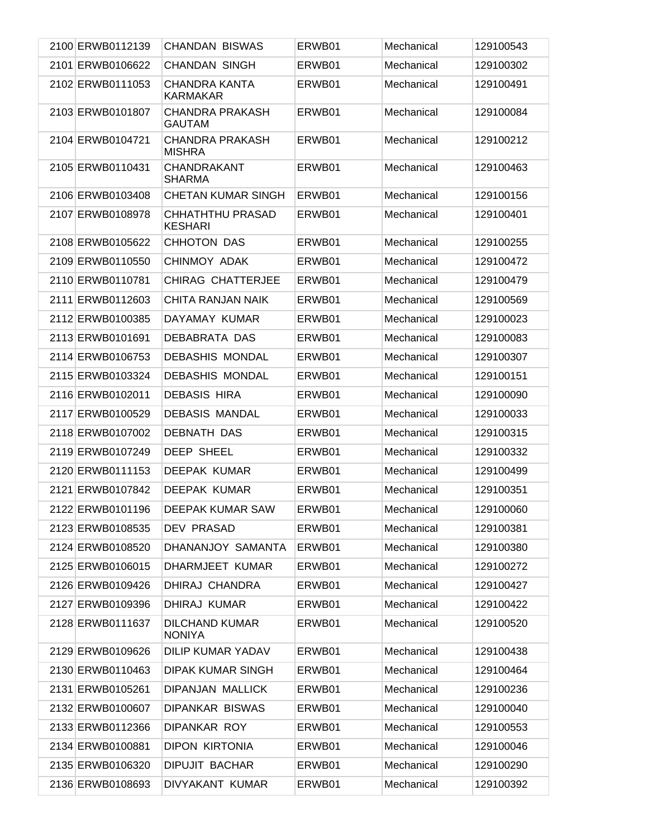| 2100 ERWB0112139 | <b>CHANDAN BISWAS</b>                   | ERWB01 | Mechanical | 129100543 |
|------------------|-----------------------------------------|--------|------------|-----------|
| 2101 ERWB0106622 | <b>CHANDAN SINGH</b>                    | ERWB01 | Mechanical | 129100302 |
| 2102 ERWB0111053 | CHANDRA KANTA<br><b>KARMAKAR</b>        | ERWB01 | Mechanical | 129100491 |
| 2103 ERWB0101807 | <b>CHANDRA PRAKASH</b><br><b>GAUTAM</b> | ERWB01 | Mechanical | 129100084 |
| 2104 ERWB0104721 | <b>CHANDRA PRAKASH</b><br><b>MISHRA</b> | ERWB01 | Mechanical | 129100212 |
| 2105 ERWB0110431 | <b>CHANDRAKANT</b><br><b>SHARMA</b>     | ERWB01 | Mechanical | 129100463 |
| 2106 ERWB0103408 | <b>CHETAN KUMAR SINGH</b>               | ERWB01 | Mechanical | 129100156 |
| 2107 ERWB0108978 | CHHATHTHU PRASAD<br><b>KESHARI</b>      | ERWB01 | Mechanical | 129100401 |
| 2108 ERWB0105622 | CHHOTON DAS                             | ERWB01 | Mechanical | 129100255 |
| 2109 ERWB0110550 | CHINMOY ADAK                            | ERWB01 | Mechanical | 129100472 |
| 2110 ERWB0110781 | <b>CHIRAG CHATTERJEE</b>                | ERWB01 | Mechanical | 129100479 |
| 2111 ERWB0112603 | CHITA RANJAN NAIK                       | ERWB01 | Mechanical | 129100569 |
| 2112 ERWB0100385 | DAYAMAY KUMAR                           | ERWB01 | Mechanical | 129100023 |
| 2113 ERWB0101691 | DEBABRATA DAS                           | ERWB01 | Mechanical | 129100083 |
| 2114 ERWB0106753 | <b>DEBASHIS MONDAL</b>                  | ERWB01 | Mechanical | 129100307 |
| 2115 ERWB0103324 | <b>DEBASHIS MONDAL</b>                  | ERWB01 | Mechanical | 129100151 |
| 2116 ERWB0102011 | <b>DEBASIS HIRA</b>                     | ERWB01 | Mechanical | 129100090 |
| 2117 ERWB0100529 | <b>DEBASIS MANDAL</b>                   | ERWB01 | Mechanical | 129100033 |
| 2118 ERWB0107002 | <b>DEBNATH DAS</b>                      | ERWB01 | Mechanical | 129100315 |
| 2119 ERWB0107249 | DEEP SHEEL                              | ERWB01 | Mechanical | 129100332 |
| 2120 ERWB0111153 | DEEPAK KUMAR                            | ERWB01 | Mechanical | 129100499 |
| 2121 ERWB0107842 | <b>DEEPAK KUMAR</b>                     | ERWB01 | Mechanical | 129100351 |
| 2122 ERWB0101196 | DEEPAK KUMAR SAW                        | ERWB01 | Mechanical | 129100060 |
| 2123 ERWB0108535 | <b>DEV PRASAD</b>                       | ERWB01 | Mechanical | 129100381 |
| 2124 ERWB0108520 | DHANANJOY SAMANTA                       | ERWB01 | Mechanical | 129100380 |
| 2125 ERWB0106015 | DHARMJEET KUMAR                         | ERWB01 | Mechanical | 129100272 |
| 2126 ERWB0109426 | <b>DHIRAJ CHANDRA</b>                   | ERWB01 | Mechanical | 129100427 |
| 2127 ERWB0109396 | DHIRAJ KUMAR                            | ERWB01 | Mechanical | 129100422 |
| 2128 ERWB0111637 | <b>DILCHAND KUMAR</b><br><b>NONIYA</b>  | ERWB01 | Mechanical | 129100520 |
| 2129 ERWB0109626 | DILIP KUMAR YADAV                       | ERWB01 | Mechanical | 129100438 |
| 2130 ERWB0110463 | <b>DIPAK KUMAR SINGH</b>                | ERWB01 | Mechanical | 129100464 |
| 2131 ERWB0105261 | <b>DIPANJAN MALLICK</b>                 | ERWB01 | Mechanical | 129100236 |
| 2132 ERWB0100607 | <b>DIPANKAR BISWAS</b>                  | ERWB01 | Mechanical | 129100040 |
| 2133 ERWB0112366 | DIPANKAR ROY                            | ERWB01 | Mechanical | 129100553 |
| 2134 ERWB0100881 | <b>DIPON KIRTONIA</b>                   | ERWB01 | Mechanical | 129100046 |
| 2135 ERWB0106320 | <b>DIPUJIT BACHAR</b>                   | ERWB01 | Mechanical | 129100290 |
| 2136 ERWB0108693 | DIVYAKANT KUMAR                         | ERWB01 | Mechanical | 129100392 |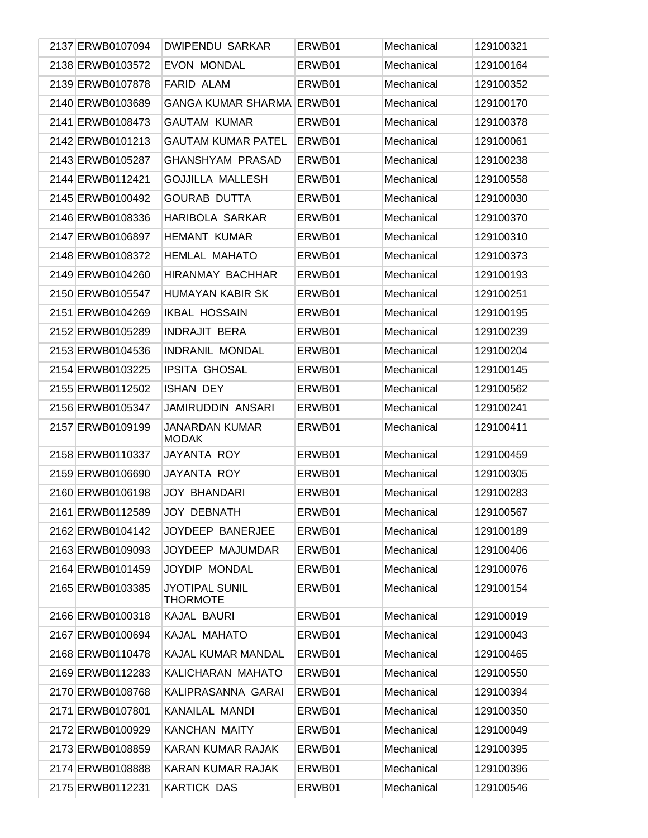| 2137 ERWB0107094 | <b>DWIPENDU SARKAR</b>                   | ERWB01 | Mechanical | 129100321 |
|------------------|------------------------------------------|--------|------------|-----------|
| 2138 ERWB0103572 | <b>EVON MONDAL</b>                       | ERWB01 | Mechanical | 129100164 |
| 2139 ERWB0107878 | <b>FARID ALAM</b>                        | ERWB01 | Mechanical | 129100352 |
| 2140 ERWB0103689 | <b>GANGA KUMAR SHARMA</b>                | ERWB01 | Mechanical | 129100170 |
| 2141 ERWB0108473 | <b>GAUTAM KUMAR</b>                      | ERWB01 | Mechanical | 129100378 |
| 2142 ERWB0101213 | <b>GAUTAM KUMAR PATEL</b>                | ERWB01 | Mechanical | 129100061 |
| 2143 ERWB0105287 | <b>GHANSHYAM PRASAD</b>                  | ERWB01 | Mechanical | 129100238 |
| 2144 ERWB0112421 | <b>GOJJILLA MALLESH</b>                  | ERWB01 | Mechanical | 129100558 |
| 2145 ERWB0100492 | <b>GOURAB DUTTA</b>                      | ERWB01 | Mechanical | 129100030 |
| 2146 ERWB0108336 | <b>HARIBOLA SARKAR</b>                   | ERWB01 | Mechanical | 129100370 |
| 2147 ERWB0106897 | <b>HEMANT KUMAR</b>                      | ERWB01 | Mechanical | 129100310 |
| 2148 ERWB0108372 | <b>HEMLAL MAHATO</b>                     | ERWB01 | Mechanical | 129100373 |
| 2149 ERWB0104260 | <b>HIRANMAY BACHHAR</b>                  | ERWB01 | Mechanical | 129100193 |
| 2150 ERWB0105547 | <b>HUMAYAN KABIR SK</b>                  | ERWB01 | Mechanical | 129100251 |
| 2151 ERWB0104269 | <b>IKBAL HOSSAIN</b>                     | ERWB01 | Mechanical | 129100195 |
| 2152 ERWB0105289 | <b>INDRAJIT BERA</b>                     | ERWB01 | Mechanical | 129100239 |
| 2153 ERWB0104536 | <b>INDRANIL MONDAL</b>                   | ERWB01 | Mechanical | 129100204 |
| 2154 ERWB0103225 | <b>IPSITA GHOSAL</b>                     | ERWB01 | Mechanical | 129100145 |
| 2155 ERWB0112502 | <b>ISHAN DEY</b>                         | ERWB01 | Mechanical | 129100562 |
| 2156 ERWB0105347 | JAMIRUDDIN ANSARI                        | ERWB01 | Mechanical | 129100241 |
| 2157 ERWB0109199 | <b>JANARDAN KUMAR</b><br><b>MODAK</b>    | ERWB01 | Mechanical | 129100411 |
| 2158 ERWB0110337 | JAYANTA ROY                              | ERWB01 | Mechanical | 129100459 |
| 2159 ERWB0106690 | JAYANTA ROY                              | ERWB01 | Mechanical | 129100305 |
| 2160 ERWB0106198 | <b>JOY BHANDARI</b>                      | ERWB01 | Mechanical | 129100283 |
| 2161 ERWB0112589 | <b>JOY DEBNATH</b>                       | ERWB01 | Mechanical | 129100567 |
| 2162 ERWB0104142 | JOYDEEP BANERJEE                         | ERWB01 | Mechanical | 129100189 |
| 2163 ERWB0109093 | JOYDEEP MAJUMDAR                         | ERWB01 | Mechanical | 129100406 |
| 2164 ERWB0101459 | <b>JOYDIP MONDAL</b>                     | ERWB01 | Mechanical | 129100076 |
| 2165 ERWB0103385 | <b>JYOTIPAL SUNIL</b><br><b>THORMOTE</b> | ERWB01 | Mechanical | 129100154 |
| 2166 ERWB0100318 | KAJAL BAURI                              | ERWB01 | Mechanical | 129100019 |
| 2167 ERWB0100694 | KAJAL MAHATO                             | ERWB01 | Mechanical | 129100043 |
| 2168 ERWB0110478 | KAJAL KUMAR MANDAL                       | ERWB01 | Mechanical | 129100465 |
| 2169 ERWB0112283 | KALICHARAN MAHATO                        | ERWB01 | Mechanical | 129100550 |
| 2170 ERWB0108768 | KALIPRASANNA GARAI                       | ERWB01 | Mechanical | 129100394 |
| 2171 ERWB0107801 | KANAILAL MANDI                           | ERWB01 | Mechanical | 129100350 |
| 2172 ERWB0100929 | <b>KANCHAN MAITY</b>                     | ERWB01 | Mechanical | 129100049 |
| 2173 ERWB0108859 | KARAN KUMAR RAJAK                        | ERWB01 | Mechanical | 129100395 |
| 2174 ERWB0108888 | KARAN KUMAR RAJAK                        | ERWB01 | Mechanical | 129100396 |
| 2175 ERWB0112231 | <b>KARTICK DAS</b>                       | ERWB01 | Mechanical | 129100546 |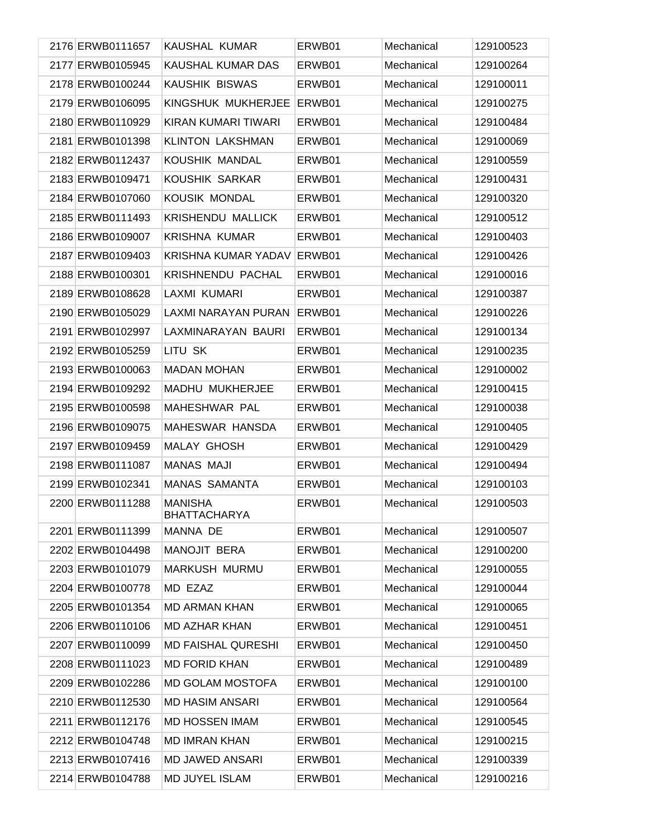| 2176 ERWB0111657 | KAUSHAL KUMAR                         | ERWB01 | Mechanical | 129100523 |
|------------------|---------------------------------------|--------|------------|-----------|
| 2177 ERWB0105945 | KAUSHAL KUMAR DAS                     | ERWB01 | Mechanical | 129100264 |
| 2178 ERWB0100244 | <b>KAUSHIK BISWAS</b>                 | ERWB01 | Mechanical | 129100011 |
| 2179 ERWB0106095 | KINGSHUK MUKHERJEE                    | ERWB01 | Mechanical | 129100275 |
| 2180 ERWB0110929 | KIRAN KUMARI TIWARI                   | ERWB01 | Mechanical | 129100484 |
| 2181 ERWB0101398 | <b>KLINTON LAKSHMAN</b>               | ERWB01 | Mechanical | 129100069 |
| 2182 ERWB0112437 | KOUSHIK MANDAL                        | ERWB01 | Mechanical | 129100559 |
| 2183 ERWB0109471 | KOUSHIK SARKAR                        | ERWB01 | Mechanical | 129100431 |
| 2184 ERWB0107060 | KOUSIK MONDAL                         | ERWB01 | Mechanical | 129100320 |
| 2185 ERWB0111493 | <b>KRISHENDU MALLICK</b>              | ERWB01 | Mechanical | 129100512 |
| 2186 ERWB0109007 | <b>KRISHNA KUMAR</b>                  | ERWB01 | Mechanical | 129100403 |
| 2187 ERWB0109403 | KRISHNA KUMAR YADAV                   | ERWB01 | Mechanical | 129100426 |
| 2188 ERWB0100301 | <b>KRISHNENDU PACHAL</b>              | ERWB01 | Mechanical | 129100016 |
| 2189 ERWB0108628 | LAXMI KUMARI                          | ERWB01 | Mechanical | 129100387 |
| 2190 ERWB0105029 | LAXMI NARAYAN PURAN                   | ERWB01 | Mechanical | 129100226 |
| 2191 ERWB0102997 | LAXMINARAYAN BAURI                    | ERWB01 | Mechanical | 129100134 |
| 2192 ERWB0105259 | LITU SK                               | ERWB01 | Mechanical | 129100235 |
| 2193 ERWB0100063 | <b>MADAN MOHAN</b>                    | ERWB01 | Mechanical | 129100002 |
| 2194 ERWB0109292 | MADHU MUKHERJEE                       | ERWB01 | Mechanical | 129100415 |
| 2195 ERWB0100598 | MAHESHWAR PAL                         | ERWB01 | Mechanical | 129100038 |
| 2196 ERWB0109075 | MAHESWAR HANSDA                       | ERWB01 | Mechanical | 129100405 |
| 2197 ERWB0109459 | <b>MALAY GHOSH</b>                    | ERWB01 | Mechanical | 129100429 |
| 2198 ERWB0111087 | <b>MANAS MAJI</b>                     | ERWB01 | Mechanical | 129100494 |
| 2199 ERWB0102341 | MANAS SAMANTA                         | ERWB01 | Mechanical | 129100103 |
| 2200 ERWB0111288 | <b>MANISHA</b><br><b>BHATTACHARYA</b> | ERWB01 | Mechanical | 129100503 |
| 2201 ERWB0111399 | MANNA DE                              | ERWB01 | Mechanical | 129100507 |
| 2202 ERWB0104498 | <b>MANOJIT BERA</b>                   | ERWB01 | Mechanical | 129100200 |
| 2203 ERWB0101079 | MARKUSH MURMU                         | ERWB01 | Mechanical | 129100055 |
| 2204 ERWB0100778 | MD EZAZ                               | ERWB01 | Mechanical | 129100044 |
| 2205 ERWB0101354 | <b>MD ARMAN KHAN</b>                  | ERWB01 | Mechanical | 129100065 |
| 2206 ERWB0110106 | <b>MD AZHAR KHAN</b>                  | ERWB01 | Mechanical | 129100451 |
| 2207 ERWB0110099 | <b>MD FAISHAL QURESHI</b>             | ERWB01 | Mechanical | 129100450 |
| 2208 ERWB0111023 | <b>MD FORID KHAN</b>                  | ERWB01 | Mechanical | 129100489 |
| 2209 ERWB0102286 | <b>MD GOLAM MOSTOFA</b>               | ERWB01 | Mechanical | 129100100 |
| 2210 ERWB0112530 | <b>MD HASIM ANSARI</b>                | ERWB01 | Mechanical | 129100564 |
| 2211 ERWB0112176 | <b>MD HOSSEN IMAM</b>                 | ERWB01 | Mechanical | 129100545 |
| 2212 ERWB0104748 | <b>MD IMRAN KHAN</b>                  | ERWB01 | Mechanical | 129100215 |
| 2213 ERWB0107416 | MD JAWED ANSARI                       | ERWB01 | Mechanical | 129100339 |
| 2214 ERWB0104788 | MD JUYEL ISLAM                        | ERWB01 | Mechanical | 129100216 |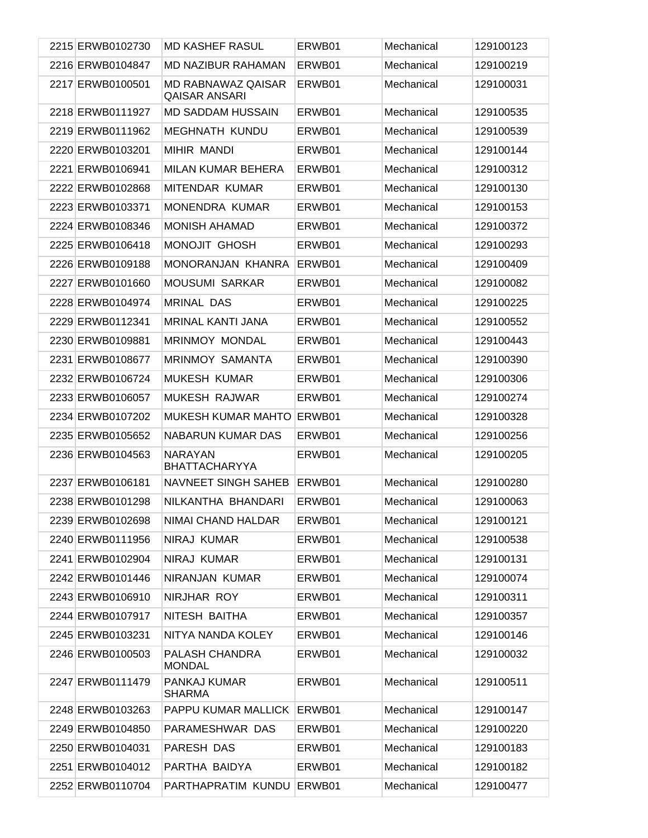| 2215 ERWB0102730 | <b>MD KASHEF RASUL</b>                     | ERWB01 | Mechanical | 129100123 |
|------------------|--------------------------------------------|--------|------------|-----------|
| 2216 ERWB0104847 | <b>MD NAZIBUR RAHAMAN</b>                  | ERWB01 | Mechanical | 129100219 |
| 2217 ERWB0100501 | MD RABNAWAZ QAISAR<br><b>QAISAR ANSARI</b> | ERWB01 | Mechanical | 129100031 |
| 2218 ERWB0111927 | <b>MD SADDAM HUSSAIN</b>                   | ERWB01 | Mechanical | 129100535 |
| 2219 ERWB0111962 | <b>MEGHNATH KUNDU</b>                      | ERWB01 | Mechanical | 129100539 |
| 2220 ERWB0103201 | <b>MIHIR MANDI</b>                         | ERWB01 | Mechanical | 129100144 |
| 2221 ERWB0106941 | MILAN KUMAR BEHERA                         | ERWB01 | Mechanical | 129100312 |
| 2222 ERWB0102868 | MITENDAR KUMAR                             | ERWB01 | Mechanical | 129100130 |
| 2223 ERWB0103371 | MONENDRA KUMAR                             | ERWB01 | Mechanical | 129100153 |
| 2224 ERWB0108346 | <b>MONISH AHAMAD</b>                       | ERWB01 | Mechanical | 129100372 |
| 2225 ERWB0106418 | MONOJIT GHOSH                              | ERWB01 | Mechanical | 129100293 |
| 2226 ERWB0109188 | MONORANJAN KHANRA                          | ERWB01 | Mechanical | 129100409 |
| 2227 ERWB0101660 | <b>MOUSUMI SARKAR</b>                      | ERWB01 | Mechanical | 129100082 |
| 2228 ERWB0104974 | <b>MRINAL DAS</b>                          | ERWB01 | Mechanical | 129100225 |
| 2229 ERWB0112341 | <b>MRINAL KANTI JANA</b>                   | ERWB01 | Mechanical | 129100552 |
| 2230 ERWB0109881 | <b>MRINMOY MONDAL</b>                      | ERWB01 | Mechanical | 129100443 |
| 2231 ERWB0108677 | <b>MRINMOY SAMANTA</b>                     | ERWB01 | Mechanical | 129100390 |
| 2232 ERWB0106724 | <b>MUKESH KUMAR</b>                        | ERWB01 | Mechanical | 129100306 |
| 2233 ERWB0106057 | MUKESH RAJWAR                              | ERWB01 | Mechanical | 129100274 |
| 2234 ERWB0107202 | MUKESH KUMAR MAHTO                         | ERWB01 | Mechanical | 129100328 |
| 2235 ERWB0105652 | NABARUN KUMAR DAS                          | ERWB01 | Mechanical | 129100256 |
| 2236 ERWB0104563 | NARAYAN<br><b>BHATTACHARYYA</b>            | ERWB01 | Mechanical | 129100205 |
| 2237 ERWB0106181 | <b>NAVNEET SINGH SAHEB</b>                 | ERWB01 | Mechanical | 129100280 |
| 2238 ERWB0101298 | NILKANTHA BHANDARI                         | ERWB01 | Mechanical | 129100063 |
| 2239 ERWB0102698 | NIMAI CHAND HALDAR                         | ERWB01 | Mechanical | 129100121 |
| 2240 ERWB0111956 | NIRAJ KUMAR                                | ERWB01 | Mechanical | 129100538 |
| 2241 ERWB0102904 | NIRAJ KUMAR                                | ERWB01 | Mechanical | 129100131 |
| 2242 ERWB0101446 | NIRANJAN KUMAR                             | ERWB01 | Mechanical | 129100074 |
| 2243 ERWB0106910 | NIRJHAR ROY                                | ERWB01 | Mechanical | 129100311 |
| 2244 ERWB0107917 | NITESH BAITHA                              | ERWB01 | Mechanical | 129100357 |
| 2245 ERWB0103231 | NITYA NANDA KOLEY                          | ERWB01 | Mechanical | 129100146 |
| 2246 ERWB0100503 | PALASH CHANDRA<br><b>MONDAL</b>            | ERWB01 | Mechanical | 129100032 |
| 2247 ERWB0111479 | PANKAJ KUMAR<br><b>SHARMA</b>              | ERWB01 | Mechanical | 129100511 |
| 2248 ERWB0103263 | PAPPU KUMAR MALLICK                        | ERWB01 | Mechanical | 129100147 |
| 2249 ERWB0104850 | PARAMESHWAR DAS                            | ERWB01 | Mechanical | 129100220 |
| 2250 ERWB0104031 | PARESH DAS                                 | ERWB01 | Mechanical | 129100183 |
| 2251 ERWB0104012 | PARTHA BAIDYA                              | ERWB01 | Mechanical | 129100182 |
| 2252 ERWB0110704 | PARTHAPRATIM KUNDU                         | ERWB01 | Mechanical | 129100477 |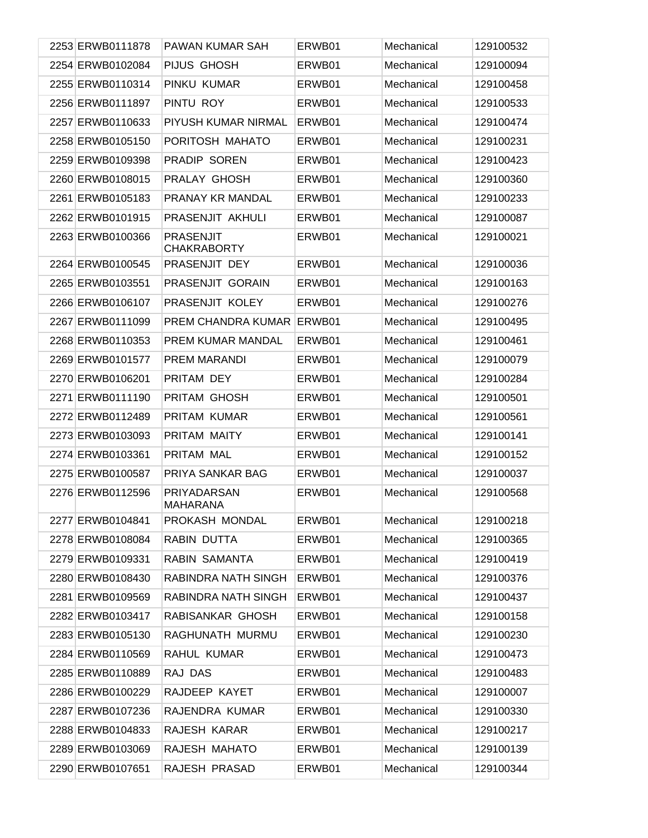| 2253 ERWB0111878 | PAWAN KUMAR SAH                        | ERWB01 | Mechanical | 129100532 |
|------------------|----------------------------------------|--------|------------|-----------|
| 2254 ERWB0102084 | PIJUS GHOSH                            | ERWB01 | Mechanical | 129100094 |
| 2255 ERWB0110314 | PINKU KUMAR                            | ERWB01 | Mechanical | 129100458 |
| 2256 ERWB0111897 | PINTU ROY                              | ERWB01 | Mechanical | 129100533 |
| 2257 ERWB0110633 | PIYUSH KUMAR NIRMAL                    | ERWB01 | Mechanical | 129100474 |
| 2258 ERWB0105150 | PORITOSH MAHATO                        | ERWB01 | Mechanical | 129100231 |
| 2259 ERWB0109398 | PRADIP SOREN                           | ERWB01 | Mechanical | 129100423 |
| 2260 ERWB0108015 | PRALAY GHOSH                           | ERWB01 | Mechanical | 129100360 |
| 2261 ERWB0105183 | PRANAY KR MANDAL                       | ERWB01 | Mechanical | 129100233 |
| 2262 ERWB0101915 | PRASENJIT AKHULI                       | ERWB01 | Mechanical | 129100087 |
| 2263 ERWB0100366 | <b>PRASENJIT</b><br><b>CHAKRABORTY</b> | ERWB01 | Mechanical | 129100021 |
| 2264 ERWB0100545 | PRASENJIT DEY                          | ERWB01 | Mechanical | 129100036 |
| 2265 ERWB0103551 | PRASENJIT GORAIN                       | ERWB01 | Mechanical | 129100163 |
| 2266 ERWB0106107 | PRASENJIT KOLEY                        | ERWB01 | Mechanical | 129100276 |
| 2267 ERWB0111099 | PREM CHANDRA KUMAR                     | ERWB01 | Mechanical | 129100495 |
| 2268 ERWB0110353 | PREM KUMAR MANDAL                      | ERWB01 | Mechanical | 129100461 |
| 2269 ERWB0101577 | PREM MARANDI                           | ERWB01 | Mechanical | 129100079 |
| 2270 ERWB0106201 | PRITAM DEY                             | ERWB01 | Mechanical | 129100284 |
| 2271 ERWB0111190 | PRITAM GHOSH                           | ERWB01 | Mechanical | 129100501 |
| 2272 ERWB0112489 | PRITAM KUMAR                           | ERWB01 | Mechanical | 129100561 |
| 2273 ERWB0103093 | PRITAM MAITY                           | ERWB01 | Mechanical | 129100141 |
| 2274 ERWB0103361 | PRITAM MAL                             | ERWB01 | Mechanical | 129100152 |
| 2275 ERWB0100587 | PRIYA SANKAR BAG                       | ERWB01 | Mechanical | 129100037 |
| 2276 ERWB0112596 | PRIYADARSAN<br><b>MAHARANA</b>         | ERWB01 | Mechanical | 129100568 |
| 2277 ERWB0104841 | PROKASH MONDAL                         | ERWB01 | Mechanical | 129100218 |
| 2278 ERWB0108084 | RABIN DUTTA                            | ERWB01 | Mechanical | 129100365 |
| 2279 ERWB0109331 | RABIN SAMANTA                          | ERWB01 | Mechanical | 129100419 |
| 2280 ERWB0108430 | RABINDRA NATH SINGH                    | ERWB01 | Mechanical | 129100376 |
| 2281 ERWB0109569 | RABINDRA NATH SINGH                    | ERWB01 | Mechanical | 129100437 |
| 2282 ERWB0103417 | RABISANKAR GHOSH                       | ERWB01 | Mechanical | 129100158 |
| 2283 ERWB0105130 | RAGHUNATH MURMU                        | ERWB01 | Mechanical | 129100230 |
| 2284 ERWB0110569 | RAHUL KUMAR                            | ERWB01 | Mechanical | 129100473 |
| 2285 ERWB0110889 | RAJ DAS                                | ERWB01 | Mechanical | 129100483 |
| 2286 ERWB0100229 | RAJDEEP KAYET                          | ERWB01 | Mechanical | 129100007 |
| 2287 ERWB0107236 | RAJENDRA KUMAR                         | ERWB01 | Mechanical | 129100330 |
| 2288 ERWB0104833 | RAJESH KARAR                           | ERWB01 | Mechanical | 129100217 |
| 2289 ERWB0103069 | RAJESH MAHATO                          | ERWB01 | Mechanical | 129100139 |
| 2290 ERWB0107651 | RAJESH PRASAD                          | ERWB01 | Mechanical | 129100344 |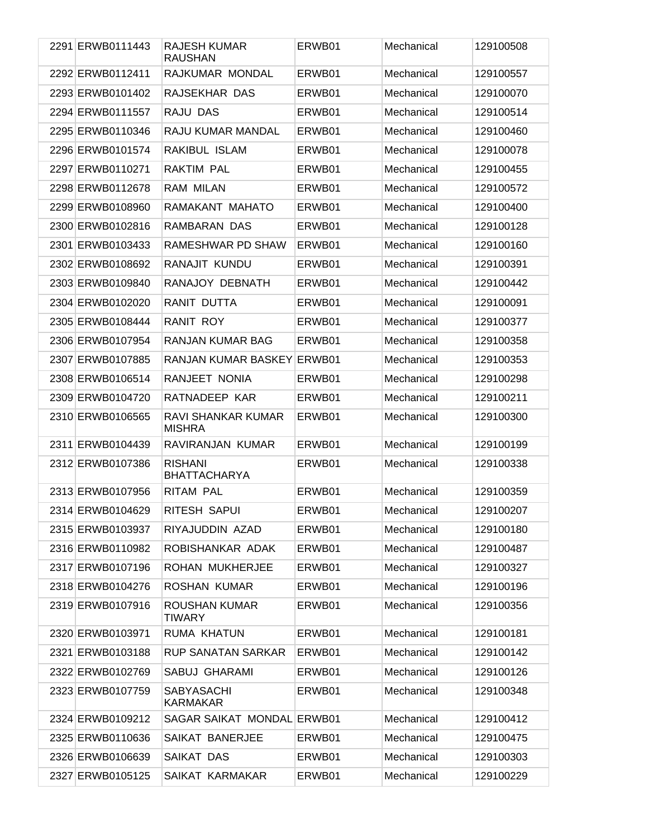| 2291 ERWB0111443 | RAJESH KUMAR<br><b>RAUSHAN</b>        | ERWB01 | Mechanical | 129100508 |
|------------------|---------------------------------------|--------|------------|-----------|
| 2292 ERWB0112411 | RAJKUMAR MONDAL                       | ERWB01 | Mechanical | 129100557 |
| 2293 ERWB0101402 | RAJSEKHAR DAS                         | ERWB01 | Mechanical | 129100070 |
| 2294 ERWB0111557 | RAJU DAS                              | ERWB01 | Mechanical | 129100514 |
| 2295 ERWB0110346 | RAJU KUMAR MANDAL                     | ERWB01 | Mechanical | 129100460 |
| 2296 ERWB0101574 | RAKIBUL ISLAM                         | ERWB01 | Mechanical | 129100078 |
| 2297 ERWB0110271 | <b>RAKTIM PAL</b>                     | ERWB01 | Mechanical | 129100455 |
| 2298 ERWB0112678 | <b>RAM MILAN</b>                      | ERWB01 | Mechanical | 129100572 |
| 2299 ERWB0108960 | RAMAKANT MAHATO                       | ERWB01 | Mechanical | 129100400 |
| 2300 ERWB0102816 | RAMBARAN DAS                          | ERWB01 | Mechanical | 129100128 |
| 2301 ERWB0103433 | RAMESHWAR PD SHAW                     | ERWB01 | Mechanical | 129100160 |
| 2302 ERWB0108692 | RANAJIT KUNDU                         | ERWB01 | Mechanical | 129100391 |
| 2303 ERWB0109840 | RANAJOY DEBNATH                       | ERWB01 | Mechanical | 129100442 |
| 2304 ERWB0102020 | RANIT DUTTA                           | ERWB01 | Mechanical | 129100091 |
| 2305 ERWB0108444 | RANIT ROY                             | ERWB01 | Mechanical | 129100377 |
| 2306 ERWB0107954 | RANJAN KUMAR BAG                      | ERWB01 | Mechanical | 129100358 |
| 2307 ERWB0107885 | RANJAN KUMAR BASKEY ERWB01            |        | Mechanical | 129100353 |
| 2308 ERWB0106514 | RANJEET NONIA                         | ERWB01 | Mechanical | 129100298 |
| 2309 ERWB0104720 | RATNADEEP KAR                         | ERWB01 | Mechanical | 129100211 |
| 2310 ERWB0106565 | RAVI SHANKAR KUMAR<br><b>MISHRA</b>   | ERWB01 | Mechanical | 129100300 |
| 2311 ERWB0104439 | RAVIRANJAN KUMAR                      | ERWB01 | Mechanical | 129100199 |
| 2312 ERWB0107386 | <b>RISHANI</b><br><b>BHATTACHARYA</b> | ERWB01 | Mechanical | 129100338 |
| 2313 ERWB0107956 | <b>RITAM PAL</b>                      | ERWB01 | Mechanical | 129100359 |
| 2314 ERWB0104629 | RITESH SAPUI                          | ERWB01 | Mechanical | 129100207 |
| 2315 ERWB0103937 | RIYAJUDDIN AZAD                       | ERWB01 | Mechanical | 129100180 |
| 2316 ERWB0110982 | ROBISHANKAR ADAK                      | ERWB01 | Mechanical | 129100487 |
| 2317 ERWB0107196 | <b>ROHAN MUKHERJEE</b>                | ERWB01 | Mechanical | 129100327 |
| 2318 ERWB0104276 | ROSHAN KUMAR                          | ERWB01 | Mechanical | 129100196 |
| 2319 ERWB0107916 | ROUSHAN KUMAR<br><b>TIWARY</b>        | ERWB01 | Mechanical | 129100356 |
| 2320 ERWB0103971 | RUMA KHATUN                           | ERWB01 | Mechanical | 129100181 |
| 2321 ERWB0103188 | <b>RUP SANATAN SARKAR</b>             | ERWB01 | Mechanical | 129100142 |
| 2322 ERWB0102769 | <b>SABUJ GHARAMI</b>                  | ERWB01 | Mechanical | 129100126 |
| 2323 ERWB0107759 | <b>SABYASACHI</b><br><b>KARMAKAR</b>  | ERWB01 | Mechanical | 129100348 |
| 2324 ERWB0109212 | SAGAR SAIKAT MONDAL ERWB01            |        | Mechanical | 129100412 |
| 2325 ERWB0110636 | SAIKAT BANERJEE                       | ERWB01 | Mechanical | 129100475 |
| 2326 ERWB0106639 | SAIKAT DAS                            | ERWB01 | Mechanical | 129100303 |
| 2327 ERWB0105125 | SAIKAT KARMAKAR                       | ERWB01 | Mechanical | 129100229 |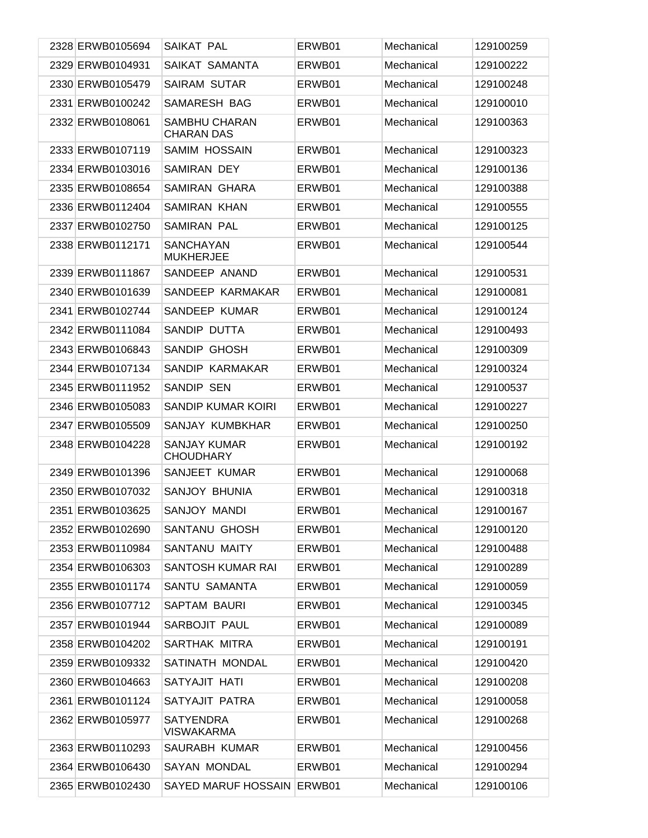| 2328 ERWB0105694 | SAIKAT PAL                                | ERWB01 | Mechanical | 129100259 |
|------------------|-------------------------------------------|--------|------------|-----------|
| 2329 ERWB0104931 | SAIKAT SAMANTA                            | ERWB01 | Mechanical | 129100222 |
| 2330 ERWB0105479 | <b>SAIRAM SUTAR</b>                       | ERWB01 | Mechanical | 129100248 |
| 2331 ERWB0100242 | SAMARESH BAG                              | ERWB01 | Mechanical | 129100010 |
| 2332 ERWB0108061 | <b>SAMBHU CHARAN</b><br><b>CHARAN DAS</b> | ERWB01 | Mechanical | 129100363 |
| 2333 ERWB0107119 | <b>SAMIM HOSSAIN</b>                      | ERWB01 | Mechanical | 129100323 |
| 2334 ERWB0103016 | <b>SAMIRAN DEY</b>                        | ERWB01 | Mechanical | 129100136 |
| 2335 ERWB0108654 | <b>SAMIRAN GHARA</b>                      | ERWB01 | Mechanical | 129100388 |
| 2336 ERWB0112404 | <b>SAMIRAN KHAN</b>                       | ERWB01 | Mechanical | 129100555 |
| 2337 ERWB0102750 | SAMIRAN PAL                               | ERWB01 | Mechanical | 129100125 |
| 2338 ERWB0112171 | <b>SANCHAYAN</b><br><b>MUKHERJEE</b>      | ERWB01 | Mechanical | 129100544 |
| 2339 ERWB0111867 | SANDEEP ANAND                             | ERWB01 | Mechanical | 129100531 |
| 2340 ERWB0101639 | SANDEEP KARMAKAR                          | ERWB01 | Mechanical | 129100081 |
| 2341 ERWB0102744 | SANDEEP KUMAR                             | ERWB01 | Mechanical | 129100124 |
| 2342 ERWB0111084 | SANDIP DUTTA                              | ERWB01 | Mechanical | 129100493 |
| 2343 ERWB0106843 | SANDIP GHOSH                              | ERWB01 | Mechanical | 129100309 |
| 2344 ERWB0107134 | SANDIP KARMAKAR                           | ERWB01 | Mechanical | 129100324 |
| 2345 ERWB0111952 | SANDIP SEN                                | ERWB01 | Mechanical | 129100537 |
| 2346 ERWB0105083 | SANDIP KUMAR KOIRI                        | ERWB01 | Mechanical | 129100227 |
| 2347 ERWB0105509 | SANJAY KUMBKHAR                           | ERWB01 | Mechanical | 129100250 |
| 2348 ERWB0104228 | <b>SANJAY KUMAR</b><br><b>CHOUDHARY</b>   | ERWB01 | Mechanical | 129100192 |
| 2349 ERWB0101396 | SANJEET KUMAR                             | ERWB01 | Mechanical | 129100068 |
| 2350 ERWB0107032 | SANJOY BHUNIA                             | ERWB01 | Mechanical | 129100318 |
| 2351 ERWB0103625 | SANJOY MANDI                              | ERWB01 | Mechanical | 129100167 |
| 2352 ERWB0102690 | SANTANU GHOSH                             | ERWB01 | Mechanical | 129100120 |
| 2353 ERWB0110984 | SANTANU MAITY                             | ERWB01 | Mechanical | 129100488 |
| 2354 ERWB0106303 | SANTOSH KUMAR RAI                         | ERWB01 | Mechanical | 129100289 |
| 2355 ERWB0101174 | SANTU SAMANTA                             | ERWB01 | Mechanical | 129100059 |
| 2356 ERWB0107712 | SAPTAM BAURI                              | ERWB01 | Mechanical | 129100345 |
| 2357 ERWB0101944 | <b>SARBOJIT PAUL</b>                      | ERWB01 | Mechanical | 129100089 |
| 2358 ERWB0104202 | SARTHAK MITRA                             | ERWB01 | Mechanical | 129100191 |
| 2359 ERWB0109332 | SATINATH MONDAL                           | ERWB01 | Mechanical | 129100420 |
| 2360 ERWB0104663 | SATYAJIT HATI                             | ERWB01 | Mechanical | 129100208 |
| 2361 ERWB0101124 | SATYAJIT PATRA                            | ERWB01 | Mechanical | 129100058 |
| 2362 ERWB0105977 | <b>SATYENDRA</b><br><b>VISWAKARMA</b>     | ERWB01 | Mechanical | 129100268 |
| 2363 ERWB0110293 | SAURABH KUMAR                             | ERWB01 | Mechanical | 129100456 |
| 2364 ERWB0106430 | <b>SAYAN MONDAL</b>                       | ERWB01 | Mechanical | 129100294 |
| 2365 ERWB0102430 | SAYED MARUF HOSSAIN ERWB01                |        | Mechanical | 129100106 |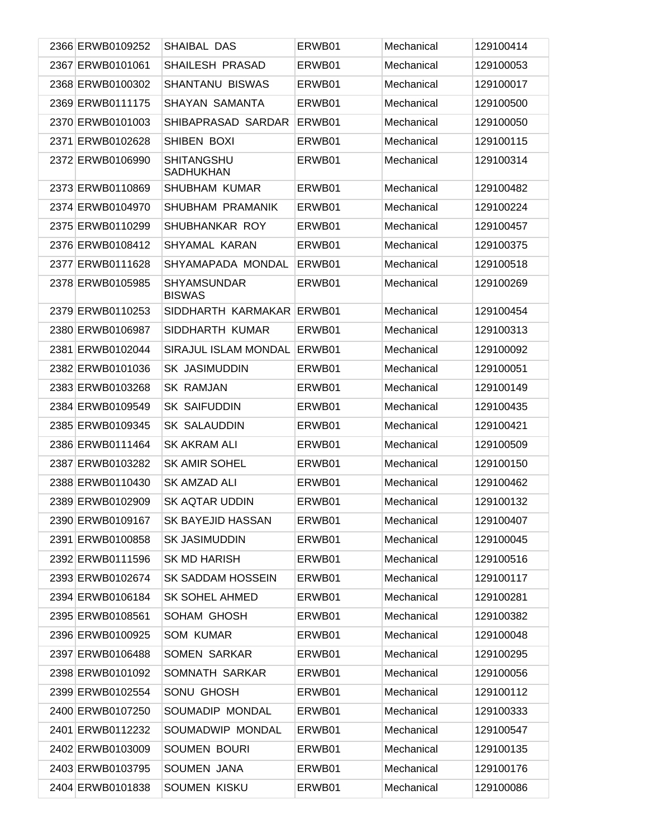| 2366 ERWB0109252 | SHAIBAL DAS                           | ERWB01 | Mechanical | 129100414 |
|------------------|---------------------------------------|--------|------------|-----------|
| 2367 ERWB0101061 | <b>SHAILESH PRASAD</b>                | ERWB01 | Mechanical | 129100053 |
| 2368 ERWB0100302 | <b>SHANTANU BISWAS</b>                | ERWB01 | Mechanical | 129100017 |
| 2369 ERWB0111175 | SHAYAN SAMANTA                        | ERWB01 | Mechanical | 129100500 |
| 2370 ERWB0101003 | SHIBAPRASAD SARDAR                    | ERWB01 | Mechanical | 129100050 |
| 2371 ERWB0102628 | SHIBEN BOXI                           | ERWB01 | Mechanical | 129100115 |
| 2372 ERWB0106990 | <b>SHITANGSHU</b><br><b>SADHUKHAN</b> | ERWB01 | Mechanical | 129100314 |
| 2373 ERWB0110869 | <b>SHUBHAM KUMAR</b>                  | ERWB01 | Mechanical | 129100482 |
| 2374 ERWB0104970 | SHUBHAM PRAMANIK                      | ERWB01 | Mechanical | 129100224 |
| 2375 ERWB0110299 | SHUBHANKAR ROY                        | ERWB01 | Mechanical | 129100457 |
| 2376 ERWB0108412 | <b>SHYAMAL KARAN</b>                  | ERWB01 | Mechanical | 129100375 |
| 2377 ERWB0111628 | SHYAMAPADA MONDAL                     | ERWB01 | Mechanical | 129100518 |
| 2378 ERWB0105985 | <b>SHYAMSUNDAR</b><br><b>BISWAS</b>   | ERWB01 | Mechanical | 129100269 |
| 2379 ERWB0110253 | SIDDHARTH KARMAKAR                    | ERWB01 | Mechanical | 129100454 |
| 2380 ERWB0106987 | SIDDHARTH KUMAR                       | ERWB01 | Mechanical | 129100313 |
| 2381 ERWB0102044 | SIRAJUL ISLAM MONDAL                  | ERWB01 | Mechanical | 129100092 |
| 2382 ERWB0101036 | <b>SK JASIMUDDIN</b>                  | ERWB01 | Mechanical | 129100051 |
| 2383 ERWB0103268 | <b>SK RAMJAN</b>                      | ERWB01 | Mechanical | 129100149 |
| 2384 ERWB0109549 | <b>SK SAIFUDDIN</b>                   | ERWB01 | Mechanical | 129100435 |
| 2385 ERWB0109345 | <b>SK SALAUDDIN</b>                   | ERWB01 | Mechanical | 129100421 |
| 2386 ERWB0111464 | SK AKRAM ALI                          | ERWB01 | Mechanical | 129100509 |
| 2387 ERWB0103282 | <b>SK AMIR SOHEL</b>                  | ERWB01 | Mechanical | 129100150 |
| 2388 ERWB0110430 | SK AMZAD ALI                          | ERWB01 | Mechanical | 129100462 |
| 2389 ERWB0102909 | <b>SK AQTAR UDDIN</b>                 | ERWB01 | Mechanical | 129100132 |
| 2390 ERWB0109167 | SK BAYEJID HASSAN                     | ERWB01 | Mechanical | 129100407 |
| 2391 ERWB0100858 | <b>SK JASIMUDDIN</b>                  | ERWB01 | Mechanical | 129100045 |
| 2392 ERWB0111596 | <b>SK MD HARISH</b>                   | ERWB01 | Mechanical | 129100516 |
| 2393 ERWB0102674 | <b>SK SADDAM HOSSEIN</b>              | ERWB01 | Mechanical | 129100117 |
| 2394 ERWB0106184 | <b>SK SOHEL AHMED</b>                 | ERWB01 | Mechanical | 129100281 |
| 2395 ERWB0108561 | SOHAM GHOSH                           | ERWB01 | Mechanical | 129100382 |
| 2396 ERWB0100925 | <b>SOM KUMAR</b>                      | ERWB01 | Mechanical | 129100048 |
| 2397 ERWB0106488 | <b>SOMEN SARKAR</b>                   | ERWB01 | Mechanical | 129100295 |
| 2398 ERWB0101092 | SOMNATH SARKAR                        | ERWB01 | Mechanical | 129100056 |
| 2399 ERWB0102554 | SONU GHOSH                            | ERWB01 | Mechanical | 129100112 |
| 2400 ERWB0107250 | SOUMADIP MONDAL                       | ERWB01 | Mechanical | 129100333 |
| 2401 ERWB0112232 | SOUMADWIP MONDAL                      | ERWB01 | Mechanical | 129100547 |
| 2402 ERWB0103009 | <b>SOUMEN BOURI</b>                   | ERWB01 | Mechanical | 129100135 |
| 2403 ERWB0103795 | <b>SOUMEN JANA</b>                    | ERWB01 | Mechanical | 129100176 |
| 2404 ERWB0101838 | SOUMEN KISKU                          | ERWB01 | Mechanical | 129100086 |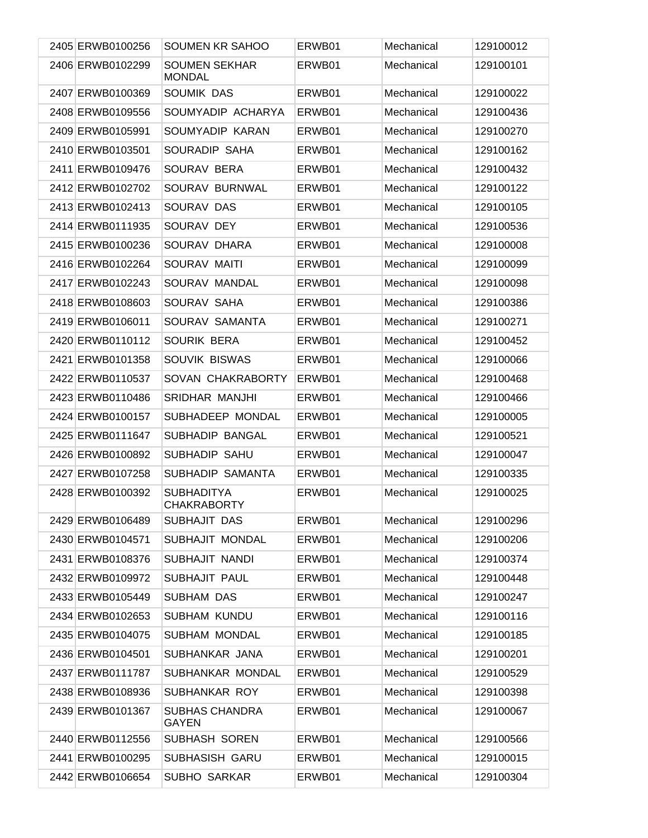| 2405 ERWB0100256 | SOUMEN KR SAHOO                         | ERWB01 | Mechanical | 129100012 |
|------------------|-----------------------------------------|--------|------------|-----------|
| 2406 ERWB0102299 | <b>SOUMEN SEKHAR</b><br><b>MONDAL</b>   | ERWB01 | Mechanical | 129100101 |
| 2407 ERWB0100369 | SOUMIK DAS                              | ERWB01 | Mechanical | 129100022 |
| 2408 ERWB0109556 | SOUMYADIP ACHARYA                       | ERWB01 | Mechanical | 129100436 |
| 2409 ERWB0105991 | SOUMYADIP KARAN                         | ERWB01 | Mechanical | 129100270 |
| 2410 ERWB0103501 | SOURADIP SAHA                           | ERWB01 | Mechanical | 129100162 |
| 2411 ERWB0109476 | SOURAV BERA                             | ERWB01 | Mechanical | 129100432 |
| 2412 ERWB0102702 | SOURAV BURNWAL                          | ERWB01 | Mechanical | 129100122 |
| 2413 ERWB0102413 | SOURAV DAS                              | ERWB01 | Mechanical | 129100105 |
| 2414 ERWB0111935 | SOURAV DEY                              | ERWB01 | Mechanical | 129100536 |
| 2415 ERWB0100236 | SOURAV DHARA                            | ERWB01 | Mechanical | 129100008 |
| 2416 ERWB0102264 | SOURAV MAITI                            | ERWB01 | Mechanical | 129100099 |
| 2417 ERWB0102243 | SOURAV MANDAL                           | ERWB01 | Mechanical | 129100098 |
| 2418 ERWB0108603 | SOURAV SAHA                             | ERWB01 | Mechanical | 129100386 |
| 2419 ERWB0106011 | SOURAV SAMANTA                          | ERWB01 | Mechanical | 129100271 |
| 2420 ERWB0110112 | SOURIK BERA                             | ERWB01 | Mechanical | 129100452 |
| 2421 ERWB0101358 | SOUVIK BISWAS                           | ERWB01 | Mechanical | 129100066 |
| 2422 ERWB0110537 | SOVAN CHAKRABORTY                       | ERWB01 | Mechanical | 129100468 |
| 2423 ERWB0110486 | <b>SRIDHAR MANJHI</b>                   | ERWB01 | Mechanical | 129100466 |
| 2424 ERWB0100157 | SUBHADEEP MONDAL                        | ERWB01 | Mechanical | 129100005 |
| 2425 ERWB0111647 | SUBHADIP BANGAL                         | ERWB01 | Mechanical | 129100521 |
| 2426 ERWB0100892 | SUBHADIP SAHU                           | ERWB01 | Mechanical | 129100047 |
| 2427 ERWB0107258 | SUBHADIP SAMANTA                        | ERWB01 | Mechanical | 129100335 |
| 2428 ERWB0100392 | <b>SUBHADITYA</b><br><b>CHAKRABORTY</b> | ERWB01 | Mechanical | 129100025 |
| 2429 ERWB0106489 | SUBHAJIT DAS                            | ERWB01 | Mechanical | 129100296 |
| 2430 ERWB0104571 | SUBHAJIT MONDAL                         | ERWB01 | Mechanical | 129100206 |
| 2431 ERWB0108376 | SUBHAJIT NANDI                          | ERWB01 | Mechanical | 129100374 |
| 2432 ERWB0109972 | SUBHAJIT PAUL                           | ERWB01 | Mechanical | 129100448 |
| 2433 ERWB0105449 | <b>SUBHAM DAS</b>                       | ERWB01 | Mechanical | 129100247 |
| 2434 ERWB0102653 | <b>SUBHAM KUNDU</b>                     | ERWB01 | Mechanical | 129100116 |
| 2435 ERWB0104075 | SUBHAM MONDAL                           | ERWB01 | Mechanical | 129100185 |
| 2436 ERWB0104501 | SUBHANKAR JANA                          | ERWB01 | Mechanical | 129100201 |
| 2437 ERWB0111787 | SUBHANKAR MONDAL                        | ERWB01 | Mechanical | 129100529 |
| 2438 ERWB0108936 | SUBHANKAR ROY                           | ERWB01 | Mechanical | 129100398 |
| 2439 ERWB0101367 | <b>SUBHAS CHANDRA</b><br><b>GAYEN</b>   | ERWB01 | Mechanical | 129100067 |
| 2440 ERWB0112556 | SUBHASH SOREN                           | ERWB01 | Mechanical | 129100566 |
| 2441 ERWB0100295 | SUBHASISH GARU                          | ERWB01 | Mechanical | 129100015 |
| 2442 ERWB0106654 | <b>SUBHO SARKAR</b>                     | ERWB01 | Mechanical | 129100304 |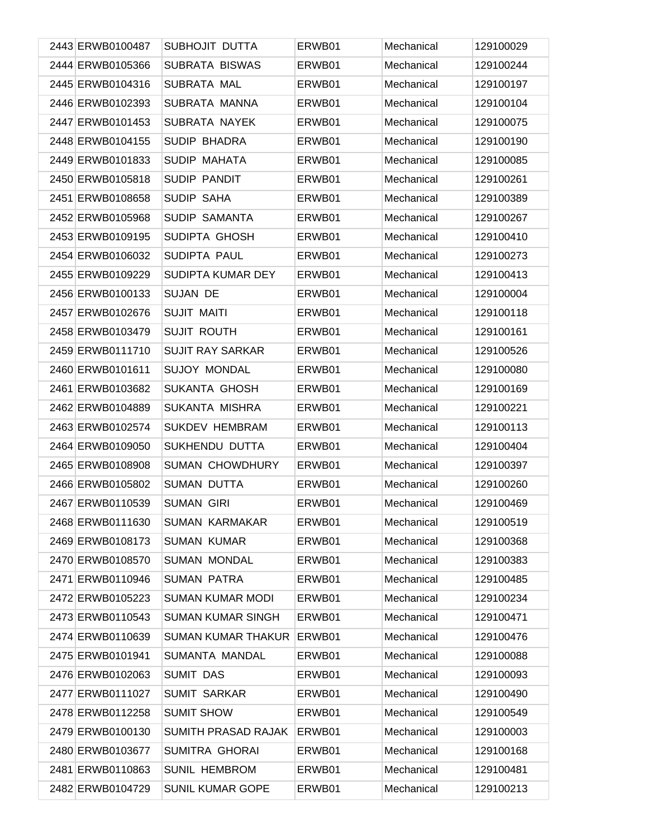| 2443 ERWB0100487 | SUBHOJIT DUTTA             | ERWB01 | Mechanical | 129100029 |
|------------------|----------------------------|--------|------------|-----------|
| 2444 ERWB0105366 | SUBRATA BISWAS             | ERWB01 | Mechanical | 129100244 |
| 2445 ERWB0104316 | SUBRATA MAL                | ERWB01 | Mechanical | 129100197 |
| 2446 ERWB0102393 | SUBRATA MANNA              | ERWB01 | Mechanical | 129100104 |
| 2447 ERWB0101453 | <b>SUBRATA NAYEK</b>       | ERWB01 | Mechanical | 129100075 |
| 2448 ERWB0104155 | SUDIP BHADRA               | ERWB01 | Mechanical | 129100190 |
| 2449 ERWB0101833 | <b>SUDIP MAHATA</b>        | ERWB01 | Mechanical | 129100085 |
| 2450 ERWB0105818 | SUDIP PANDIT               | ERWB01 | Mechanical | 129100261 |
| 2451 ERWB0108658 | SUDIP SAHA                 | ERWB01 | Mechanical | 129100389 |
| 2452 ERWB0105968 | SUDIP SAMANTA              | ERWB01 | Mechanical | 129100267 |
| 2453 ERWB0109195 | SUDIPTA GHOSH              | ERWB01 | Mechanical | 129100410 |
| 2454 ERWB0106032 | SUDIPTA PAUL               | ERWB01 | Mechanical | 129100273 |
| 2455 ERWB0109229 | SUDIPTA KUMAR DEY          | ERWB01 | Mechanical | 129100413 |
| 2456 ERWB0100133 | SUJAN DE                   | ERWB01 | Mechanical | 129100004 |
| 2457 ERWB0102676 | <b>SUJIT MAITI</b>         | ERWB01 | Mechanical | 129100118 |
| 2458 ERWB0103479 | <b>SUJIT ROUTH</b>         | ERWB01 | Mechanical | 129100161 |
| 2459 ERWB0111710 | <b>SUJIT RAY SARKAR</b>    | ERWB01 | Mechanical | 129100526 |
| 2460 ERWB0101611 | <b>SUJOY MONDAL</b>        | ERWB01 | Mechanical | 129100080 |
| 2461 ERWB0103682 | <b>SUKANTA GHOSH</b>       | ERWB01 | Mechanical | 129100169 |
| 2462 ERWB0104889 | SUKANTA MISHRA             | ERWB01 | Mechanical | 129100221 |
| 2463 ERWB0102574 | <b>SUKDEV HEMBRAM</b>      | ERWB01 | Mechanical | 129100113 |
| 2464 ERWB0109050 | SUKHENDU DUTTA             | ERWB01 | Mechanical | 129100404 |
| 2465 ERWB0108908 | <b>SUMAN CHOWDHURY</b>     | ERWB01 | Mechanical | 129100397 |
| 2466 ERWB0105802 | <b>SUMAN DUTTA</b>         | ERWB01 | Mechanical | 129100260 |
| 2467 ERWB0110539 | <b>SUMAN GIRI</b>          | ERWB01 | Mechanical | 129100469 |
| 2468 ERWB0111630 | <b>SUMAN KARMAKAR</b>      | ERWB01 | Mechanical | 129100519 |
| 2469 ERWB0108173 | <b>SUMAN KUMAR</b>         | ERWB01 | Mechanical | 129100368 |
| 2470 ERWB0108570 | <b>SUMAN MONDAL</b>        | ERWB01 | Mechanical | 129100383 |
| 2471 ERWB0110946 | <b>SUMAN PATRA</b>         | ERWB01 | Mechanical | 129100485 |
| 2472 ERWB0105223 | <b>SUMAN KUMAR MODI</b>    | ERWB01 | Mechanical | 129100234 |
| 2473 ERWB0110543 | <b>SUMAN KUMAR SINGH</b>   | ERWB01 | Mechanical | 129100471 |
| 2474 ERWB0110639 | <b>SUMAN KUMAR THAKUR</b>  | ERWB01 | Mechanical | 129100476 |
| 2475 ERWB0101941 | SUMANTA MANDAL             | ERWB01 | Mechanical | 129100088 |
| 2476 ERWB0102063 | <b>SUMIT DAS</b>           | ERWB01 | Mechanical | 129100093 |
| 2477 ERWB0111027 | <b>SUMIT SARKAR</b>        | ERWB01 | Mechanical | 129100490 |
| 2478 ERWB0112258 | <b>SUMIT SHOW</b>          | ERWB01 | Mechanical | 129100549 |
| 2479 ERWB0100130 | <b>SUMITH PRASAD RAJAK</b> | ERWB01 | Mechanical | 129100003 |
| 2480 ERWB0103677 | SUMITRA GHORAI             | ERWB01 | Mechanical | 129100168 |
| 2481 ERWB0110863 | <b>SUNIL HEMBROM</b>       | ERWB01 | Mechanical | 129100481 |
| 2482 ERWB0104729 | SUNIL KUMAR GOPE           | ERWB01 | Mechanical | 129100213 |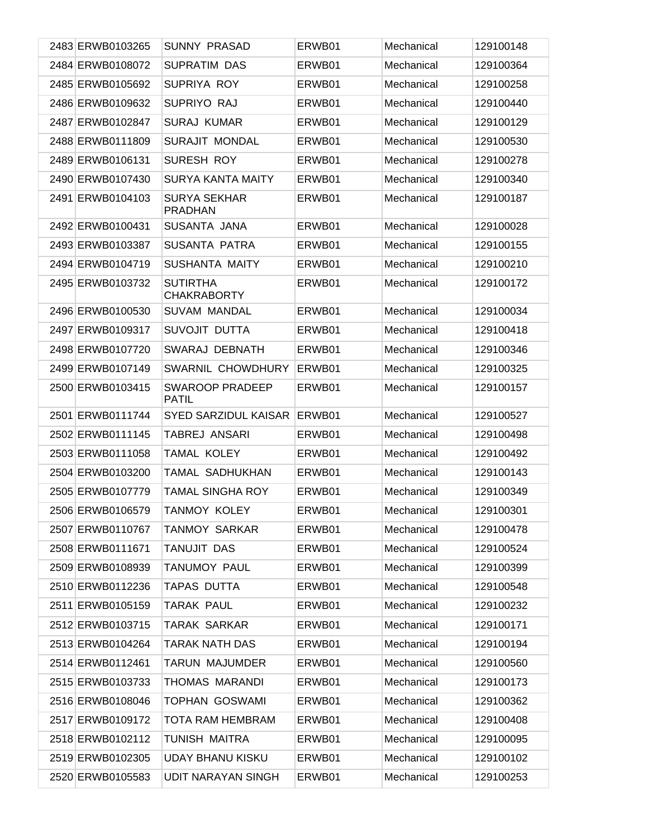| 2483 ERWB0103265 | <b>SUNNY PRASAD</b>                   | ERWB01 | Mechanical | 129100148 |
|------------------|---------------------------------------|--------|------------|-----------|
| 2484 ERWB0108072 | <b>SUPRATIM DAS</b>                   | ERWB01 | Mechanical | 129100364 |
| 2485 ERWB0105692 | SUPRIYA ROY                           | ERWB01 | Mechanical | 129100258 |
| 2486 ERWB0109632 | SUPRIYO RAJ                           | ERWB01 | Mechanical | 129100440 |
| 2487 ERWB0102847 | <b>SURAJ KUMAR</b>                    | ERWB01 | Mechanical | 129100129 |
| 2488 ERWB0111809 | SURAJIT MONDAL                        | ERWB01 | Mechanical | 129100530 |
| 2489 ERWB0106131 | SURESH ROY                            | ERWB01 | Mechanical | 129100278 |
| 2490 ERWB0107430 | <b>SURYA KANTA MAITY</b>              | ERWB01 | Mechanical | 129100340 |
| 2491 ERWB0104103 | <b>SURYA SEKHAR</b><br><b>PRADHAN</b> | ERWB01 | Mechanical | 129100187 |
| 2492 ERWB0100431 | SUSANTA JANA                          | ERWB01 | Mechanical | 129100028 |
| 2493 ERWB0103387 | SUSANTA PATRA                         | ERWB01 | Mechanical | 129100155 |
| 2494 ERWB0104719 | SUSHANTA MAITY                        | ERWB01 | Mechanical | 129100210 |
| 2495 ERWB0103732 | <b>SUTIRTHA</b><br><b>CHAKRABORTY</b> | ERWB01 | Mechanical | 129100172 |
| 2496 ERWB0100530 | <b>SUVAM MANDAL</b>                   | ERWB01 | Mechanical | 129100034 |
| 2497 ERWB0109317 | SUVOJIT DUTTA                         | ERWB01 | Mechanical | 129100418 |
| 2498 ERWB0107720 | SWARAJ DEBNATH                        | ERWB01 | Mechanical | 129100346 |
| 2499 ERWB0107149 | SWARNIL CHOWDHURY                     | ERWB01 | Mechanical | 129100325 |
| 2500 ERWB0103415 | SWAROOP PRADEEP<br><b>PATIL</b>       | ERWB01 | Mechanical | 129100157 |
| 2501 ERWB0111744 | <b>SYED SARZIDUL KAISAR</b>           | ERWB01 | Mechanical | 129100527 |
| 2502 ERWB0111145 | TABREJ ANSARI                         | ERWB01 | Mechanical | 129100498 |
| 2503 ERWB0111058 | TAMAL KOLEY                           | ERWB01 | Mechanical | 129100492 |
| 2504 ERWB0103200 | TAMAL SADHUKHAN                       | ERWB01 | Mechanical | 129100143 |
| 2505 ERWB0107779 | TAMAL SINGHA ROY                      | ERWB01 | Mechanical | 129100349 |
| 2506 ERWB0106579 | TANMOY KOLEY                          | ERWB01 | Mechanical | 129100301 |
| 2507 ERWB0110767 | TANMOY SARKAR                         | ERWB01 | Mechanical | 129100478 |
| 2508 ERWB0111671 | TANUJIT DAS                           | ERWB01 | Mechanical | 129100524 |
| 2509 ERWB0108939 | TANUMOY PAUL                          | ERWB01 | Mechanical | 129100399 |
| 2510 ERWB0112236 | TAPAS DUTTA                           | ERWB01 | Mechanical | 129100548 |
| 2511 ERWB0105159 | TARAK PAUL                            | ERWB01 | Mechanical | 129100232 |
| 2512 ERWB0103715 | TARAK SARKAR                          | ERWB01 | Mechanical | 129100171 |
| 2513 ERWB0104264 | <b>TARAK NATH DAS</b>                 | ERWB01 | Mechanical | 129100194 |
| 2514 ERWB0112461 | TARUN MAJUMDER                        | ERWB01 | Mechanical | 129100560 |
| 2515 ERWB0103733 | THOMAS MARANDI                        | ERWB01 | Mechanical | 129100173 |
| 2516 ERWB0108046 | TOPHAN GOSWAMI                        | ERWB01 | Mechanical | 129100362 |
| 2517 ERWB0109172 | TOTA RAM HEMBRAM                      | ERWB01 | Mechanical | 129100408 |
| 2518 ERWB0102112 | TUNISH MAITRA                         | ERWB01 | Mechanical | 129100095 |
| 2519 ERWB0102305 | <b>UDAY BHANU KISKU</b>               | ERWB01 | Mechanical | 129100102 |
| 2520 ERWB0105583 | <b>UDIT NARAYAN SINGH</b>             | ERWB01 | Mechanical | 129100253 |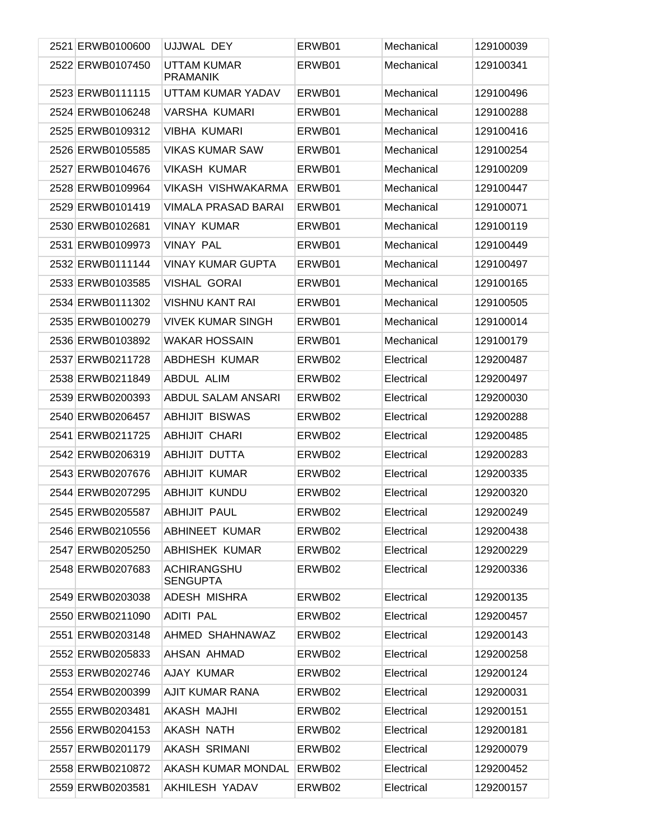| 2521 ERWB0100600 | UJJWAL DEY                            | ERWB01 | Mechanical | 129100039 |
|------------------|---------------------------------------|--------|------------|-----------|
| 2522 ERWB0107450 | <b>UTTAM KUMAR</b><br><b>PRAMANIK</b> | ERWB01 | Mechanical | 129100341 |
| 2523 ERWB0111115 | UTTAM KUMAR YADAV                     | ERWB01 | Mechanical | 129100496 |
| 2524 ERWB0106248 | <b>VARSHA KUMARI</b>                  | ERWB01 | Mechanical | 129100288 |
| 2525 ERWB0109312 | <b>VIBHA KUMARI</b>                   | ERWB01 | Mechanical | 129100416 |
| 2526 ERWB0105585 | <b>VIKAS KUMAR SAW</b>                | ERWB01 | Mechanical | 129100254 |
| 2527 ERWB0104676 | <b>VIKASH KUMAR</b>                   | ERWB01 | Mechanical | 129100209 |
| 2528 ERWB0109964 | VIKASH VISHWAKARMA                    | ERWB01 | Mechanical | 129100447 |
| 2529 ERWB0101419 | <b>VIMALA PRASAD BARAI</b>            | ERWB01 | Mechanical | 129100071 |
| 2530 ERWB0102681 | <b>VINAY KUMAR</b>                    | ERWB01 | Mechanical | 129100119 |
| 2531 ERWB0109973 | <b>VINAY PAL</b>                      | ERWB01 | Mechanical | 129100449 |
| 2532 ERWB0111144 | <b>VINAY KUMAR GUPTA</b>              | ERWB01 | Mechanical | 129100497 |
| 2533 ERWB0103585 | <b>VISHAL GORAI</b>                   | ERWB01 | Mechanical | 129100165 |
| 2534 ERWB0111302 | <b>VISHNU KANT RAI</b>                | ERWB01 | Mechanical | 129100505 |
| 2535 ERWB0100279 | <b>VIVEK KUMAR SINGH</b>              | ERWB01 | Mechanical | 129100014 |
| 2536 ERWB0103892 | <b>WAKAR HOSSAIN</b>                  | ERWB01 | Mechanical | 129100179 |
| 2537 ERWB0211728 | <b>ABDHESH KUMAR</b>                  | ERWB02 | Electrical | 129200487 |
| 2538 ERWB0211849 | ABDUL ALIM                            | ERWB02 | Electrical | 129200497 |
| 2539 ERWB0200393 | <b>ABDUL SALAM ANSARI</b>             | ERWB02 | Electrical | 129200030 |
| 2540 ERWB0206457 | <b>ABHIJIT BISWAS</b>                 | ERWB02 | Electrical | 129200288 |
| 2541 ERWB0211725 | <b>ABHIJIT CHARI</b>                  | ERWB02 | Electrical | 129200485 |
| 2542 ERWB0206319 | ABHIJIT DUTTA                         | ERWB02 | Electrical | 129200283 |
| 2543 ERWB0207676 | <b>ABHIJIT KUMAR</b>                  | ERWB02 | Electrical | 129200335 |
| 2544 ERWB0207295 | <b>ABHIJIT KUNDU</b>                  | ERWB02 | Electrical | 129200320 |
| 2545 ERWB0205587 | <b>ABHIJIT PAUL</b>                   | ERWB02 | Electrical | 129200249 |
| 2546 ERWB0210556 | ABHINEET KUMAR                        | ERWB02 | Electrical | 129200438 |
| 2547 ERWB0205250 | <b>ABHISHEK KUMAR</b>                 | ERWB02 | Electrical | 129200229 |
| 2548 ERWB0207683 | <b>ACHIRANGSHU</b><br><b>SENGUPTA</b> | ERWB02 | Electrical | 129200336 |
| 2549 ERWB0203038 | ADESH MISHRA                          | ERWB02 | Electrical | 129200135 |
| 2550 ERWB0211090 | <b>ADITI PAL</b>                      | ERWB02 | Electrical | 129200457 |
| 2551 ERWB0203148 | AHMED SHAHNAWAZ                       | ERWB02 | Electrical | 129200143 |
| 2552 ERWB0205833 | AHSAN AHMAD                           | ERWB02 | Electrical | 129200258 |
| 2553 ERWB0202746 | AJAY KUMAR                            | ERWB02 | Electrical | 129200124 |
| 2554 ERWB0200399 | AJIT KUMAR RANA                       | ERWB02 | Electrical | 129200031 |
| 2555 ERWB0203481 | AKASH MAJHI                           | ERWB02 | Electrical | 129200151 |
| 2556 ERWB0204153 | AKASH NATH                            | ERWB02 | Electrical | 129200181 |
| 2557 ERWB0201179 | AKASH SRIMANI                         | ERWB02 | Electrical | 129200079 |
| 2558 ERWB0210872 | AKASH KUMAR MONDAL                    | ERWB02 | Electrical | 129200452 |
| 2559 ERWB0203581 | AKHILESH YADAV                        | ERWB02 | Electrical | 129200157 |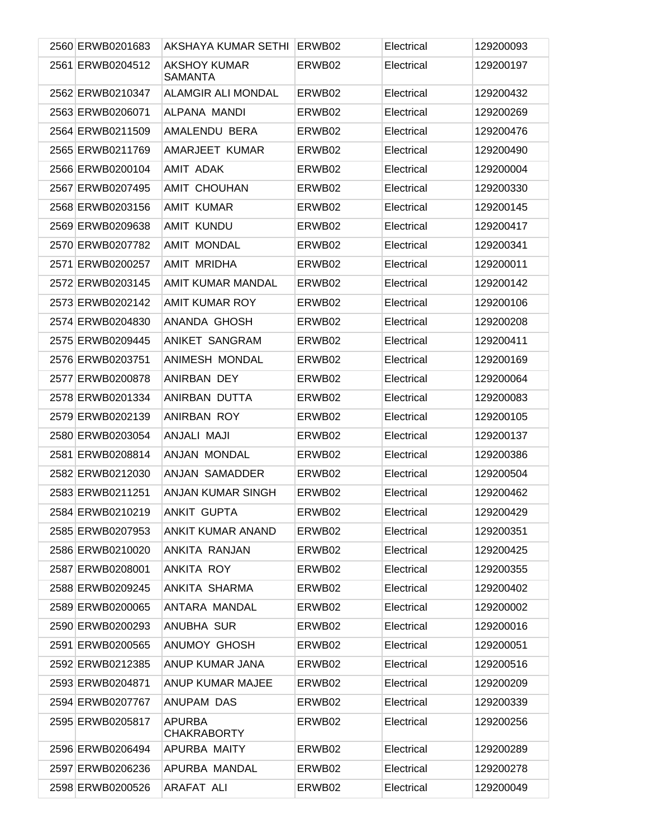| 2560 ERWB0201683 | AKSHAYA KUMAR SETHI                   | ERWB02 | Electrical | 129200093 |
|------------------|---------------------------------------|--------|------------|-----------|
| 2561 ERWB0204512 | <b>AKSHOY KUMAR</b><br><b>SAMANTA</b> | ERWB02 | Electrical | 129200197 |
| 2562 ERWB0210347 | ALAMGIR ALI MONDAL                    | ERWB02 | Electrical | 129200432 |
| 2563 ERWB0206071 | ALPANA MANDI                          | ERWB02 | Electrical | 129200269 |
| 2564 ERWB0211509 | AMALENDU BERA                         | ERWB02 | Electrical | 129200476 |
| 2565 ERWB0211769 | AMARJEET KUMAR                        | ERWB02 | Electrical | 129200490 |
| 2566 ERWB0200104 | AMIT ADAK                             | ERWB02 | Electrical | 129200004 |
| 2567 ERWB0207495 | AMIT CHOUHAN                          | ERWB02 | Electrical | 129200330 |
| 2568 ERWB0203156 | AMIT KUMAR                            | ERWB02 | Electrical | 129200145 |
| 2569 ERWB0209638 | <b>AMIT KUNDU</b>                     | ERWB02 | Electrical | 129200417 |
| 2570 ERWB0207782 | <b>AMIT MONDAL</b>                    | ERWB02 | Electrical | 129200341 |
| 2571 ERWB0200257 | <b>AMIT MRIDHA</b>                    | ERWB02 | Electrical | 129200011 |
| 2572 ERWB0203145 | AMIT KUMAR MANDAL                     | ERWB02 | Electrical | 129200142 |
| 2573 ERWB0202142 | <b>AMIT KUMAR ROY</b>                 | ERWB02 | Electrical | 129200106 |
| 2574 ERWB0204830 | ANANDA GHOSH                          | ERWB02 | Electrical | 129200208 |
| 2575 ERWB0209445 | ANIKET SANGRAM                        | ERWB02 | Electrical | 129200411 |
| 2576 ERWB0203751 | ANIMESH MONDAL                        | ERWB02 | Electrical | 129200169 |
| 2577 ERWB0200878 | ANIRBAN DEY                           | ERWB02 | Electrical | 129200064 |
| 2578 ERWB0201334 | ANIRBAN DUTTA                         | ERWB02 | Electrical | 129200083 |
| 2579 ERWB0202139 | <b>ANIRBAN ROY</b>                    | ERWB02 | Electrical | 129200105 |
| 2580 ERWB0203054 | ANJALI MAJI                           | ERWB02 | Electrical | 129200137 |
| 2581 ERWB0208814 | ANJAN MONDAL                          | ERWB02 | Electrical | 129200386 |
| 2582 ERWB0212030 | <b>ANJAN SAMADDER</b>                 | ERWB02 | Electrical | 129200504 |
| 2583 ERWB0211251 | ANJAN KUMAR SINGH                     | ERWB02 | Electrical | 129200462 |
| 2584 ERWB0210219 | <b>ANKIT GUPTA</b>                    | ERWB02 | Electrical | 129200429 |
| 2585 ERWB0207953 | <b>ANKIT KUMAR ANAND</b>              | ERWB02 | Electrical | 129200351 |
| 2586 ERWB0210020 | ANKITA RANJAN                         | ERWB02 | Electrical | 129200425 |
| 2587 ERWB0208001 | ANKITA ROY                            | ERWB02 | Electrical | 129200355 |
| 2588 ERWB0209245 | ANKITA SHARMA                         | ERWB02 | Electrical | 129200402 |
| 2589 ERWB0200065 | ANTARA MANDAL                         | ERWB02 | Electrical | 129200002 |
| 2590 ERWB0200293 | ANUBHA SUR                            | ERWB02 | Electrical | 129200016 |
| 2591 ERWB0200565 | ANUMOY GHOSH                          | ERWB02 | Electrical | 129200051 |
| 2592 ERWB0212385 | ANUP KUMAR JANA                       | ERWB02 | Electrical | 129200516 |
| 2593 ERWB0204871 | ANUP KUMAR MAJEE                      | ERWB02 | Electrical | 129200209 |
| 2594 ERWB0207767 | ANUPAM DAS                            | ERWB02 | Electrical | 129200339 |
| 2595 ERWB0205817 | <b>APURBA</b><br><b>CHAKRABORTY</b>   | ERWB02 | Electrical | 129200256 |
| 2596 ERWB0206494 | APURBA MAITY                          | ERWB02 | Electrical | 129200289 |
| 2597 ERWB0206236 | APURBA MANDAL                         | ERWB02 | Electrical | 129200278 |
| 2598 ERWB0200526 | ARAFAT ALI                            | ERWB02 | Electrical | 129200049 |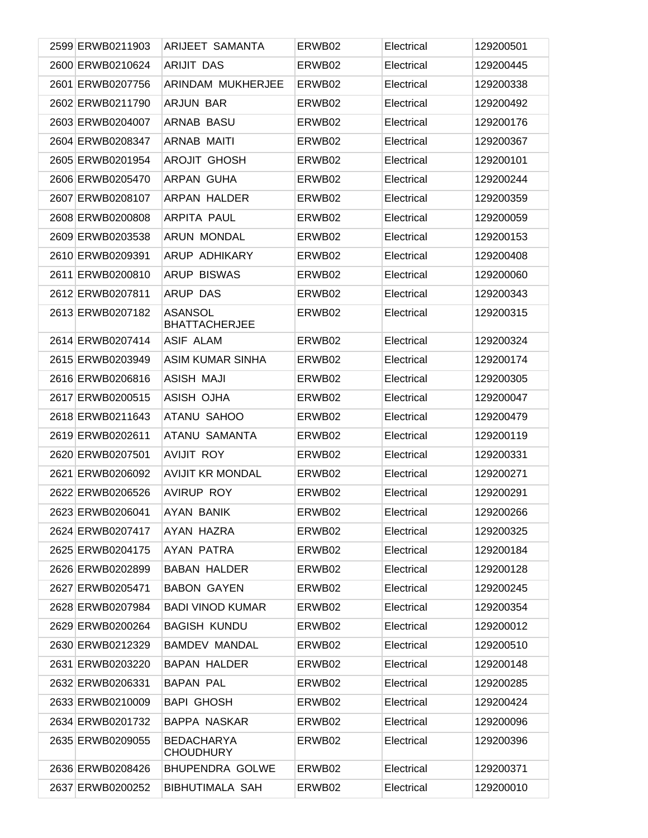| 2599 ERWB0211903 | <b>ARIJEET SAMANTA</b>                 | ERWB02 | Electrical | 129200501 |
|------------------|----------------------------------------|--------|------------|-----------|
| 2600 ERWB0210624 | <b>ARIJIT DAS</b>                      | ERWB02 | Electrical | 129200445 |
| 2601 ERWB0207756 | ARINDAM MUKHERJEE                      | ERWB02 | Electrical | 129200338 |
| 2602 ERWB0211790 | <b>ARJUN BAR</b>                       | ERWB02 | Electrical | 129200492 |
| 2603 ERWB0204007 | <b>ARNAB BASU</b>                      | ERWB02 | Electrical | 129200176 |
| 2604 ERWB0208347 | <b>ARNAB MAITI</b>                     | ERWB02 | Electrical | 129200367 |
| 2605 ERWB0201954 | <b>AROJIT GHOSH</b>                    | ERWB02 | Electrical | 129200101 |
| 2606 ERWB0205470 | ARPAN GUHA                             | ERWB02 | Electrical | 129200244 |
| 2607 ERWB0208107 | ARPAN HALDER                           | ERWB02 | Electrical | 129200359 |
| 2608 ERWB0200808 | ARPITA PAUL                            | ERWB02 | Electrical | 129200059 |
| 2609 ERWB0203538 | ARUN MONDAL                            | ERWB02 | Electrical | 129200153 |
| 2610 ERWB0209391 | ARUP ADHIKARY                          | ERWB02 | Electrical | 129200408 |
| 2611 ERWB0200810 | <b>ARUP BISWAS</b>                     | ERWB02 | Electrical | 129200060 |
| 2612 ERWB0207811 | <b>ARUP DAS</b>                        | ERWB02 | Electrical | 129200343 |
| 2613 ERWB0207182 | <b>ASANSOL</b><br><b>BHATTACHERJEE</b> | ERWB02 | Electrical | 129200315 |
| 2614 ERWB0207414 | ASIF ALAM                              | ERWB02 | Electrical | 129200324 |
| 2615 ERWB0203949 | <b>ASIM KUMAR SINHA</b>                | ERWB02 | Electrical | 129200174 |
| 2616 ERWB0206816 | <b>ASISH MAJI</b>                      | ERWB02 | Electrical | 129200305 |
| 2617 ERWB0200515 | ASISH OJHA                             | ERWB02 | Electrical | 129200047 |
| 2618 ERWB0211643 | ATANU SAHOO                            | ERWB02 | Electrical | 129200479 |
| 2619 ERWB0202611 | ATANU SAMANTA                          | ERWB02 | Electrical | 129200119 |
| 2620 ERWB0207501 | <b>AVIJIT ROY</b>                      | ERWB02 | Electrical | 129200331 |
| 2621 ERWB0206092 | <b>AVIJIT KR MONDAL</b>                | ERWB02 | Electrical | 129200271 |
| 2622 ERWB0206526 | <b>AVIRUP ROY</b>                      | ERWB02 | Electrical | 129200291 |
| 2623 ERWB0206041 | <b>AYAN BANIK</b>                      | ERWB02 | Electrical | 129200266 |
| 2624 ERWB0207417 | AYAN HAZRA                             | ERWB02 | Electrical | 129200325 |
| 2625 ERWB0204175 | AYAN PATRA                             | ERWB02 | Electrical | 129200184 |
| 2626 ERWB0202899 | <b>BABAN HALDER</b>                    | ERWB02 | Electrical | 129200128 |
| 2627 ERWB0205471 | <b>BABON GAYEN</b>                     | ERWB02 | Electrical | 129200245 |
| 2628 ERWB0207984 | <b>BADI VINOD KUMAR</b>                | ERWB02 | Electrical | 129200354 |
| 2629 ERWB0200264 | <b>BAGISH KUNDU</b>                    | ERWB02 | Electrical | 129200012 |
| 2630 ERWB0212329 | <b>BAMDEV MANDAL</b>                   | ERWB02 | Electrical | 129200510 |
| 2631 ERWB0203220 | <b>BAPAN HALDER</b>                    | ERWB02 | Electrical | 129200148 |
| 2632 ERWB0206331 | <b>BAPAN PAL</b>                       | ERWB02 | Electrical | 129200285 |
| 2633 ERWB0210009 | <b>BAPI GHOSH</b>                      | ERWB02 | Electrical | 129200424 |
| 2634 ERWB0201732 | <b>BAPPA NASKAR</b>                    | ERWB02 | Electrical | 129200096 |
| 2635 ERWB0209055 | <b>BEDACHARYA</b><br><b>CHOUDHURY</b>  | ERWB02 | Electrical | 129200396 |
| 2636 ERWB0208426 | <b>BHUPENDRA GOLWE</b>                 | ERWB02 | Electrical | 129200371 |
| 2637 ERWB0200252 | <b>BIBHUTIMALA SAH</b>                 | ERWB02 | Electrical | 129200010 |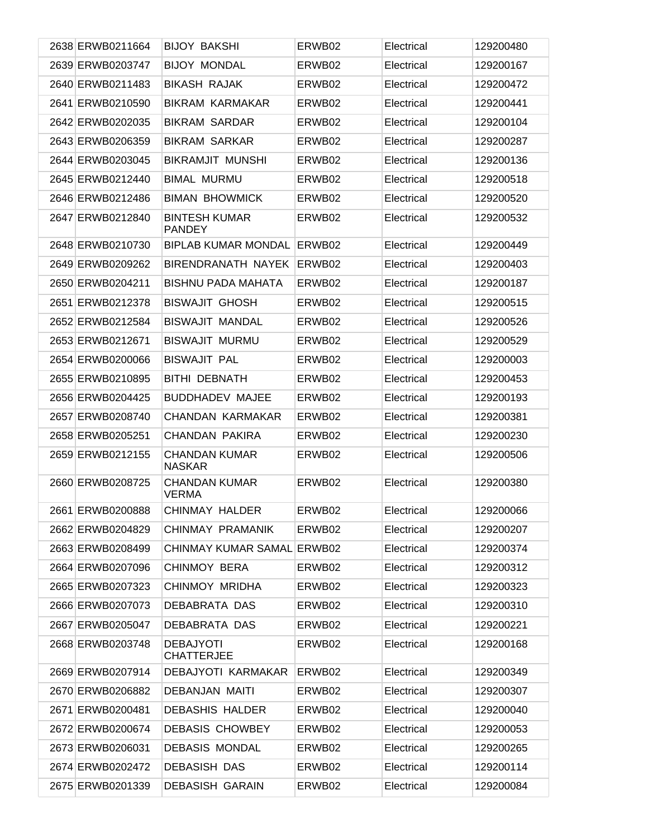| 2638 ERWB0211664 | <b>BIJOY BAKSHI</b>                   | ERWB02 | Electrical | 129200480 |
|------------------|---------------------------------------|--------|------------|-----------|
| 2639 ERWB0203747 | <b>BIJOY MONDAL</b>                   | ERWB02 | Electrical | 129200167 |
| 2640 ERWB0211483 | <b>BIKASH RAJAK</b>                   | ERWB02 | Electrical | 129200472 |
| 2641 ERWB0210590 | <b>BIKRAM KARMAKAR</b>                | ERWB02 | Electrical | 129200441 |
| 2642 ERWB0202035 | <b>BIKRAM SARDAR</b>                  | ERWB02 | Electrical | 129200104 |
| 2643 ERWB0206359 | <b>BIKRAM SARKAR</b>                  | ERWB02 | Electrical | 129200287 |
| 2644 ERWB0203045 | <b>BIKRAMJIT MUNSHI</b>               | ERWB02 | Electrical | 129200136 |
| 2645 ERWB0212440 | <b>BIMAL MURMU</b>                    | ERWB02 | Electrical | 129200518 |
| 2646 ERWB0212486 | <b>BIMAN BHOWMICK</b>                 | ERWB02 | Electrical | 129200520 |
| 2647 ERWB0212840 | <b>BINTESH KUMAR</b><br><b>PANDEY</b> | ERWB02 | Electrical | 129200532 |
| 2648 ERWB0210730 | <b>BIPLAB KUMAR MONDAL</b>            | ERWB02 | Electrical | 129200449 |
| 2649 ERWB0209262 | BIRENDRANATH NAYEK                    | ERWB02 | Electrical | 129200403 |
| 2650 ERWB0204211 | <b>BISHNU PADA MAHATA</b>             | ERWB02 | Electrical | 129200187 |
| 2651 ERWB0212378 | <b>BISWAJIT GHOSH</b>                 | ERWB02 | Electrical | 129200515 |
| 2652 ERWB0212584 | <b>BISWAJIT MANDAL</b>                | ERWB02 | Electrical | 129200526 |
| 2653 ERWB0212671 | <b>BISWAJIT MURMU</b>                 | ERWB02 | Electrical | 129200529 |
| 2654 ERWB0200066 | <b>BISWAJIT PAL</b>                   | ERWB02 | Electrical | 129200003 |
| 2655 ERWB0210895 | <b>BITHI DEBNATH</b>                  | ERWB02 | Electrical | 129200453 |
| 2656 ERWB0204425 | <b>BUDDHADEV MAJEE</b>                | ERWB02 | Electrical | 129200193 |
| 2657 ERWB0208740 | CHANDAN KARMAKAR                      | ERWB02 | Electrical | 129200381 |
| 2658 ERWB0205251 | CHANDAN PAKIRA                        | ERWB02 | Electrical | 129200230 |
| 2659 ERWB0212155 | <b>CHANDAN KUMAR</b><br><b>NASKAR</b> | ERWB02 | Electrical | 129200506 |
| 2660 ERWB0208725 | <b>CHANDAN KUMAR</b><br><b>VERMA</b>  | ERWB02 | Electrical | 129200380 |
| 2661 ERWB0200888 | CHINMAY HALDER                        | ERWB02 | Electrical | 129200066 |
| 2662 ERWB0204829 | CHINMAY PRAMANIK                      | ERWB02 | Electrical | 129200207 |
| 2663 ERWB0208499 | CHINMAY KUMAR SAMAL ERWB02            |        | Electrical | 129200374 |
| 2664 ERWB0207096 | <b>CHINMOY BERA</b>                   | ERWB02 | Electrical | 129200312 |
| 2665 ERWB0207323 | CHINMOY MRIDHA                        | ERWB02 | Electrical | 129200323 |
| 2666 ERWB0207073 | DEBABRATA DAS                         | ERWB02 | Electrical | 129200310 |
| 2667 ERWB0205047 | DEBABRATA DAS                         | ERWB02 | Electrical | 129200221 |
| 2668 ERWB0203748 | <b>DEBAJYOTI</b><br><b>CHATTERJEE</b> | ERWB02 | Electrical | 129200168 |
| 2669 ERWB0207914 | DEBAJYOTI KARMAKAR                    | ERWB02 | Electrical | 129200349 |
| 2670 ERWB0206882 | DEBANJAN MAITI                        | ERWB02 | Electrical | 129200307 |
| 2671 ERWB0200481 | <b>DEBASHIS HALDER</b>                | ERWB02 | Electrical | 129200040 |
| 2672 ERWB0200674 | <b>DEBASIS CHOWBEY</b>                | ERWB02 | Electrical | 129200053 |
| 2673 ERWB0206031 | <b>DEBASIS MONDAL</b>                 | ERWB02 | Electrical | 129200265 |
| 2674 ERWB0202472 | <b>DEBASISH DAS</b>                   | ERWB02 | Electrical | 129200114 |
| 2675 ERWB0201339 | <b>DEBASISH GARAIN</b>                | ERWB02 | Electrical | 129200084 |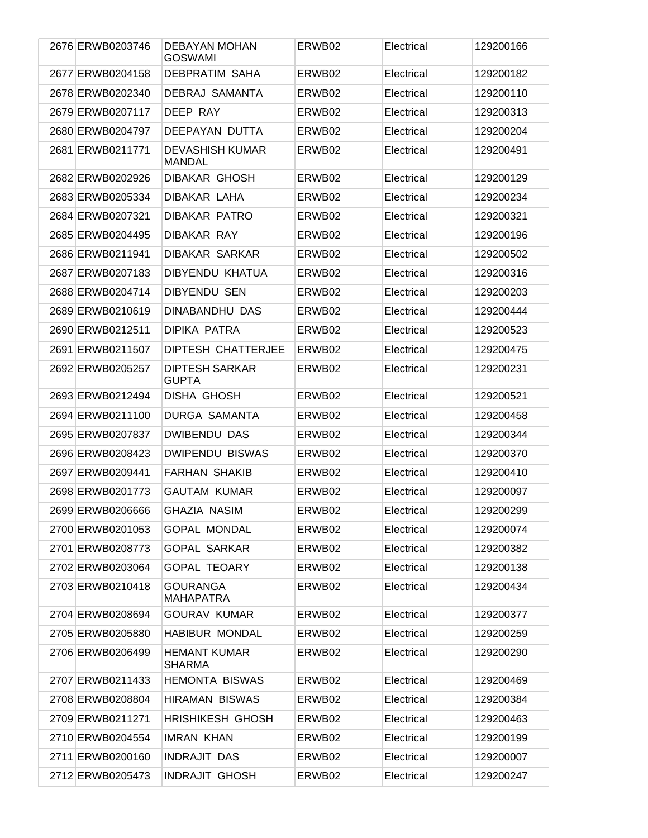| 2676 ERWB0203746 | DEBAYAN MOHAN<br><b>GOSWAMI</b>         | ERWB02 | Electrical | 129200166 |
|------------------|-----------------------------------------|--------|------------|-----------|
| 2677 ERWB0204158 | <b>DEBPRATIM SAHA</b>                   | ERWB02 | Electrical | 129200182 |
| 2678 ERWB0202340 | DEBRAJ SAMANTA                          | ERWB02 | Electrical | 129200110 |
| 2679 ERWB0207117 | DEEP RAY                                | ERWB02 | Electrical | 129200313 |
| 2680 ERWB0204797 | DEEPAYAN DUTTA                          | ERWB02 | Electrical | 129200204 |
| 2681 ERWB0211771 | <b>DEVASHISH KUMAR</b><br><b>MANDAL</b> | ERWB02 | Electrical | 129200491 |
| 2682 ERWB0202926 | DIBAKAR GHOSH                           | ERWB02 | Electrical | 129200129 |
| 2683 ERWB0205334 | DIBAKAR LAHA                            | ERWB02 | Electrical | 129200234 |
| 2684 ERWB0207321 | <b>DIBAKAR PATRO</b>                    | ERWB02 | Electrical | 129200321 |
| 2685 ERWB0204495 | <b>DIBAKAR RAY</b>                      | ERWB02 | Electrical | 129200196 |
| 2686 ERWB0211941 | <b>DIBAKAR SARKAR</b>                   | ERWB02 | Electrical | 129200502 |
| 2687 ERWB0207183 | <b>DIBYENDU KHATUA</b>                  | ERWB02 | Electrical | 129200316 |
| 2688 ERWB0204714 | <b>DIBYENDU SEN</b>                     | ERWB02 | Electrical | 129200203 |
| 2689 ERWB0210619 | <b>DINABANDHU DAS</b>                   | ERWB02 | Electrical | 129200444 |
| 2690 ERWB0212511 | <b>DIPIKA PATRA</b>                     | ERWB02 | Electrical | 129200523 |
| 2691 ERWB0211507 | DIPTESH CHATTERJEE                      | ERWB02 | Electrical | 129200475 |
| 2692 ERWB0205257 | <b>DIPTESH SARKAR</b><br><b>GUPTA</b>   | ERWB02 | Electrical | 129200231 |
| 2693 ERWB0212494 | DISHA GHOSH                             | ERWB02 | Electrical | 129200521 |
| 2694 ERWB0211100 | <b>DURGA SAMANTA</b>                    | ERWB02 | Electrical | 129200458 |
| 2695 ERWB0207837 | <b>DWIBENDU DAS</b>                     | ERWB02 | Electrical | 129200344 |
| 2696 ERWB0208423 | <b>DWIPENDU BISWAS</b>                  | ERWB02 | Electrical | 129200370 |
| 2697 ERWB0209441 | <b>FARHAN SHAKIB</b>                    | ERWB02 | Electrical | 129200410 |
| 2698 ERWB0201773 | <b>GAUTAM KUMAR</b>                     | ERWB02 | Electrical | 129200097 |
| 2699 ERWB0206666 | <b>GHAZIA NASIM</b>                     | ERWB02 | Electrical | 129200299 |
| 2700 ERWB0201053 | <b>GOPAL MONDAL</b>                     | ERWB02 | Electrical | 129200074 |
| 2701 ERWB0208773 | <b>GOPAL SARKAR</b>                     | ERWB02 | Electrical | 129200382 |
| 2702 ERWB0203064 | <b>GOPAL TEOARY</b>                     | ERWB02 | Electrical | 129200138 |
| 2703 ERWB0210418 | <b>GOURANGA</b><br><b>MAHAPATRA</b>     | ERWB02 | Electrical | 129200434 |
| 2704 ERWB0208694 | <b>GOURAV KUMAR</b>                     | ERWB02 | Electrical | 129200377 |
| 2705 ERWB0205880 | HABIBUR MONDAL                          | ERWB02 | Electrical | 129200259 |
| 2706 ERWB0206499 | <b>HEMANT KUMAR</b><br><b>SHARMA</b>    | ERWB02 | Electrical | 129200290 |
| 2707 ERWB0211433 | <b>HEMONTA BISWAS</b>                   | ERWB02 | Electrical | 129200469 |
| 2708 ERWB0208804 | <b>HIRAMAN BISWAS</b>                   | ERWB02 | Electrical | 129200384 |
| 2709 ERWB0211271 | <b>HRISHIKESH GHOSH</b>                 | ERWB02 | Electrical | 129200463 |
| 2710 ERWB0204554 | <b>IMRAN KHAN</b>                       | ERWB02 | Electrical | 129200199 |
| 2711 ERWB0200160 | <b>INDRAJIT DAS</b>                     | ERWB02 | Electrical | 129200007 |
| 2712 ERWB0205473 | <b>INDRAJIT GHOSH</b>                   | ERWB02 | Electrical | 129200247 |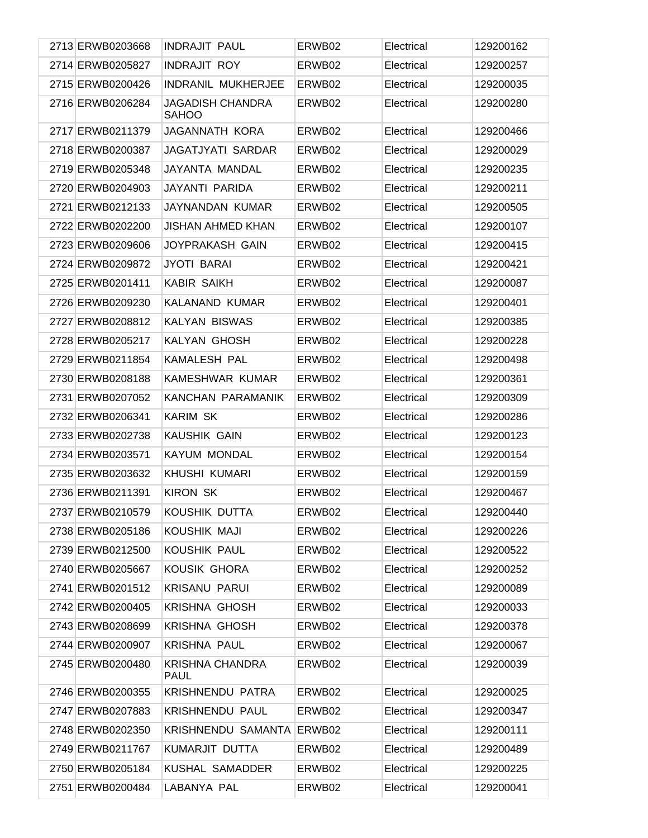| 2713 ERWB0203668 | <b>INDRAJIT PAUL</b>                    | ERWB02 | Electrical | 129200162 |
|------------------|-----------------------------------------|--------|------------|-----------|
| 2714 ERWB0205827 | <b>INDRAJIT ROY</b>                     | ERWB02 | Electrical | 129200257 |
| 2715 ERWB0200426 | <b>INDRANIL MUKHERJEE</b>               | ERWB02 | Electrical | 129200035 |
| 2716 ERWB0206284 | <b>JAGADISH CHANDRA</b><br><b>SAHOO</b> | ERWB02 | Electrical | 129200280 |
| 2717 ERWB0211379 | <b>JAGANNATH KORA</b>                   | ERWB02 | Electrical | 129200466 |
| 2718 ERWB0200387 | JAGATJYATI SARDAR                       | ERWB02 | Electrical | 129200029 |
| 2719 ERWB0205348 | JAYANTA MANDAL                          | ERWB02 | Electrical | 129200235 |
| 2720 ERWB0204903 | JAYANTI PARIDA                          | ERWB02 | Electrical | 129200211 |
| 2721 ERWB0212133 | JAYNANDAN KUMAR                         | ERWB02 | Electrical | 129200505 |
| 2722 ERWB0202200 | <b>JISHAN AHMED KHAN</b>                | ERWB02 | Electrical | 129200107 |
| 2723 ERWB0209606 | JOYPRAKASH GAIN                         | ERWB02 | Electrical | 129200415 |
| 2724 ERWB0209872 | <b>JYOTI BARAI</b>                      | ERWB02 | Electrical | 129200421 |
| 2725 ERWB0201411 | <b>KABIR SAIKH</b>                      | ERWB02 | Electrical | 129200087 |
| 2726 ERWB0209230 | KALANAND KUMAR                          | ERWB02 | Electrical | 129200401 |
| 2727 ERWB0208812 | <b>KALYAN BISWAS</b>                    | ERWB02 | Electrical | 129200385 |
| 2728 ERWB0205217 | KALYAN GHOSH                            | ERWB02 | Electrical | 129200228 |
| 2729 ERWB0211854 | <b>KAMALESH PAL</b>                     | ERWB02 | Electrical | 129200498 |
| 2730 ERWB0208188 | KAMESHWAR KUMAR                         | ERWB02 | Electrical | 129200361 |
| 2731 ERWB0207052 | KANCHAN PARAMANIK                       | ERWB02 | Electrical | 129200309 |
| 2732 ERWB0206341 | <b>KARIM SK</b>                         | ERWB02 | Electrical | 129200286 |
| 2733 ERWB0202738 | <b>KAUSHIK GAIN</b>                     | ERWB02 | Electrical | 129200123 |
| 2734 ERWB0203571 | <b>KAYUM MONDAL</b>                     | ERWB02 | Electrical | 129200154 |
| 2735 ERWB0203632 | <b>KHUSHI KUMARI</b>                    | ERWB02 | Electrical | 129200159 |
| 2736 ERWB0211391 | <b>KIRON SK</b>                         | ERWB02 | Electrical | 129200467 |
| 2737 ERWB0210579 | KOUSHIK DUTTA                           | ERWB02 | Electrical | 129200440 |
| 2738 ERWB0205186 | KOUSHIK MAJI                            | ERWB02 | Electrical | 129200226 |
| 2739 ERWB0212500 | <b>KOUSHIK PAUL</b>                     | ERWB02 | Electrical | 129200522 |
| 2740 ERWB0205667 | KOUSIK GHORA                            | ERWB02 | Electrical | 129200252 |
| 2741 ERWB0201512 | <b>KRISANU PARUI</b>                    | ERWB02 | Electrical | 129200089 |
| 2742 ERWB0200405 | <b>KRISHNA GHOSH</b>                    | ERWB02 | Electrical | 129200033 |
| 2743 ERWB0208699 | <b>KRISHNA GHOSH</b>                    | ERWB02 | Electrical | 129200378 |
| 2744 ERWB0200907 | <b>KRISHNA PAUL</b>                     | ERWB02 | Electrical | 129200067 |
| 2745 ERWB0200480 | <b>KRISHNA CHANDRA</b><br>PAUL          | ERWB02 | Electrical | 129200039 |
| 2746 ERWB0200355 | <b>KRISHNENDU PATRA</b>                 | ERWB02 | Electrical | 129200025 |
| 2747 ERWB0207883 | <b>KRISHNENDU PAUL</b>                  | ERWB02 | Electrical | 129200347 |
| 2748 ERWB0202350 | <b>KRISHNENDU SAMANTA</b>               | ERWB02 | Electrical | 129200111 |
| 2749 ERWB0211767 | KUMARJIT DUTTA                          | ERWB02 | Electrical | 129200489 |
| 2750 ERWB0205184 | KUSHAL SAMADDER                         | ERWB02 | Electrical | 129200225 |
| 2751 ERWB0200484 | LABANYA PAL                             | ERWB02 | Electrical | 129200041 |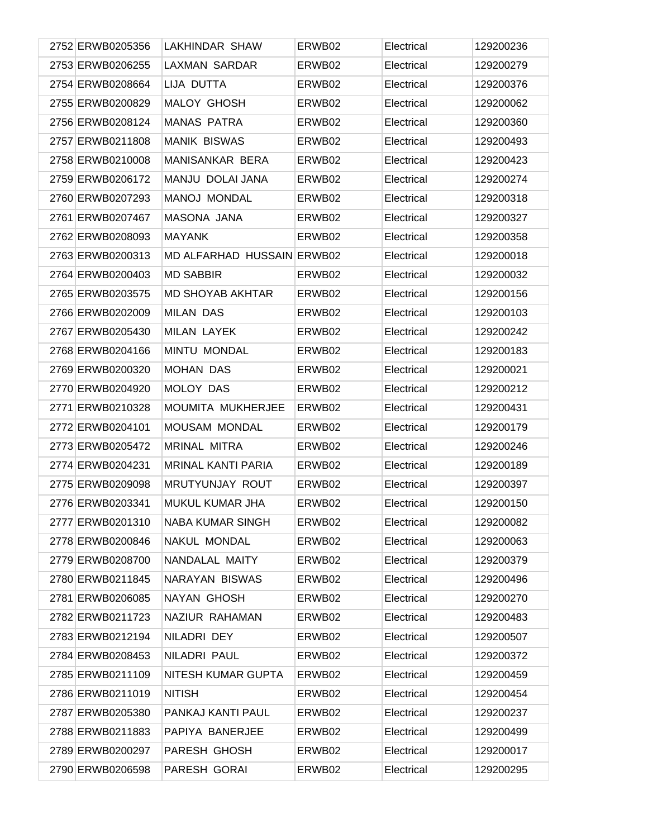| 2752 ERWB0205356 | <b>LAKHINDAR SHAW</b>      | ERWB02 | Electrical | 129200236 |
|------------------|----------------------------|--------|------------|-----------|
| 2753 ERWB0206255 | <b>LAXMAN SARDAR</b>       | ERWB02 | Electrical | 129200279 |
| 2754 ERWB0208664 | LIJA DUTTA                 | ERWB02 | Electrical | 129200376 |
| 2755 ERWB0200829 | <b>MALOY GHOSH</b>         | ERWB02 | Electrical | 129200062 |
| 2756 ERWB0208124 | <b>MANAS PATRA</b>         | ERWB02 | Electrical | 129200360 |
| 2757 ERWB0211808 | <b>MANIK BISWAS</b>        | ERWB02 | Electrical | 129200493 |
| 2758 ERWB0210008 | MANISANKAR BERA            | ERWB02 | Electrical | 129200423 |
| 2759 ERWB0206172 | MANJU DOLAI JANA           | ERWB02 | Electrical | 129200274 |
| 2760 ERWB0207293 | <b>MANOJ MONDAL</b>        | ERWB02 | Electrical | 129200318 |
| 2761 ERWB0207467 | MASONA JANA                | ERWB02 | Electrical | 129200327 |
| 2762 ERWB0208093 | <b>MAYANK</b>              | ERWB02 | Electrical | 129200358 |
| 2763 ERWB0200313 | MD ALFARHAD HUSSAIN ERWB02 |        | Electrical | 129200018 |
| 2764 ERWB0200403 | <b>MD SABBIR</b>           | ERWB02 | Electrical | 129200032 |
| 2765 ERWB0203575 | <b>MD SHOYAB AKHTAR</b>    | ERWB02 | Electrical | 129200156 |
| 2766 ERWB0202009 | <b>MILAN DAS</b>           | ERWB02 | Electrical | 129200103 |
| 2767 ERWB0205430 | <b>MILAN LAYEK</b>         | ERWB02 | Electrical | 129200242 |
| 2768 ERWB0204166 | MINTU MONDAL               | ERWB02 | Electrical | 129200183 |
| 2769 ERWB0200320 | <b>MOHAN DAS</b>           | ERWB02 | Electrical | 129200021 |
| 2770 ERWB0204920 | MOLOY DAS                  | ERWB02 | Electrical | 129200212 |
| 2771 ERWB0210328 | MOUMITA MUKHERJEE          | ERWB02 | Electrical | 129200431 |
| 2772 ERWB0204101 | <b>MOUSAM MONDAL</b>       | ERWB02 | Electrical | 129200179 |
| 2773 ERWB0205472 | <b>MRINAL MITRA</b>        | ERWB02 | Electrical | 129200246 |
| 2774 ERWB0204231 | <b>MRINAL KANTI PARIA</b>  | ERWB02 | Electrical | 129200189 |
| 2775 ERWB0209098 | MRUTYUNJAY ROUT            | ERWB02 | Electrical | 129200397 |
| 2776 ERWB0203341 | MUKUL KUMAR JHA            | ERWB02 | Electrical | 129200150 |
| 2777 ERWB0201310 | <b>NABA KUMAR SINGH</b>    | ERWB02 | Electrical | 129200082 |
| 2778 ERWB0200846 | NAKUL MONDAL               | ERWB02 | Electrical | 129200063 |
| 2779 ERWB0208700 | NANDALAL MAITY             | ERWB02 | Electrical | 129200379 |
| 2780 ERWB0211845 | NARAYAN BISWAS             | ERWB02 | Electrical | 129200496 |
| 2781 ERWB0206085 | NAYAN GHOSH                | ERWB02 | Electrical | 129200270 |
| 2782 ERWB0211723 | NAZIUR RAHAMAN             | ERWB02 | Electrical | 129200483 |
| 2783 ERWB0212194 | NILADRI DEY                | ERWB02 | Electrical | 129200507 |
| 2784 ERWB0208453 | NILADRI PAUL               | ERWB02 | Electrical | 129200372 |
| 2785 ERWB0211109 | NITESH KUMAR GUPTA         | ERWB02 | Electrical | 129200459 |
| 2786 ERWB0211019 | <b>NITISH</b>              | ERWB02 | Electrical | 129200454 |
| 2787 ERWB0205380 | PANKAJ KANTI PAUL          | ERWB02 | Electrical | 129200237 |
| 2788 ERWB0211883 | PAPIYA BANERJEE            | ERWB02 | Electrical | 129200499 |
| 2789 ERWB0200297 | PARESH GHOSH               | ERWB02 | Electrical | 129200017 |
| 2790 ERWB0206598 | PARESH GORAI               | ERWB02 | Electrical | 129200295 |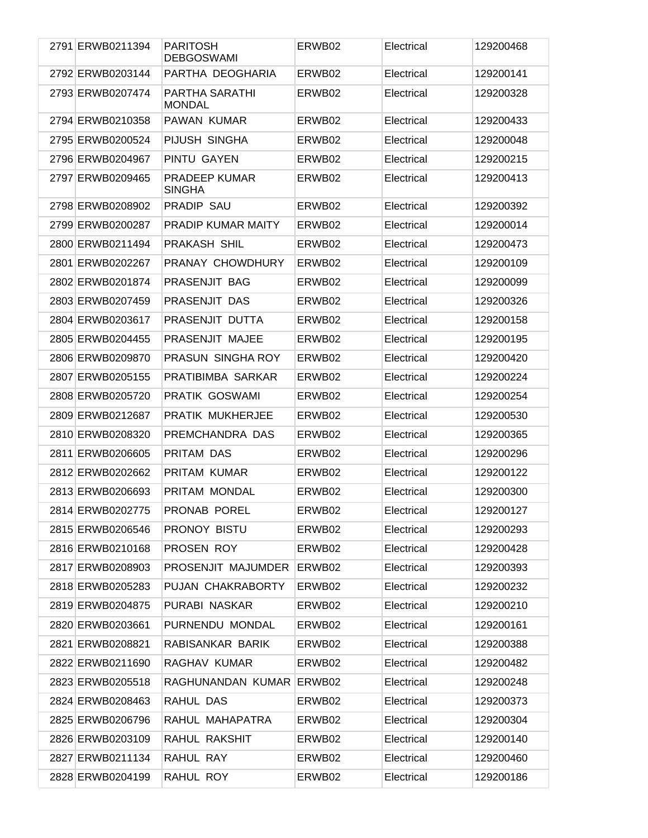| 2791 ERWB0211394 | <b>PARITOSH</b><br><b>DEBGOSWAMI</b>   | ERWB02 | Electrical | 129200468 |
|------------------|----------------------------------------|--------|------------|-----------|
| 2792 ERWB0203144 | PARTHA DEOGHARIA                       | ERWB02 | Electrical | 129200141 |
| 2793 ERWB0207474 | <b>PARTHA SARATHI</b><br><b>MONDAL</b> | ERWB02 | Electrical | 129200328 |
| 2794 ERWB0210358 | PAWAN KUMAR                            | ERWB02 | Electrical | 129200433 |
| 2795 ERWB0200524 | PIJUSH SINGHA                          | ERWB02 | Electrical | 129200048 |
| 2796 ERWB0204967 | PINTU GAYEN                            | ERWB02 | Electrical | 129200215 |
| 2797 ERWB0209465 | PRADEEP KUMAR<br><b>SINGHA</b>         | ERWB02 | Electrical | 129200413 |
| 2798 ERWB0208902 | <b>PRADIP SAU</b>                      | ERWB02 | Electrical | 129200392 |
| 2799 ERWB0200287 | PRADIP KUMAR MAITY                     | ERWB02 | Electrical | 129200014 |
| 2800 ERWB0211494 | <b>PRAKASH SHIL</b>                    | ERWB02 | Electrical | 129200473 |
| 2801 ERWB0202267 | PRANAY CHOWDHURY                       | ERWB02 | Electrical | 129200109 |
| 2802 ERWB0201874 | PRASENJIT BAG                          | ERWB02 | Electrical | 129200099 |
| 2803 ERWB0207459 | PRASENJIT DAS                          | ERWB02 | Electrical | 129200326 |
| 2804 ERWB0203617 | PRASENJIT DUTTA                        | ERWB02 | Electrical | 129200158 |
| 2805 ERWB0204455 | PRASENJIT MAJEE                        | ERWB02 | Electrical | 129200195 |
| 2806 ERWB0209870 | PRASUN SINGHA ROY                      | ERWB02 | Electrical | 129200420 |
| 2807 ERWB0205155 | PRATIBIMBA SARKAR                      | ERWB02 | Electrical | 129200224 |
| 2808 ERWB0205720 | PRATIK GOSWAMI                         | ERWB02 | Electrical | 129200254 |
| 2809 ERWB0212687 | PRATIK MUKHERJEE                       | ERWB02 | Electrical | 129200530 |
| 2810 ERWB0208320 | PREMCHANDRA DAS                        | ERWB02 | Electrical | 129200365 |
| 2811 ERWB0206605 | PRITAM DAS                             | ERWB02 | Electrical | 129200296 |
| 2812 ERWB0202662 | PRITAM KUMAR                           | ERWB02 | Electrical | 129200122 |
| 2813 ERWB0206693 | PRITAM MONDAL                          | ERWB02 | Electrical | 129200300 |
| 2814 ERWB0202775 | PRONAB POREL                           | ERWB02 | Electrical | 129200127 |
| 2815 ERWB0206546 | PRONOY BISTU                           | ERWB02 | Electrical | 129200293 |
| 2816 ERWB0210168 | PROSEN ROY                             | ERWB02 | Electrical | 129200428 |
| 2817 ERWB0208903 | PROSENJIT MAJUMDER                     | ERWB02 | Electrical | 129200393 |
| 2818 ERWB0205283 | PUJAN CHAKRABORTY                      | ERWB02 | Electrical | 129200232 |
| 2819 ERWB0204875 | PURABI NASKAR                          | ERWB02 | Electrical | 129200210 |
| 2820 ERWB0203661 | PURNENDU MONDAL                        | ERWB02 | Electrical | 129200161 |
| 2821 ERWB0208821 | RABISANKAR BARIK                       | ERWB02 | Electrical | 129200388 |
| 2822 ERWB0211690 | RAGHAV KUMAR                           | ERWB02 | Electrical | 129200482 |
| 2823 ERWB0205518 | RAGHUNANDAN KUMAR ERWB02               |        | Electrical | 129200248 |
| 2824 ERWB0208463 | RAHUL DAS                              | ERWB02 | Electrical | 129200373 |
| 2825 ERWB0206796 | RAHUL MAHAPATRA                        | ERWB02 | Electrical | 129200304 |
| 2826 ERWB0203109 | RAHUL RAKSHIT                          | ERWB02 | Electrical | 129200140 |
| 2827 ERWB0211134 | RAHUL RAY                              | ERWB02 | Electrical | 129200460 |
| 2828 ERWB0204199 | RAHUL ROY                              | ERWB02 | Electrical | 129200186 |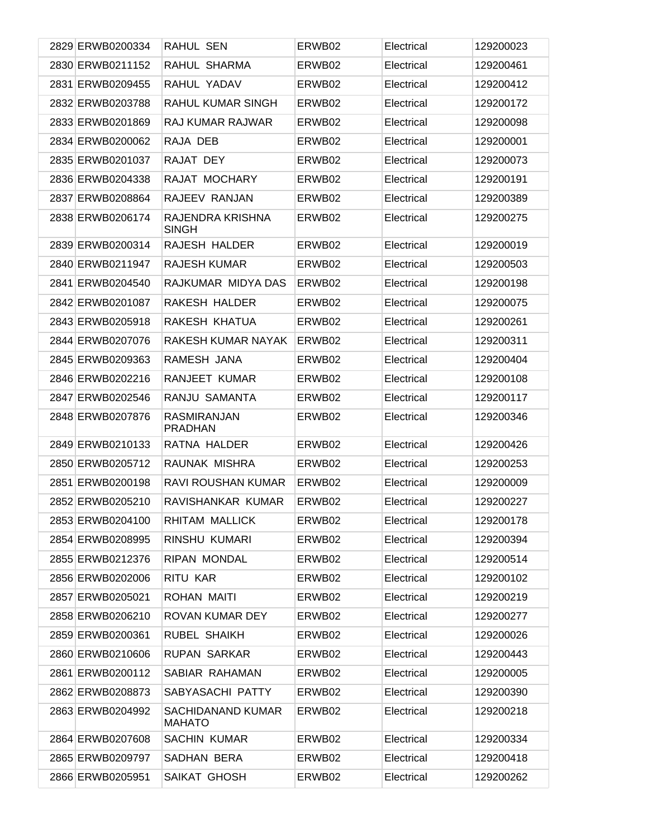| 2829 ERWB0200334 | RAHUL SEN                            | ERWB02 | Electrical | 129200023 |
|------------------|--------------------------------------|--------|------------|-----------|
| 2830 ERWB0211152 | RAHUL SHARMA                         | ERWB02 | Electrical | 129200461 |
| 2831 ERWB0209455 | RAHUL YADAV                          | ERWB02 | Electrical | 129200412 |
| 2832 ERWB0203788 | <b>RAHUL KUMAR SINGH</b>             | ERWB02 | Electrical | 129200172 |
| 2833 ERWB0201869 | RAJ KUMAR RAJWAR                     | ERWB02 | Electrical | 129200098 |
| 2834 ERWB0200062 | RAJA DEB                             | ERWB02 | Electrical | 129200001 |
| 2835 ERWB0201037 | RAJAT DEY                            | ERWB02 | Electrical | 129200073 |
| 2836 ERWB0204338 | RAJAT MOCHARY                        | ERWB02 | Electrical | 129200191 |
| 2837 ERWB0208864 | RAJEEV RANJAN                        | ERWB02 | Electrical | 129200389 |
| 2838 ERWB0206174 | RAJENDRA KRISHNA<br><b>SINGH</b>     | ERWB02 | Electrical | 129200275 |
| 2839 ERWB0200314 | RAJESH HALDER                        | ERWB02 | Electrical | 129200019 |
| 2840 ERWB0211947 | <b>RAJESH KUMAR</b>                  | ERWB02 | Electrical | 129200503 |
| 2841 ERWB0204540 | RAJKUMAR MIDYA DAS                   | ERWB02 | Electrical | 129200198 |
| 2842 ERWB0201087 | RAKESH HALDER                        | ERWB02 | Electrical | 129200075 |
| 2843 ERWB0205918 | RAKESH KHATUA                        | ERWB02 | Electrical | 129200261 |
| 2844 ERWB0207076 | RAKESH KUMAR NAYAK                   | ERWB02 | Electrical | 129200311 |
| 2845 ERWB0209363 | RAMESH JANA                          | ERWB02 | Electrical | 129200404 |
| 2846 ERWB0202216 | RANJEET KUMAR                        | ERWB02 | Electrical | 129200108 |
| 2847 ERWB0202546 | RANJU SAMANTA                        | ERWB02 | Electrical | 129200117 |
| 2848 ERWB0207876 | <b>RASMIRANJAN</b><br><b>PRADHAN</b> | ERWB02 | Electrical | 129200346 |
| 2849 ERWB0210133 | RATNA HALDER                         | ERWB02 | Electrical | 129200426 |
| 2850 ERWB0205712 | RAUNAK MISHRA                        | ERWB02 | Electrical | 129200253 |
| 2851 ERWB0200198 | <b>RAVI ROUSHAN KUMAR</b>            | ERWB02 | Electrical | 129200009 |
| 2852 ERWB0205210 | RAVISHANKAR KUMAR                    | ERWB02 | Electrical | 129200227 |
| 2853 ERWB0204100 | RHITAM MALLICK                       | ERWB02 | Electrical | 129200178 |
| 2854 ERWB0208995 | RINSHU KUMARI                        | ERWB02 | Electrical | 129200394 |
| 2855 ERWB0212376 | RIPAN MONDAL                         | ERWB02 | Electrical | 129200514 |
| 2856 ERWB0202006 | RITU KAR                             | ERWB02 | Electrical | 129200102 |
| 2857 ERWB0205021 | ROHAN MAITI                          | ERWB02 | Electrical | 129200219 |
| 2858 ERWB0206210 | ROVAN KUMAR DEY                      | ERWB02 | Electrical | 129200277 |
| 2859 ERWB0200361 | RUBEL SHAIKH                         | ERWB02 | Electrical | 129200026 |
| 2860 ERWB0210606 | RUPAN SARKAR                         | ERWB02 | Electrical | 129200443 |
| 2861 ERWB0200112 | SABIAR RAHAMAN                       | ERWB02 | Electrical | 129200005 |
| 2862 ERWB0208873 | SABYASACHI PATTY                     | ERWB02 | Electrical | 129200390 |
| 2863 ERWB0204992 | SACHIDANAND KUMAR<br><b>MAHATO</b>   | ERWB02 | Electrical | 129200218 |
| 2864 ERWB0207608 | <b>SACHIN KUMAR</b>                  | ERWB02 | Electrical | 129200334 |
| 2865 ERWB0209797 | SADHAN BERA                          | ERWB02 | Electrical | 129200418 |
| 2866 ERWB0205951 | SAIKAT GHOSH                         | ERWB02 | Electrical | 129200262 |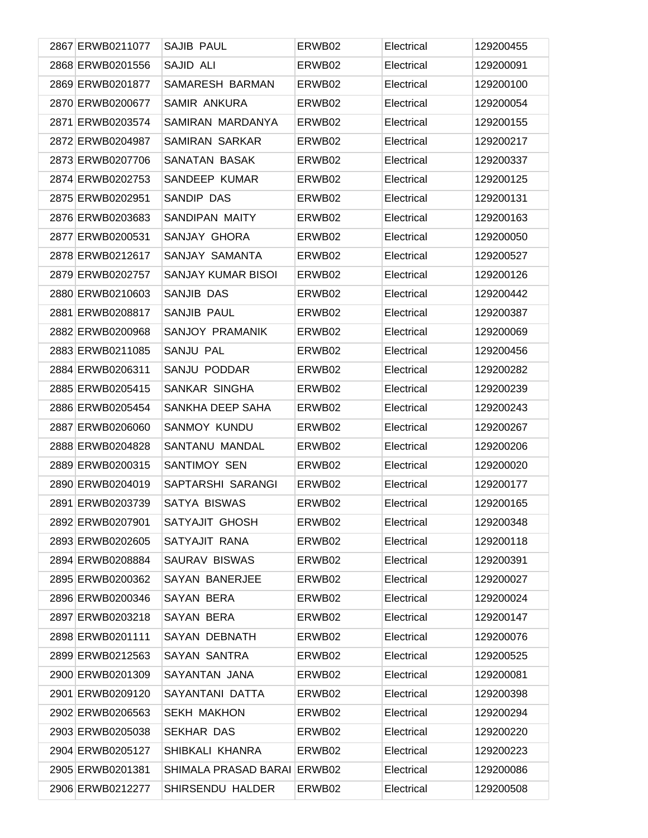| 2867 ERWB0211077 | <b>SAJIB PAUL</b>     | ERWB02 | Electrical | 129200455 |
|------------------|-----------------------|--------|------------|-----------|
| 2868 ERWB0201556 | SAJID ALI             | ERWB02 | Electrical | 129200091 |
| 2869 ERWB0201877 | SAMARESH BARMAN       | ERWB02 | Electrical | 129200100 |
| 2870 ERWB0200677 | SAMIR ANKURA          | ERWB02 | Electrical | 129200054 |
| 2871 ERWB0203574 | SAMIRAN MARDANYA      | ERWB02 | Electrical | 129200155 |
| 2872 ERWB0204987 | <b>SAMIRAN SARKAR</b> | ERWB02 | Electrical | 129200217 |
| 2873 ERWB0207706 | SANATAN BASAK         | ERWB02 | Electrical | 129200337 |
| 2874 ERWB0202753 | SANDEEP KUMAR         | ERWB02 | Electrical | 129200125 |
| 2875 ERWB0202951 | SANDIP DAS            | ERWB02 | Electrical | 129200131 |
| 2876 ERWB0203683 | SANDIPAN MAITY        | ERWB02 | Electrical | 129200163 |
| 2877 ERWB0200531 | SANJAY GHORA          | ERWB02 | Electrical | 129200050 |
| 2878 ERWB0212617 | SANJAY SAMANTA        | ERWB02 | Electrical | 129200527 |
| 2879 ERWB0202757 | SANJAY KUMAR BISOI    | ERWB02 | Electrical | 129200126 |
| 2880 ERWB0210603 | SANJIB DAS            | ERWB02 | Electrical | 129200442 |
| 2881 ERWB0208817 | SANJIB PAUL           | ERWB02 | Electrical | 129200387 |
| 2882 ERWB0200968 | SANJOY PRAMANIK       | ERWB02 | Electrical | 129200069 |
| 2883 ERWB0211085 | SANJU PAL             | ERWB02 | Electrical | 129200456 |
| 2884 ERWB0206311 | SANJU PODDAR          | ERWB02 | Electrical | 129200282 |
| 2885 ERWB0205415 | SANKAR SINGHA         | ERWB02 | Electrical | 129200239 |
| 2886 ERWB0205454 | SANKHA DEEP SAHA      | ERWB02 | Electrical | 129200243 |
| 2887 ERWB0206060 | <b>SANMOY KUNDU</b>   | ERWB02 | Electrical | 129200267 |
| 2888 ERWB0204828 | SANTANU MANDAL        | ERWB02 | Electrical | 129200206 |
| 2889 ERWB0200315 | SANTIMOY SEN          | ERWB02 | Electrical | 129200020 |
| 2890 ERWB0204019 | SAPTARSHI SARANGI     | ERWB02 | Electrical | 129200177 |
| 2891 ERWB0203739 | <b>SATYA BISWAS</b>   | ERWB02 | Electrical | 129200165 |
| 2892 ERWB0207901 | SATYAJIT GHOSH        | ERWB02 | Electrical | 129200348 |
| 2893 ERWB0202605 | SATYAJIT RANA         | ERWB02 | Electrical | 129200118 |
| 2894 ERWB0208884 | SAURAV BISWAS         | ERWB02 | Electrical | 129200391 |
| 2895 ERWB0200362 | <b>SAYAN BANERJEE</b> | ERWB02 | Electrical | 129200027 |
| 2896 ERWB0200346 | SAYAN BERA            | ERWB02 | Electrical | 129200024 |
| 2897 ERWB0203218 | SAYAN BERA            | ERWB02 | Electrical | 129200147 |
| 2898 ERWB0201111 | <b>SAYAN DEBNATH</b>  | ERWB02 | Electrical | 129200076 |
| 2899 ERWB0212563 | SAYAN SANTRA          | ERWB02 | Electrical | 129200525 |
| 2900 ERWB0201309 | SAYANTAN JANA         | ERWB02 | Electrical | 129200081 |
| 2901 ERWB0209120 | SAYANTANI DATTA       | ERWB02 | Electrical | 129200398 |
| 2902 ERWB0206563 | <b>SEKH MAKHON</b>    | ERWB02 | Electrical | 129200294 |
| 2903 ERWB0205038 | <b>SEKHAR DAS</b>     | ERWB02 | Electrical | 129200220 |
| 2904 ERWB0205127 | SHIBKALI KHANRA       | ERWB02 | Electrical | 129200223 |
| 2905 ERWB0201381 | SHIMALA PRASAD BARAI  | ERWB02 | Electrical | 129200086 |
| 2906 ERWB0212277 | SHIRSENDU HALDER      | ERWB02 | Electrical | 129200508 |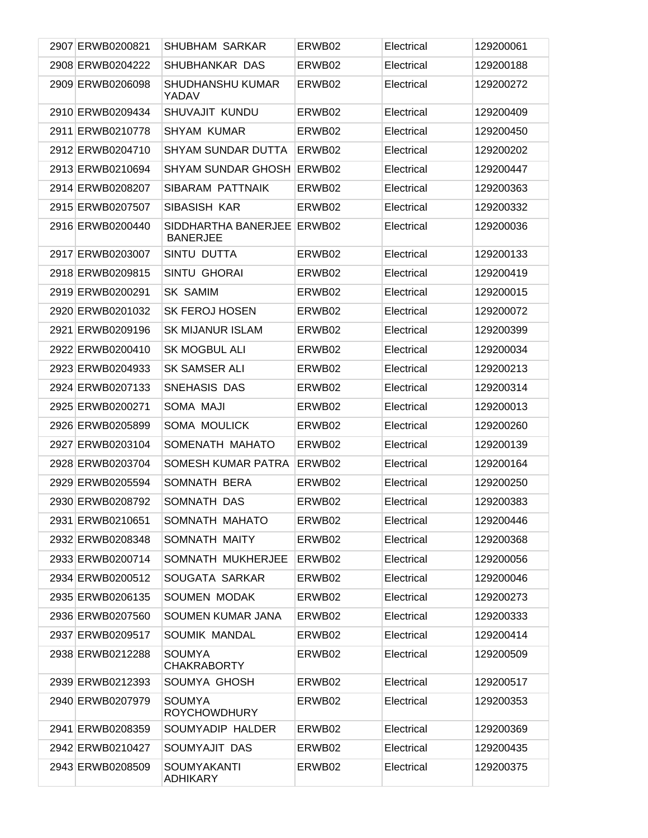| 2907 ERWB0200821 | <b>SHUBHAM SARKAR</b>                         | ERWB02 | Electrical | 129200061 |
|------------------|-----------------------------------------------|--------|------------|-----------|
| 2908 ERWB0204222 | SHUBHANKAR DAS                                | ERWB02 | Electrical | 129200188 |
| 2909 ERWB0206098 | SHUDHANSHU KUMAR<br>YADAV                     | ERWB02 | Electrical | 129200272 |
| 2910 ERWB0209434 | SHUVAJIT KUNDU                                | ERWB02 | Electrical | 129200409 |
| 2911 ERWB0210778 | <b>SHYAM KUMAR</b>                            | ERWB02 | Electrical | 129200450 |
| 2912 ERWB0204710 | <b>SHYAM SUNDAR DUTTA</b>                     | ERWB02 | Electrical | 129200202 |
| 2913 ERWB0210694 | SHYAM SUNDAR GHOSH                            | ERWB02 | Electrical | 129200447 |
| 2914 ERWB0208207 | SIBARAM PATTNAIK                              | ERWB02 | Electrical | 129200363 |
| 2915 ERWB0207507 | SIBASISH KAR                                  | ERWB02 | Electrical | 129200332 |
| 2916 ERWB0200440 | SIDDHARTHA BANERJEE ERWB02<br><b>BANERJEE</b> |        | Electrical | 129200036 |
| 2917 ERWB0203007 | SINTU DUTTA                                   | ERWB02 | Electrical | 129200133 |
| 2918 ERWB0209815 | <b>SINTU GHORAI</b>                           | ERWB02 | Electrical | 129200419 |
| 2919 ERWB0200291 | <b>SK SAMIM</b>                               | ERWB02 | Electrical | 129200015 |
| 2920 ERWB0201032 | <b>SK FEROJ HOSEN</b>                         | ERWB02 | Electrical | 129200072 |
| 2921 ERWB0209196 | <b>SK MIJANUR ISLAM</b>                       | ERWB02 | Electrical | 129200399 |
| 2922 ERWB0200410 | <b>SK MOGBUL ALI</b>                          | ERWB02 | Electrical | 129200034 |
| 2923 ERWB0204933 | SK SAMSER ALI                                 | ERWB02 | Electrical | 129200213 |
| 2924 ERWB0207133 | SNEHASIS DAS                                  | ERWB02 | Electrical | 129200314 |
| 2925 ERWB0200271 | SOMA MAJI                                     | ERWB02 | Electrical | 129200013 |
| 2926 ERWB0205899 | <b>SOMA MOULICK</b>                           | ERWB02 | Electrical | 129200260 |
| 2927 ERWB0203104 | SOMENATH MAHATO                               | ERWB02 | Electrical | 129200139 |
| 2928 ERWB0203704 | SOMESH KUMAR PATRA                            | ERWB02 | Electrical | 129200164 |
| 2929 ERWB0205594 | SOMNATH BERA                                  | ERWB02 | Electrical | 129200250 |
| 2930 ERWB0208792 | SOMNATH DAS                                   | ERWB02 | Electrical | 129200383 |
| 2931 ERWB0210651 | SOMNATH MAHATO                                | ERWB02 | Electrical | 129200446 |
| 2932 ERWB0208348 | SOMNATH MAITY                                 | ERWB02 | Electrical | 129200368 |
| 2933 ERWB0200714 | SOMNATH MUKHERJEE                             | ERWB02 | Electrical | 129200056 |
| 2934 ERWB0200512 | SOUGATA SARKAR                                | ERWB02 | Electrical | 129200046 |
| 2935 ERWB0206135 | SOUMEN MODAK                                  | ERWB02 | Electrical | 129200273 |
| 2936 ERWB0207560 | SOUMEN KUMAR JANA                             | ERWB02 | Electrical | 129200333 |
| 2937 ERWB0209517 | SOUMIK MANDAL                                 | ERWB02 | Electrical | 129200414 |
| 2938 ERWB0212288 | <b>SOUMYA</b><br><b>CHAKRABORTY</b>           | ERWB02 | Electrical | 129200509 |
| 2939 ERWB0212393 | SOUMYA GHOSH                                  | ERWB02 | Electrical | 129200517 |
| 2940 ERWB0207979 | SOUMYA<br><b>ROYCHOWDHURY</b>                 | ERWB02 | Electrical | 129200353 |
| 2941 ERWB0208359 | SOUMYADIP HALDER                              | ERWB02 | Electrical | 129200369 |
| 2942 ERWB0210427 | SOUMYAJIT DAS                                 | ERWB02 | Electrical | 129200435 |
| 2943 ERWB0208509 | <b>SOUMYAKANTI</b><br><b>ADHIKARY</b>         | ERWB02 | Electrical | 129200375 |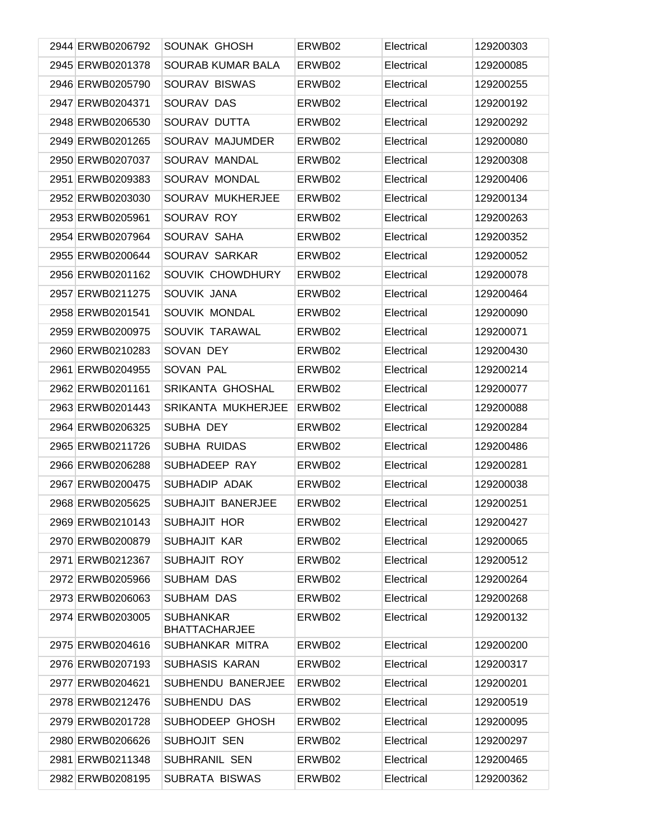| 2944 ERWB0206792 | SOUNAK GHOSH                             | ERWB02 | Electrical | 129200303 |
|------------------|------------------------------------------|--------|------------|-----------|
| 2945 ERWB0201378 | SOURAB KUMAR BALA                        | ERWB02 | Electrical | 129200085 |
| 2946 ERWB0205790 | SOURAV BISWAS                            | ERWB02 | Electrical | 129200255 |
| 2947 ERWB0204371 | SOURAV DAS                               | ERWB02 | Electrical | 129200192 |
| 2948 ERWB0206530 | SOURAV DUTTA                             | ERWB02 | Electrical | 129200292 |
| 2949 ERWB0201265 | SOURAV MAJUMDER                          | ERWB02 | Electrical | 129200080 |
| 2950 ERWB0207037 | SOURAV MANDAL                            | ERWB02 | Electrical | 129200308 |
| 2951 ERWB0209383 | SOURAV MONDAL                            | ERWB02 | Electrical | 129200406 |
| 2952 ERWB0203030 | SOURAV MUKHERJEE                         | ERWB02 | Electrical | 129200134 |
| 2953 ERWB0205961 | SOURAV ROY                               | ERWB02 | Electrical | 129200263 |
| 2954 ERWB0207964 | SOURAV SAHA                              | ERWB02 | Electrical | 129200352 |
| 2955 ERWB0200644 | SOURAV SARKAR                            | ERWB02 | Electrical | 129200052 |
| 2956 ERWB0201162 | SOUVIK CHOWDHURY                         | ERWB02 | Electrical | 129200078 |
| 2957 ERWB0211275 | SOUVIK JANA                              | ERWB02 | Electrical | 129200464 |
| 2958 ERWB0201541 | SOUVIK MONDAL                            | ERWB02 | Electrical | 129200090 |
| 2959 ERWB0200975 | <b>SOUVIK TARAWAL</b>                    | ERWB02 | Electrical | 129200071 |
| 2960 ERWB0210283 | SOVAN DEY                                | ERWB02 | Electrical | 129200430 |
| 2961 ERWB0204955 | <b>SOVAN PAL</b>                         | ERWB02 | Electrical | 129200214 |
| 2962 ERWB0201161 | SRIKANTA GHOSHAL                         | ERWB02 | Electrical | 129200077 |
| 2963 ERWB0201443 | <b>SRIKANTA MUKHERJEE</b>                | ERWB02 | Electrical | 129200088 |
| 2964 ERWB0206325 | SUBHA DEY                                | ERWB02 | Electrical | 129200284 |
| 2965 ERWB0211726 | SUBHA RUIDAS                             | ERWB02 | Electrical | 129200486 |
| 2966 ERWB0206288 | SUBHADEEP RAY                            | ERWB02 | Electrical | 129200281 |
| 2967 ERWB0200475 | SUBHADIP ADAK                            | ERWB02 | Electrical | 129200038 |
| 2968 ERWB0205625 | <b>SUBHAJIT BANERJEE</b>                 | ERWB02 | Electrical | 129200251 |
| 2969 ERWB0210143 | SUBHAJIT HOR                             | ERWB02 | Electrical | 129200427 |
| 2970 ERWB0200879 | SUBHAJIT KAR                             | ERWB02 | Electrical | 129200065 |
| 2971 ERWB0212367 | SUBHAJIT ROY                             | ERWB02 | Electrical | 129200512 |
| 2972 ERWB0205966 | <b>SUBHAM DAS</b>                        | ERWB02 | Electrical | 129200264 |
| 2973 ERWB0206063 | <b>SUBHAM DAS</b>                        | ERWB02 | Electrical | 129200268 |
| 2974 ERWB0203005 | <b>SUBHANKAR</b><br><b>BHATTACHARJEE</b> | ERWB02 | Electrical | 129200132 |
| 2975 ERWB0204616 | SUBHANKAR MITRA                          | ERWB02 | Electrical | 129200200 |
| 2976 ERWB0207193 | SUBHASIS KARAN                           | ERWB02 | Electrical | 129200317 |
| 2977 ERWB0204621 | SUBHENDU BANERJEE                        | ERWB02 | Electrical | 129200201 |
| 2978 ERWB0212476 | SUBHENDU DAS                             | ERWB02 | Electrical | 129200519 |
| 2979 ERWB0201728 | SUBHODEEP GHOSH                          | ERWB02 | Electrical | 129200095 |
| 2980 ERWB0206626 | SUBHOJIT SEN                             | ERWB02 | Electrical | 129200297 |
| 2981 ERWB0211348 | SUBHRANIL SEN                            | ERWB02 | Electrical | 129200465 |
| 2982 ERWB0208195 | <b>SUBRATA BISWAS</b>                    | ERWB02 | Electrical | 129200362 |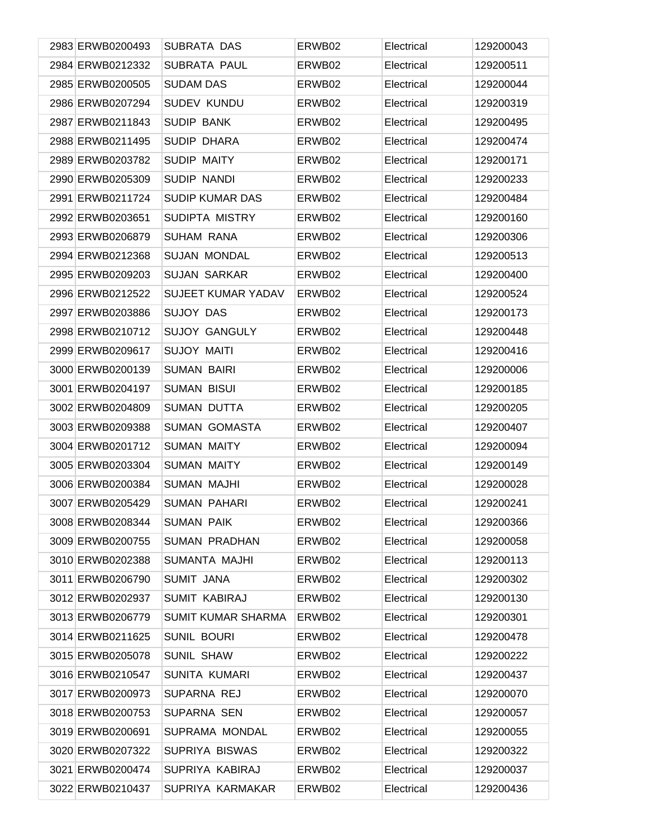| 2983 ERWB0200493 | SUBRATA DAS               | ERWB02 | Electrical | 129200043 |
|------------------|---------------------------|--------|------------|-----------|
| 2984 ERWB0212332 | <b>SUBRATA PAUL</b>       | ERWB02 | Electrical | 129200511 |
| 2985 ERWB0200505 | <b>SUDAM DAS</b>          | ERWB02 | Electrical | 129200044 |
| 2986 ERWB0207294 | <b>SUDEV KUNDU</b>        | ERWB02 | Electrical | 129200319 |
| 2987 ERWB0211843 | <b>SUDIP BANK</b>         | ERWB02 | Electrical | 129200495 |
| 2988 ERWB0211495 | SUDIP DHARA               | ERWB02 | Electrical | 129200474 |
| 2989 ERWB0203782 | SUDIP MAITY               | ERWB02 | Electrical | 129200171 |
| 2990 ERWB0205309 | <b>SUDIP NANDI</b>        | ERWB02 | Electrical | 129200233 |
| 2991 ERWB0211724 | <b>SUDIP KUMAR DAS</b>    | ERWB02 | Electrical | 129200484 |
| 2992 ERWB0203651 | SUDIPTA MISTRY            | ERWB02 | Electrical | 129200160 |
| 2993 ERWB0206879 | <b>SUHAM RANA</b>         | ERWB02 | Electrical | 129200306 |
| 2994 ERWB0212368 | <b>SUJAN MONDAL</b>       | ERWB02 | Electrical | 129200513 |
| 2995 ERWB0209203 | <b>SUJAN SARKAR</b>       | ERWB02 | Electrical | 129200400 |
| 2996 ERWB0212522 | SUJEET KUMAR YADAV        | ERWB02 | Electrical | 129200524 |
| 2997 ERWB0203886 | <b>SUJOY DAS</b>          | ERWB02 | Electrical | 129200173 |
| 2998 ERWB0210712 | <b>SUJOY GANGULY</b>      | ERWB02 | Electrical | 129200448 |
| 2999 ERWB0209617 | <b>SUJOY MAITI</b>        | ERWB02 | Electrical | 129200416 |
| 3000 ERWB0200139 | <b>SUMAN BAIRI</b>        | ERWB02 | Electrical | 129200006 |
| 3001 ERWB0204197 | <b>SUMAN BISUI</b>        | ERWB02 | Electrical | 129200185 |
| 3002 ERWB0204809 | <b>SUMAN DUTTA</b>        | ERWB02 | Electrical | 129200205 |
| 3003 ERWB0209388 | <b>SUMAN GOMASTA</b>      | ERWB02 | Electrical | 129200407 |
| 3004 ERWB0201712 | <b>SUMAN MAITY</b>        | ERWB02 | Electrical | 129200094 |
| 3005 ERWB0203304 | <b>SUMAN MAITY</b>        | ERWB02 | Electrical | 129200149 |
| 3006 ERWB0200384 | <b>SUMAN MAJHI</b>        | ERWB02 | Electrical | 129200028 |
| 3007 ERWB0205429 | <b>SUMAN PAHARI</b>       | ERWB02 | Electrical | 129200241 |
| 3008 ERWB0208344 | <b>SUMAN PAIK</b>         | ERWB02 | Electrical | 129200366 |
| 3009 ERWB0200755 | <b>SUMAN PRADHAN</b>      | ERWB02 | Electrical | 129200058 |
| 3010 ERWB0202388 | SUMANTA MAJHI             | ERWB02 | Electrical | 129200113 |
| 3011 ERWB0206790 | <b>SUMIT JANA</b>         | ERWB02 | Electrical | 129200302 |
| 3012 ERWB0202937 | <b>SUMIT KABIRAJ</b>      | ERWB02 | Electrical | 129200130 |
| 3013 ERWB0206779 | <b>SUMIT KUMAR SHARMA</b> | ERWB02 | Electrical | 129200301 |
| 3014 ERWB0211625 | SUNIL BOURI               | ERWB02 | Electrical | 129200478 |
| 3015 ERWB0205078 | <b>SUNIL SHAW</b>         | ERWB02 | Electrical | 129200222 |
| 3016 ERWB0210547 | <b>SUNITA KUMARI</b>      | ERWB02 | Electrical | 129200437 |
| 3017 ERWB0200973 | SUPARNA REJ               | ERWB02 | Electrical | 129200070 |
| 3018 ERWB0200753 | SUPARNA SEN               | ERWB02 | Electrical | 129200057 |
| 3019 ERWB0200691 | SUPRAMA MONDAL            | ERWB02 | Electrical | 129200055 |
| 3020 ERWB0207322 | SUPRIYA BISWAS            | ERWB02 | Electrical | 129200322 |
| 3021 ERWB0200474 | SUPRIYA KABIRAJ           | ERWB02 | Electrical | 129200037 |
| 3022 ERWB0210437 | SUPRIYA KARMAKAR          | ERWB02 | Electrical | 129200436 |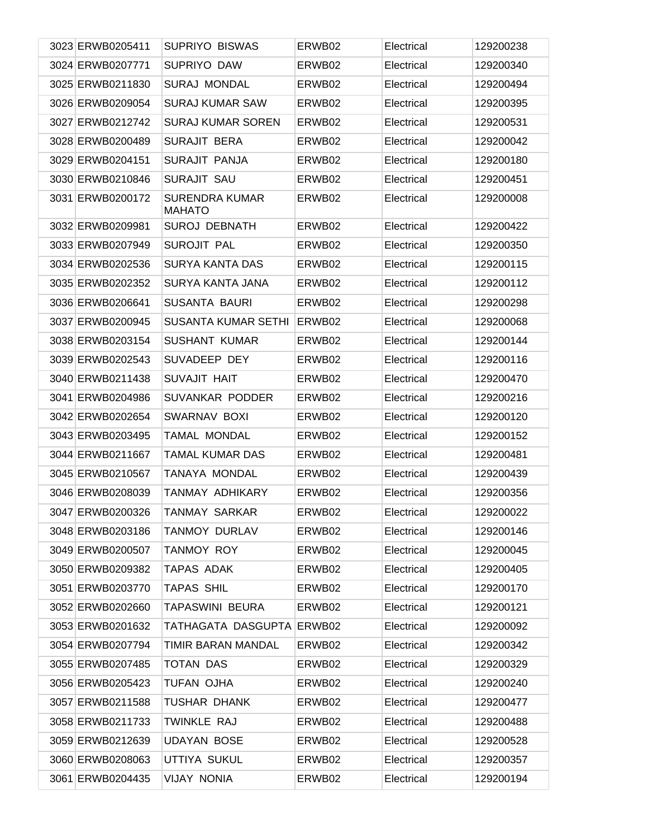| 3023 ERWB0205411 | <b>SUPRIYO BISWAS</b>                  | ERWB02 | Electrical | 129200238 |
|------------------|----------------------------------------|--------|------------|-----------|
| 3024 ERWB0207771 | SUPRIYO DAW                            | ERWB02 | Electrical | 129200340 |
| 3025 ERWB0211830 | SURAJ MONDAL                           | ERWB02 | Electrical | 129200494 |
| 3026 ERWB0209054 | <b>SURAJ KUMAR SAW</b>                 | ERWB02 | Electrical | 129200395 |
| 3027 ERWB0212742 | <b>SURAJ KUMAR SOREN</b>               | ERWB02 | Electrical | 129200531 |
| 3028 ERWB0200489 | <b>SURAJIT BERA</b>                    | ERWB02 | Electrical | 129200042 |
| 3029 ERWB0204151 | <b>SURAJIT PANJA</b>                   | ERWB02 | Electrical | 129200180 |
| 3030 ERWB0210846 | <b>SURAJIT SAU</b>                     | ERWB02 | Electrical | 129200451 |
| 3031 ERWB0200172 | <b>SURENDRA KUMAR</b><br><b>MAHATO</b> | ERWB02 | Electrical | 129200008 |
| 3032 ERWB0209981 | <b>SUROJ DEBNATH</b>                   | ERWB02 | Electrical | 129200422 |
| 3033 ERWB0207949 | <b>SUROJIT PAL</b>                     | ERWB02 | Electrical | 129200350 |
| 3034 ERWB0202536 | <b>SURYA KANTA DAS</b>                 | ERWB02 | Electrical | 129200115 |
| 3035 ERWB0202352 | <b>SURYA KANTA JANA</b>                | ERWB02 | Electrical | 129200112 |
| 3036 ERWB0206641 | <b>SUSANTA BAURI</b>                   | ERWB02 | Electrical | 129200298 |
| 3037 ERWB0200945 | <b>SUSANTA KUMAR SETHI</b>             | ERWB02 | Electrical | 129200068 |
| 3038 ERWB0203154 | <b>SUSHANT KUMAR</b>                   | ERWB02 | Electrical | 129200144 |
| 3039 ERWB0202543 | SUVADEEP DEY                           | ERWB02 | Electrical | 129200116 |
| 3040 ERWB0211438 | SUVAJIT HAIT                           | ERWB02 | Electrical | 129200470 |
| 3041 ERWB0204986 | SUVANKAR PODDER                        | ERWB02 | Electrical | 129200216 |
| 3042 ERWB0202654 | SWARNAV BOXI                           | ERWB02 | Electrical | 129200120 |
| 3043 ERWB0203495 | <b>TAMAL MONDAL</b>                    | ERWB02 | Electrical | 129200152 |
| 3044 ERWB0211667 | <b>TAMAL KUMAR DAS</b>                 | ERWB02 | Electrical | 129200481 |
| 3045 ERWB0210567 | TANAYA MONDAL                          | ERWB02 | Electrical | 129200439 |
| 3046 ERWB0208039 | TANMAY ADHIKARY                        | ERWB02 | Electrical | 129200356 |
| 3047 ERWB0200326 | <b>TANMAY SARKAR</b>                   | ERWB02 | Electrical | 129200022 |
| 3048 ERWB0203186 | <b>TANMOY DURLAV</b>                   | ERWB02 | Electrical | 129200146 |
| 3049 ERWB0200507 | <b>TANMOY ROY</b>                      | ERWB02 | Electrical | 129200045 |
| 3050 ERWB0209382 | TAPAS ADAK                             | ERWB02 | Electrical | 129200405 |
| 3051 ERWB0203770 | TAPAS SHIL                             | ERWB02 | Electrical | 129200170 |
| 3052 ERWB0202660 | <b>TAPASWINI BEURA</b>                 | ERWB02 | Electrical | 129200121 |
| 3053 ERWB0201632 | TATHAGATA DASGUPTA ERWB02              |        | Electrical | 129200092 |
| 3054 ERWB0207794 | TIMIR BARAN MANDAL                     | ERWB02 | Electrical | 129200342 |
| 3055 ERWB0207485 | <b>TOTAN DAS</b>                       | ERWB02 | Electrical | 129200329 |
| 3056 ERWB0205423 | TUFAN OJHA                             | ERWB02 | Electrical | 129200240 |
| 3057 ERWB0211588 | <b>TUSHAR DHANK</b>                    | ERWB02 | Electrical | 129200477 |
| 3058 ERWB0211733 | TWINKLE RAJ                            | ERWB02 | Electrical | 129200488 |
| 3059 ERWB0212639 | <b>UDAYAN BOSE</b>                     | ERWB02 | Electrical | 129200528 |
| 3060 ERWB0208063 | UTTIYA SUKUL                           | ERWB02 | Electrical | 129200357 |
| 3061 ERWB0204435 | <b>VIJAY NONIA</b>                     | ERWB02 | Electrical | 129200194 |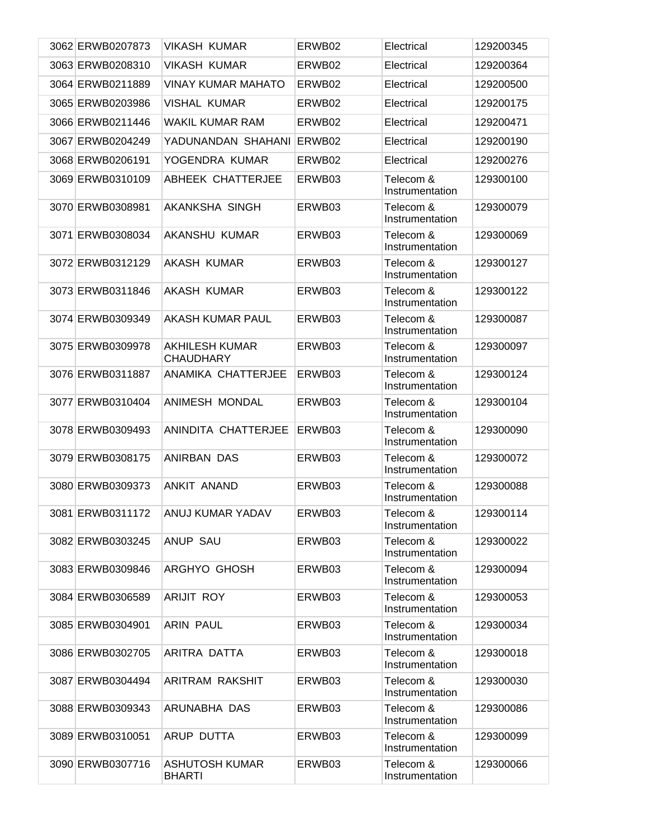| 3062 ERWB0207873 | <b>VIKASH KUMAR</b>                       | ERWB02 | Electrical                   | 129200345 |
|------------------|-------------------------------------------|--------|------------------------------|-----------|
| 3063 ERWB0208310 | <b>VIKASH KUMAR</b>                       | ERWB02 | Electrical                   | 129200364 |
| 3064 ERWB0211889 | <b>VINAY KUMAR MAHATO</b>                 | ERWB02 | Electrical                   | 129200500 |
| 3065 ERWB0203986 | <b>VISHAL KUMAR</b>                       | ERWB02 | Electrical                   | 129200175 |
| 3066 ERWB0211446 | <b>WAKIL KUMAR RAM</b>                    | ERWB02 | Electrical                   | 129200471 |
| 3067 ERWB0204249 | YADUNANDAN SHAHANI                        | ERWB02 | Electrical                   | 129200190 |
| 3068 ERWB0206191 | YOGENDRA KUMAR                            | ERWB02 | Electrical                   | 129200276 |
| 3069 ERWB0310109 | ABHEEK CHATTERJEE                         | ERWB03 | Telecom &<br>Instrumentation | 129300100 |
| 3070 ERWB0308981 | AKANKSHA SINGH                            | ERWB03 | Telecom &<br>Instrumentation | 129300079 |
| 3071 ERWB0308034 | AKANSHU KUMAR                             | ERWB03 | Telecom &<br>Instrumentation | 129300069 |
| 3072 ERWB0312129 | AKASH KUMAR                               | ERWB03 | Telecom &<br>Instrumentation | 129300127 |
| 3073 ERWB0311846 | AKASH KUMAR                               | ERWB03 | Telecom &<br>Instrumentation | 129300122 |
| 3074 ERWB0309349 | AKASH KUMAR PAUL                          | ERWB03 | Telecom &<br>Instrumentation | 129300087 |
| 3075 ERWB0309978 | <b>AKHILESH KUMAR</b><br><b>CHAUDHARY</b> | ERWB03 | Telecom &<br>Instrumentation | 129300097 |
| 3076 ERWB0311887 | ANAMIKA CHATTERJEE                        | ERWB03 | Telecom &<br>Instrumentation | 129300124 |
| 3077 ERWB0310404 | ANIMESH MONDAL                            | ERWB03 | Telecom &<br>Instrumentation | 129300104 |
| 3078 ERWB0309493 | ANINDITA CHATTERJEE                       | ERWB03 | Telecom &<br>Instrumentation | 129300090 |
| 3079 ERWB0308175 | ANIRBAN DAS                               | ERWB03 | Telecom &<br>Instrumentation | 129300072 |
| 3080 ERWB0309373 | ANKIT ANAND                               | ERWB03 | Telecom &<br>Instrumentation | 129300088 |
| 3081 ERWB0311172 | ANUJ KUMAR YADAV                          | ERWB03 | Telecom &<br>Instrumentation | 129300114 |
| 3082 ERWB0303245 | <b>ANUP SAU</b>                           | ERWB03 | Telecom &<br>Instrumentation | 129300022 |
| 3083 ERWB0309846 | ARGHYO GHOSH                              | ERWB03 | Telecom &<br>Instrumentation | 129300094 |
| 3084 ERWB0306589 | <b>ARIJIT ROY</b>                         | ERWB03 | Telecom &<br>Instrumentation | 129300053 |
| 3085 ERWB0304901 | <b>ARIN PAUL</b>                          | ERWB03 | Telecom &<br>Instrumentation | 129300034 |
| 3086 ERWB0302705 | ARITRA DATTA                              | ERWB03 | Telecom &<br>Instrumentation | 129300018 |
| 3087 ERWB0304494 | ARITRAM RAKSHIT                           | ERWB03 | Telecom &<br>Instrumentation | 129300030 |
| 3088 ERWB0309343 | ARUNABHA DAS                              | ERWB03 | Telecom &<br>Instrumentation | 129300086 |
| 3089 ERWB0310051 | ARUP DUTTA                                | ERWB03 | Telecom &<br>Instrumentation | 129300099 |
| 3090 ERWB0307716 | <b>ASHUTOSH KUMAR</b><br><b>BHARTI</b>    | ERWB03 | Telecom &<br>Instrumentation | 129300066 |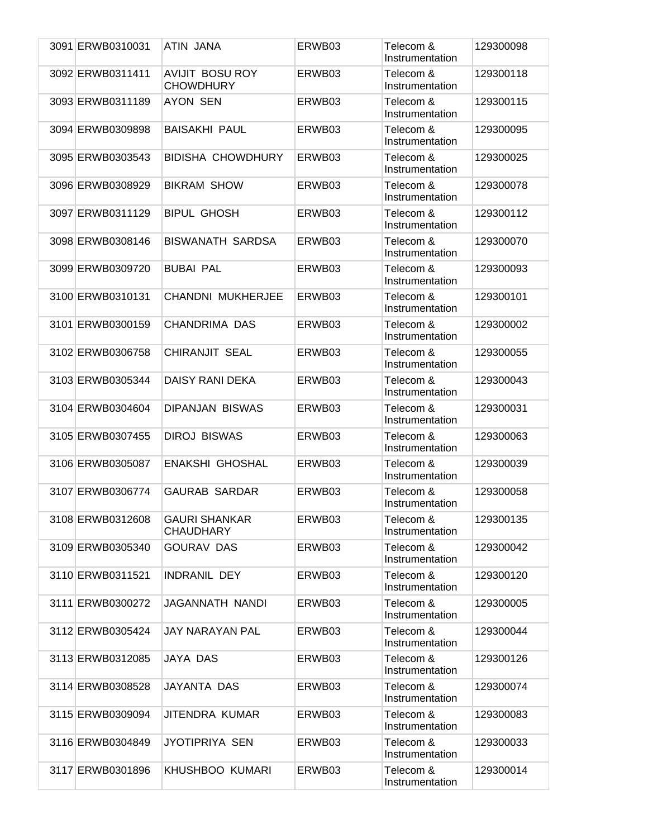| 3091 ERWB0310031 | ATIN JANA                                  | ERWB03 | Telecom &<br>Instrumentation | 129300098 |
|------------------|--------------------------------------------|--------|------------------------------|-----------|
| 3092 ERWB0311411 | <b>AVIJIT BOSU ROY</b><br><b>CHOWDHURY</b> | ERWB03 | Telecom &<br>Instrumentation | 129300118 |
| 3093 ERWB0311189 | <b>AYON SEN</b>                            | ERWB03 | Telecom &<br>Instrumentation | 129300115 |
| 3094 ERWB0309898 | <b>BAISAKHI PAUL</b>                       | ERWB03 | Telecom &<br>Instrumentation | 129300095 |
| 3095 ERWB0303543 | <b>BIDISHA CHOWDHURY</b>                   | ERWB03 | Telecom &<br>Instrumentation | 129300025 |
| 3096 ERWB0308929 | <b>BIKRAM SHOW</b>                         | ERWB03 | Telecom &<br>Instrumentation | 129300078 |
| 3097 ERWB0311129 | <b>BIPUL GHOSH</b>                         | ERWB03 | Telecom &<br>Instrumentation | 129300112 |
| 3098 ERWB0308146 | <b>BISWANATH SARDSA</b>                    | ERWB03 | Telecom &<br>Instrumentation | 129300070 |
| 3099 ERWB0309720 | <b>BUBAI PAL</b>                           | ERWB03 | Telecom &<br>Instrumentation | 129300093 |
| 3100 ERWB0310131 | CHANDNI MUKHERJEE                          | ERWB03 | Telecom &<br>Instrumentation | 129300101 |
| 3101 ERWB0300159 | CHANDRIMA DAS                              | ERWB03 | Telecom &<br>Instrumentation | 129300002 |
| 3102 ERWB0306758 | <b>CHIRANJIT SEAL</b>                      | ERWB03 | Telecom &<br>Instrumentation | 129300055 |
| 3103 ERWB0305344 | DAISY RANI DEKA                            | ERWB03 | Telecom &<br>Instrumentation | 129300043 |
| 3104 ERWB0304604 | <b>DIPANJAN BISWAS</b>                     | ERWB03 | Telecom &<br>Instrumentation | 129300031 |
| 3105 ERWB0307455 | <b>DIROJ BISWAS</b>                        | ERWB03 | Telecom &<br>Instrumentation | 129300063 |
| 3106 ERWB0305087 | ENAKSHI GHOSHAL                            | ERWB03 | Telecom &<br>Instrumentation | 129300039 |
| 3107 ERWB0306774 | <b>GAURAB SARDAR</b>                       | ERWB03 | Telecom &<br>Instrumentation | 129300058 |
| 3108 ERWB0312608 | <b>GAURI SHANKAR</b><br><b>CHAUDHARY</b>   | ERWB03 | Telecom &<br>Instrumentation | 129300135 |
| 3109 ERWB0305340 | <b>GOURAV DAS</b>                          | ERWB03 | Telecom &<br>Instrumentation | 129300042 |
| 3110 ERWB0311521 | <b>INDRANIL DEY</b>                        | ERWB03 | Telecom &<br>Instrumentation | 129300120 |
| 3111 ERWB0300272 | JAGANNATH NANDI                            | ERWB03 | Telecom &<br>Instrumentation | 129300005 |
| 3112 ERWB0305424 | JAY NARAYAN PAL                            | ERWB03 | Telecom &<br>Instrumentation | 129300044 |
| 3113 ERWB0312085 | JAYA DAS                                   | ERWB03 | Telecom &<br>Instrumentation | 129300126 |
| 3114 ERWB0308528 | JAYANTA DAS                                | ERWB03 | Telecom &<br>Instrumentation | 129300074 |
| 3115 ERWB0309094 | JITENDRA KUMAR                             | ERWB03 | Telecom &<br>Instrumentation | 129300083 |
| 3116 ERWB0304849 | JYOTIPRIYA SEN                             | ERWB03 | Telecom &<br>Instrumentation | 129300033 |
| 3117 ERWB0301896 | KHUSHBOO KUMARI                            | ERWB03 | Telecom &<br>Instrumentation | 129300014 |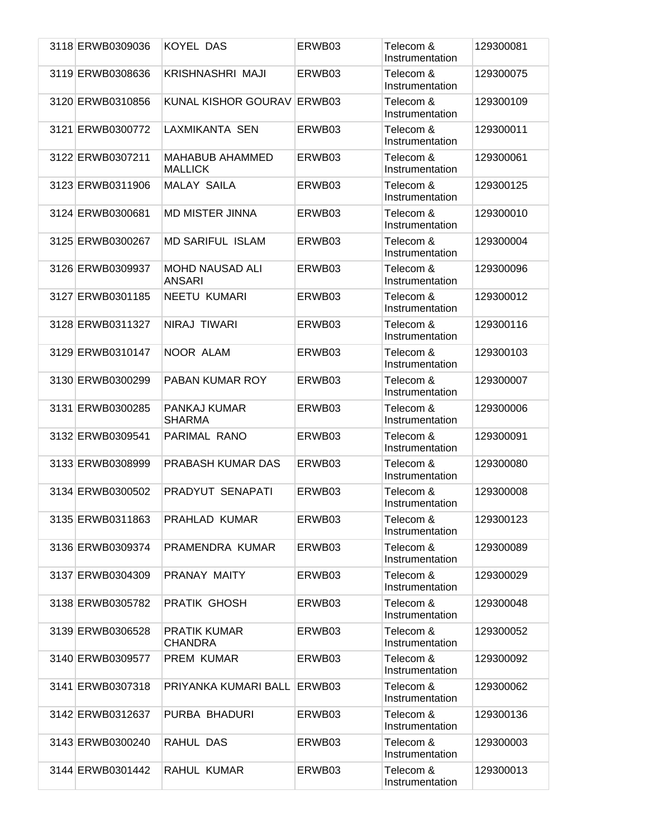| 3118 ERWB0309036 | KOYEL DAS                                | ERWB03 | Telecom &<br>Instrumentation | 129300081 |
|------------------|------------------------------------------|--------|------------------------------|-----------|
| 3119 ERWB0308636 | KRISHNASHRI MAJI                         | ERWB03 | Telecom &<br>Instrumentation | 129300075 |
| 3120 ERWB0310856 | <b>KUNAL KISHOR GOURAV</b>               | ERWB03 | Telecom &<br>Instrumentation | 129300109 |
| 3121 ERWB0300772 | LAXMIKANTA SEN                           | ERWB03 | Telecom &<br>Instrumentation | 129300011 |
| 3122 ERWB0307211 | <b>MAHABUB AHAMMED</b><br><b>MALLICK</b> | ERWB03 | Telecom &<br>Instrumentation | 129300061 |
| 3123 ERWB0311906 | <b>MALAY SAILA</b>                       | ERWB03 | Telecom &<br>Instrumentation | 129300125 |
| 3124 ERWB0300681 | <b>MD MISTER JINNA</b>                   | ERWB03 | Telecom &<br>Instrumentation | 129300010 |
| 3125 ERWB0300267 | <b>MD SARIFUL ISLAM</b>                  | ERWB03 | Telecom &<br>Instrumentation | 129300004 |
| 3126 ERWB0309937 | <b>MOHD NAUSAD ALI</b><br><b>ANSARI</b>  | ERWB03 | Telecom &<br>Instrumentation | 129300096 |
| 3127 ERWB0301185 | <b>NEETU KUMARI</b>                      | ERWB03 | Telecom &<br>Instrumentation | 129300012 |
| 3128 ERWB0311327 | NIRAJ TIWARI                             | ERWB03 | Telecom &<br>Instrumentation | 129300116 |
| 3129 ERWB0310147 | NOOR ALAM                                | ERWB03 | Telecom &<br>Instrumentation | 129300103 |
| 3130 ERWB0300299 | PABAN KUMAR ROY                          | ERWB03 | Telecom &<br>Instrumentation | 129300007 |
| 3131 ERWB0300285 | PANKAJ KUMAR<br><b>SHARMA</b>            | ERWB03 | Telecom &<br>Instrumentation | 129300006 |
| 3132 ERWB0309541 | PARIMAL RANO                             | ERWB03 | Telecom &<br>Instrumentation | 129300091 |
| 3133 ERWB0308999 | PRABASH KUMAR DAS                        | ERWB03 | Telecom &<br>Instrumentation | 129300080 |
| 3134 ERWB0300502 | PRADYUT SENAPATI                         | ERWB03 | Telecom &<br>Instrumentation | 129300008 |
| 3135 ERWB0311863 | PRAHLAD KUMAR                            | ERWB03 | Telecom &<br>Instrumentation | 129300123 |
| 3136 ERWB0309374 | PRAMENDRA KUMAR                          | ERWB03 | Telecom &<br>Instrumentation | 129300089 |
| 3137 ERWB0304309 | PRANAY MAITY                             | ERWB03 | Telecom &<br>Instrumentation | 129300029 |
| 3138 ERWB0305782 | <b>PRATIK GHOSH</b>                      | ERWB03 | Telecom &<br>Instrumentation | 129300048 |
| 3139 ERWB0306528 | <b>PRATIK KUMAR</b><br><b>CHANDRA</b>    | ERWB03 | Telecom &<br>Instrumentation | 129300052 |
| 3140 ERWB0309577 | PREM KUMAR                               | ERWB03 | Telecom &<br>Instrumentation | 129300092 |
| 3141 ERWB0307318 | PRIYANKA KUMARI BALL                     | ERWB03 | Telecom &<br>Instrumentation | 129300062 |
| 3142 ERWB0312637 | PURBA BHADURI                            | ERWB03 | Telecom &<br>Instrumentation | 129300136 |
| 3143 ERWB0300240 | RAHUL DAS                                | ERWB03 | Telecom &<br>Instrumentation | 129300003 |
| 3144 ERWB0301442 | RAHUL KUMAR                              | ERWB03 | Telecom &<br>Instrumentation | 129300013 |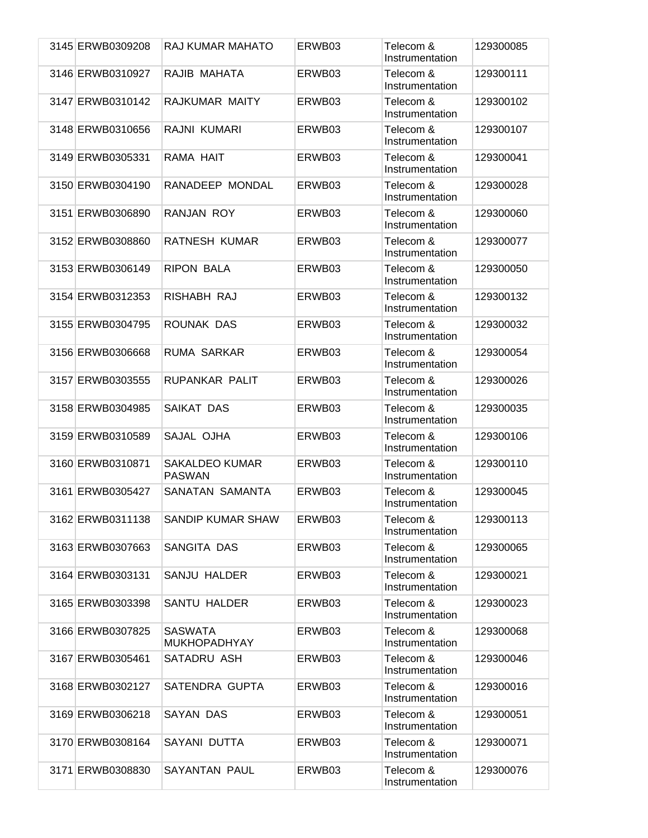| 3145 ERWB0309208 | RAJ KUMAR MAHATO                       | ERWB03 | Telecom &<br>Instrumentation | 129300085 |
|------------------|----------------------------------------|--------|------------------------------|-----------|
| 3146 ERWB0310927 | RAJIB MAHATA                           | ERWB03 | Telecom &<br>Instrumentation | 129300111 |
| 3147 ERWB0310142 | RAJKUMAR MAITY                         | ERWB03 | Telecom &<br>Instrumentation | 129300102 |
| 3148 ERWB0310656 | RAJNI KUMARI                           | ERWB03 | Telecom &<br>Instrumentation | 129300107 |
| 3149 ERWB0305331 | RAMA HAIT                              | ERWB03 | Telecom &<br>Instrumentation | 129300041 |
| 3150 ERWB0304190 | RANADEEP MONDAL                        | ERWB03 | Telecom &<br>Instrumentation | 129300028 |
| 3151 ERWB0306890 | RANJAN ROY                             | ERWB03 | Telecom &<br>Instrumentation | 129300060 |
| 3152 ERWB0308860 | <b>RATNESH KUMAR</b>                   | ERWB03 | Telecom &<br>Instrumentation | 129300077 |
| 3153 ERWB0306149 | <b>RIPON BALA</b>                      | ERWB03 | Telecom &<br>Instrumentation | 129300050 |
| 3154 ERWB0312353 | RISHABH RAJ                            | ERWB03 | Telecom &<br>Instrumentation | 129300132 |
| 3155 ERWB0304795 | ROUNAK DAS                             | ERWB03 | Telecom &<br>Instrumentation | 129300032 |
| 3156 ERWB0306668 | <b>RUMA SARKAR</b>                     | ERWB03 | Telecom &<br>Instrumentation | 129300054 |
| 3157 ERWB0303555 | RUPANKAR PALIT                         | ERWB03 | Telecom &<br>Instrumentation | 129300026 |
| 3158 ERWB0304985 | SAIKAT DAS                             | ERWB03 | Telecom &<br>Instrumentation | 129300035 |
| 3159 ERWB0310589 | SAJAL OJHA                             | ERWB03 | Telecom &<br>Instrumentation | 129300106 |
| 3160 ERWB0310871 | <b>SAKALDEO KUMAR</b><br><b>PASWAN</b> | ERWB03 | Telecom &<br>Instrumentation | 129300110 |
| 3161 ERWB0305427 | SANATAN SAMANTA                        | ERWB03 | Telecom &<br>Instrumentation | 129300045 |
| 3162 ERWB0311138 | <b>SANDIP KUMAR SHAW</b>               | ERWB03 | Telecom &<br>Instrumentation | 129300113 |
| 3163 ERWB0307663 | SANGITA DAS                            | ERWB03 | Telecom &<br>Instrumentation | 129300065 |
| 3164 ERWB0303131 | SANJU HALDER                           | ERWB03 | Telecom &<br>Instrumentation | 129300021 |
| 3165 ERWB0303398 | <b>SANTU HALDER</b>                    | ERWB03 | Telecom &<br>Instrumentation | 129300023 |
| 3166 ERWB0307825 | <b>SASWATA</b><br><b>MUKHOPADHYAY</b>  | ERWB03 | Telecom &<br>Instrumentation | 129300068 |
| 3167 ERWB0305461 | SATADRU ASH                            | ERWB03 | Telecom &<br>Instrumentation | 129300046 |
| 3168 ERWB0302127 | SATENDRA GUPTA                         | ERWB03 | Telecom &<br>Instrumentation | 129300016 |
| 3169 ERWB0306218 | SAYAN DAS                              | ERWB03 | Telecom &<br>Instrumentation | 129300051 |
| 3170 ERWB0308164 | SAYANI DUTTA                           | ERWB03 | Telecom &<br>Instrumentation | 129300071 |
| 3171 ERWB0308830 | <b>SAYANTAN PAUL</b>                   | ERWB03 | Telecom &<br>Instrumentation | 129300076 |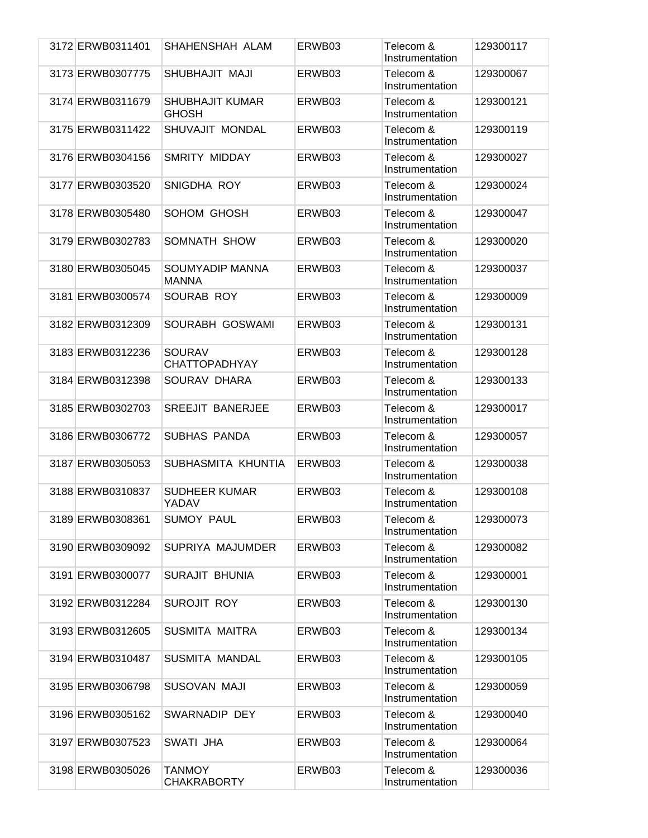| 3172 ERWB0311401 | SHAHENSHAH ALAM                        | ERWB03 | Telecom &<br>Instrumentation | 129300117 |
|------------------|----------------------------------------|--------|------------------------------|-----------|
| 3173 ERWB0307775 | SHUBHAJIT MAJI                         | ERWB03 | Telecom &<br>Instrumentation | 129300067 |
| 3174 ERWB0311679 | <b>SHUBHAJIT KUMAR</b><br><b>GHOSH</b> | ERWB03 | Telecom &<br>Instrumentation | 129300121 |
| 3175 ERWB0311422 | SHUVAJIT MONDAL                        | ERWB03 | Telecom &<br>Instrumentation | 129300119 |
| 3176 ERWB0304156 | <b>SMRITY MIDDAY</b>                   | ERWB03 | Telecom &<br>Instrumentation | 129300027 |
| 3177 ERWB0303520 | SNIGDHA ROY                            | ERWB03 | Telecom &<br>Instrumentation | 129300024 |
| 3178 ERWB0305480 | SOHOM GHOSH                            | ERWB03 | Telecom &<br>Instrumentation | 129300047 |
| 3179 ERWB0302783 | SOMNATH SHOW                           | ERWB03 | Telecom &<br>Instrumentation | 129300020 |
| 3180 ERWB0305045 | SOUMYADIP MANNA<br><b>MANNA</b>        | ERWB03 | Telecom &<br>Instrumentation | 129300037 |
| 3181 ERWB0300574 | SOURAB ROY                             | ERWB03 | Telecom &<br>Instrumentation | 129300009 |
| 3182 ERWB0312309 | SOURABH GOSWAMI                        | ERWB03 | Telecom &<br>Instrumentation | 129300131 |
| 3183 ERWB0312236 | <b>SOURAV</b><br><b>CHATTOPADHYAY</b>  | ERWB03 | Telecom &<br>Instrumentation | 129300128 |
| 3184 ERWB0312398 | SOURAV DHARA                           | ERWB03 | Telecom &<br>Instrumentation | 129300133 |
| 3185 ERWB0302703 | <b>SREEJIT BANERJEE</b>                | ERWB03 | Telecom &<br>Instrumentation | 129300017 |
| 3186 ERWB0306772 | SUBHAS PANDA                           | ERWB03 | Telecom &<br>Instrumentation | 129300057 |
| 3187 ERWB0305053 | SUBHASMITA KHUNTIA                     | ERWB03 | Telecom &<br>Instrumentation | 129300038 |
| 3188 ERWB0310837 | <b>SUDHEER KUMAR</b><br>YADAV          | ERWB03 | Telecom &<br>Instrumentation | 129300108 |
| 3189 ERWB0308361 | <b>SUMOY PAUL</b>                      | ERWB03 | Telecom &<br>Instrumentation | 129300073 |
| 3190 ERWB0309092 | SUPRIYA MAJUMDER                       | ERWB03 | Telecom &<br>Instrumentation | 129300082 |
| 3191 ERWB0300077 | SURAJIT BHUNIA                         | ERWB03 | Telecom &<br>Instrumentation | 129300001 |
| 3192 ERWB0312284 | SUROJIT ROY                            | ERWB03 | Telecom &<br>Instrumentation | 129300130 |
| 3193 ERWB0312605 | SUSMITA MAITRA                         | ERWB03 | Telecom &<br>Instrumentation | 129300134 |
| 3194 ERWB0310487 | SUSMITA MANDAL                         | ERWB03 | Telecom &<br>Instrumentation | 129300105 |
| 3195 ERWB0306798 | SUSOVAN MAJI                           | ERWB03 | Telecom &<br>Instrumentation | 129300059 |
| 3196 ERWB0305162 | SWARNADIP DEY                          | ERWB03 | Telecom &<br>Instrumentation | 129300040 |
| 3197 ERWB0307523 | SWATI JHA                              | ERWB03 | Telecom &<br>Instrumentation | 129300064 |
| 3198 ERWB0305026 | TANMOY<br><b>CHAKRABORTY</b>           | ERWB03 | Telecom &<br>Instrumentation | 129300036 |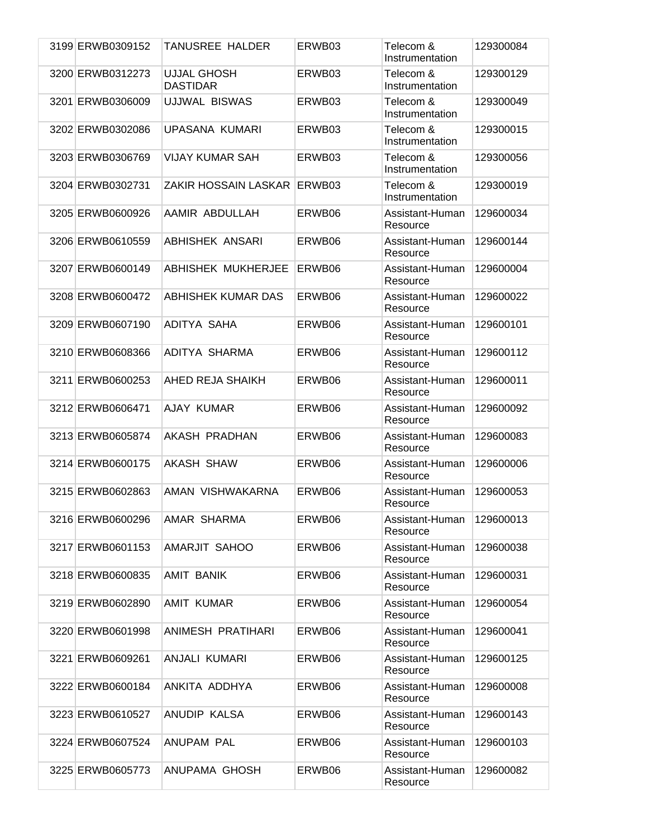| 3199 ERWB0309152 | TANUSREE HALDER                       | ERWB03 | Telecom &<br>Instrumentation | 129300084 |
|------------------|---------------------------------------|--------|------------------------------|-----------|
| 3200 ERWB0312273 | <b>UJJAL GHOSH</b><br><b>DASTIDAR</b> | ERWB03 | Telecom &<br>Instrumentation | 129300129 |
| 3201 ERWB0306009 | UJJWAL BISWAS                         | ERWB03 | Telecom &<br>Instrumentation | 129300049 |
| 3202 ERWB0302086 | UPASANA KUMARI                        | ERWB03 | Telecom &<br>Instrumentation | 129300015 |
| 3203 ERWB0306769 | <b>VIJAY KUMAR SAH</b>                | ERWB03 | Telecom &<br>Instrumentation | 129300056 |
| 3204 ERWB0302731 | ZAKIR HOSSAIN LASKAR ERWB03           |        | Telecom &<br>Instrumentation | 129300019 |
| 3205 ERWB0600926 | AAMIR ABDULLAH                        | ERWB06 | Assistant-Human<br>Resource  | 129600034 |
| 3206 ERWB0610559 | ABHISHEK ANSARI                       | ERWB06 | Assistant-Human<br>Resource  | 129600144 |
| 3207 ERWB0600149 | ABHISHEK MUKHERJEE                    | ERWB06 | Assistant-Human<br>Resource  | 129600004 |
| 3208 ERWB0600472 | ABHISHEK KUMAR DAS                    | ERWB06 | Assistant-Human<br>Resource  | 129600022 |
| 3209 ERWB0607190 | ADITYA SAHA                           | ERWB06 | Assistant-Human<br>Resource  | 129600101 |
| 3210 ERWB0608366 | ADITYA SHARMA                         | ERWB06 | Assistant-Human<br>Resource  | 129600112 |
| 3211 ERWB0600253 | AHED REJA SHAIKH                      | ERWB06 | Assistant-Human<br>Resource  | 129600011 |
| 3212 ERWB0606471 | AJAY KUMAR                            | ERWB06 | Assistant-Human<br>Resource  | 129600092 |
| 3213 ERWB0605874 | AKASH PRADHAN                         | ERWB06 | Assistant-Human<br>Resource  | 129600083 |
| 3214 ERWB0600175 | <b>AKASH SHAW</b>                     | ERWB06 | Assistant-Human<br>Resource  | 129600006 |
| 3215 ERWB0602863 | AMAN VISHWAKARNA                      | ERWB06 | Assistant-Human<br>Resource  | 129600053 |
| 3216 ERWB0600296 | AMAR SHARMA                           | ERWB06 | Assistant-Human<br>Resource  | 129600013 |
| 3217 ERWB0601153 | AMARJIT SAHOO                         | ERWB06 | Assistant-Human<br>Resource  | 129600038 |
| 3218 ERWB0600835 | AMIT BANIK                            | ERWB06 | Assistant-Human<br>Resource  | 129600031 |
| 3219 ERWB0602890 | AMIT KUMAR                            | ERWB06 | Assistant-Human<br>Resource  | 129600054 |
| 3220 ERWB0601998 | ANIMESH PRATIHARI                     | ERWB06 | Assistant-Human<br>Resource  | 129600041 |
| 3221 ERWB0609261 | ANJALI KUMARI                         | ERWB06 | Assistant-Human<br>Resource  | 129600125 |
| 3222 ERWB0600184 | ANKITA ADDHYA                         | ERWB06 | Assistant-Human<br>Resource  | 129600008 |
| 3223 ERWB0610527 | ANUDIP KALSA                          | ERWB06 | Assistant-Human<br>Resource  | 129600143 |
| 3224 ERWB0607524 | ANUPAM PAL                            | ERWB06 | Assistant-Human<br>Resource  | 129600103 |
| 3225 ERWB0605773 | ANUPAMA GHOSH                         | ERWB06 | Assistant-Human<br>Resource  | 129600082 |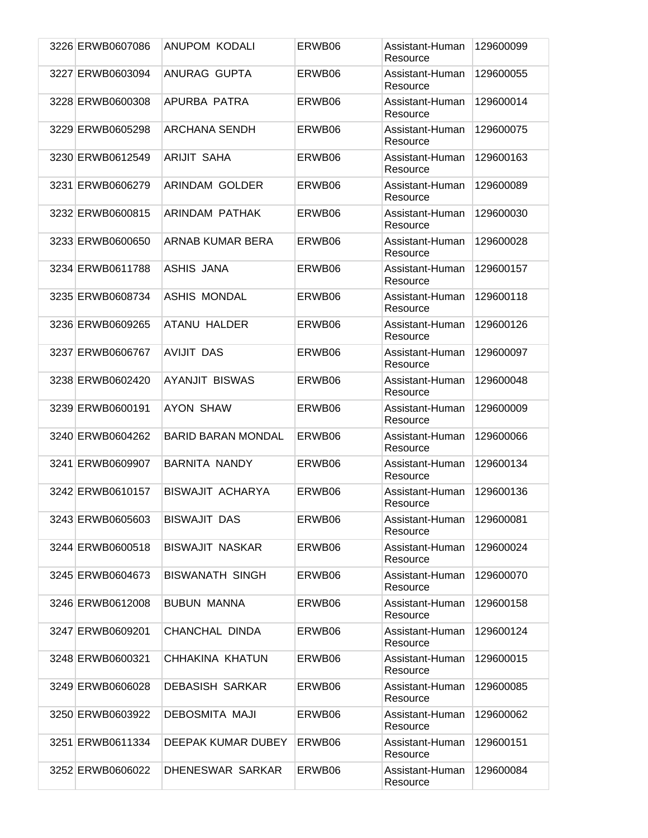| 3226 ERWB0607086 | ANUPOM KODALI             | ERWB06 | Assistant-Human<br>Resource | 129600099 |
|------------------|---------------------------|--------|-----------------------------|-----------|
| 3227 ERWB0603094 | ANURAG GUPTA              | ERWB06 | Assistant-Human<br>Resource | 129600055 |
| 3228 ERWB0600308 | APURBA PATRA              | ERWB06 | Assistant-Human<br>Resource | 129600014 |
| 3229 ERWB0605298 | <b>ARCHANA SENDH</b>      | ERWB06 | Assistant-Human<br>Resource | 129600075 |
| 3230 ERWB0612549 | ARIJIT SAHA               | ERWB06 | Assistant-Human<br>Resource | 129600163 |
| 3231 ERWB0606279 | ARINDAM GOLDER            | ERWB06 | Assistant-Human<br>Resource | 129600089 |
| 3232 ERWB0600815 | ARINDAM PATHAK            | ERWB06 | Assistant-Human<br>Resource | 129600030 |
| 3233 ERWB0600650 | ARNAB KUMAR BERA          | ERWB06 | Assistant-Human<br>Resource | 129600028 |
| 3234 ERWB0611788 | ASHIS JANA                | ERWB06 | Assistant-Human<br>Resource | 129600157 |
| 3235 ERWB0608734 | ASHIS MONDAL              | ERWB06 | Assistant-Human<br>Resource | 129600118 |
| 3236 ERWB0609265 | ATANU HALDER              | ERWB06 | Assistant-Human<br>Resource | 129600126 |
| 3237 ERWB0606767 | <b>AVIJIT DAS</b>         | ERWB06 | Assistant-Human<br>Resource | 129600097 |
| 3238 ERWB0602420 | <b>AYANJIT BISWAS</b>     | ERWB06 | Assistant-Human<br>Resource | 129600048 |
| 3239 ERWB0600191 | AYON SHAW                 | ERWB06 | Assistant-Human<br>Resource | 129600009 |
| 3240 ERWB0604262 | <b>BARID BARAN MONDAL</b> | ERWB06 | Assistant-Human<br>Resource | 129600066 |
| 3241 ERWB0609907 | <b>BARNITA NANDY</b>      | ERWB06 | Assistant-Human<br>Resource | 129600134 |
| 3242 ERWB0610157 | BISWAJIT ACHARYA          | ERWB06 | Assistant-Human<br>Resource | 129600136 |
| 3243 ERWB0605603 | <b>BISWAJIT DAS</b>       | ERWB06 | Assistant-Human<br>Resource | 129600081 |
| 3244 ERWB0600518 | <b>BISWAJIT NASKAR</b>    | ERWB06 | Assistant-Human<br>Resource | 129600024 |
| 3245 ERWB0604673 | <b>BISWANATH SINGH</b>    | ERWB06 | Assistant-Human<br>Resource | 129600070 |
| 3246 ERWB0612008 | <b>BUBUN MANNA</b>        | ERWB06 | Assistant-Human<br>Resource | 129600158 |
| 3247 ERWB0609201 | CHANCHAL DINDA            | ERWB06 | Assistant-Human<br>Resource | 129600124 |
| 3248 ERWB0600321 | CHHAKINA KHATUN           | ERWB06 | Assistant-Human<br>Resource | 129600015 |
| 3249 ERWB0606028 | <b>DEBASISH SARKAR</b>    | ERWB06 | Assistant-Human<br>Resource | 129600085 |
| 3250 ERWB0603922 | <b>DEBOSMITA MAJI</b>     | ERWB06 | Assistant-Human<br>Resource | 129600062 |
| 3251 ERWB0611334 | DEEPAK KUMAR DUBEY        | ERWB06 | Assistant-Human<br>Resource | 129600151 |
| 3252 ERWB0606022 | DHENESWAR SARKAR          | ERWB06 | Assistant-Human<br>Resource | 129600084 |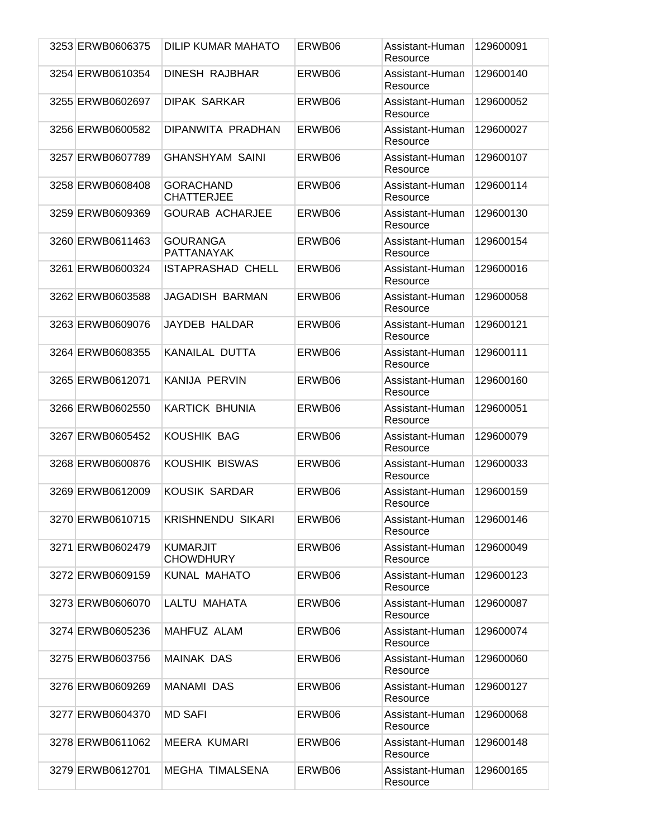| 3253 ERWB0606375 | DILIP KUMAR MAHATO                    | ERWB06 | Assistant-Human<br>Resource | 129600091 |
|------------------|---------------------------------------|--------|-----------------------------|-----------|
| 3254 ERWB0610354 | <b>DINESH RAJBHAR</b>                 | ERWB06 | Assistant-Human<br>Resource | 129600140 |
| 3255 ERWB0602697 | <b>DIPAK SARKAR</b>                   | ERWB06 | Assistant-Human<br>Resource | 129600052 |
| 3256 ERWB0600582 | DIPANWITA PRADHAN                     | ERWB06 | Assistant-Human<br>Resource | 129600027 |
| 3257 ERWB0607789 | <b>GHANSHYAM SAINI</b>                | ERWB06 | Assistant-Human<br>Resource | 129600107 |
| 3258 ERWB0608408 | <b>GORACHAND</b><br><b>CHATTERJEE</b> | ERWB06 | Assistant-Human<br>Resource | 129600114 |
| 3259 ERWB0609369 | <b>GOURAB ACHARJEE</b>                | ERWB06 | Assistant-Human<br>Resource | 129600130 |
| 3260 ERWB0611463 | <b>GOURANGA</b><br><b>PATTANAYAK</b>  | ERWB06 | Assistant-Human<br>Resource | 129600154 |
| 3261 ERWB0600324 | <b>ISTAPRASHAD CHELL</b>              | ERWB06 | Assistant-Human<br>Resource | 129600016 |
| 3262 ERWB0603588 | JAGADISH BARMAN                       | ERWB06 | Assistant-Human<br>Resource | 129600058 |
| 3263 ERWB0609076 | JAYDEB HALDAR                         | ERWB06 | Assistant-Human<br>Resource | 129600121 |
| 3264 ERWB0608355 | KANAILAL DUTTA                        | ERWB06 | Assistant-Human<br>Resource | 129600111 |
| 3265 ERWB0612071 | KANIJA PERVIN                         | ERWB06 | Assistant-Human<br>Resource | 129600160 |
| 3266 ERWB0602550 | KARTICK BHUNIA                        | ERWB06 | Assistant-Human<br>Resource | 129600051 |
| 3267 ERWB0605452 | KOUSHIK BAG                           | ERWB06 | Assistant-Human<br>Resource | 129600079 |
| 3268 ERWB0600876 | KOUSHIK BISWAS                        | ERWB06 | Assistant-Human<br>Resource | 129600033 |
| 3269 ERWB0612009 | KOUSIK SARDAR                         | ERWB06 | Assistant-Human<br>Resource | 129600159 |
| 3270 ERWB0610715 | <b>KRISHNENDU SIKARI</b>              | ERWB06 | Assistant-Human<br>Resource | 129600146 |
| 3271 ERWB0602479 | <b>KUMARJIT</b><br><b>CHOWDHURY</b>   | ERWB06 | Assistant-Human<br>Resource | 129600049 |
| 3272 ERWB0609159 | <b>KUNAL MAHATO</b>                   | ERWB06 | Assistant-Human<br>Resource | 129600123 |
| 3273 ERWB0606070 | LALTU MAHATA                          | ERWB06 | Assistant-Human<br>Resource | 129600087 |
| 3274 ERWB0605236 | MAHFUZ ALAM                           | ERWB06 | Assistant-Human<br>Resource | 129600074 |
| 3275 ERWB0603756 | <b>MAINAK DAS</b>                     | ERWB06 | Assistant-Human<br>Resource | 129600060 |
| 3276 ERWB0609269 | MANAMI DAS                            | ERWB06 | Assistant-Human<br>Resource | 129600127 |
| 3277 ERWB0604370 | <b>MD SAFI</b>                        | ERWB06 | Assistant-Human<br>Resource | 129600068 |
| 3278 ERWB0611062 | <b>MEERA KUMARI</b>                   | ERWB06 | Assistant-Human<br>Resource | 129600148 |
| 3279 ERWB0612701 | <b>MEGHA TIMALSENA</b>                | ERWB06 | Assistant-Human<br>Resource | 129600165 |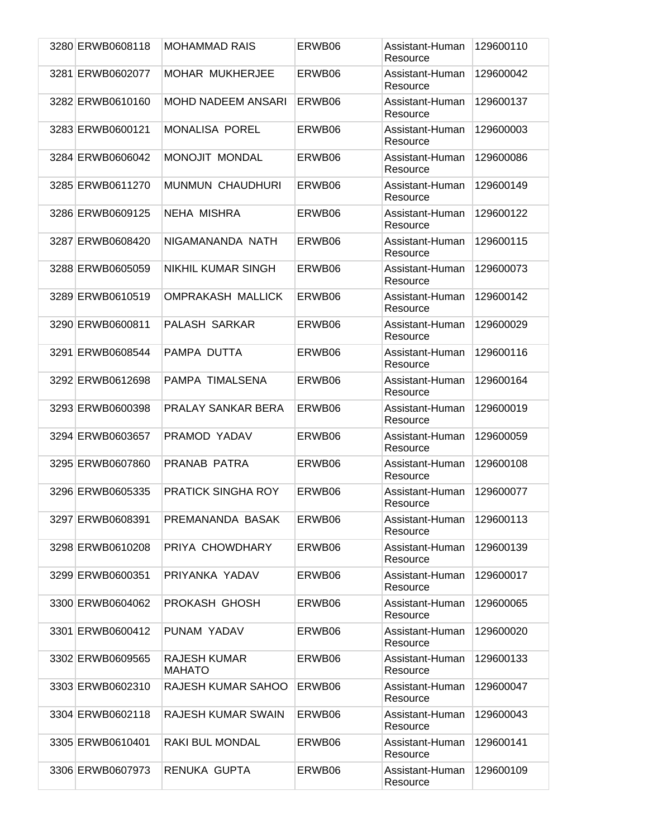| 3280 ERWB0608118 | <b>MOHAMMAD RAIS</b>          | ERWB06 | Assistant-Human<br>Resource | 129600110 |
|------------------|-------------------------------|--------|-----------------------------|-----------|
| 3281 ERWB0602077 | <b>MOHAR MUKHERJEE</b>        | ERWB06 | Assistant-Human<br>Resource | 129600042 |
| 3282 ERWB0610160 | MOHD NADEEM ANSARI            | ERWB06 | Assistant-Human<br>Resource | 129600137 |
| 3283 ERWB0600121 | <b>MONALISA POREL</b>         | ERWB06 | Assistant-Human<br>Resource | 129600003 |
| 3284 ERWB0606042 | MONOJIT MONDAL                | ERWB06 | Assistant-Human<br>Resource | 129600086 |
| 3285 ERWB0611270 | <b>MUNMUN CHAUDHURI</b>       | ERWB06 | Assistant-Human<br>Resource | 129600149 |
| 3286 ERWB0609125 | NEHA MISHRA                   | ERWB06 | Assistant-Human<br>Resource | 129600122 |
| 3287 ERWB0608420 | NIGAMANANDA NATH              | ERWB06 | Assistant-Human<br>Resource | 129600115 |
| 3288 ERWB0605059 | NIKHIL KUMAR SINGH            | ERWB06 | Assistant-Human<br>Resource | 129600073 |
| 3289 ERWB0610519 | OMPRAKASH MALLICK             | ERWB06 | Assistant-Human<br>Resource | 129600142 |
| 3290 ERWB0600811 | PALASH SARKAR                 | ERWB06 | Assistant-Human<br>Resource | 129600029 |
| 3291 ERWB0608544 | PAMPA DUTTA                   | ERWB06 | Assistant-Human<br>Resource | 129600116 |
| 3292 ERWB0612698 | PAMPA TIMALSENA               | ERWB06 | Assistant-Human<br>Resource | 129600164 |
| 3293 ERWB0600398 | PRALAY SANKAR BERA            | ERWB06 | Assistant-Human<br>Resource | 129600019 |
| 3294 ERWB0603657 | PRAMOD YADAV                  | ERWB06 | Assistant-Human<br>Resource | 129600059 |
| 3295 ERWB0607860 | PRANAB PATRA                  | ERWB06 | Assistant-Human<br>Resource | 129600108 |
| 3296 ERWB0605335 | <b>PRATICK SINGHA ROY</b>     | ERWB06 | Assistant-Human<br>Resource | 129600077 |
| 3297 ERWB0608391 | PREMANANDA BASAK              | ERWB06 | Assistant-Human<br>Resource | 129600113 |
| 3298 ERWB0610208 | PRIYA CHOWDHARY               | ERWB06 | Assistant-Human<br>Resource | 129600139 |
| 3299 ERWB0600351 | PRIYANKA YADAV                | ERWB06 | Assistant-Human<br>Resource | 129600017 |
| 3300 ERWB0604062 | PROKASH GHOSH                 | ERWB06 | Assistant-Human<br>Resource | 129600065 |
| 3301 ERWB0600412 | PUNAM YADAV                   | ERWB06 | Assistant-Human<br>Resource | 129600020 |
| 3302 ERWB0609565 | RAJESH KUMAR<br><b>MAHATO</b> | ERWB06 | Assistant-Human<br>Resource | 129600133 |
| 3303 ERWB0602310 | RAJESH KUMAR SAHOO            | ERWB06 | Assistant-Human<br>Resource | 129600047 |
| 3304 ERWB0602118 | RAJESH KUMAR SWAIN            | ERWB06 | Assistant-Human<br>Resource | 129600043 |
| 3305 ERWB0610401 | RAKI BUL MONDAL               | ERWB06 | Assistant-Human<br>Resource | 129600141 |
| 3306 ERWB0607973 | RENUKA GUPTA                  | ERWB06 | Assistant-Human<br>Resource | 129600109 |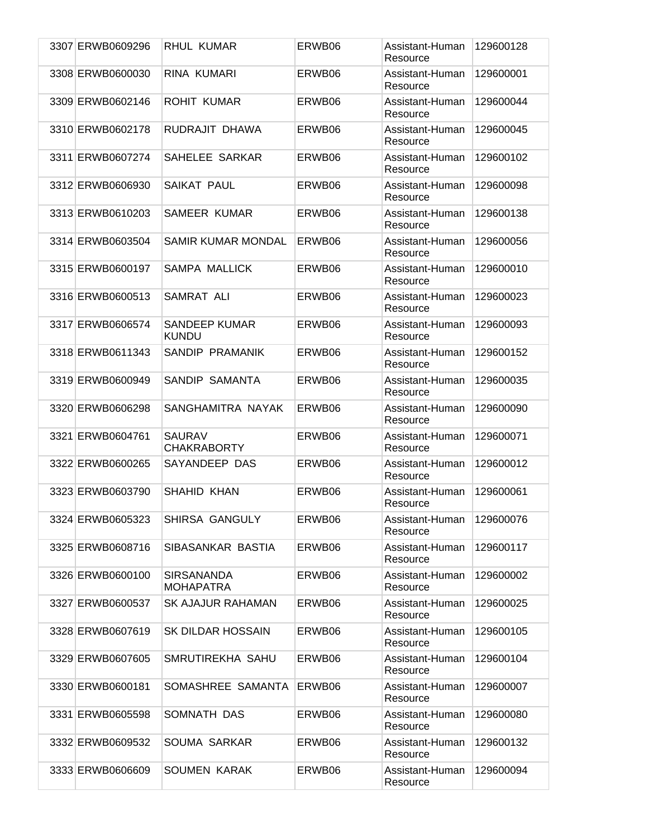| 3307 ERWB0609296 | RHUL KUMAR                            | ERWB06 | Assistant-Human<br>Resource | 129600128 |
|------------------|---------------------------------------|--------|-----------------------------|-----------|
| 3308 ERWB0600030 | RINA KUMARI                           | ERWB06 | Assistant-Human<br>Resource | 129600001 |
| 3309 ERWB0602146 | ROHIT KUMAR                           | ERWB06 | Assistant-Human<br>Resource | 129600044 |
| 3310 ERWB0602178 | RUDRAJIT DHAWA                        | ERWB06 | Assistant-Human<br>Resource | 129600045 |
| 3311 ERWB0607274 | SAHELEE SARKAR                        | ERWB06 | Assistant-Human<br>Resource | 129600102 |
| 3312 ERWB0606930 | SAIKAT PAUL                           | ERWB06 | Assistant-Human<br>Resource | 129600098 |
| 3313 ERWB0610203 | SAMEER KUMAR                          | ERWB06 | Assistant-Human<br>Resource | 129600138 |
| 3314 ERWB0603504 | SAMIR KUMAR MONDAL                    | ERWB06 | Assistant-Human<br>Resource | 129600056 |
| 3315 ERWB0600197 | SAMPA MALLICK                         | ERWB06 | Assistant-Human<br>Resource | 129600010 |
| 3316 ERWB0600513 | SAMRAT ALI                            | ERWB06 | Assistant-Human<br>Resource | 129600023 |
| 3317 ERWB0606574 | <b>SANDEEP KUMAR</b><br><b>KUNDU</b>  | ERWB06 | Assistant-Human<br>Resource | 129600093 |
| 3318 ERWB0611343 | SANDIP PRAMANIK                       | ERWB06 | Assistant-Human<br>Resource | 129600152 |
| 3319 ERWB0600949 | SANDIP SAMANTA                        | ERWB06 | Assistant-Human<br>Resource | 129600035 |
| 3320 ERWB0606298 | SANGHAMITRA NAYAK                     | ERWB06 | Assistant-Human<br>Resource | 129600090 |
| 3321 ERWB0604761 | <b>SAURAV</b><br><b>CHAKRABORTY</b>   | ERWB06 | Assistant-Human<br>Resource | 129600071 |
| 3322 ERWB0600265 | SAYANDEEP DAS                         | ERWB06 | Assistant-Human<br>Resource | 129600012 |
| 3323 ERWB0603790 | SHAHID KHAN                           | ERWB06 | Assistant-Human<br>Resource | 129600061 |
| 3324 ERWB0605323 | SHIRSA GANGULY                        | ERWB06 | Assistant-Human<br>Resource | 129600076 |
| 3325 ERWB0608716 | SIBASANKAR BASTIA                     | ERWB06 | Assistant-Human<br>Resource | 129600117 |
| 3326 ERWB0600100 | <b>SIRSANANDA</b><br><b>MOHAPATRA</b> | ERWB06 | Assistant-Human<br>Resource | 129600002 |
| 3327 ERWB0600537 | <b>SK AJAJUR RAHAMAN</b>              | ERWB06 | Assistant-Human<br>Resource | 129600025 |
| 3328 ERWB0607619 | <b>SK DILDAR HOSSAIN</b>              | ERWB06 | Assistant-Human<br>Resource | 129600105 |
| 3329 ERWB0607605 | SMRUTIREKHA SAHU                      | ERWB06 | Assistant-Human<br>Resource | 129600104 |
| 3330 ERWB0600181 | SOMASHREE SAMANTA                     | ERWB06 | Assistant-Human<br>Resource | 129600007 |
| 3331 ERWB0605598 | SOMNATH DAS                           | ERWB06 | Assistant-Human<br>Resource | 129600080 |
| 3332 ERWB0609532 | SOUMA SARKAR                          | ERWB06 | Assistant-Human<br>Resource | 129600132 |
| 3333 ERWB0606609 | SOUMEN KARAK                          | ERWB06 | Assistant-Human<br>Resource | 129600094 |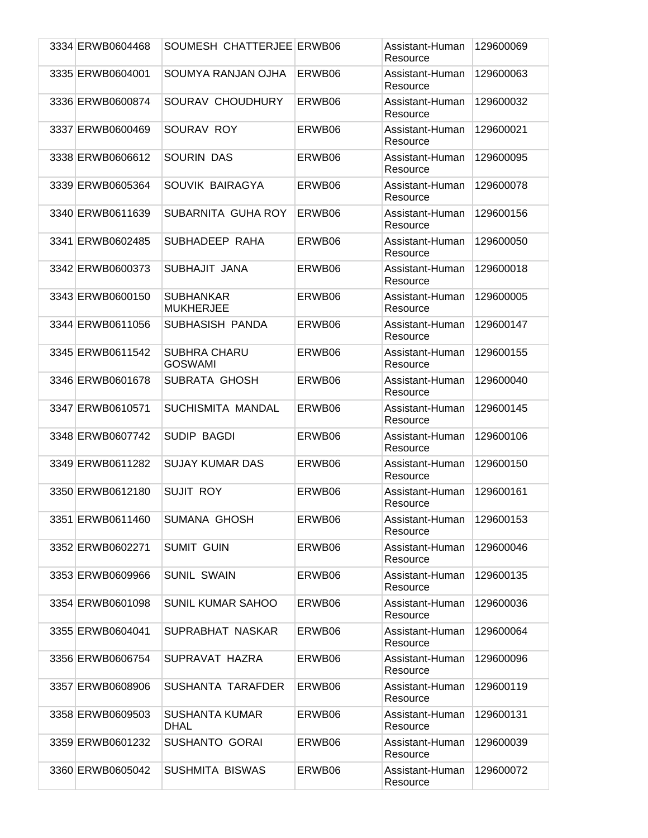| 3334 ERWB0604468 | SOUMESH CHATTERJEE ERWB06             |        | Assistant-Human<br>Resource | 129600069 |
|------------------|---------------------------------------|--------|-----------------------------|-----------|
| 3335 ERWB0604001 | SOUMYA RANJAN OJHA                    | ERWB06 | Assistant-Human<br>Resource | 129600063 |
| 3336 ERWB0600874 | SOURAV CHOUDHURY                      | ERWB06 | Assistant-Human<br>Resource | 129600032 |
| 3337 ERWB0600469 | SOURAV ROY                            | ERWB06 | Assistant-Human<br>Resource | 129600021 |
| 3338 ERWB0606612 | <b>SOURIN DAS</b>                     | ERWB06 | Assistant-Human<br>Resource | 129600095 |
| 3339 ERWB0605364 | SOUVIK BAIRAGYA                       | ERWB06 | Assistant-Human<br>Resource | 129600078 |
| 3340 ERWB0611639 | SUBARNITA GUHA ROY                    | ERWB06 | Assistant-Human<br>Resource | 129600156 |
| 3341 ERWB0602485 | SUBHADEEP RAHA                        | ERWB06 | Assistant-Human<br>Resource | 129600050 |
| 3342 ERWB0600373 | SUBHAJIT JANA                         | ERWB06 | Assistant-Human<br>Resource | 129600018 |
| 3343 ERWB0600150 | <b>SUBHANKAR</b><br><b>MUKHERJEE</b>  | ERWB06 | Assistant-Human<br>Resource | 129600005 |
| 3344 ERWB0611056 | SUBHASISH PANDA                       | ERWB06 | Assistant-Human<br>Resource | 129600147 |
| 3345 ERWB0611542 | <b>SUBHRA CHARU</b><br><b>GOSWAMI</b> | ERWB06 | Assistant-Human<br>Resource | 129600155 |
| 3346 ERWB0601678 | SUBRATA GHOSH                         | ERWB06 | Assistant-Human<br>Resource | 129600040 |
| 3347 ERWB0610571 | SUCHISMITA MANDAL                     | ERWB06 | Assistant-Human<br>Resource | 129600145 |
| 3348 ERWB0607742 | SUDIP BAGDI                           | ERWB06 | Assistant-Human<br>Resource | 129600106 |
| 3349 ERWB0611282 | <b>SUJAY KUMAR DAS</b>                | ERWB06 | Assistant-Human<br>Resource | 129600150 |
| 3350 ERWB0612180 | <b>SUJIT ROY</b>                      | ERWB06 | Assistant-Human<br>Resource | 129600161 |
| 3351 ERWB0611460 | <b>SUMANA GHOSH</b>                   | ERWB06 | Assistant-Human<br>Resource | 129600153 |
| 3352 ERWB0602271 | <b>SUMIT GUIN</b>                     | ERWB06 | Assistant-Human<br>Resource | 129600046 |
| 3353 ERWB0609966 | <b>SUNIL SWAIN</b>                    | ERWB06 | Assistant-Human<br>Resource | 129600135 |
| 3354 ERWB0601098 | <b>SUNIL KUMAR SAHOO</b>              | ERWB06 | Assistant-Human<br>Resource | 129600036 |
| 3355 ERWB0604041 | SUPRABHAT NASKAR                      | ERWB06 | Assistant-Human<br>Resource | 129600064 |
| 3356 ERWB0606754 | SUPRAVAT HAZRA                        | ERWB06 | Assistant-Human<br>Resource | 129600096 |
| 3357 ERWB0608906 | SUSHANTA TARAFDER                     | ERWB06 | Assistant-Human<br>Resource | 129600119 |
| 3358 ERWB0609503 | <b>SUSHANTA KUMAR</b><br><b>DHAL</b>  | ERWB06 | Assistant-Human<br>Resource | 129600131 |
| 3359 ERWB0601232 | <b>SUSHANTO GORAI</b>                 | ERWB06 | Assistant-Human<br>Resource | 129600039 |
| 3360 ERWB0605042 | <b>SUSHMITA BISWAS</b>                | ERWB06 | Assistant-Human<br>Resource | 129600072 |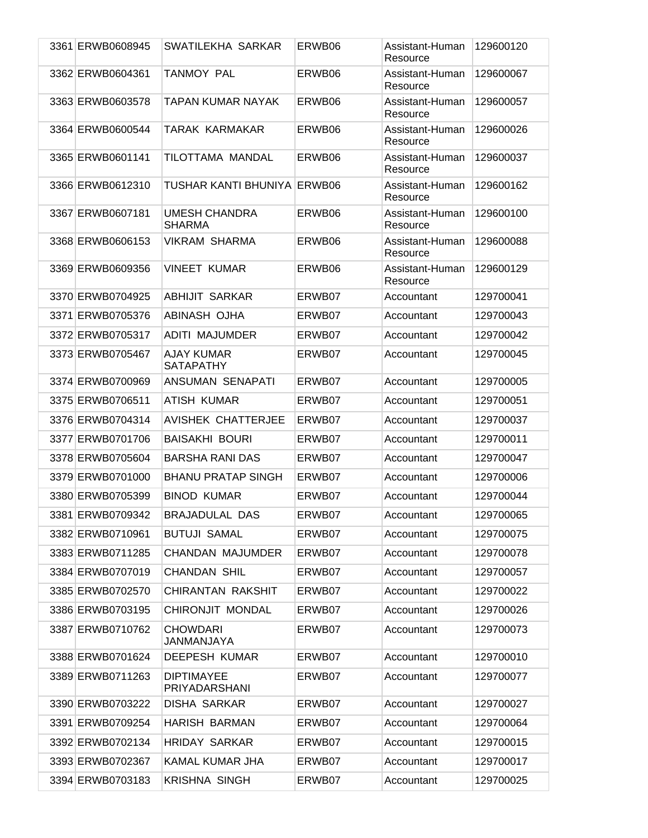| 3361 ERWB0608945 | SWATILEKHA SARKAR                     | ERWB06 | Assistant-Human<br>Resource | 129600120 |
|------------------|---------------------------------------|--------|-----------------------------|-----------|
| 3362 ERWB0604361 | TANMOY PAL                            | ERWB06 | Assistant-Human<br>Resource | 129600067 |
| 3363 ERWB0603578 | TAPAN KUMAR NAYAK                     | ERWB06 | Assistant-Human<br>Resource | 129600057 |
| 3364 ERWB0600544 | TARAK KARMAKAR                        | ERWB06 | Assistant-Human<br>Resource | 129600026 |
| 3365 ERWB0601141 | TILOTTAMA MANDAL                      | ERWB06 | Assistant-Human<br>Resource | 129600037 |
| 3366 ERWB0612310 | TUSHAR KANTI BHUNIYA ERWB06           |        | Assistant-Human<br>Resource | 129600162 |
| 3367 ERWB0607181 | <b>UMESH CHANDRA</b><br><b>SHARMA</b> | ERWB06 | Assistant-Human<br>Resource | 129600100 |
| 3368 ERWB0606153 | <b>VIKRAM SHARMA</b>                  | ERWB06 | Assistant-Human<br>Resource | 129600088 |
| 3369 ERWB0609356 | <b>VINEET KUMAR</b>                   | ERWB06 | Assistant-Human<br>Resource | 129600129 |
| 3370 ERWB0704925 | <b>ABHIJIT SARKAR</b>                 | ERWB07 | Accountant                  | 129700041 |
| 3371 ERWB0705376 | ABINASH OJHA                          | ERWB07 | Accountant                  | 129700043 |
| 3372 ERWB0705317 | ADITI MAJUMDER                        | ERWB07 | Accountant                  | 129700042 |
| 3373 ERWB0705467 | <b>AJAY KUMAR</b><br><b>SATAPATHY</b> | ERWB07 | Accountant                  | 129700045 |
| 3374 ERWB0700969 | ANSUMAN SENAPATI                      | ERWB07 | Accountant                  | 129700005 |
| 3375 ERWB0706511 | ATISH KUMAR                           | ERWB07 | Accountant                  | 129700051 |
| 3376 ERWB0704314 | <b>AVISHEK CHATTERJEE</b>             | ERWB07 | Accountant                  | 129700037 |
| 3377 ERWB0701706 | <b>BAISAKHI BOURI</b>                 | ERWB07 | Accountant                  | 129700011 |
| 3378 ERWB0705604 | <b>BARSHA RANI DAS</b>                | ERWB07 | Accountant                  | 129700047 |
| 3379 ERWB0701000 | <b>BHANU PRATAP SINGH</b>             | ERWB07 | Accountant                  | 129700006 |
| 3380 ERWB0705399 | <b>BINOD KUMAR</b>                    | ERWB07 | Accountant                  | 129700044 |
| 3381 ERWB0709342 | BRAJADULAL DAS                        | ERWB07 | Accountant                  | 129700065 |
| 3382 ERWB0710961 | <b>BUTUJI SAMAL</b>                   | ERWB07 | Accountant                  | 129700075 |
| 3383 ERWB0711285 | CHANDAN MAJUMDER                      | ERWB07 | Accountant                  | 129700078 |
| 3384 ERWB0707019 | <b>CHANDAN SHIL</b>                   | ERWB07 | Accountant                  | 129700057 |
| 3385 ERWB0702570 | CHIRANTAN RAKSHIT                     | ERWB07 | Accountant                  | 129700022 |
| 3386 ERWB0703195 | CHIRONJIT MONDAL                      | ERWB07 | Accountant                  | 129700026 |
| 3387 ERWB0710762 | <b>CHOWDARI</b><br>JANMANJAYA         | ERWB07 | Accountant                  | 129700073 |
| 3388 ERWB0701624 | <b>DEEPESH KUMAR</b>                  | ERWB07 | Accountant                  | 129700010 |
| 3389 ERWB0711263 | <b>DIPTIMAYEE</b><br>PRIYADARSHANI    | ERWB07 | Accountant                  | 129700077 |
| 3390 ERWB0703222 | DISHA SARKAR                          | ERWB07 | Accountant                  | 129700027 |
| 3391 ERWB0709254 | <b>HARISH BARMAN</b>                  | ERWB07 | Accountant                  | 129700064 |
| 3392 ERWB0702134 | <b>HRIDAY SARKAR</b>                  | ERWB07 | Accountant                  | 129700015 |
| 3393 ERWB0702367 | KAMAL KUMAR JHA                       | ERWB07 | Accountant                  | 129700017 |
| 3394 ERWB0703183 | <b>KRISHNA SINGH</b>                  | ERWB07 | Accountant                  | 129700025 |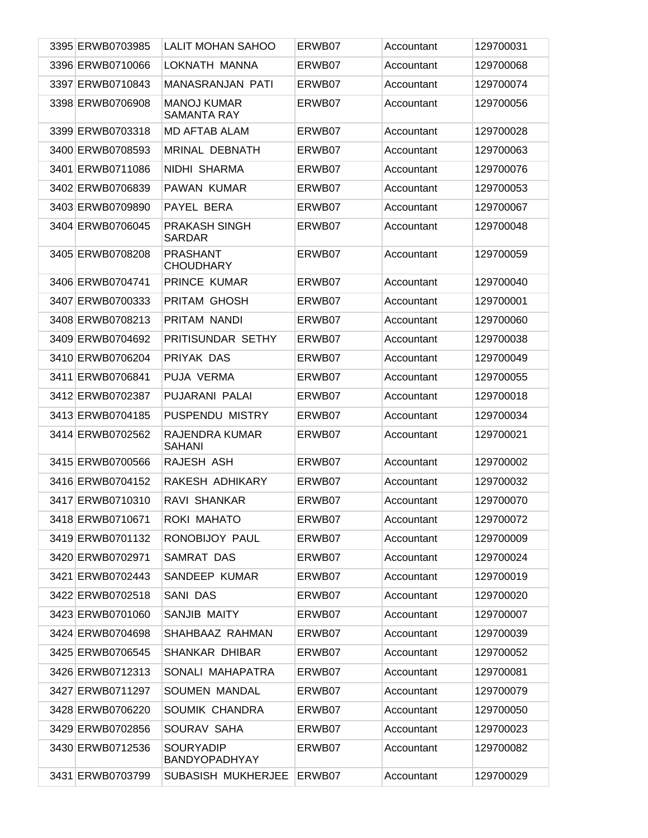| 3395 ERWB0703985 | <b>LALIT MOHAN SAHOO</b>                 | ERWB07 | Accountant | 129700031 |
|------------------|------------------------------------------|--------|------------|-----------|
| 3396 ERWB0710066 | LOKNATH MANNA                            | ERWB07 | Accountant | 129700068 |
| 3397 ERWB0710843 | MANASRANJAN PATI                         | ERWB07 | Accountant | 129700074 |
| 3398 ERWB0706908 | <b>MANOJ KUMAR</b><br><b>SAMANTA RAY</b> | ERWB07 | Accountant | 129700056 |
| 3399 ERWB0703318 | <b>MD AFTAB ALAM</b>                     | ERWB07 | Accountant | 129700028 |
| 3400 ERWB0708593 | <b>MRINAL DEBNATH</b>                    | ERWB07 | Accountant | 129700063 |
| 3401 ERWB0711086 | <b>NIDHI SHARMA</b>                      | ERWB07 | Accountant | 129700076 |
| 3402 ERWB0706839 | PAWAN KUMAR                              | ERWB07 | Accountant | 129700053 |
| 3403 ERWB0709890 | PAYEL BERA                               | ERWB07 | Accountant | 129700067 |
| 3404 ERWB0706045 | <b>PRAKASH SINGH</b><br>SARDAR           | ERWB07 | Accountant | 129700048 |
| 3405 ERWB0708208 | <b>PRASHANT</b><br><b>CHOUDHARY</b>      | ERWB07 | Accountant | 129700059 |
| 3406 ERWB0704741 | PRINCE KUMAR                             | ERWB07 | Accountant | 129700040 |
| 3407 ERWB0700333 | PRITAM GHOSH                             | ERWB07 | Accountant | 129700001 |
| 3408 ERWB0708213 | PRITAM NANDI                             | ERWB07 | Accountant | 129700060 |
| 3409 ERWB0704692 | PRITISUNDAR SETHY                        | ERWB07 | Accountant | 129700038 |
| 3410 ERWB0706204 | PRIYAK DAS                               | ERWB07 | Accountant | 129700049 |
| 3411 ERWB0706841 | PUJA VERMA                               | ERWB07 | Accountant | 129700055 |
| 3412 ERWB0702387 | PUJARANI PALAI                           | ERWB07 | Accountant | 129700018 |
| 3413 ERWB0704185 | PUSPENDU MISTRY                          | ERWB07 | Accountant | 129700034 |
| 3414 ERWB0702562 | RAJENDRA KUMAR<br><b>SAHANI</b>          | ERWB07 | Accountant | 129700021 |
| 3415 ERWB0700566 | RAJESH ASH                               | ERWB07 | Accountant | 129700002 |
| 3416 ERWB0704152 | RAKESH ADHIKARY                          | ERWB07 | Accountant | 129700032 |
| 3417 ERWB0710310 | RAVI SHANKAR                             | ERWB07 | Accountant | 129700070 |
| 3418 ERWB0710671 | ROKI MAHATO                              | ERWB07 | Accountant | 129700072 |
| 3419 ERWB0701132 | RONOBIJOY PAUL                           | ERWB07 | Accountant | 129700009 |
| 3420 ERWB0702971 | SAMRAT DAS                               | ERWB07 | Accountant | 129700024 |
| 3421 ERWB0702443 | SANDEEP KUMAR                            | ERWB07 | Accountant | 129700019 |
| 3422 ERWB0702518 | SANI DAS                                 | ERWB07 | Accountant | 129700020 |
| 3423 ERWB0701060 | SANJIB MAITY                             | ERWB07 | Accountant | 129700007 |
| 3424 ERWB0704698 | SHAHBAAZ RAHMAN                          | ERWB07 | Accountant | 129700039 |
| 3425 ERWB0706545 | SHANKAR DHIBAR                           | ERWB07 | Accountant | 129700052 |
| 3426 ERWB0712313 | SONALI MAHAPATRA                         | ERWB07 | Accountant | 129700081 |
| 3427 ERWB0711297 | SOUMEN MANDAL                            | ERWB07 | Accountant | 129700079 |
| 3428 ERWB0706220 | SOUMIK CHANDRA                           | ERWB07 | Accountant | 129700050 |
| 3429 ERWB0702856 | SOURAV SAHA                              | ERWB07 | Accountant | 129700023 |
| 3430 ERWB0712536 | <b>SOURYADIP</b><br><b>BANDYOPADHYAY</b> | ERWB07 | Accountant | 129700082 |
| 3431 ERWB0703799 | SUBASISH MUKHERJEE                       | ERWB07 | Accountant | 129700029 |